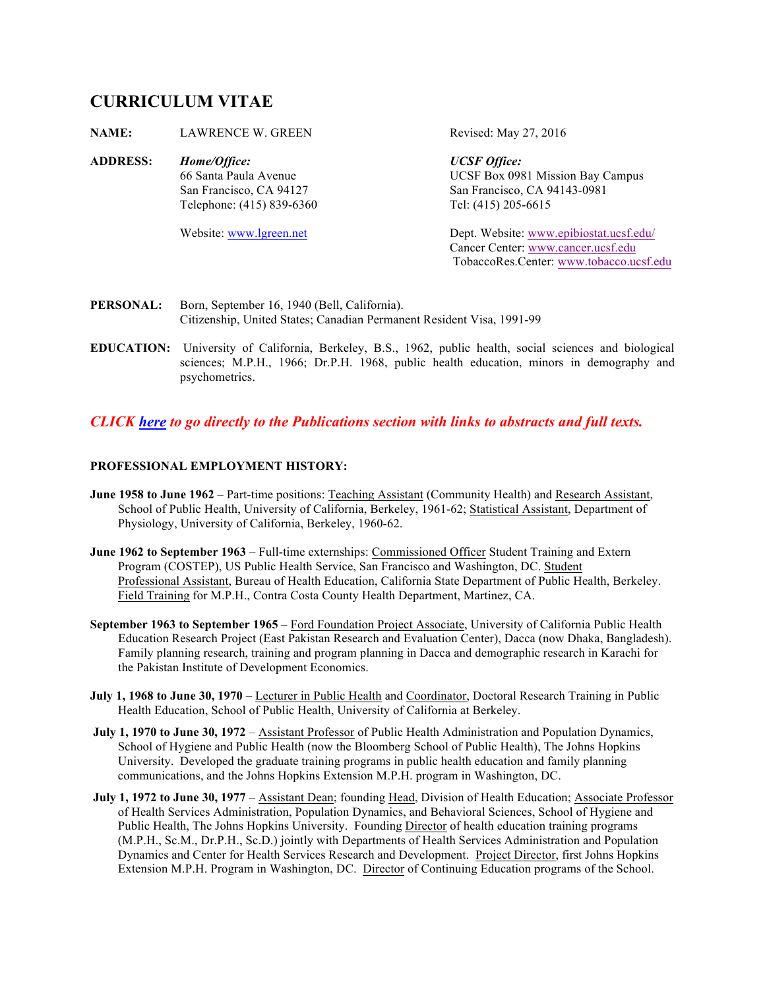# **CURRICULUM VITAE**

| <b>NAME:</b>    | <b>LAWRENCE W. GREEN</b>  | Revised: May 27, 2016                   |
|-----------------|---------------------------|-----------------------------------------|
| <b>ADDRESS:</b> | Home/Office:              | <b>UCSF</b> Office:                     |
|                 | 66 Santa Paula Avenue     | UCSF Box 0981 Mission Bay Campus        |
|                 | San Francisco, CA 94127   | San Francisco, CA 94143-0981            |
|                 | Telephone: (415) 839-6360 | Tel: (415) 205-6615                     |
|                 | Website: www.lgreen.net   | Dept. Website: www.epibiostat.ucsf.edu/ |
|                 |                           | Cancer Center: www.cancer.ucsf.edu      |
|                 |                           | TobaccoRes.Center: www.tobacco.ucsf.edu |

- PERSONAL: Born, September 16, 1940 (Bell, California). Citizenship, United States; Canadian Permanent Resident Visa, 1991-99
- **EDUCATION:** University of California, Berkeley, B.S., 1962, public health, social sciences and biological sciences; M.P.H., 1966; Dr.P.H. 1968, public health education, minors in demography and psychometrics.

## *CLICK here to go directly to the Publications section with links to abstracts and full texts.*

## **PROFESSIONAL EMPLOYMENT HISTORY:**

- **June 1958 to June 1962** Part-time positions: Teaching Assistant (Community Health) and Research Assistant, School of Public Health, University of California, Berkeley, 1961-62; Statistical Assistant, Department of Physiology, University of California, Berkeley, 1960-62.
- **June 1962 to September 1963**  Full-time externships: Commissioned Officer Student Training and Extern Program (COSTEP), US Public Health Service, San Francisco and Washington, DC. Student Professional Assistant, Bureau of Health Education, California State Department of Public Health, Berkeley. Field Training for M.P.H., Contra Costa County Health Department, Martinez, CA.
- **September 1963 to September 1965**  Ford Foundation Project Associate, University of California Public Health Education Research Project (East Pakistan Research and Evaluation Center), Dacca (now Dhaka, Bangladesh). Family planning research, training and program planning in Dacca and demographic research in Karachi for the Pakistan Institute of Development Economics.
- **July 1, 1968 to June 30, 1970**  Lecturer in Public Health and Coordinator, Doctoral Research Training in Public Health Education, School of Public Health, University of California at Berkeley.
- **July 1, 1970 to June 30, 1972** Assistant Professor of Public Health Administration and Population Dynamics, School of Hygiene and Public Health (now the Bloomberg School of Public Health), The Johns Hopkins University. Developed the graduate training programs in public health education and family planning communications, and the Johns Hopkins Extension M.P.H. program in Washington, DC.
- **July 1, 1972 to June 30, 1977** Assistant Dean; founding Head, Division of Health Education; Associate Professor of Health Services Administration, Population Dynamics, and Behavioral Sciences, School of Hygiene and Public Health, The Johns Hopkins University. Founding Director of health education training programs (M.P.H., Sc.M., Dr.P.H., Sc.D.) jointly with Departments of Health Services Administration and Population Dynamics and Center for Health Services Research and Development. Project Director, first Johns Hopkins Extension M.P.H. Program in Washington, DC. Director of Continuing Education programs of the School.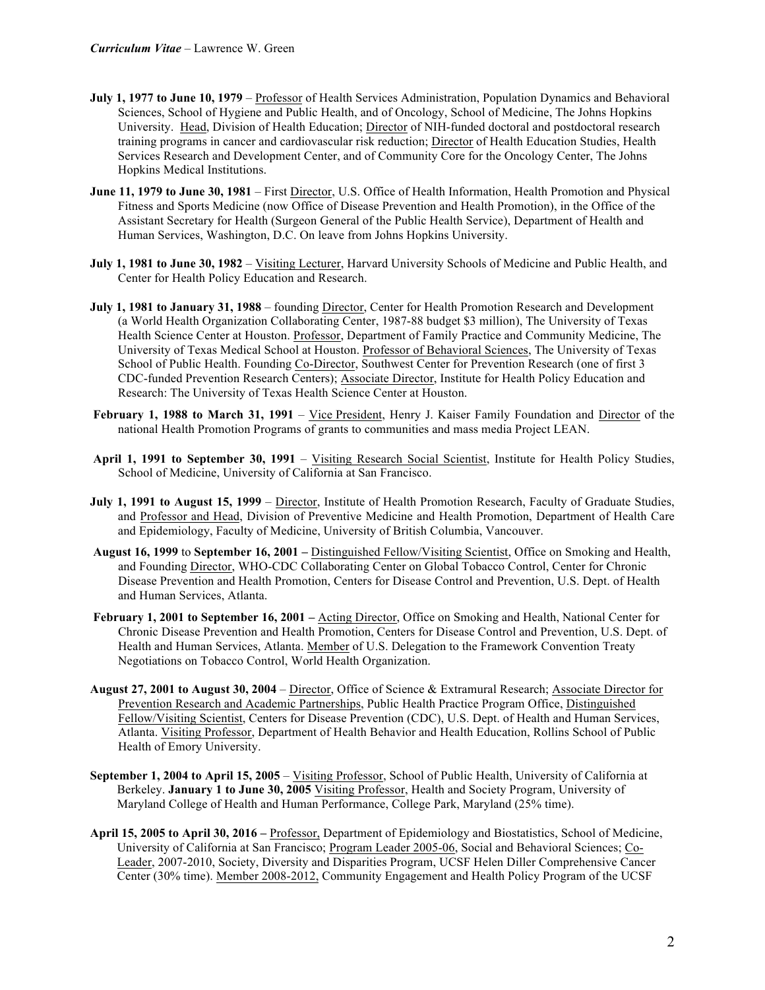- **July 1, 1977 to June 10, 1979** Professor of Health Services Administration, Population Dynamics and Behavioral Sciences, School of Hygiene and Public Health, and of Oncology, School of Medicine, The Johns Hopkins University. Head, Division of Health Education; Director of NIH-funded doctoral and postdoctoral research training programs in cancer and cardiovascular risk reduction; Director of Health Education Studies, Health Services Research and Development Center, and of Community Core for the Oncology Center, The Johns Hopkins Medical Institutions.
- **June 11, 1979 to June 30, 1981** First Director, U.S. Office of Health Information, Health Promotion and Physical Fitness and Sports Medicine (now Office of Disease Prevention and Health Promotion), in the Office of the Assistant Secretary for Health (Surgeon General of the Public Health Service), Department of Health and Human Services, Washington, D.C. On leave from Johns Hopkins University.
- **July 1, 1981 to June 30, 1982** Visiting Lecturer, Harvard University Schools of Medicine and Public Health, and Center for Health Policy Education and Research.
- **July 1, 1981 to January 31, 1988** founding Director, Center for Health Promotion Research and Development (a World Health Organization Collaborating Center, 1987-88 budget \$3 million), The University of Texas Health Science Center at Houston. Professor, Department of Family Practice and Community Medicine, The University of Texas Medical School at Houston. Professor of Behavioral Sciences, The University of Texas School of Public Health. Founding Co-Director, Southwest Center for Prevention Research (one of first 3 CDC-funded Prevention Research Centers); Associate Director, Institute for Health Policy Education and Research: The University of Texas Health Science Center at Houston.
- **February 1, 1988 to March 31, 1991** Vice President, Henry J. Kaiser Family Foundation and Director of the national Health Promotion Programs of grants to communities and mass media Project LEAN.
- **April 1, 1991 to September 30, 1991** Visiting Research Social Scientist, Institute for Health Policy Studies, School of Medicine, University of California at San Francisco.
- **July 1, 1991 to August 15, 1999** Director, Institute of Health Promotion Research, Faculty of Graduate Studies, and Professor and Head, Division of Preventive Medicine and Health Promotion, Department of Health Care and Epidemiology, Faculty of Medicine, University of British Columbia, Vancouver.
- **August 16, 1999** to **September 16, 2001 –** Distinguished Fellow/Visiting Scientist, Office on Smoking and Health, and Founding Director, WHO-CDC Collaborating Center on Global Tobacco Control, Center for Chronic Disease Prevention and Health Promotion, Centers for Disease Control and Prevention, U.S. Dept. of Health and Human Services, Atlanta.
- **February 1, 2001 to September 16, 2001 Acting Director, Office on Smoking and Health, National Center for** Chronic Disease Prevention and Health Promotion, Centers for Disease Control and Prevention, U.S. Dept. of Health and Human Services, Atlanta. Member of U.S. Delegation to the Framework Convention Treaty Negotiations on Tobacco Control, World Health Organization.
- **August 27, 2001 to August 30, 2004** Director, Office of Science & Extramural Research; Associate Director for Prevention Research and Academic Partnerships, Public Health Practice Program Office, Distinguished Fellow/Visiting Scientist, Centers for Disease Prevention (CDC), U.S. Dept. of Health and Human Services, Atlanta. Visiting Professor, Department of Health Behavior and Health Education, Rollins School of Public Health of Emory University.
- **September 1, 2004 to April 15, 2005**  Visiting Professor, School of Public Health, University of California at Berkeley. **January 1 to June 30, 2005** Visiting Professor, Health and Society Program, University of Maryland College of Health and Human Performance, College Park, Maryland (25% time).
- **April 15, 2005 to April 30, 2016 –** Professor, Department of Epidemiology and Biostatistics, School of Medicine, University of California at San Francisco; Program Leader 2005-06, Social and Behavioral Sciences; Co-Leader, 2007-2010, Society, Diversity and Disparities Program, UCSF Helen Diller Comprehensive Cancer Center (30% time). Member 2008-2012, Community Engagement and Health Policy Program of the UCSF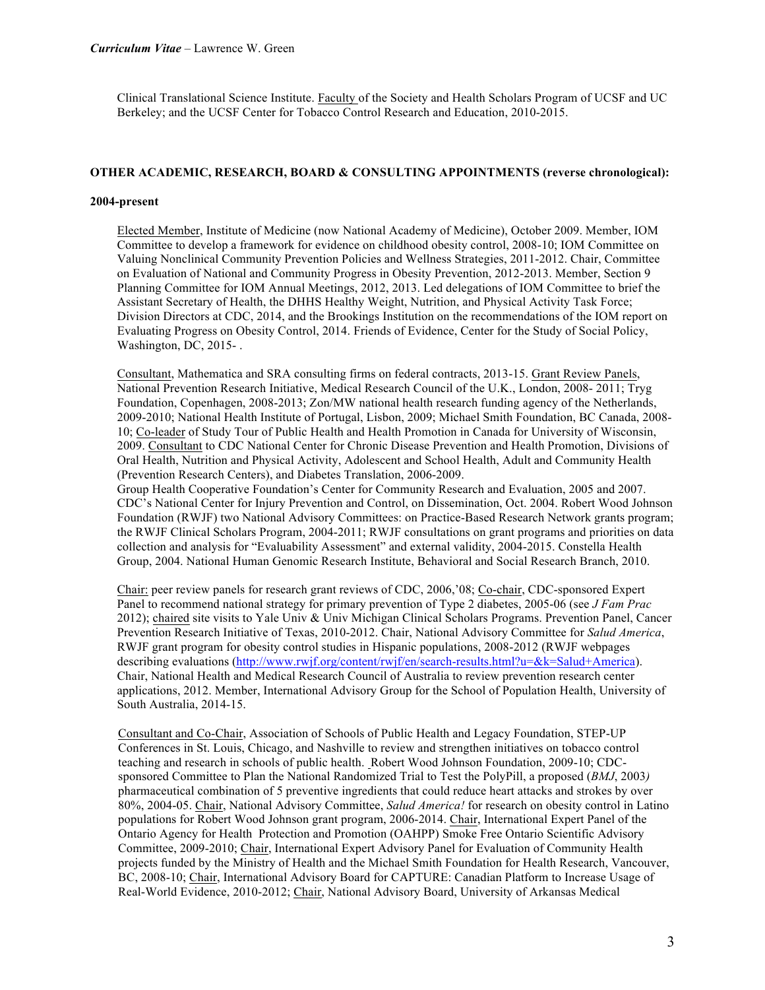Clinical Translational Science Institute. Faculty of the Society and Health Scholars Program of UCSF and UC Berkeley; and the UCSF Center for Tobacco Control Research and Education, 2010-2015.

## **OTHER ACADEMIC, RESEARCH, BOARD & CONSULTING APPOINTMENTS (reverse chronological):**

#### **2004-present**

Elected Member, Institute of Medicine (now National Academy of Medicine), October 2009. Member, IOM Committee to develop a framework for evidence on childhood obesity control, 2008-10; IOM Committee on Valuing Nonclinical Community Prevention Policies and Wellness Strategies, 2011-2012. Chair, Committee on Evaluation of National and Community Progress in Obesity Prevention, 2012-2013. Member, Section 9 Planning Committee for IOM Annual Meetings, 2012, 2013. Led delegations of IOM Committee to brief the Assistant Secretary of Health, the DHHS Healthy Weight, Nutrition, and Physical Activity Task Force; Division Directors at CDC, 2014, and the Brookings Institution on the recommendations of the IOM report on Evaluating Progress on Obesity Control, 2014. Friends of Evidence, Center for the Study of Social Policy, Washington, DC, 2015- .

Consultant, Mathematica and SRA consulting firms on federal contracts, 2013-15. Grant Review Panels, National Prevention Research Initiative, Medical Research Council of the U.K., London, 2008- 2011; Tryg Foundation, Copenhagen, 2008-2013; Zon/MW national health research funding agency of the Netherlands, 2009-2010; National Health Institute of Portugal, Lisbon, 2009; Michael Smith Foundation, BC Canada, 2008- 10; Co-leader of Study Tour of Public Health and Health Promotion in Canada for University of Wisconsin, 2009. Consultant to CDC National Center for Chronic Disease Prevention and Health Promotion, Divisions of Oral Health, Nutrition and Physical Activity, Adolescent and School Health, Adult and Community Health (Prevention Research Centers), and Diabetes Translation, 2006-2009.

Group Health Cooperative Foundation's Center for Community Research and Evaluation, 2005 and 2007. CDC's National Center for Injury Prevention and Control, on Dissemination, Oct. 2004. Robert Wood Johnson Foundation (RWJF) two National Advisory Committees: on Practice-Based Research Network grants program; the RWJF Clinical Scholars Program, 2004-2011; RWJF consultations on grant programs and priorities on data collection and analysis for "Evaluability Assessment" and external validity, 2004-2015. Constella Health Group, 2004. National Human Genomic Research Institute, Behavioral and Social Research Branch, 2010.

Chair: peer review panels for research grant reviews of CDC, 2006,'08; Co-chair, CDC-sponsored Expert Panel to recommend national strategy for primary prevention of Type 2 diabetes, 2005-06 (see *J Fam Prac*  2012); chaired site visits to Yale Univ & Univ Michigan Clinical Scholars Programs. Prevention Panel, Cancer Prevention Research Initiative of Texas, 2010-2012. Chair, National Advisory Committee for *Salud America*, RWJF grant program for obesity control studies in Hispanic populations, 2008-2012 (RWJF webpages describing evaluations (http://www.rwjf.org/content/rwjf/en/search-results.html?u=&k=Salud+America). Chair, National Health and Medical Research Council of Australia to review prevention research center applications, 2012. Member, International Advisory Group for the School of Population Health, University of South Australia, 2014-15.

Consultant and Co-Chair, Association of Schools of Public Health and Legacy Foundation, STEP-UP Conferences in St. Louis, Chicago, and Nashville to review and strengthen initiatives on tobacco control teaching and research in schools of public health. Robert Wood Johnson Foundation, 2009-10; CDCsponsored Committee to Plan the National Randomized Trial to Test the PolyPill, a proposed (*BMJ*, 2003*)*  pharmaceutical combination of 5 preventive ingredients that could reduce heart attacks and strokes by over 80%, 2004-05. Chair, National Advisory Committee, *Salud America!* for research on obesity control in Latino populations for Robert Wood Johnson grant program, 2006-2014. Chair, International Expert Panel of the Ontario Agency for Health Protection and Promotion (OAHPP) Smoke Free Ontario Scientific Advisory Committee, 2009-2010; Chair, International Expert Advisory Panel for Evaluation of Community Health projects funded by the Ministry of Health and the Michael Smith Foundation for Health Research, Vancouver, BC, 2008-10; Chair, International Advisory Board for CAPTURE: Canadian Platform to Increase Usage of Real-World Evidence, 2010-2012; Chair, National Advisory Board, University of Arkansas Medical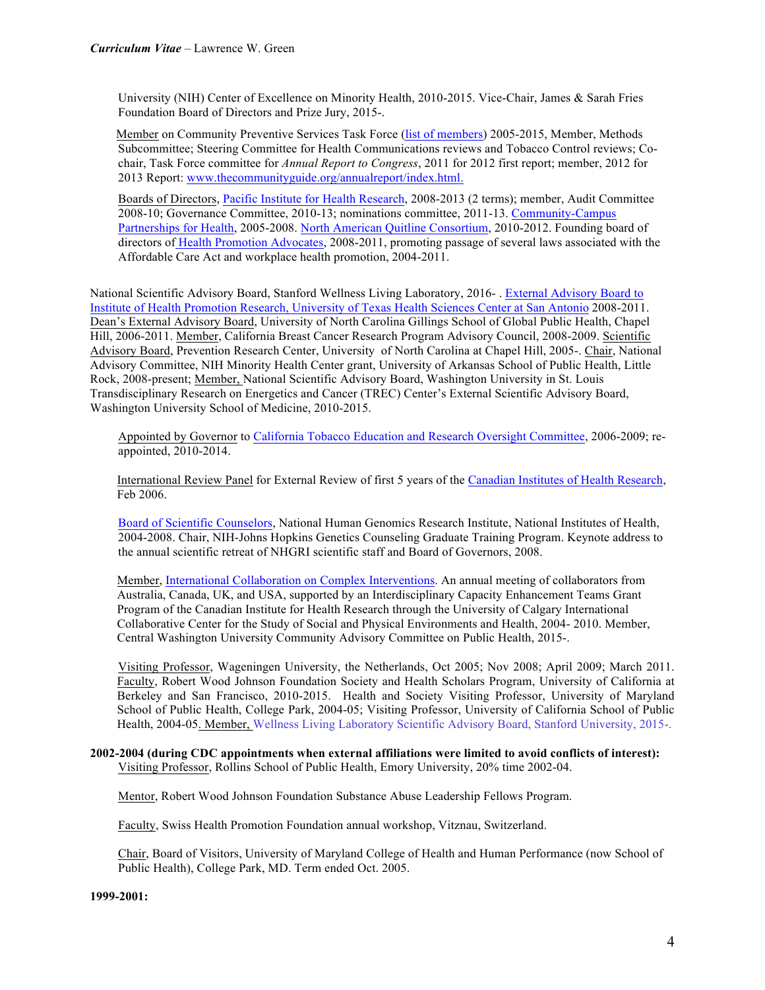University (NIH) Center of Excellence on Minority Health, 2010-2015. Vice-Chair, James & Sarah Fries Foundation Board of Directors and Prize Jury, 2015-.

 Member on Community Preventive Services Task Force (list of members) 2005-2015, Member, Methods Subcommittee; Steering Committee for Health Communications reviews and Tobacco Control reviews; Cochair, Task Force committee for *Annual Report to Congress*, 2011 for 2012 first report; member, 2012 for 2013 Report: www.thecommunityguide.org/annualreport/index.html.

Boards of Directors, Pacific Institute for Health Research, 2008-2013 (2 terms); member, Audit Committee 2008-10; Governance Committee, 2010-13; nominations committee, 2011-13. Community-Campus Partnerships for Health, 2005-2008. North American Quitline Consortium, 2010-2012. Founding board of directors of Health Promotion Advocates, 2008-2011, promoting passage of several laws associated with the Affordable Care Act and workplace health promotion, 2004-2011.

National Scientific Advisory Board, Stanford Wellness Living Laboratory, 2016- . External Advisory Board to Institute of Health Promotion Research, University of Texas Health Sciences Center at San Antonio 2008-2011. Dean's External Advisory Board, University of North Carolina Gillings School of Global Public Health, Chapel Hill, 2006-2011. Member, California Breast Cancer Research Program Advisory Council, 2008-2009. Scientific Advisory Board, Prevention Research Center, University of North Carolina at Chapel Hill, 2005-. Chair, National Advisory Committee, NIH Minority Health Center grant, University of Arkansas School of Public Health, Little Rock, 2008-present; Member, National Scientific Advisory Board, Washington University in St. Louis Transdisciplinary Research on Energetics and Cancer (TREC) Center's External Scientific Advisory Board, Washington University School of Medicine, 2010-2015.

Appointed by Governor to California Tobacco Education and Research Oversight Committee, 2006-2009; reappointed, 2010-2014.

International Review Panel for External Review of first 5 years of the Canadian Institutes of Health Research, Feb 2006.

Board of Scientific Counselors, National Human Genomics Research Institute, National Institutes of Health, 2004-2008. Chair, NIH-Johns Hopkins Genetics Counseling Graduate Training Program. Keynote address to the annual scientific retreat of NHGRI scientific staff and Board of Governors, 2008.

Member, International Collaboration on Complex Interventions. An annual meeting of collaborators from Australia, Canada, UK, and USA, supported by an Interdisciplinary Capacity Enhancement Teams Grant Program of the Canadian Institute for Health Research through the University of Calgary International Collaborative Center for the Study of Social and Physical Environments and Health, 2004- 2010. Member, Central Washington University Community Advisory Committee on Public Health, 2015-.

Visiting Professor, Wageningen University, the Netherlands, Oct 2005; Nov 2008; April 2009; March 2011. Faculty, Robert Wood Johnson Foundation Society and Health Scholars Program, University of California at Berkeley and San Francisco, 2010-2015. Health and Society Visiting Professor, University of Maryland School of Public Health, College Park, 2004-05; Visiting Professor, University of California School of Public Health, 2004-05. Member, Wellness Living Laboratory Scientific Advisory Board, Stanford University, 2015-.

## **2002-2004 (during CDC appointments when external affiliations were limited to avoid conflicts of interest):** Visiting Professor, Rollins School of Public Health, Emory University, 20% time 2002-04.

Mentor, Robert Wood Johnson Foundation Substance Abuse Leadership Fellows Program.

Faculty, Swiss Health Promotion Foundation annual workshop, Vitznau, Switzerland.

Chair, Board of Visitors, University of Maryland College of Health and Human Performance (now School of Public Health), College Park, MD. Term ended Oct. 2005.

**1999-2001:**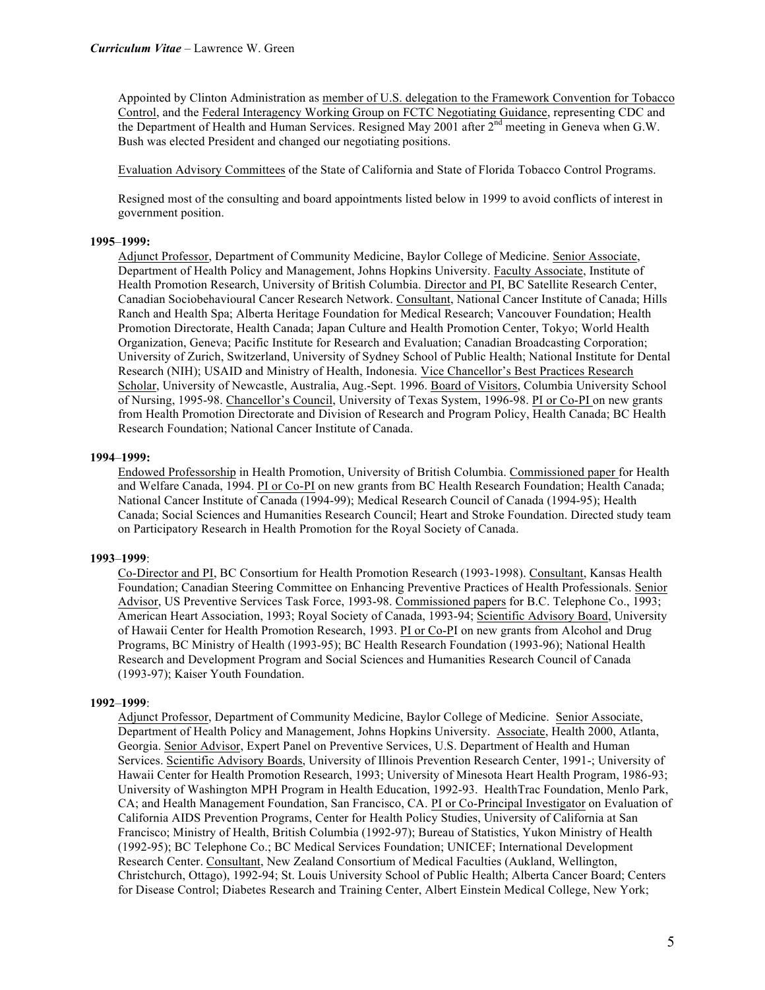Appointed by Clinton Administration as member of U.S. delegation to the Framework Convention for Tobacco Control, and the Federal Interagency Working Group on FCTC Negotiating Guidance, representing CDC and the Department of Health and Human Services. Resigned May 2001 after 2<sup>nd</sup> meeting in Geneva when G.W. Bush was elected President and changed our negotiating positions.

Evaluation Advisory Committees of the State of California and State of Florida Tobacco Control Programs.

Resigned most of the consulting and board appointments listed below in 1999 to avoid conflicts of interest in government position.

## **1995**–**1999:**

Adjunct Professor, Department of Community Medicine, Baylor College of Medicine. Senior Associate, Department of Health Policy and Management, Johns Hopkins University. Faculty Associate, Institute of Health Promotion Research, University of British Columbia. Director and PI, BC Satellite Research Center, Canadian Sociobehavioural Cancer Research Network. Consultant, National Cancer Institute of Canada; Hills Ranch and Health Spa; Alberta Heritage Foundation for Medical Research; Vancouver Foundation; Health Promotion Directorate, Health Canada; Japan Culture and Health Promotion Center, Tokyo; World Health Organization, Geneva; Pacific Institute for Research and Evaluation; Canadian Broadcasting Corporation; University of Zurich, Switzerland, University of Sydney School of Public Health; National Institute for Dental Research (NIH); USAID and Ministry of Health, Indonesia. Vice Chancellor's Best Practices Research Scholar, University of Newcastle, Australia, Aug.-Sept. 1996. Board of Visitors, Columbia University School of Nursing, 1995-98. Chancellor's Council, University of Texas System, 1996-98. PI or Co-PI on new grants from Health Promotion Directorate and Division of Research and Program Policy, Health Canada; BC Health Research Foundation; National Cancer Institute of Canada.

## **1994**–**1999:**

Endowed Professorship in Health Promotion, University of British Columbia. Commissioned paper for Health and Welfare Canada, 1994. PI or Co-PI on new grants from BC Health Research Foundation; Health Canada; National Cancer Institute of Canada (1994-99); Medical Research Council of Canada (1994-95); Health Canada; Social Sciences and Humanities Research Council; Heart and Stroke Foundation. Directed study team on Participatory Research in Health Promotion for the Royal Society of Canada.

## **1993**–**1999**:

Co-Director and PI, BC Consortium for Health Promotion Research (1993-1998). Consultant, Kansas Health Foundation; Canadian Steering Committee on Enhancing Preventive Practices of Health Professionals. Senior Advisor, US Preventive Services Task Force, 1993-98. Commissioned papers for B.C. Telephone Co., 1993; American Heart Association, 1993; Royal Society of Canada, 1993-94; Scientific Advisory Board, University of Hawaii Center for Health Promotion Research, 1993. PI or Co-PI on new grants from Alcohol and Drug Programs, BC Ministry of Health (1993-95); BC Health Research Foundation (1993-96); National Health Research and Development Program and Social Sciences and Humanities Research Council of Canada (1993-97); Kaiser Youth Foundation.

#### **1992**–**1999**:

Adjunct Professor, Department of Community Medicine, Baylor College of Medicine. Senior Associate, Department of Health Policy and Management, Johns Hopkins University. Associate, Health 2000, Atlanta, Georgia. Senior Advisor, Expert Panel on Preventive Services, U.S. Department of Health and Human Services. Scientific Advisory Boards, University of Illinois Prevention Research Center, 1991-; University of Hawaii Center for Health Promotion Research, 1993; University of Minesota Heart Health Program, 1986-93; University of Washington MPH Program in Health Education, 1992-93. HealthTrac Foundation, Menlo Park, CA; and Health Management Foundation, San Francisco, CA. PI or Co-Principal Investigator on Evaluation of California AIDS Prevention Programs, Center for Health Policy Studies, University of California at San Francisco; Ministry of Health, British Columbia (1992-97); Bureau of Statistics, Yukon Ministry of Health (1992-95); BC Telephone Co.; BC Medical Services Foundation; UNICEF; International Development Research Center. Consultant, New Zealand Consortium of Medical Faculties (Aukland, Wellington, Christchurch, Ottago), 1992-94; St. Louis University School of Public Health; Alberta Cancer Board; Centers for Disease Control; Diabetes Research and Training Center, Albert Einstein Medical College, New York;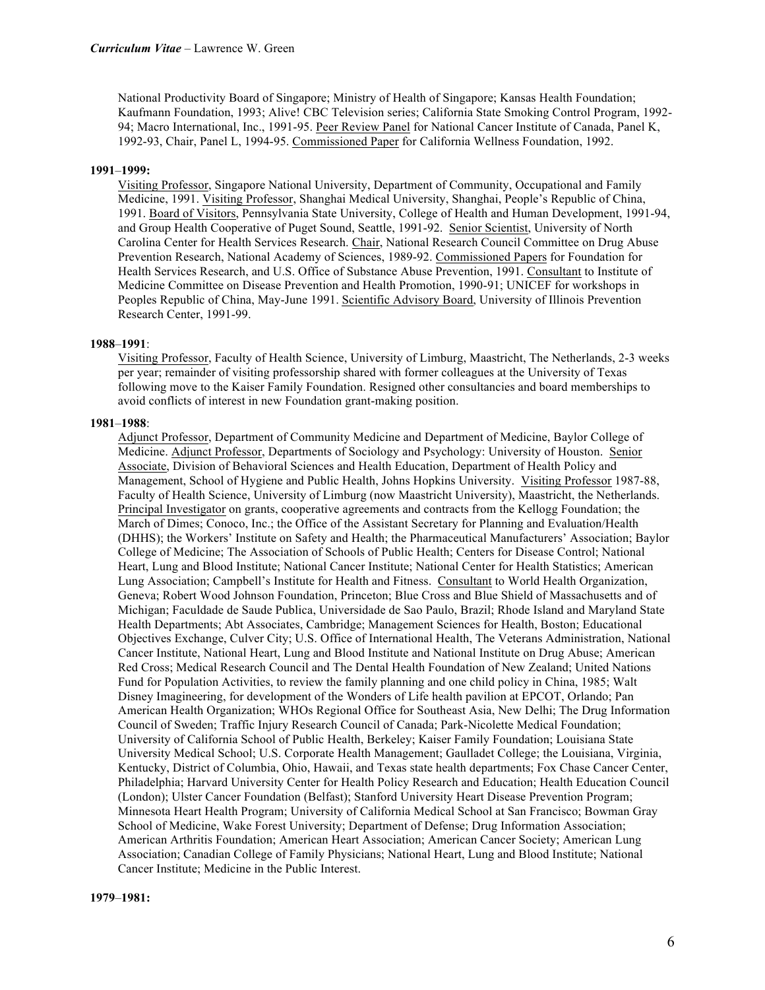National Productivity Board of Singapore; Ministry of Health of Singapore; Kansas Health Foundation; Kaufmann Foundation, 1993; Alive! CBC Television series; California State Smoking Control Program, 1992- 94; Macro International, Inc., 1991-95. Peer Review Panel for National Cancer Institute of Canada, Panel K, 1992-93, Chair, Panel L, 1994-95. Commissioned Paper for California Wellness Foundation, 1992.

#### **1991**–**1999:**

Visiting Professor, Singapore National University, Department of Community, Occupational and Family Medicine, 1991. Visiting Professor, Shanghai Medical University, Shanghai, People's Republic of China, 1991. Board of Visitors, Pennsylvania State University, College of Health and Human Development, 1991-94, and Group Health Cooperative of Puget Sound, Seattle, 1991-92. Senior Scientist, University of North Carolina Center for Health Services Research. Chair, National Research Council Committee on Drug Abuse Prevention Research, National Academy of Sciences, 1989-92. Commissioned Papers for Foundation for Health Services Research, and U.S. Office of Substance Abuse Prevention, 1991. Consultant to Institute of Medicine Committee on Disease Prevention and Health Promotion, 1990-91; UNICEF for workshops in Peoples Republic of China, May-June 1991. Scientific Advisory Board, University of Illinois Prevention Research Center, 1991-99.

#### **1988**–**1991**:

Visiting Professor, Faculty of Health Science, University of Limburg, Maastricht, The Netherlands, 2-3 weeks per year; remainder of visiting professorship shared with former colleagues at the University of Texas following move to the Kaiser Family Foundation. Resigned other consultancies and board memberships to avoid conflicts of interest in new Foundation grant-making position.

#### **1981**–**1988**:

Adjunct Professor, Department of Community Medicine and Department of Medicine, Baylor College of Medicine. Adjunct Professor, Departments of Sociology and Psychology: University of Houston. Senior Associate, Division of Behavioral Sciences and Health Education, Department of Health Policy and Management, School of Hygiene and Public Health, Johns Hopkins University. Visiting Professor 1987-88, Faculty of Health Science, University of Limburg (now Maastricht University), Maastricht, the Netherlands. Principal Investigator on grants, cooperative agreements and contracts from the Kellogg Foundation; the March of Dimes; Conoco, Inc.; the Office of the Assistant Secretary for Planning and Evaluation/Health (DHHS); the Workers' Institute on Safety and Health; the Pharmaceutical Manufacturers' Association; Baylor College of Medicine; The Association of Schools of Public Health; Centers for Disease Control; National Heart, Lung and Blood Institute; National Cancer Institute; National Center for Health Statistics; American Lung Association; Campbell's Institute for Health and Fitness. Consultant to World Health Organization, Geneva; Robert Wood Johnson Foundation, Princeton; Blue Cross and Blue Shield of Massachusetts and of Michigan; Faculdade de Saude Publica, Universidade de Sao Paulo, Brazil; Rhode Island and Maryland State Health Departments; Abt Associates, Cambridge; Management Sciences for Health, Boston; Educational Objectives Exchange, Culver City; U.S. Office of International Health, The Veterans Administration, National Cancer Institute, National Heart, Lung and Blood Institute and National Institute on Drug Abuse; American Red Cross; Medical Research Council and The Dental Health Foundation of New Zealand; United Nations Fund for Population Activities, to review the family planning and one child policy in China, 1985; Walt Disney Imagineering, for development of the Wonders of Life health pavilion at EPCOT, Orlando; Pan American Health Organization; WHOs Regional Office for Southeast Asia, New Delhi; The Drug Information Council of Sweden; Traffic Injury Research Council of Canada; Park-Nicolette Medical Foundation; University of California School of Public Health, Berkeley; Kaiser Family Foundation; Louisiana State University Medical School; U.S. Corporate Health Management; Gaulladet College; the Louisiana, Virginia, Kentucky, District of Columbia, Ohio, Hawaii, and Texas state health departments; Fox Chase Cancer Center, Philadelphia; Harvard University Center for Health Policy Research and Education; Health Education Council (London); Ulster Cancer Foundation (Belfast); Stanford University Heart Disease Prevention Program; Minnesota Heart Health Program; University of California Medical School at San Francisco; Bowman Gray School of Medicine, Wake Forest University; Department of Defense; Drug Information Association; American Arthritis Foundation; American Heart Association; American Cancer Society; American Lung Association; Canadian College of Family Physicians; National Heart, Lung and Blood Institute; National Cancer Institute; Medicine in the Public Interest.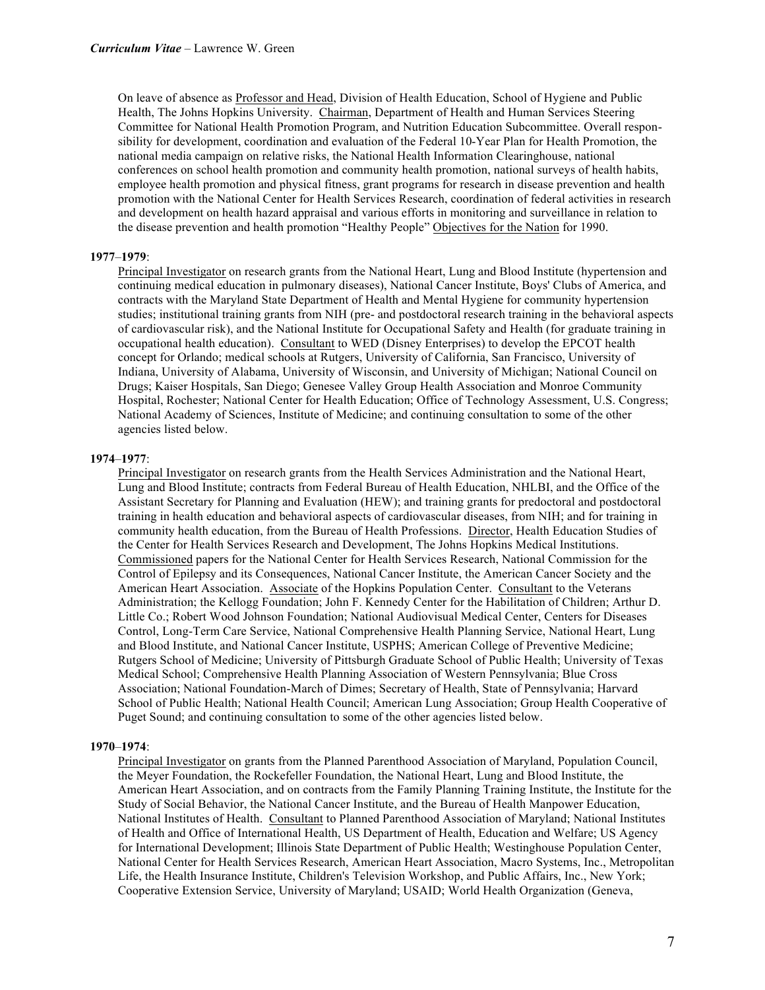On leave of absence as Professor and Head, Division of Health Education, School of Hygiene and Public Health, The Johns Hopkins University. Chairman, Department of Health and Human Services Steering Committee for National Health Promotion Program, and Nutrition Education Subcommittee. Overall responsibility for development, coordination and evaluation of the Federal 10-Year Plan for Health Promotion, the national media campaign on relative risks, the National Health Information Clearinghouse, national conferences on school health promotion and community health promotion, national surveys of health habits, employee health promotion and physical fitness, grant programs for research in disease prevention and health promotion with the National Center for Health Services Research, coordination of federal activities in research and development on health hazard appraisal and various efforts in monitoring and surveillance in relation to the disease prevention and health promotion "Healthy People" Objectives for the Nation for 1990.

#### **1977**–**1979**:

Principal Investigator on research grants from the National Heart, Lung and Blood Institute (hypertension and continuing medical education in pulmonary diseases), National Cancer Institute, Boys' Clubs of America, and contracts with the Maryland State Department of Health and Mental Hygiene for community hypertension studies; institutional training grants from NIH (pre- and postdoctoral research training in the behavioral aspects of cardiovascular risk), and the National Institute for Occupational Safety and Health (for graduate training in occupational health education). Consultant to WED (Disney Enterprises) to develop the EPCOT health concept for Orlando; medical schools at Rutgers, University of California, San Francisco, University of Indiana, University of Alabama, University of Wisconsin, and University of Michigan; National Council on Drugs; Kaiser Hospitals, San Diego; Genesee Valley Group Health Association and Monroe Community Hospital, Rochester; National Center for Health Education; Office of Technology Assessment, U.S. Congress; National Academy of Sciences, Institute of Medicine; and continuing consultation to some of the other agencies listed below.

#### **1974**–**1977**:

Principal Investigator on research grants from the Health Services Administration and the National Heart, Lung and Blood Institute; contracts from Federal Bureau of Health Education, NHLBI, and the Office of the Assistant Secretary for Planning and Evaluation (HEW); and training grants for predoctoral and postdoctoral training in health education and behavioral aspects of cardiovascular diseases, from NIH; and for training in community health education, from the Bureau of Health Professions. Director, Health Education Studies of the Center for Health Services Research and Development, The Johns Hopkins Medical Institutions. Commissioned papers for the National Center for Health Services Research, National Commission for the Control of Epilepsy and its Consequences, National Cancer Institute, the American Cancer Society and the American Heart Association. Associate of the Hopkins Population Center. Consultant to the Veterans Administration; the Kellogg Foundation; John F. Kennedy Center for the Habilitation of Children; Arthur D. Little Co.; Robert Wood Johnson Foundation; National Audiovisual Medical Center, Centers for Diseases Control, Long-Term Care Service, National Comprehensive Health Planning Service, National Heart, Lung and Blood Institute, and National Cancer Institute, USPHS; American College of Preventive Medicine; Rutgers School of Medicine; University of Pittsburgh Graduate School of Public Health; University of Texas Medical School; Comprehensive Health Planning Association of Western Pennsylvania; Blue Cross Association; National Foundation-March of Dimes; Secretary of Health, State of Pennsylvania; Harvard School of Public Health; National Health Council; American Lung Association; Group Health Cooperative of Puget Sound; and continuing consultation to some of the other agencies listed below.

#### **1970**–**1974**:

Principal Investigator on grants from the Planned Parenthood Association of Maryland, Population Council, the Meyer Foundation, the Rockefeller Foundation, the National Heart, Lung and Blood Institute, the American Heart Association, and on contracts from the Family Planning Training Institute, the Institute for the Study of Social Behavior, the National Cancer Institute, and the Bureau of Health Manpower Education, National Institutes of Health. Consultant to Planned Parenthood Association of Maryland; National Institutes of Health and Office of International Health, US Department of Health, Education and Welfare; US Agency for International Development; Illinois State Department of Public Health; Westinghouse Population Center, National Center for Health Services Research, American Heart Association, Macro Systems, Inc., Metropolitan Life, the Health Insurance Institute, Children's Television Workshop, and Public Affairs, Inc., New York; Cooperative Extension Service, University of Maryland; USAID; World Health Organization (Geneva,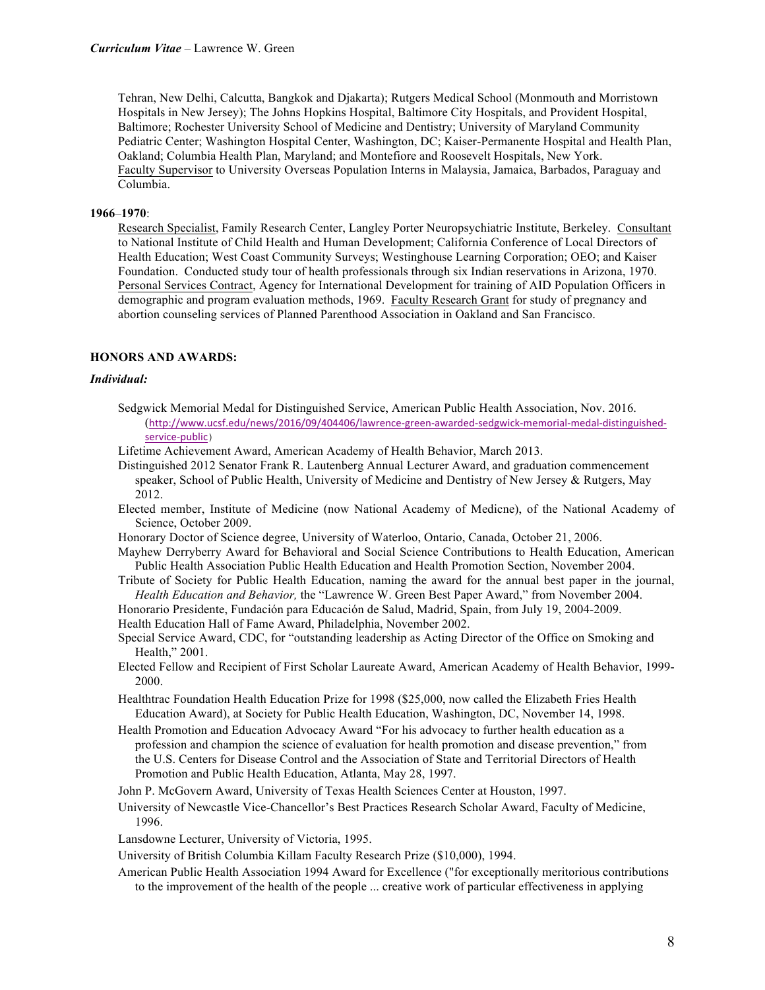Tehran, New Delhi, Calcutta, Bangkok and Djakarta); Rutgers Medical School (Monmouth and Morristown Hospitals in New Jersey); The Johns Hopkins Hospital, Baltimore City Hospitals, and Provident Hospital, Baltimore; Rochester University School of Medicine and Dentistry; University of Maryland Community Pediatric Center; Washington Hospital Center, Washington, DC; Kaiser-Permanente Hospital and Health Plan, Oakland; Columbia Health Plan, Maryland; and Montefiore and Roosevelt Hospitals, New York. Faculty Supervisor to University Overseas Population Interns in Malaysia, Jamaica, Barbados, Paraguay and Columbia.

## **1966**–**1970**:

Research Specialist, Family Research Center, Langley Porter Neuropsychiatric Institute, Berkeley. Consultant to National Institute of Child Health and Human Development; California Conference of Local Directors of Health Education; West Coast Community Surveys; Westinghouse Learning Corporation; OEO; and Kaiser Foundation. Conducted study tour of health professionals through six Indian reservations in Arizona, 1970. Personal Services Contract, Agency for International Development for training of AID Population Officers in demographic and program evaluation methods, 1969. Faculty Research Grant for study of pregnancy and abortion counseling services of Planned Parenthood Association in Oakland and San Francisco.

## **HONORS AND AWARDS:**

#### *Individual:*

- Sedgwick Memorial Medal for Distinguished Service, American Public Health Association, Nov. 2016. (http://www.ucsf.edu/news/2016/09/404406/lawrence-green-awarded-sedgwick-memorial-medal-distinguishedservice-public)
- Lifetime Achievement Award, American Academy of Health Behavior, March 2013.

Distinguished 2012 Senator Frank R. Lautenberg Annual Lecturer Award, and graduation commencement speaker, School of Public Health, University of Medicine and Dentistry of New Jersey & Rutgers, May 2012.

- Elected member, Institute of Medicine (now National Academy of Medicne), of the National Academy of Science, October 2009.
- Honorary Doctor of Science degree, University of Waterloo, Ontario, Canada, October 21, 2006.

Mayhew Derryberry Award for Behavioral and Social Science Contributions to Health Education, American Public Health Association Public Health Education and Health Promotion Section, November 2004.

Tribute of Society for Public Health Education, naming the award for the annual best paper in the journal, *Health Education and Behavior,* the "Lawrence W. Green Best Paper Award," from November 2004.

Honorario Presidente, Fundación para Educación de Salud, Madrid, Spain, from July 19, 2004-2009. Health Education Hall of Fame Award, Philadelphia, November 2002.

Special Service Award, CDC, for "outstanding leadership as Acting Director of the Office on Smoking and Health," 2001.

Elected Fellow and Recipient of First Scholar Laureate Award, American Academy of Health Behavior, 1999- 2000.

Healthtrac Foundation Health Education Prize for 1998 (\$25,000, now called the Elizabeth Fries Health Education Award), at Society for Public Health Education, Washington, DC, November 14, 1998.

Health Promotion and Education Advocacy Award "For his advocacy to further health education as a profession and champion the science of evaluation for health promotion and disease prevention," from the U.S. Centers for Disease Control and the Association of State and Territorial Directors of Health Promotion and Public Health Education, Atlanta, May 28, 1997.

John P. McGovern Award, University of Texas Health Sciences Center at Houston, 1997.

University of Newcastle Vice-Chancellor's Best Practices Research Scholar Award, Faculty of Medicine, 1996.

Lansdowne Lecturer, University of Victoria, 1995.

University of British Columbia Killam Faculty Research Prize (\$10,000), 1994.

American Public Health Association 1994 Award for Excellence ("for exceptionally meritorious contributions to the improvement of the health of the people ... creative work of particular effectiveness in applying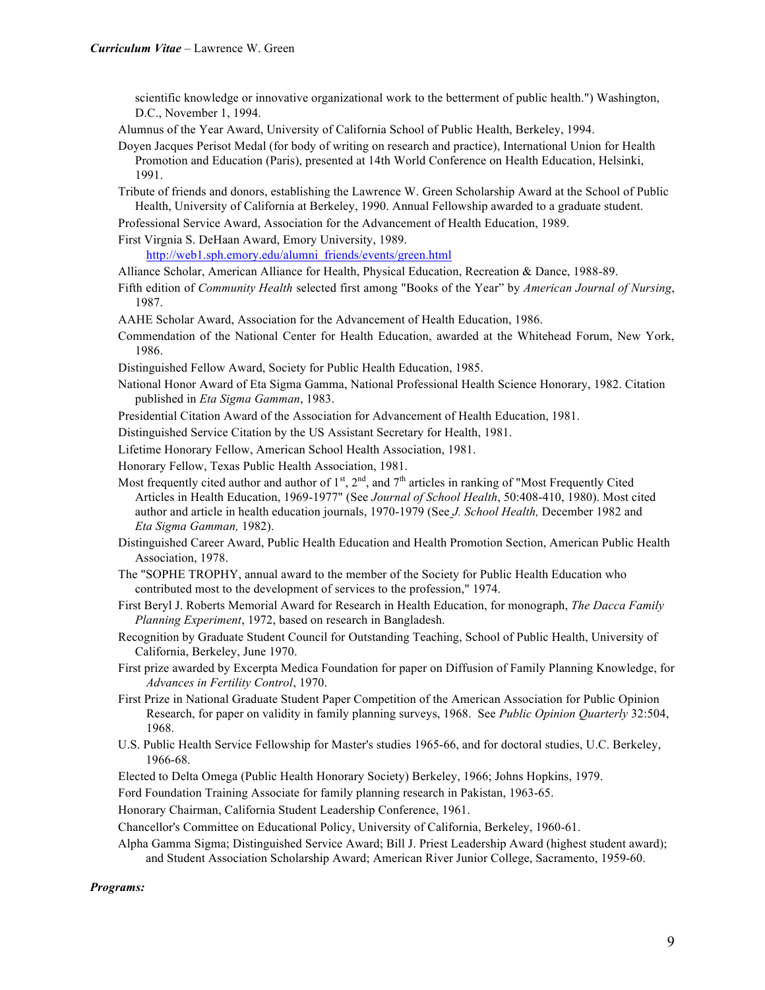scientific knowledge or innovative organizational work to the betterment of public health.") Washington, D.C., November 1, 1994.

Alumnus of the Year Award, University of California School of Public Health, Berkeley, 1994.

Doyen Jacques Perisot Medal (for body of writing on research and practice), International Union for Health Promotion and Education (Paris), presented at 14th World Conference on Health Education, Helsinki, 1991.

Tribute of friends and donors, establishing the Lawrence W. Green Scholarship Award at the School of Public Health, University of California at Berkeley, 1990. Annual Fellowship awarded to a graduate student.

Professional Service Award, Association for the Advancement of Health Education, 1989.

First Virgnia S. DeHaan Award, Emory University, 1989.

http://web1.sph.emory.edu/alumni\_friends/events/green.html

- Alliance Scholar, American Alliance for Health, Physical Education, Recreation & Dance, 1988-89.
- Fifth edition of *Community Health* selected first among "Books of the Year" by *American Journal of Nursing*, 1987.
- AAHE Scholar Award, Association for the Advancement of Health Education, 1986.
- Commendation of the National Center for Health Education, awarded at the Whitehead Forum, New York, 1986.

Distinguished Fellow Award, Society for Public Health Education, 1985.

National Honor Award of Eta Sigma Gamma, National Professional Health Science Honorary, 1982. Citation published in *Eta Sigma Gamman*, 1983.

Presidential Citation Award of the Association for Advancement of Health Education, 1981.

Distinguished Service Citation by the US Assistant Secretary for Health, 1981.

Lifetime Honorary Fellow, American School Health Association, 1981.

Honorary Fellow, Texas Public Health Association, 1981.

- Most frequently cited author and author of  $1^{st}$ ,  $2^{nd}$ , and  $7^{th}$  articles in ranking of "Most Frequently Cited" Articles in Health Education, 1969-1977" (See *Journal of School Health*, 50:408-410, 1980). Most cited author and article in health education journals, 1970-1979 (See *J. School Health,* December 1982 and *Eta Sigma Gamman,* 1982).
- Distinguished Career Award, Public Health Education and Health Promotion Section, American Public Health Association, 1978.
- The "SOPHE TROPHY, annual award to the member of the Society for Public Health Education who contributed most to the development of services to the profession," 1974.
- First Beryl J. Roberts Memorial Award for Research in Health Education, for monograph, *The Dacca Family Planning Experiment*, 1972, based on research in Bangladesh.
- Recognition by Graduate Student Council for Outstanding Teaching, School of Public Health, University of California, Berkeley, June 1970.
- First prize awarded by Excerpta Medica Foundation for paper on Diffusion of Family Planning Knowledge, for *Advances in Fertility Control*, 1970.
- First Prize in National Graduate Student Paper Competition of the American Association for Public Opinion Research, for paper on validity in family planning surveys, 1968. See *Public Opinion Quarterly* 32:504, 1968.
- U.S. Public Health Service Fellowship for Master's studies 1965-66, and for doctoral studies, U.C. Berkeley, 1966-68.

Elected to Delta Omega (Public Health Honorary Society) Berkeley, 1966; Johns Hopkins, 1979.

Ford Foundation Training Associate for family planning research in Pakistan, 1963-65.

Honorary Chairman, California Student Leadership Conference, 1961.

Chancellor's Committee on Educational Policy, University of California, Berkeley, 1960-61.

Alpha Gamma Sigma; Distinguished Service Award; Bill J. Priest Leadership Award (highest student award); and Student Association Scholarship Award; American River Junior College, Sacramento, 1959-60.

## *Programs:*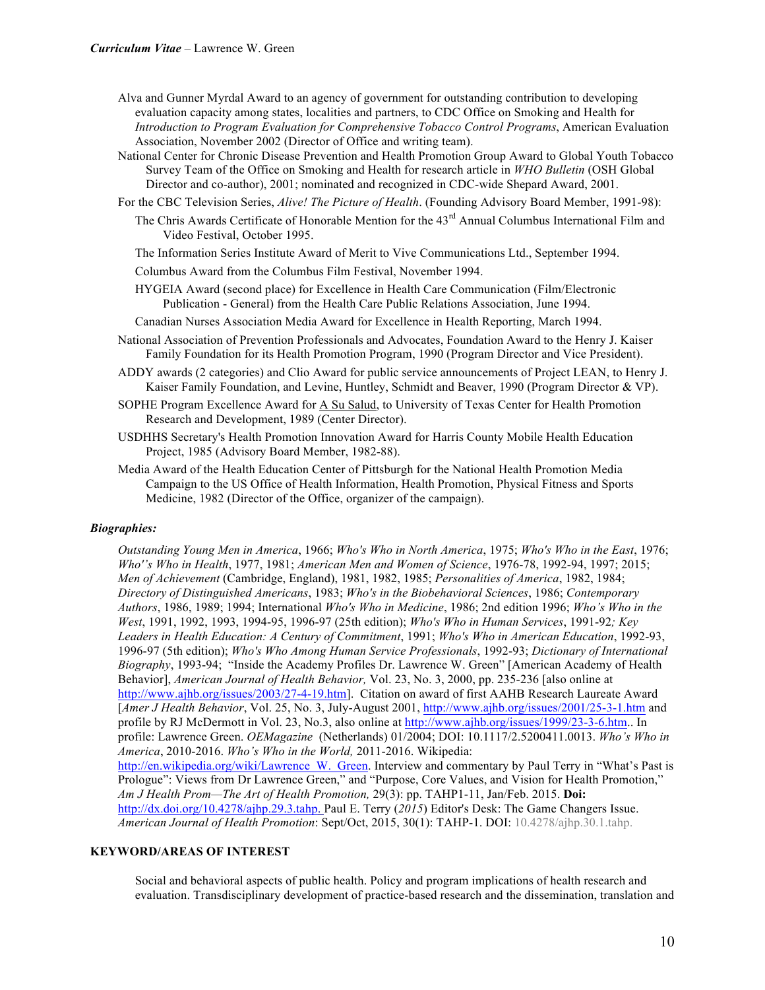- Alva and Gunner Myrdal Award to an agency of government for outstanding contribution to developing evaluation capacity among states, localities and partners, to CDC Office on Smoking and Health for *Introduction to Program Evaluation for Comprehensive Tobacco Control Programs*, American Evaluation Association, November 2002 (Director of Office and writing team).
- National Center for Chronic Disease Prevention and Health Promotion Group Award to Global Youth Tobacco Survey Team of the Office on Smoking and Health for research article in *WHO Bulletin* (OSH Global Director and co-author), 2001; nominated and recognized in CDC-wide Shepard Award, 2001.
- For the CBC Television Series, *Alive! The Picture of Health*. (Founding Advisory Board Member, 1991-98):
	- The Chris Awards Certificate of Honorable Mention for the 43<sup>rd</sup> Annual Columbus International Film and Video Festival, October 1995.

The Information Series Institute Award of Merit to Vive Communications Ltd., September 1994.

- Columbus Award from the Columbus Film Festival, November 1994.
- HYGEIA Award (second place) for Excellence in Health Care Communication (Film/Electronic Publication - General) from the Health Care Public Relations Association, June 1994.

Canadian Nurses Association Media Award for Excellence in Health Reporting, March 1994.

- National Association of Prevention Professionals and Advocates, Foundation Award to the Henry J. Kaiser Family Foundation for its Health Promotion Program, 1990 (Program Director and Vice President).
- ADDY awards (2 categories) and Clio Award for public service announcements of Project LEAN, to Henry J. Kaiser Family Foundation, and Levine, Huntley, Schmidt and Beaver, 1990 (Program Director & VP).
- SOPHE Program Excellence Award for A Su Salud, to University of Texas Center for Health Promotion Research and Development, 1989 (Center Director).
- USDHHS Secretary's Health Promotion Innovation Award for Harris County Mobile Health Education Project, 1985 (Advisory Board Member, 1982-88).
- Media Award of the Health Education Center of Pittsburgh for the National Health Promotion Media Campaign to the US Office of Health Information, Health Promotion, Physical Fitness and Sports Medicine, 1982 (Director of the Office, organizer of the campaign).

#### *Biographies:*

*Outstanding Young Men in America*, 1966; *Who's Who in North America*, 1975; *Who's Who in the East*, 1976; *Who''s Who in Health*, 1977, 1981; *American Men and Women of Science*, 1976-78, 1992-94, 1997; 2015; *Men of Achievement* (Cambridge, England), 1981, 1982, 1985; *Personalities of America*, 1982, 1984; *Directory of Distinguished Americans*, 1983; *Who's in the Biobehavioral Sciences*, 1986; *Contemporary Authors*, 1986, 1989; 1994; International *Who's Who in Medicine*, 1986; 2nd edition 1996; *Who's Who in the West*, 1991, 1992, 1993, 1994-95, 1996-97 (25th edition); *Who's Who in Human Services*, 1991-92*; Key Leaders in Health Education: A Century of Commitment*, 1991; *Who's Who in American Education*, 1992-93, 1996-97 (5th edition); *Who's Who Among Human Service Professionals*, 1992-93; *Dictionary of International Biography*, 1993-94; "Inside the Academy Profiles Dr. Lawrence W. Green" [American Academy of Health Behavior], *American Journal of Health Behavior,* Vol. 23, No. 3, 2000, pp. 235-236 [also online at http://www.ajhb.org/issues/2003/27-4-19.htm]. Citation on award of first AAHB Research Laureate Award [*Amer J Health Behavior*, Vol. 25, No. 3, July-August 2001, http://www.ajhb.org/issues/2001/25-3-1.htm and profile by RJ McDermott in Vol. 23, No.3, also online at http://www.ajhb.org/issues/1999/23-3-6.htm.. In profile: Lawrence Green. *OEMagazine* (Netherlands) 01/2004; DOI: 10.1117/2.5200411.0013. *Who's Who in America*, 2010-2016. *Who's Who in the World,* 2011-2016. Wikipedia: http://en.wikipedia.org/wiki/Lawrence W. Green. Interview and commentary by Paul Terry in "What's Past is Prologue": Views from Dr Lawrence Green," and "Purpose, Core Values, and Vision for Health Promotion," *Am J Health Prom—The Art of Health Promotion,* 29(3): pp. TAHP1-11, Jan/Feb. 2015. **Doi:** http://dx.doi.org/10.4278/ajhp.29.3.tahp. Paul E. Terry (*2015*) Editor's Desk: The Game Changers Issue. *American Journal of Health Promotion*: Sept/Oct, 2015, 30(1): TAHP-1. DOI: 10.4278/ajhp.30.1.tahp.

## **KEYWORD/AREAS OF INTEREST**

Social and behavioral aspects of public health. Policy and program implications of health research and evaluation. Transdisciplinary development of practice-based research and the dissemination, translation and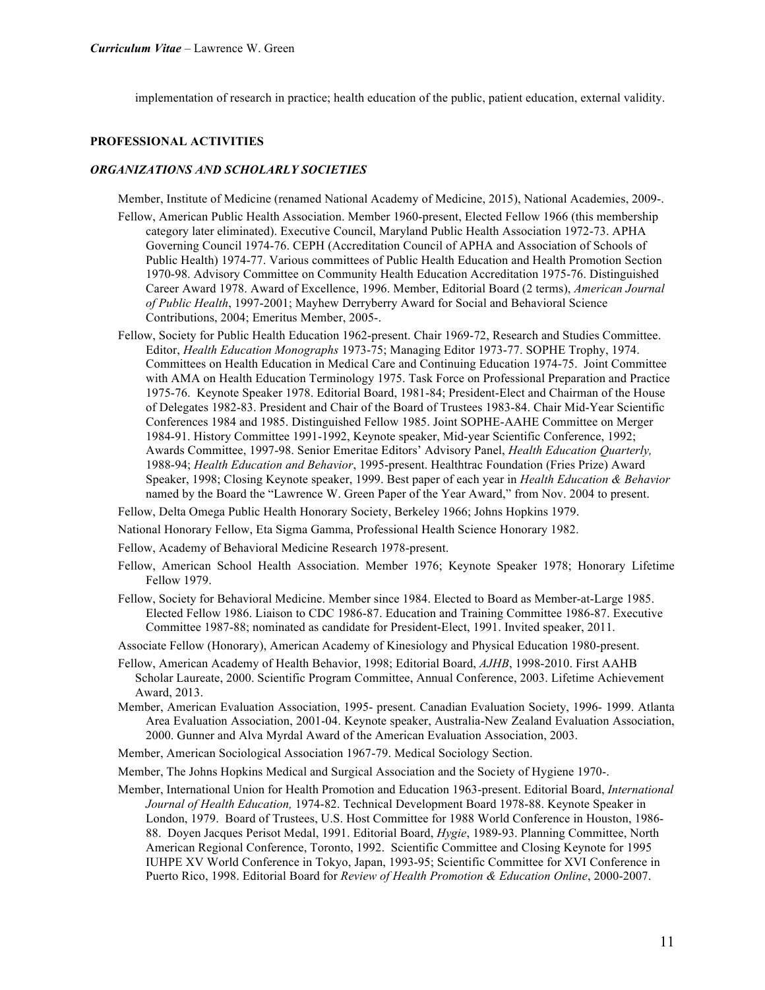implementation of research in practice; health education of the public, patient education, external validity.

#### **PROFESSIONAL ACTIVITIES**

#### *ORGANIZATIONS AND SCHOLARLY SOCIETIES*

Member, Institute of Medicine (renamed National Academy of Medicine, 2015), National Academies, 2009-.

- Fellow, American Public Health Association. Member 1960-present, Elected Fellow 1966 (this membership category later eliminated). Executive Council, Maryland Public Health Association 1972-73. APHA Governing Council 1974-76. CEPH (Accreditation Council of APHA and Association of Schools of Public Health) 1974-77. Various committees of Public Health Education and Health Promotion Section 1970-98. Advisory Committee on Community Health Education Accreditation 1975-76. Distinguished Career Award 1978. Award of Excellence, 1996. Member, Editorial Board (2 terms), *American Journal of Public Health*, 1997-2001; Mayhew Derryberry Award for Social and Behavioral Science Contributions, 2004; Emeritus Member, 2005-.
- Fellow, Society for Public Health Education 1962-present. Chair 1969-72, Research and Studies Committee. Editor, *Health Education Monographs* 1973-75; Managing Editor 1973-77. SOPHE Trophy, 1974. Committees on Health Education in Medical Care and Continuing Education 1974-75. Joint Committee with AMA on Health Education Terminology 1975. Task Force on Professional Preparation and Practice 1975-76. Keynote Speaker 1978. Editorial Board, 1981-84; President-Elect and Chairman of the House of Delegates 1982-83. President and Chair of the Board of Trustees 1983-84. Chair Mid-Year Scientific Conferences 1984 and 1985. Distinguished Fellow 1985. Joint SOPHE-AAHE Committee on Merger 1984-91. History Committee 1991-1992, Keynote speaker, Mid-year Scientific Conference, 1992; Awards Committee, 1997-98. Senior Emeritae Editors' Advisory Panel, *Health Education Quarterly,*  1988-94; *Health Education and Behavior*, 1995-present. Healthtrac Foundation (Fries Prize) Award Speaker, 1998; Closing Keynote speaker, 1999. Best paper of each year in *Health Education & Behavior* named by the Board the "Lawrence W. Green Paper of the Year Award," from Nov. 2004 to present.
- Fellow, Delta Omega Public Health Honorary Society, Berkeley 1966; Johns Hopkins 1979.
- National Honorary Fellow, Eta Sigma Gamma, Professional Health Science Honorary 1982.
- Fellow, Academy of Behavioral Medicine Research 1978-present.
- Fellow, American School Health Association. Member 1976; Keynote Speaker 1978; Honorary Lifetime Fellow 1979.
- Fellow, Society for Behavioral Medicine. Member since 1984. Elected to Board as Member-at-Large 1985. Elected Fellow 1986. Liaison to CDC 1986-87. Education and Training Committee 1986-87. Executive Committee 1987-88; nominated as candidate for President-Elect, 1991. Invited speaker, 2011.
- Associate Fellow (Honorary), American Academy of Kinesiology and Physical Education 1980-present.
- Fellow, American Academy of Health Behavior, 1998; Editorial Board, *AJHB*, 1998-2010. First AAHB Scholar Laureate, 2000. Scientific Program Committee, Annual Conference, 2003. Lifetime Achievement Award, 2013.
- Member, American Evaluation Association, 1995- present. Canadian Evaluation Society, 1996- 1999. Atlanta Area Evaluation Association, 2001-04. Keynote speaker, Australia-New Zealand Evaluation Association, 2000. Gunner and Alva Myrdal Award of the American Evaluation Association, 2003.
- Member, American Sociological Association 1967-79. Medical Sociology Section.

Member, The Johns Hopkins Medical and Surgical Association and the Society of Hygiene 1970-.

Member, International Union for Health Promotion and Education 1963-present. Editorial Board, *International Journal of Health Education,* 1974-82. Technical Development Board 1978-88. Keynote Speaker in London, 1979. Board of Trustees, U.S. Host Committee for 1988 World Conference in Houston, 1986- 88. Doyen Jacques Perisot Medal, 1991. Editorial Board, *Hygie*, 1989-93. Planning Committee, North American Regional Conference, Toronto, 1992. Scientific Committee and Closing Keynote for 1995 IUHPE XV World Conference in Tokyo, Japan, 1993-95; Scientific Committee for XVI Conference in Puerto Rico, 1998. Editorial Board for *Review of Health Promotion & Education Online*, 2000-2007.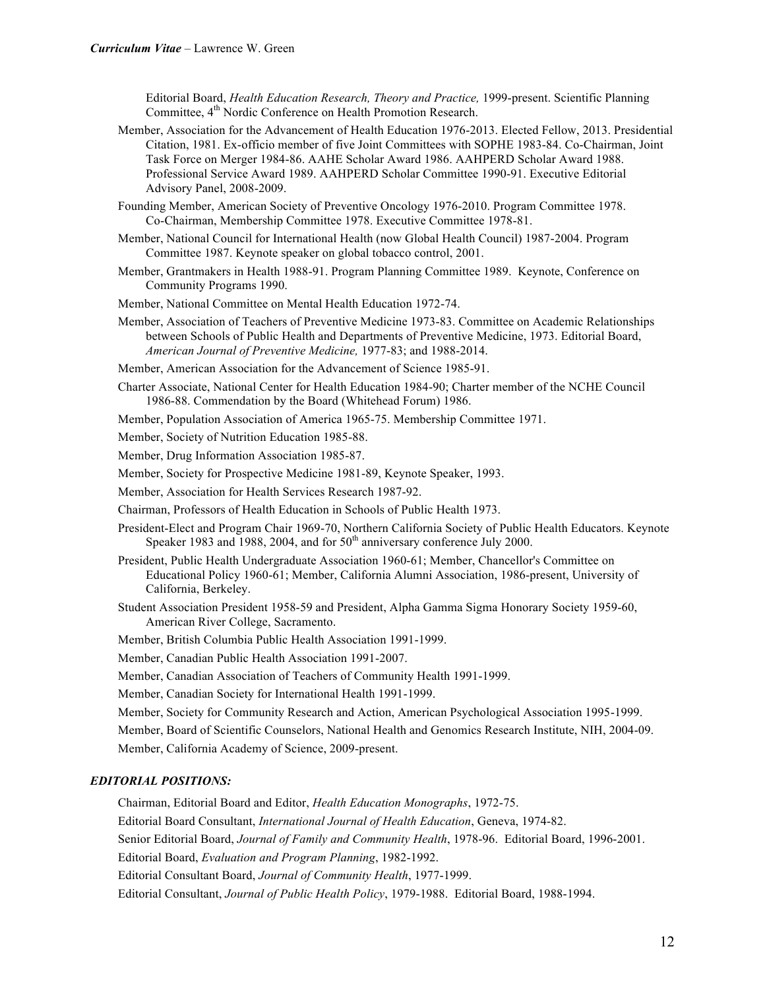Editorial Board, *Health Education Research, Theory and Practice,* 1999-present. Scientific Planning Committee, 4<sup>th</sup> Nordic Conference on Health Promotion Research.

- Member, Association for the Advancement of Health Education 1976-2013. Elected Fellow, 2013. Presidential Citation, 1981. Ex-officio member of five Joint Committees with SOPHE 1983-84. Co-Chairman, Joint Task Force on Merger 1984-86. AAHE Scholar Award 1986. AAHPERD Scholar Award 1988. Professional Service Award 1989. AAHPERD Scholar Committee 1990-91. Executive Editorial Advisory Panel, 2008-2009.
- Founding Member, American Society of Preventive Oncology 1976-2010. Program Committee 1978. Co-Chairman, Membership Committee 1978. Executive Committee 1978-81.
- Member, National Council for International Health (now Global Health Council) 1987-2004. Program Committee 1987. Keynote speaker on global tobacco control, 2001.
- Member, Grantmakers in Health 1988-91. Program Planning Committee 1989. Keynote, Conference on Community Programs 1990.
- Member, National Committee on Mental Health Education 1972-74.
- Member, Association of Teachers of Preventive Medicine 1973-83. Committee on Academic Relationships between Schools of Public Health and Departments of Preventive Medicine, 1973. Editorial Board, *American Journal of Preventive Medicine,* 1977-83; and 1988-2014.
- Member, American Association for the Advancement of Science 1985-91.
- Charter Associate, National Center for Health Education 1984-90; Charter member of the NCHE Council 1986-88. Commendation by the Board (Whitehead Forum) 1986.
- Member, Population Association of America 1965-75. Membership Committee 1971.
- Member, Society of Nutrition Education 1985-88.
- Member, Drug Information Association 1985-87.
- Member, Society for Prospective Medicine 1981-89, Keynote Speaker, 1993.
- Member, Association for Health Services Research 1987-92.
- Chairman, Professors of Health Education in Schools of Public Health 1973.
- President-Elect and Program Chair 1969-70, Northern California Society of Public Health Educators. Keynote Speaker 1983 and 1988, 2004, and for  $50<sup>th</sup>$  anniversary conference July 2000.
- President, Public Health Undergraduate Association 1960-61; Member, Chancellor's Committee on Educational Policy 1960-61; Member, California Alumni Association, 1986-present, University of California, Berkeley.
- Student Association President 1958-59 and President, Alpha Gamma Sigma Honorary Society 1959-60, American River College, Sacramento.
- Member, British Columbia Public Health Association 1991-1999.
- Member, Canadian Public Health Association 1991-2007.
- Member, Canadian Association of Teachers of Community Health 1991-1999.

Member, Canadian Society for International Health 1991-1999.

Member, Society for Community Research and Action, American Psychological Association 1995-1999.

Member, Board of Scientific Counselors, National Health and Genomics Research Institute, NIH, 2004-09. Member, California Academy of Science, 2009-present.

#### *EDITORIAL POSITIONS:*

Chairman, Editorial Board and Editor, *Health Education Monographs*, 1972-75.

Editorial Board Consultant, *International Journal of Health Education*, Geneva, 1974-82.

Senior Editorial Board, *Journal of Family and Community Health*, 1978-96. Editorial Board, 1996-2001.

Editorial Board, *Evaluation and Program Planning*, 1982-1992.

Editorial Consultant Board, *Journal of Community Health*, 1977-1999.

Editorial Consultant, *Journal of Public Health Policy*, 1979-1988. Editorial Board, 1988-1994.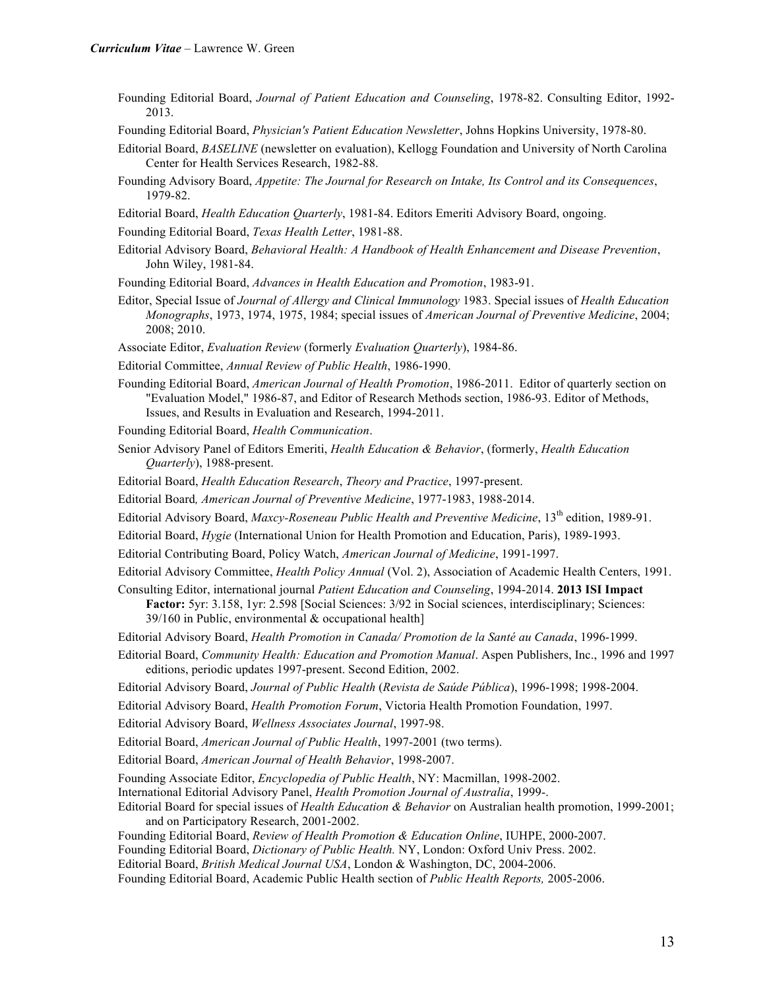- Founding Editorial Board, *Journal of Patient Education and Counseling*, 1978-82. Consulting Editor, 1992- 2013.
- Founding Editorial Board, *Physician's Patient Education Newsletter*, Johns Hopkins University, 1978-80.
- Editorial Board, *BASELINE* (newsletter on evaluation), Kellogg Foundation and University of North Carolina Center for Health Services Research, 1982-88.
- Founding Advisory Board, *Appetite: The Journal for Research on Intake, Its Control and its Consequences*, 1979-82.
- Editorial Board, *Health Education Quarterly*, 1981-84. Editors Emeriti Advisory Board, ongoing.

Founding Editorial Board, *Texas Health Letter*, 1981-88.

Editorial Advisory Board, *Behavioral Health: A Handbook of Health Enhancement and Disease Prevention*, John Wiley, 1981-84.

Founding Editorial Board, *Advances in Health Education and Promotion*, 1983-91.

Editor, Special Issue of *Journal of Allergy and Clinical Immunology* 1983. Special issues of *Health Education Monographs*, 1973, 1974, 1975, 1984; special issues of *American Journal of Preventive Medicine*, 2004; 2008; 2010.

Associate Editor, *Evaluation Review* (formerly *Evaluation Quarterly*), 1984-86.

- Editorial Committee, *Annual Review of Public Health*, 1986-1990.
- Founding Editorial Board, *American Journal of Health Promotion*, 1986-2011. Editor of quarterly section on "Evaluation Model," 1986-87, and Editor of Research Methods section, 1986-93. Editor of Methods, Issues, and Results in Evaluation and Research, 1994-2011.

Founding Editorial Board, *Health Communication*.

- Senior Advisory Panel of Editors Emeriti, *Health Education & Behavior*, (formerly, *Health Education Quarterly*), 1988-present.
- Editorial Board, *Health Education Research*, *Theory and Practice*, 1997-present.
- Editorial Board*, American Journal of Preventive Medicine*, 1977-1983, 1988-2014.
- Editorial Advisory Board, *Maxcy-Roseneau Public Health and Preventive Medicine*, 13th edition, 1989-91.
- Editorial Board, *Hygie* (International Union for Health Promotion and Education, Paris), 1989-1993.
- Editorial Contributing Board, Policy Watch, *American Journal of Medicine*, 1991-1997.
- Editorial Advisory Committee, *Health Policy Annual* (Vol. 2), Association of Academic Health Centers, 1991.
- Consulting Editor, international journal *Patient Education and Counseling*, 1994-2014. **2013 ISI Impact** 
	- **Factor:** 5yr: 3.158, 1yr: 2.598 [Social Sciences: 3/92 in Social sciences, interdisciplinary; Sciences: 39/160 in Public, environmental  $&$  occupational health]
- Editorial Advisory Board, *Health Promotion in Canada/ Promotion de la Santé au Canada*, 1996-1999.
- Editorial Board, *Community Health: Education and Promotion Manual*. Aspen Publishers, Inc., 1996 and 1997 editions, periodic updates 1997-present. Second Edition, 2002.
- Editorial Advisory Board, *Journal of Public Health* (*Revista de Saúde Pública*), 1996-1998; 1998-2004.
- Editorial Advisory Board, *Health Promotion Forum*, Victoria Health Promotion Foundation, 1997.
- Editorial Advisory Board, *Wellness Associates Journal*, 1997-98.

Editorial Board, *American Journal of Public Health*, 1997-2001 (two terms).

Editorial Board, *American Journal of Health Behavior*, 1998-2007.

Founding Associate Editor, *Encyclopedia of Public Health*, NY: Macmillan, 1998-2002.

International Editorial Advisory Panel, *Health Promotion Journal of Australia*, 1999-.

Editorial Board for special issues of *Health Education & Behavior* on Australian health promotion, 1999-2001; and on Participatory Research, 2001-2002.

- Founding Editorial Board, *Review of Health Promotion & Education Online*, IUHPE, 2000-2007.
- Founding Editorial Board, *Dictionary of Public Health.* NY, London: Oxford Univ Press. 2002.
- Editorial Board, *British Medical Journal USA*, London & Washington, DC, 2004-2006.

Founding Editorial Board, Academic Public Health section of *Public Health Reports,* 2005-2006.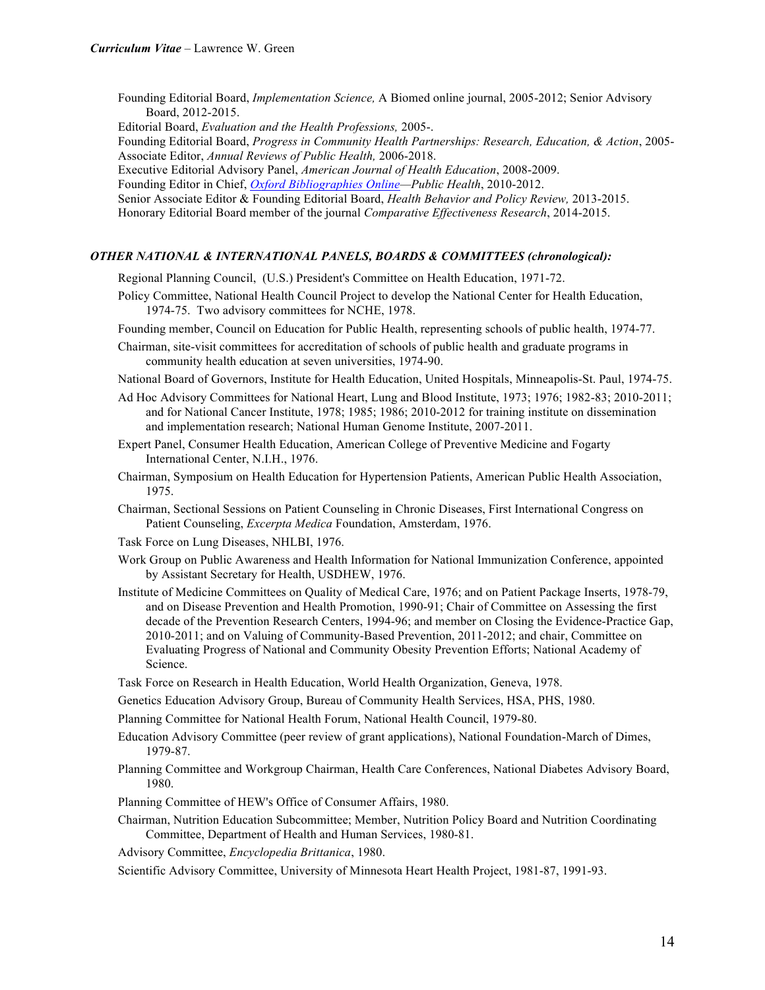Founding Editorial Board, *Implementation Science,* A Biomed online journal, 2005-2012; Senior Advisory Board, 2012-2015.

Editorial Board, *Evaluation and the Health Professions,* 2005-.

Founding Editorial Board, *Progress in Community Health Partnerships: Research, Education, & Action*, 2005- Associate Editor, *Annual Reviews of Public Health,* 2006-2018.

Executive Editorial Advisory Panel, *American Journal of Health Education*, 2008-2009.

Founding Editor in Chief, *Oxford Bibliographies Online—Public Health*, 2010-2012.

Senior Associate Editor & Founding Editorial Board, *Health Behavior and Policy Review,* 2013-2015.

Honorary Editorial Board member of the journal *Comparative Effectiveness Research*, 2014-2015.

#### *OTHER NATIONAL & INTERNATIONAL PANELS, BOARDS & COMMITTEES (chronological):*

Regional Planning Council, (U.S.) President's Committee on Health Education, 1971-72.

- Policy Committee, National Health Council Project to develop the National Center for Health Education, 1974-75. Two advisory committees for NCHE, 1978.
- Founding member, Council on Education for Public Health, representing schools of public health, 1974-77.
- Chairman, site-visit committees for accreditation of schools of public health and graduate programs in community health education at seven universities, 1974-90.
- National Board of Governors, Institute for Health Education, United Hospitals, Minneapolis-St. Paul, 1974-75.
- Ad Hoc Advisory Committees for National Heart, Lung and Blood Institute, 1973; 1976; 1982-83; 2010-2011; and for National Cancer Institute, 1978; 1985; 1986; 2010-2012 for training institute on dissemination and implementation research; National Human Genome Institute, 2007-2011.
- Expert Panel, Consumer Health Education, American College of Preventive Medicine and Fogarty International Center, N.I.H., 1976.
- Chairman, Symposium on Health Education for Hypertension Patients, American Public Health Association, 1975.
- Chairman, Sectional Sessions on Patient Counseling in Chronic Diseases, First International Congress on Patient Counseling, *Excerpta Medica* Foundation, Amsterdam, 1976.

Task Force on Lung Diseases, NHLBI, 1976.

- Work Group on Public Awareness and Health Information for National Immunization Conference, appointed by Assistant Secretary for Health, USDHEW, 1976.
- Institute of Medicine Committees on Quality of Medical Care, 1976; and on Patient Package Inserts, 1978-79, and on Disease Prevention and Health Promotion, 1990-91; Chair of Committee on Assessing the first decade of the Prevention Research Centers, 1994-96; and member on Closing the Evidence-Practice Gap, 2010-2011; and on Valuing of Community-Based Prevention, 2011-2012; and chair, Committee on Evaluating Progress of National and Community Obesity Prevention Efforts; National Academy of Science.

Task Force on Research in Health Education, World Health Organization, Geneva, 1978.

Genetics Education Advisory Group, Bureau of Community Health Services, HSA, PHS, 1980.

- Planning Committee for National Health Forum, National Health Council, 1979-80.
- Education Advisory Committee (peer review of grant applications), National Foundation-March of Dimes, 1979-87.
- Planning Committee and Workgroup Chairman, Health Care Conferences, National Diabetes Advisory Board, 1980.
- Planning Committee of HEW's Office of Consumer Affairs, 1980.
- Chairman, Nutrition Education Subcommittee; Member, Nutrition Policy Board and Nutrition Coordinating Committee, Department of Health and Human Services, 1980-81.
- Advisory Committee, *Encyclopedia Brittanica*, 1980.

Scientific Advisory Committee, University of Minnesota Heart Health Project, 1981-87, 1991-93.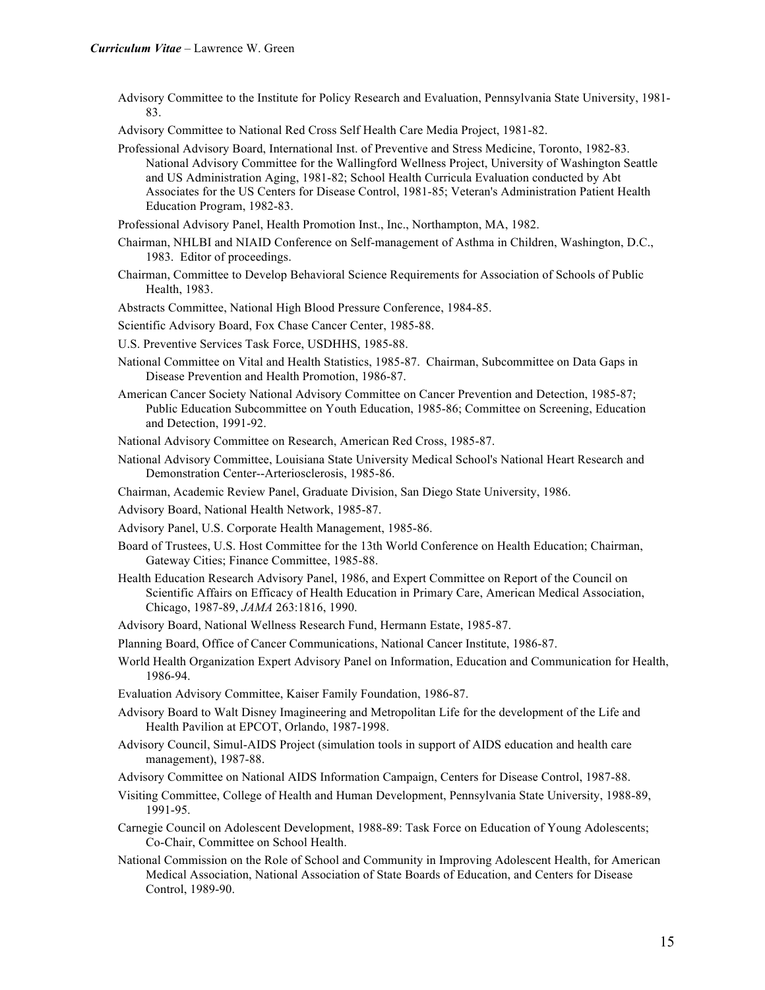Advisory Committee to the Institute for Policy Research and Evaluation, Pennsylvania State University, 1981- 83.

Advisory Committee to National Red Cross Self Health Care Media Project, 1981-82.

Professional Advisory Board, International Inst. of Preventive and Stress Medicine, Toronto, 1982-83. National Advisory Committee for the Wallingford Wellness Project, University of Washington Seattle and US Administration Aging, 1981-82; School Health Curricula Evaluation conducted by Abt Associates for the US Centers for Disease Control, 1981-85; Veteran's Administration Patient Health Education Program, 1982-83.

Professional Advisory Panel, Health Promotion Inst., Inc., Northampton, MA, 1982.

- Chairman, NHLBI and NIAID Conference on Self-management of Asthma in Children, Washington, D.C., 1983. Editor of proceedings.
- Chairman, Committee to Develop Behavioral Science Requirements for Association of Schools of Public Health, 1983.

Abstracts Committee, National High Blood Pressure Conference, 1984-85.

Scientific Advisory Board, Fox Chase Cancer Center, 1985-88.

- U.S. Preventive Services Task Force, USDHHS, 1985-88.
- National Committee on Vital and Health Statistics, 1985-87. Chairman, Subcommittee on Data Gaps in Disease Prevention and Health Promotion, 1986-87.
- American Cancer Society National Advisory Committee on Cancer Prevention and Detection, 1985-87; Public Education Subcommittee on Youth Education, 1985-86; Committee on Screening, Education and Detection, 1991-92.

National Advisory Committee on Research, American Red Cross, 1985-87.

- National Advisory Committee, Louisiana State University Medical School's National Heart Research and Demonstration Center--Arteriosclerosis, 1985-86.
- Chairman, Academic Review Panel, Graduate Division, San Diego State University, 1986.

Advisory Board, National Health Network, 1985-87.

- Advisory Panel, U.S. Corporate Health Management, 1985-86.
- Board of Trustees, U.S. Host Committee for the 13th World Conference on Health Education; Chairman, Gateway Cities; Finance Committee, 1985-88.
- Health Education Research Advisory Panel, 1986, and Expert Committee on Report of the Council on Scientific Affairs on Efficacy of Health Education in Primary Care, American Medical Association, Chicago, 1987-89, *JAMA* 263:1816, 1990.
- Advisory Board, National Wellness Research Fund, Hermann Estate, 1985-87.
- Planning Board, Office of Cancer Communications, National Cancer Institute, 1986-87.
- World Health Organization Expert Advisory Panel on Information, Education and Communication for Health, 1986-94.
- Evaluation Advisory Committee, Kaiser Family Foundation, 1986-87.
- Advisory Board to Walt Disney Imagineering and Metropolitan Life for the development of the Life and Health Pavilion at EPCOT, Orlando, 1987-1998.
- Advisory Council, Simul-AIDS Project (simulation tools in support of AIDS education and health care management), 1987-88.
- Advisory Committee on National AIDS Information Campaign, Centers for Disease Control, 1987-88.
- Visiting Committee, College of Health and Human Development, Pennsylvania State University, 1988-89, 1991-95.
- Carnegie Council on Adolescent Development, 1988-89: Task Force on Education of Young Adolescents; Co-Chair, Committee on School Health.
- National Commission on the Role of School and Community in Improving Adolescent Health, for American Medical Association, National Association of State Boards of Education, and Centers for Disease Control, 1989-90.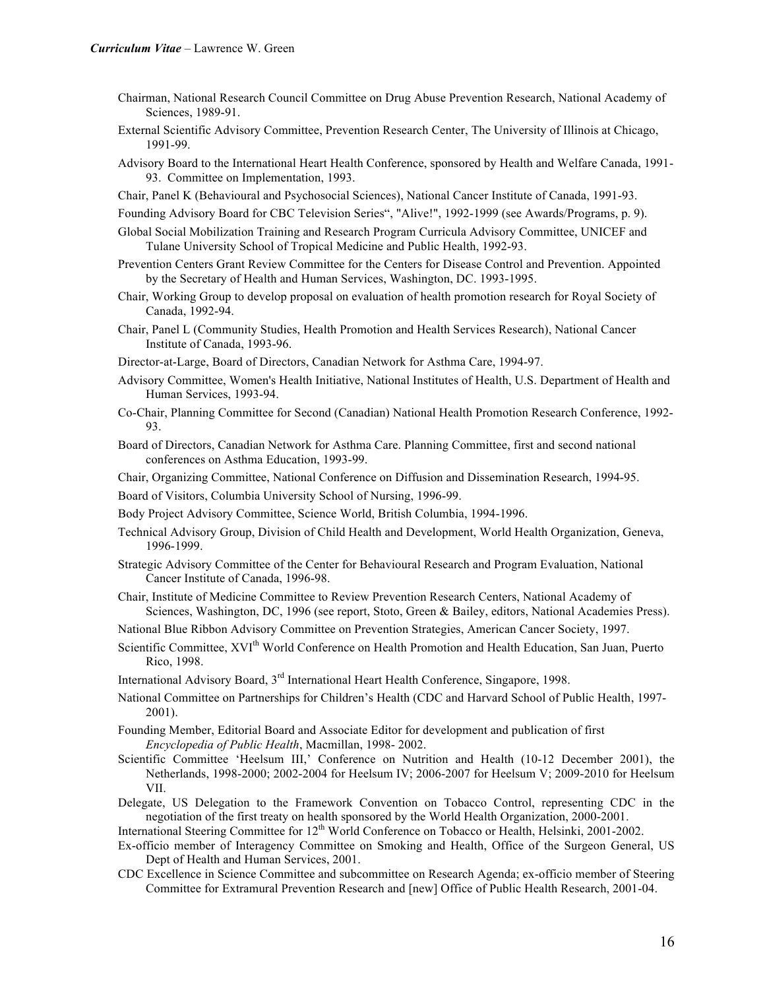- Chairman, National Research Council Committee on Drug Abuse Prevention Research, National Academy of Sciences, 1989-91.
- External Scientific Advisory Committee, Prevention Research Center, The University of Illinois at Chicago, 1991-99.
- Advisory Board to the International Heart Health Conference, sponsored by Health and Welfare Canada, 1991- 93. Committee on Implementation, 1993.
- Chair, Panel K (Behavioural and Psychosocial Sciences), National Cancer Institute of Canada, 1991-93.
- Founding Advisory Board for CBC Television Series", "Alive!", 1992-1999 (see Awards/Programs, p. 9).
- Global Social Mobilization Training and Research Program Curricula Advisory Committee, UNICEF and Tulane University School of Tropical Medicine and Public Health, 1992-93.
- Prevention Centers Grant Review Committee for the Centers for Disease Control and Prevention. Appointed by the Secretary of Health and Human Services, Washington, DC. 1993-1995.
- Chair, Working Group to develop proposal on evaluation of health promotion research for Royal Society of Canada, 1992-94.
- Chair, Panel L (Community Studies, Health Promotion and Health Services Research), National Cancer Institute of Canada, 1993-96.
- Director-at-Large, Board of Directors, Canadian Network for Asthma Care, 1994-97.
- Advisory Committee, Women's Health Initiative, National Institutes of Health, U.S. Department of Health and Human Services, 1993-94.
- Co-Chair, Planning Committee for Second (Canadian) National Health Promotion Research Conference, 1992- 93.
- Board of Directors, Canadian Network for Asthma Care. Planning Committee, first and second national conferences on Asthma Education, 1993-99.
- Chair, Organizing Committee, National Conference on Diffusion and Dissemination Research, 1994-95.
- Board of Visitors, Columbia University School of Nursing, 1996-99.
- Body Project Advisory Committee, Science World, British Columbia, 1994-1996.
- Technical Advisory Group, Division of Child Health and Development, World Health Organization, Geneva, 1996-1999.
- Strategic Advisory Committee of the Center for Behavioural Research and Program Evaluation, National Cancer Institute of Canada, 1996-98.
- Chair, Institute of Medicine Committee to Review Prevention Research Centers, National Academy of Sciences, Washington, DC, 1996 (see report, Stoto, Green & Bailey, editors, National Academies Press).
- National Blue Ribbon Advisory Committee on Prevention Strategies, American Cancer Society, 1997.
- Scientific Committee, XVI<sup>th</sup> World Conference on Health Promotion and Health Education, San Juan, Puerto Rico, 1998.
- International Advisory Board, 3<sup>rd</sup> International Heart Health Conference, Singapore, 1998.
- National Committee on Partnerships for Children's Health (CDC and Harvard School of Public Health, 1997- 2001).
- Founding Member, Editorial Board and Associate Editor for development and publication of first *Encyclopedia of Public Health*, Macmillan, 1998- 2002.
- Scientific Committee 'Heelsum III,' Conference on Nutrition and Health (10-12 December 2001), the Netherlands, 1998-2000; 2002-2004 for Heelsum IV; 2006-2007 for Heelsum V; 2009-2010 for Heelsum VII.
- Delegate, US Delegation to the Framework Convention on Tobacco Control, representing CDC in the negotiation of the first treaty on health sponsored by the World Health Organization, 2000-2001.
- International Steering Committee for 12<sup>th</sup> World Conference on Tobacco or Health, Helsinki, 2001-2002.
- Ex-officio member of Interagency Committee on Smoking and Health, Office of the Surgeon General, US Dept of Health and Human Services, 2001.
- CDC Excellence in Science Committee and subcommittee on Research Agenda; ex-officio member of Steering Committee for Extramural Prevention Research and [new] Office of Public Health Research, 2001-04.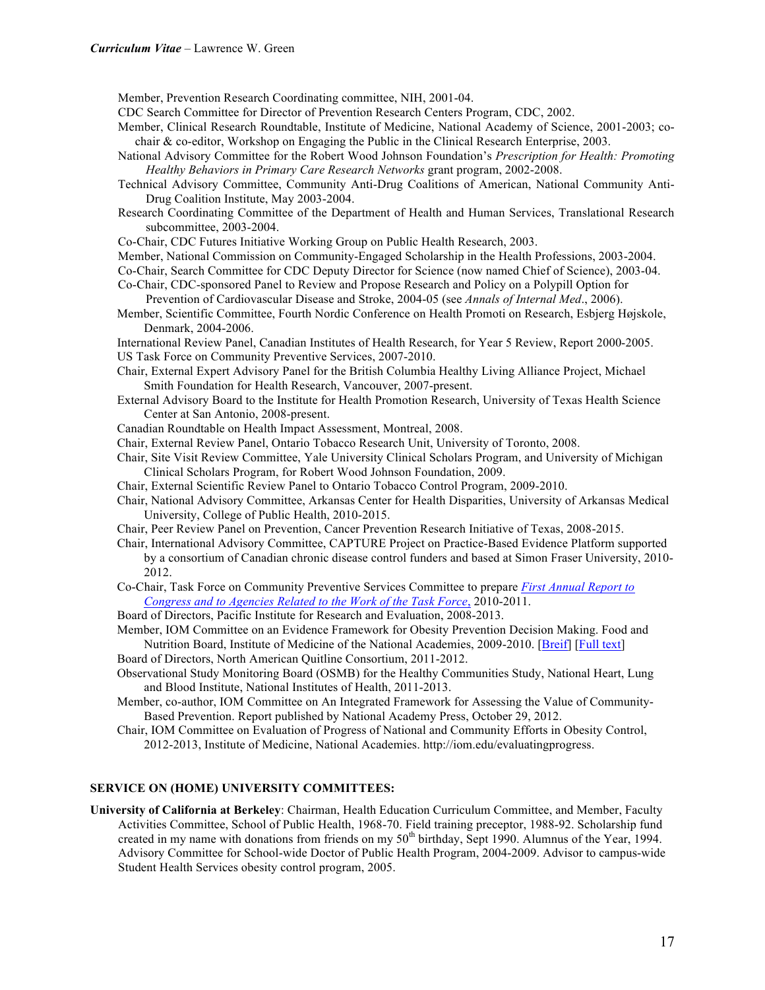Member, Prevention Research Coordinating committee, NIH, 2001-04.

CDC Search Committee for Director of Prevention Research Centers Program, CDC, 2002.

- Member, Clinical Research Roundtable, Institute of Medicine, National Academy of Science, 2001-2003; cochair & co-editor, Workshop on Engaging the Public in the Clinical Research Enterprise, 2003.
- National Advisory Committee for the Robert Wood Johnson Foundation's *Prescription for Health: Promoting Healthy Behaviors in Primary Care Research Networks* grant program, 2002-2008.
- Technical Advisory Committee, Community Anti-Drug Coalitions of American, National Community Anti-Drug Coalition Institute, May 2003-2004.
- Research Coordinating Committee of the Department of Health and Human Services, Translational Research subcommittee, 2003-2004.
- Co-Chair, CDC Futures Initiative Working Group on Public Health Research, 2003.

Member, National Commission on Community-Engaged Scholarship in the Health Professions, 2003-2004.

Co-Chair, Search Committee for CDC Deputy Director for Science (now named Chief of Science), 2003-04.

Co-Chair, CDC-sponsored Panel to Review and Propose Research and Policy on a Polypill Option for

- Prevention of Cardiovascular Disease and Stroke, 2004-05 (see *Annals of Internal Med*., 2006). Member, Scientific Committee, Fourth Nordic Conference on Health Promoti on Research, Esbjerg Højskole, Denmark, 2004-2006.
- International Review Panel, Canadian Institutes of Health Research, for Year 5 Review, Report 2000-2005. US Task Force on Community Preventive Services, 2007-2010.
- Chair, External Expert Advisory Panel for the British Columbia Healthy Living Alliance Project, Michael Smith Foundation for Health Research, Vancouver, 2007-present.
- External Advisory Board to the Institute for Health Promotion Research, University of Texas Health Science Center at San Antonio, 2008-present.
- Canadian Roundtable on Health Impact Assessment, Montreal, 2008.
- Chair, External Review Panel, Ontario Tobacco Research Unit, University of Toronto, 2008.
- Chair, Site Visit Review Committee, Yale University Clinical Scholars Program, and University of Michigan Clinical Scholars Program, for Robert Wood Johnson Foundation, 2009.
- Chair, External Scientific Review Panel to Ontario Tobacco Control Program, 2009-2010.
- Chair, National Advisory Committee, Arkansas Center for Health Disparities, University of Arkansas Medical University, College of Public Health, 2010-2015.
- Chair, Peer Review Panel on Prevention, Cancer Prevention Research Initiative of Texas, 2008-2015.
- Chair, International Advisory Committee, CAPTURE Project on Practice-Based Evidence Platform supported by a consortium of Canadian chronic disease control funders and based at Simon Fraser University, 2010- 2012.
- Co-Chair, Task Force on Community Preventive Services Committee to prepare *First Annual Report to Congress and to Agencies Related to the Work of the Task Force*, 2010-2011.
- Board of Directors, Pacific Institute for Research and Evaluation, 2008-2013.
- Member, IOM Committee on an Evidence Framework for Obesity Prevention Decision Making. Food and Nutrition Board, Institute of Medicine of the National Academies, 2009-2010. [Breif] [Full text]
- Board of Directors, North American Quitline Consortium, 2011-2012.
- Observational Study Monitoring Board (OSMB) for the Healthy Communities Study, National Heart, Lung and Blood Institute, National Institutes of Health, 2011-2013.
- Member, co-author, IOM Committee on An Integrated Framework for Assessing the Value of Community-Based Prevention. Report published by National Academy Press, October 29, 2012.
- Chair, IOM Committee on Evaluation of Progress of National and Community Efforts in Obesity Control, 2012-2013, Institute of Medicine, National Academies. http://iom.edu/evaluatingprogress.

## **SERVICE ON (HOME) UNIVERSITY COMMITTEES:**

**University of California at Berkeley**: Chairman, Health Education Curriculum Committee, and Member, Faculty Activities Committee, School of Public Health, 1968-70. Field training preceptor, 1988-92. Scholarship fund created in my name with donations from friends on my 50<sup>th</sup> birthday, Sept 1990. Alumnus of the Year, 1994. Advisory Committee for School-wide Doctor of Public Health Program, 2004-2009. Advisor to campus-wide Student Health Services obesity control program, 2005.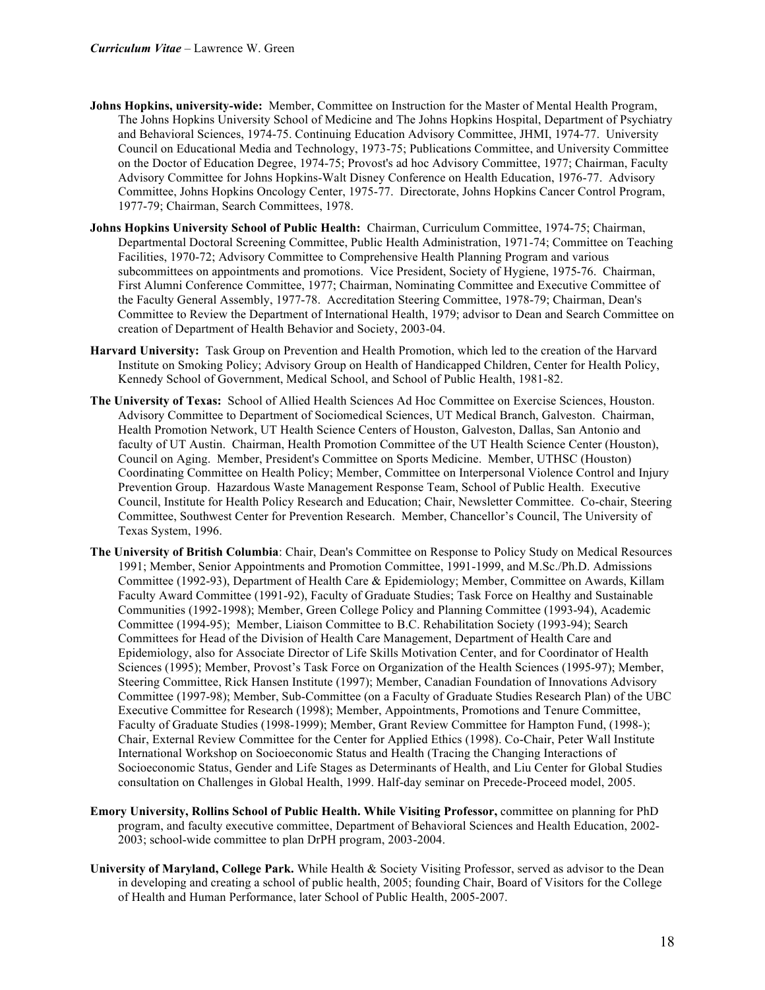- **Johns Hopkins, university-wide:** Member, Committee on Instruction for the Master of Mental Health Program, The Johns Hopkins University School of Medicine and The Johns Hopkins Hospital, Department of Psychiatry and Behavioral Sciences, 1974-75. Continuing Education Advisory Committee, JHMI, 1974-77. University Council on Educational Media and Technology, 1973-75; Publications Committee, and University Committee on the Doctor of Education Degree, 1974-75; Provost's ad hoc Advisory Committee, 1977; Chairman, Faculty Advisory Committee for Johns Hopkins-Walt Disney Conference on Health Education, 1976-77. Advisory Committee, Johns Hopkins Oncology Center, 1975-77. Directorate, Johns Hopkins Cancer Control Program, 1977-79; Chairman, Search Committees, 1978.
- **Johns Hopkins University School of Public Health:** Chairman, Curriculum Committee, 1974-75; Chairman, Departmental Doctoral Screening Committee, Public Health Administration, 1971-74; Committee on Teaching Facilities, 1970-72; Advisory Committee to Comprehensive Health Planning Program and various subcommittees on appointments and promotions. Vice President, Society of Hygiene, 1975-76. Chairman, First Alumni Conference Committee, 1977; Chairman, Nominating Committee and Executive Committee of the Faculty General Assembly, 1977-78. Accreditation Steering Committee, 1978-79; Chairman, Dean's Committee to Review the Department of International Health, 1979; advisor to Dean and Search Committee on creation of Department of Health Behavior and Society, 2003-04.
- **Harvard University:** Task Group on Prevention and Health Promotion, which led to the creation of the Harvard Institute on Smoking Policy; Advisory Group on Health of Handicapped Children, Center for Health Policy, Kennedy School of Government, Medical School, and School of Public Health, 1981-82.
- **The University of Texas:** School of Allied Health Sciences Ad Hoc Committee on Exercise Sciences, Houston. Advisory Committee to Department of Sociomedical Sciences, UT Medical Branch, Galveston. Chairman, Health Promotion Network, UT Health Science Centers of Houston, Galveston, Dallas, San Antonio and faculty of UT Austin. Chairman, Health Promotion Committee of the UT Health Science Center (Houston), Council on Aging. Member, President's Committee on Sports Medicine. Member, UTHSC (Houston) Coordinating Committee on Health Policy; Member, Committee on Interpersonal Violence Control and Injury Prevention Group. Hazardous Waste Management Response Team, School of Public Health. Executive Council, Institute for Health Policy Research and Education; Chair, Newsletter Committee. Co-chair, Steering Committee, Southwest Center for Prevention Research. Member, Chancellor's Council, The University of Texas System, 1996.
- **The University of British Columbia**: Chair, Dean's Committee on Response to Policy Study on Medical Resources 1991; Member, Senior Appointments and Promotion Committee, 1991-1999, and M.Sc./Ph.D. Admissions Committee (1992-93), Department of Health Care & Epidemiology; Member, Committee on Awards, Killam Faculty Award Committee (1991-92), Faculty of Graduate Studies; Task Force on Healthy and Sustainable Communities (1992-1998); Member, Green College Policy and Planning Committee (1993-94), Academic Committee (1994-95); Member, Liaison Committee to B.C. Rehabilitation Society (1993-94); Search Committees for Head of the Division of Health Care Management, Department of Health Care and Epidemiology, also for Associate Director of Life Skills Motivation Center, and for Coordinator of Health Sciences (1995); Member, Provost's Task Force on Organization of the Health Sciences (1995-97); Member, Steering Committee, Rick Hansen Institute (1997); Member, Canadian Foundation of Innovations Advisory Committee (1997-98); Member, Sub-Committee (on a Faculty of Graduate Studies Research Plan) of the UBC Executive Committee for Research (1998); Member, Appointments, Promotions and Tenure Committee, Faculty of Graduate Studies (1998-1999); Member, Grant Review Committee for Hampton Fund, (1998-); Chair, External Review Committee for the Center for Applied Ethics (1998). Co-Chair, Peter Wall Institute International Workshop on Socioeconomic Status and Health (Tracing the Changing Interactions of Socioeconomic Status, Gender and Life Stages as Determinants of Health, and Liu Center for Global Studies consultation on Challenges in Global Health, 1999. Half-day seminar on Precede-Proceed model, 2005.
- **Emory University, Rollins School of Public Health. While Visiting Professor,** committee on planning for PhD program, and faculty executive committee, Department of Behavioral Sciences and Health Education, 2002- 2003; school-wide committee to plan DrPH program, 2003-2004.
- **University of Maryland, College Park.** While Health & Society Visiting Professor, served as advisor to the Dean in developing and creating a school of public health, 2005; founding Chair, Board of Visitors for the College of Health and Human Performance, later School of Public Health, 2005-2007.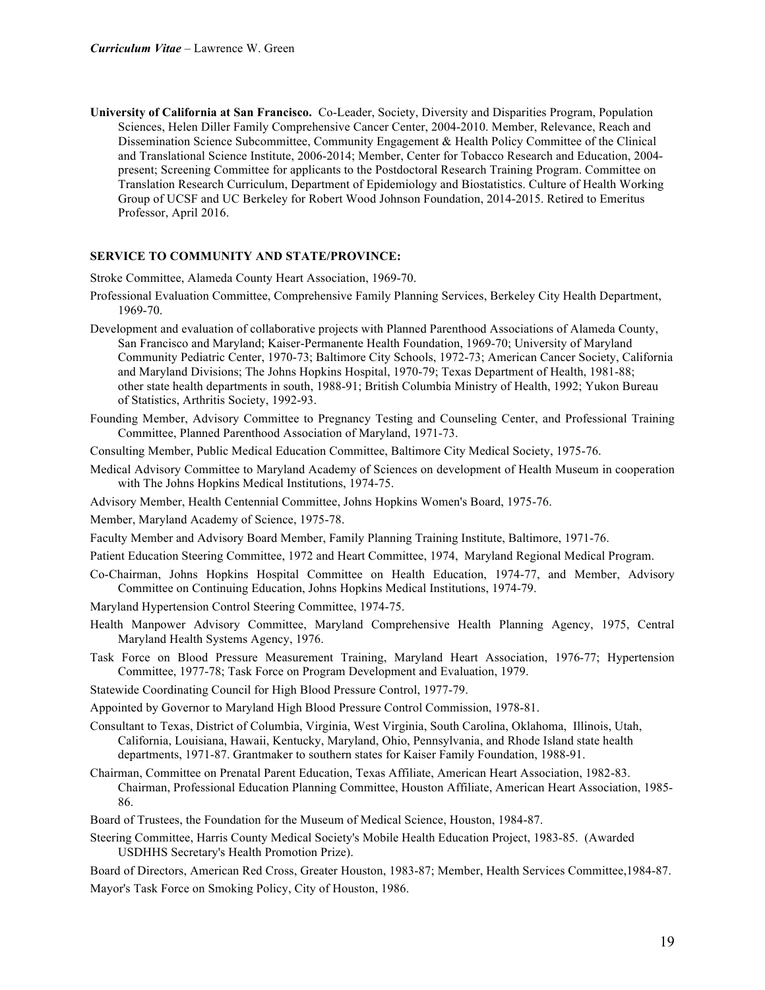**University of California at San Francisco.** Co-Leader, Society, Diversity and Disparities Program, Population Sciences, Helen Diller Family Comprehensive Cancer Center, 2004-2010. Member, Relevance, Reach and Dissemination Science Subcommittee, Community Engagement & Health Policy Committee of the Clinical and Translational Science Institute, 2006-2014; Member, Center for Tobacco Research and Education, 2004 present; Screening Committee for applicants to the Postdoctoral Research Training Program. Committee on Translation Research Curriculum, Department of Epidemiology and Biostatistics. Culture of Health Working Group of UCSF and UC Berkeley for Robert Wood Johnson Foundation, 2014-2015. Retired to Emeritus Professor, April 2016.

#### **SERVICE TO COMMUNITY AND STATE/PROVINCE:**

Stroke Committee, Alameda County Heart Association, 1969-70.

- Professional Evaluation Committee, Comprehensive Family Planning Services, Berkeley City Health Department, 1969-70.
- Development and evaluation of collaborative projects with Planned Parenthood Associations of Alameda County, San Francisco and Maryland; Kaiser-Permanente Health Foundation, 1969-70; University of Maryland Community Pediatric Center, 1970-73; Baltimore City Schools, 1972-73; American Cancer Society, California and Maryland Divisions; The Johns Hopkins Hospital, 1970-79; Texas Department of Health, 1981-88; other state health departments in south, 1988-91; British Columbia Ministry of Health, 1992; Yukon Bureau of Statistics, Arthritis Society, 1992-93.
- Founding Member, Advisory Committee to Pregnancy Testing and Counseling Center, and Professional Training Committee, Planned Parenthood Association of Maryland, 1971-73.
- Consulting Member, Public Medical Education Committee, Baltimore City Medical Society, 1975-76.
- Medical Advisory Committee to Maryland Academy of Sciences on development of Health Museum in cooperation with The Johns Hopkins Medical Institutions, 1974-75.
- Advisory Member, Health Centennial Committee, Johns Hopkins Women's Board, 1975-76.

Member, Maryland Academy of Science, 1975-78.

- Faculty Member and Advisory Board Member, Family Planning Training Institute, Baltimore, 1971-76.
- Patient Education Steering Committee, 1972 and Heart Committee, 1974, Maryland Regional Medical Program.
- Co-Chairman, Johns Hopkins Hospital Committee on Health Education, 1974-77, and Member, Advisory Committee on Continuing Education, Johns Hopkins Medical Institutions, 1974-79.
- Maryland Hypertension Control Steering Committee, 1974-75.
- Health Manpower Advisory Committee, Maryland Comprehensive Health Planning Agency, 1975, Central Maryland Health Systems Agency, 1976.
- Task Force on Blood Pressure Measurement Training, Maryland Heart Association, 1976-77; Hypertension Committee, 1977-78; Task Force on Program Development and Evaluation, 1979.
- Statewide Coordinating Council for High Blood Pressure Control, 1977-79.
- Appointed by Governor to Maryland High Blood Pressure Control Commission, 1978-81.
- Consultant to Texas, District of Columbia, Virginia, West Virginia, South Carolina, Oklahoma, Illinois, Utah, California, Louisiana, Hawaii, Kentucky, Maryland, Ohio, Pennsylvania, and Rhode Island state health departments, 1971-87. Grantmaker to southern states for Kaiser Family Foundation, 1988-91.
- Chairman, Committee on Prenatal Parent Education, Texas Affiliate, American Heart Association, 1982-83. Chairman, Professional Education Planning Committee, Houston Affiliate, American Heart Association, 1985- 86.
- Board of Trustees, the Foundation for the Museum of Medical Science, Houston, 1984-87.
- Steering Committee, Harris County Medical Society's Mobile Health Education Project, 1983-85. (Awarded USDHHS Secretary's Health Promotion Prize).

Board of Directors, American Red Cross, Greater Houston, 1983-87; Member, Health Services Committee,1984-87. Mayor's Task Force on Smoking Policy, City of Houston, 1986.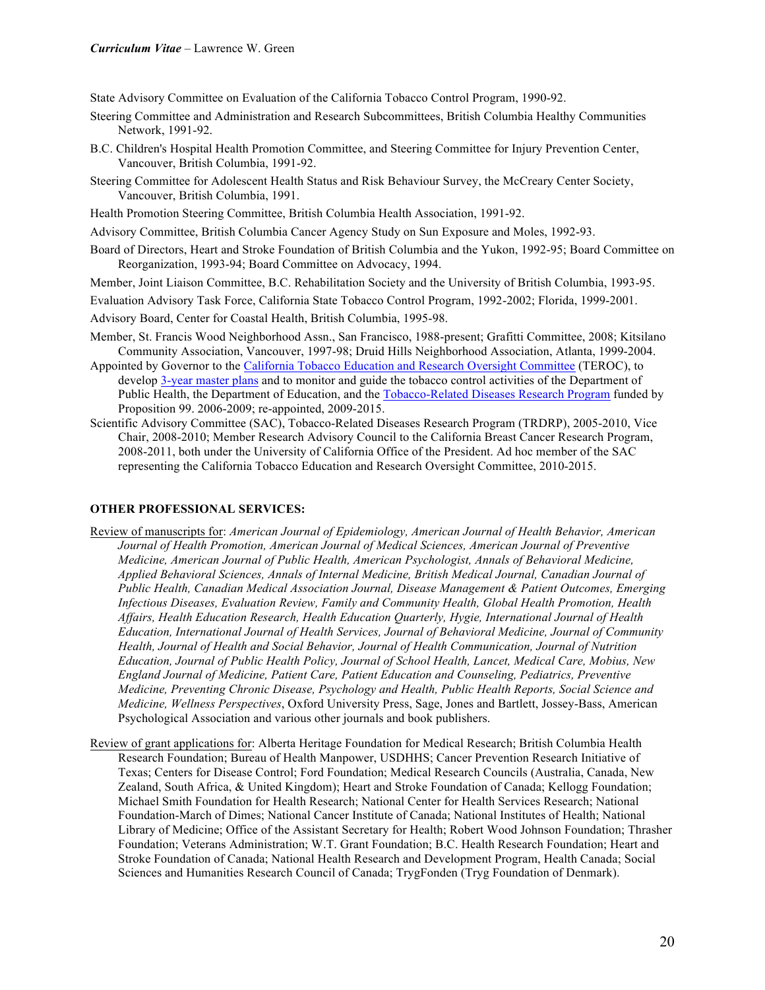State Advisory Committee on Evaluation of the California Tobacco Control Program, 1990-92.

- Steering Committee and Administration and Research Subcommittees, British Columbia Healthy Communities Network, 1991-92.
- B.C. Children's Hospital Health Promotion Committee, and Steering Committee for Injury Prevention Center, Vancouver, British Columbia, 1991-92.
- Steering Committee for Adolescent Health Status and Risk Behaviour Survey, the McCreary Center Society, Vancouver, British Columbia, 1991.
- Health Promotion Steering Committee, British Columbia Health Association, 1991-92.
- Advisory Committee, British Columbia Cancer Agency Study on Sun Exposure and Moles, 1992-93.
- Board of Directors, Heart and Stroke Foundation of British Columbia and the Yukon, 1992-95; Board Committee on Reorganization, 1993-94; Board Committee on Advocacy, 1994.

Member, Joint Liaison Committee, B.C. Rehabilitation Society and the University of British Columbia, 1993-95.

- Evaluation Advisory Task Force, California State Tobacco Control Program, 1992-2002; Florida, 1999-2001.
- Advisory Board, Center for Coastal Health, British Columbia, 1995-98.
- Member, St. Francis Wood Neighborhood Assn., San Francisco, 1988-present; Grafitti Committee, 2008; Kitsilano Community Association, Vancouver, 1997-98; Druid Hills Neighborhood Association, Atlanta, 1999-2004.
- Appointed by Governor to the California Tobacco Education and Research Oversight Committee (TEROC), to develop 3-year master plans and to monitor and guide the tobacco control activities of the Department of Public Health, the Department of Education, and the Tobacco-Related Diseases Research Program funded by Proposition 99. 2006-2009; re-appointed, 2009-2015.
- Scientific Advisory Committee (SAC), Tobacco-Related Diseases Research Program (TRDRP), 2005-2010, Vice Chair, 2008-2010; Member Research Advisory Council to the California Breast Cancer Research Program, 2008-2011, both under the University of California Office of the President. Ad hoc member of the SAC representing the California Tobacco Education and Research Oversight Committee, 2010-2015.

## **OTHER PROFESSIONAL SERVICES:**

- Review of manuscripts for: *American Journal of Epidemiology, American Journal of Health Behavior, American Journal of Health Promotion, American Journal of Medical Sciences, American Journal of Preventive Medicine, American Journal of Public Health, American Psychologist, Annals of Behavioral Medicine, Applied Behavioral Sciences, Annals of Internal Medicine, British Medical Journal, Canadian Journal of Public Health, Canadian Medical Association Journal, Disease Management & Patient Outcomes, Emerging Infectious Diseases, Evaluation Review, Family and Community Health, Global Health Promotion, Health Affairs, Health Education Research, Health Education Quarterly, Hygie, International Journal of Health Education, International Journal of Health Services, Journal of Behavioral Medicine, Journal of Community Health, Journal of Health and Social Behavior, Journal of Health Communication, Journal of Nutrition Education, Journal of Public Health Policy, Journal of School Health, Lancet, Medical Care, Mobius, New England Journal of Medicine, Patient Care, Patient Education and Counseling, Pediatrics, Preventive Medicine, Preventing Chronic Disease, Psychology and Health, Public Health Reports, Social Science and Medicine, Wellness Perspectives*, Oxford University Press, Sage, Jones and Bartlett, Jossey-Bass, American Psychological Association and various other journals and book publishers.
- Review of grant applications for: Alberta Heritage Foundation for Medical Research; British Columbia Health Research Foundation; Bureau of Health Manpower, USDHHS; Cancer Prevention Research Initiative of Texas; Centers for Disease Control; Ford Foundation; Medical Research Councils (Australia, Canada, New Zealand, South Africa, & United Kingdom); Heart and Stroke Foundation of Canada; Kellogg Foundation; Michael Smith Foundation for Health Research; National Center for Health Services Research; National Foundation-March of Dimes; National Cancer Institute of Canada; National Institutes of Health; National Library of Medicine; Office of the Assistant Secretary for Health; Robert Wood Johnson Foundation; Thrasher Foundation; Veterans Administration; W.T. Grant Foundation; B.C. Health Research Foundation; Heart and Stroke Foundation of Canada; National Health Research and Development Program, Health Canada; Social Sciences and Humanities Research Council of Canada; TrygFonden (Tryg Foundation of Denmark).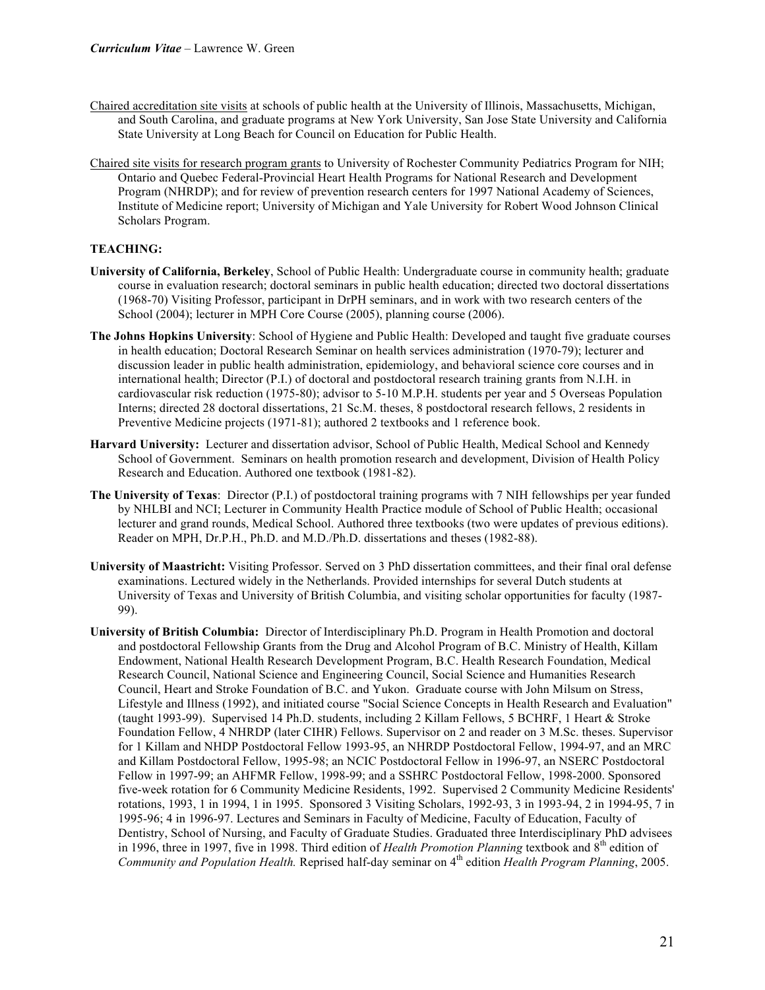- Chaired accreditation site visits at schools of public health at the University of Illinois, Massachusetts, Michigan, and South Carolina, and graduate programs at New York University, San Jose State University and California State University at Long Beach for Council on Education for Public Health.
- Chaired site visits for research program grants to University of Rochester Community Pediatrics Program for NIH; Ontario and Quebec Federal-Provincial Heart Health Programs for National Research and Development Program (NHRDP); and for review of prevention research centers for 1997 National Academy of Sciences, Institute of Medicine report; University of Michigan and Yale University for Robert Wood Johnson Clinical Scholars Program.

## **TEACHING:**

- **University of California, Berkeley**, School of Public Health: Undergraduate course in community health; graduate course in evaluation research; doctoral seminars in public health education; directed two doctoral dissertations (1968-70) Visiting Professor, participant in DrPH seminars, and in work with two research centers of the School (2004); lecturer in MPH Core Course (2005), planning course (2006).
- **The Johns Hopkins University**: School of Hygiene and Public Health: Developed and taught five graduate courses in health education; Doctoral Research Seminar on health services administration (1970-79); lecturer and discussion leader in public health administration, epidemiology, and behavioral science core courses and in international health; Director (P.I.) of doctoral and postdoctoral research training grants from N.I.H. in cardiovascular risk reduction (1975-80); advisor to 5-10 M.P.H. students per year and 5 Overseas Population Interns; directed 28 doctoral dissertations, 21 Sc.M. theses, 8 postdoctoral research fellows, 2 residents in Preventive Medicine projects (1971-81); authored 2 textbooks and 1 reference book.
- **Harvard University:** Lecturer and dissertation advisor, School of Public Health, Medical School and Kennedy School of Government. Seminars on health promotion research and development, Division of Health Policy Research and Education. Authored one textbook (1981-82).
- **The University of Texas**: Director (P.I.) of postdoctoral training programs with 7 NIH fellowships per year funded by NHLBI and NCI; Lecturer in Community Health Practice module of School of Public Health; occasional lecturer and grand rounds, Medical School. Authored three textbooks (two were updates of previous editions). Reader on MPH, Dr.P.H., Ph.D. and M.D./Ph.D. dissertations and theses (1982-88).
- **University of Maastricht:** Visiting Professor. Served on 3 PhD dissertation committees, and their final oral defense examinations. Lectured widely in the Netherlands. Provided internships for several Dutch students at University of Texas and University of British Columbia, and visiting scholar opportunities for faculty (1987- 99).
- **University of British Columbia:** Director of Interdisciplinary Ph.D. Program in Health Promotion and doctoral and postdoctoral Fellowship Grants from the Drug and Alcohol Program of B.C. Ministry of Health, Killam Endowment, National Health Research Development Program, B.C. Health Research Foundation, Medical Research Council, National Science and Engineering Council, Social Science and Humanities Research Council, Heart and Stroke Foundation of B.C. and Yukon. Graduate course with John Milsum on Stress, Lifestyle and Illness (1992), and initiated course "Social Science Concepts in Health Research and Evaluation" (taught 1993-99). Supervised 14 Ph.D. students, including 2 Killam Fellows, 5 BCHRF, 1 Heart & Stroke Foundation Fellow, 4 NHRDP (later CIHR) Fellows. Supervisor on 2 and reader on 3 M.Sc. theses. Supervisor for 1 Killam and NHDP Postdoctoral Fellow 1993-95, an NHRDP Postdoctoral Fellow, 1994-97, and an MRC and Killam Postdoctoral Fellow, 1995-98; an NCIC Postdoctoral Fellow in 1996-97, an NSERC Postdoctoral Fellow in 1997-99; an AHFMR Fellow, 1998-99; and a SSHRC Postdoctoral Fellow, 1998-2000. Sponsored five-week rotation for 6 Community Medicine Residents, 1992. Supervised 2 Community Medicine Residents' rotations, 1993, 1 in 1994, 1 in 1995. Sponsored 3 Visiting Scholars, 1992-93, 3 in 1993-94, 2 in 1994-95, 7 in 1995-96; 4 in 1996-97. Lectures and Seminars in Faculty of Medicine, Faculty of Education, Faculty of Dentistry, School of Nursing, and Faculty of Graduate Studies. Graduated three Interdisciplinary PhD advisees in 1996, three in 1997, five in 1998. Third edition of *Health Promotion Planning* textbook and 8<sup>th</sup> edition of *Community and Population Health.* Reprised half-day seminar on 4<sup>th</sup> edition *Health Program Planning*, 2005.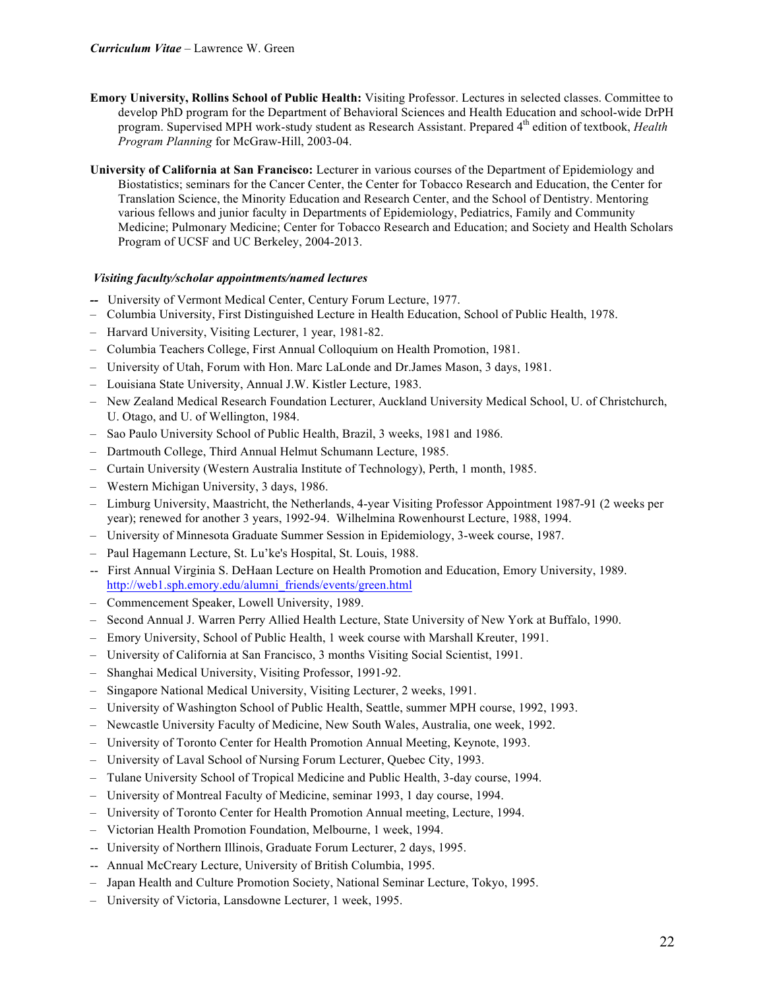- **Emory University, Rollins School of Public Health:** Visiting Professor. Lectures in selected classes. Committee to develop PhD program for the Department of Behavioral Sciences and Health Education and school-wide DrPH program. Supervised MPH work-study student as Research Assistant. Prepared 4th edition of textbook, *Health Program Planning* for McGraw-Hill, 2003-04.
- **University of California at San Francisco:** Lecturer in various courses of the Department of Epidemiology and Biostatistics; seminars for the Cancer Center, the Center for Tobacco Research and Education, the Center for Translation Science, the Minority Education and Research Center, and the School of Dentistry. Mentoring various fellows and junior faculty in Departments of Epidemiology, Pediatrics, Family and Community Medicine; Pulmonary Medicine; Center for Tobacco Research and Education; and Society and Health Scholars Program of UCSF and UC Berkeley, 2004-2013.

## *Visiting faculty/scholar appointments/named lectures*

- *--* University of Vermont Medical Center, Century Forum Lecture, 1977.
- Columbia University, First Distinguished Lecture in Health Education, School of Public Health, 1978.
- Harvard University, Visiting Lecturer, 1 year, 1981-82.
- Columbia Teachers College, First Annual Colloquium on Health Promotion, 1981.
- University of Utah, Forum with Hon. Marc LaLonde and Dr.James Mason, 3 days, 1981.
- Louisiana State University, Annual J.W. Kistler Lecture, 1983.
- New Zealand Medical Research Foundation Lecturer, Auckland University Medical School, U. of Christchurch, U. Otago, and U. of Wellington, 1984.
- Sao Paulo University School of Public Health, Brazil, 3 weeks, 1981 and 1986.
- Dartmouth College, Third Annual Helmut Schumann Lecture, 1985.
- Curtain University (Western Australia Institute of Technology), Perth, 1 month, 1985.
- Western Michigan University, 3 days, 1986.
- Limburg University, Maastricht, the Netherlands, 4-year Visiting Professor Appointment 1987-91 (2 weeks per year); renewed for another 3 years, 1992-94. Wilhelmina Rowenhourst Lecture, 1988, 1994.
- University of Minnesota Graduate Summer Session in Epidemiology, 3-week course, 1987.
- Paul Hagemann Lecture, St. Lu'ke's Hospital, St. Louis, 1988.
- -- First Annual Virginia S. DeHaan Lecture on Health Promotion and Education, Emory University, 1989. http://web1.sph.emory.edu/alumni\_friends/events/green.html
- Commencement Speaker, Lowell University, 1989.
- Second Annual J. Warren Perry Allied Health Lecture, State University of New York at Buffalo, 1990.
- Emory University, School of Public Health, 1 week course with Marshall Kreuter, 1991.
- University of California at San Francisco, 3 months Visiting Social Scientist, 1991.
- Shanghai Medical University, Visiting Professor, 1991-92.
- Singapore National Medical University, Visiting Lecturer, 2 weeks, 1991.
- University of Washington School of Public Health, Seattle, summer MPH course, 1992, 1993.
- Newcastle University Faculty of Medicine, New South Wales, Australia, one week, 1992.
- University of Toronto Center for Health Promotion Annual Meeting, Keynote, 1993.
- University of Laval School of Nursing Forum Lecturer, Quebec City, 1993.
- Tulane University School of Tropical Medicine and Public Health, 3-day course, 1994.
- University of Montreal Faculty of Medicine, seminar 1993, 1 day course, 1994.
- University of Toronto Center for Health Promotion Annual meeting, Lecture, 1994.
- Victorian Health Promotion Foundation, Melbourne, 1 week, 1994.
- -- University of Northern Illinois, Graduate Forum Lecturer, 2 days, 1995.
- -- Annual McCreary Lecture, University of British Columbia, 1995.
- Japan Health and Culture Promotion Society, National Seminar Lecture, Tokyo, 1995.
- University of Victoria, Lansdowne Lecturer, 1 week, 1995.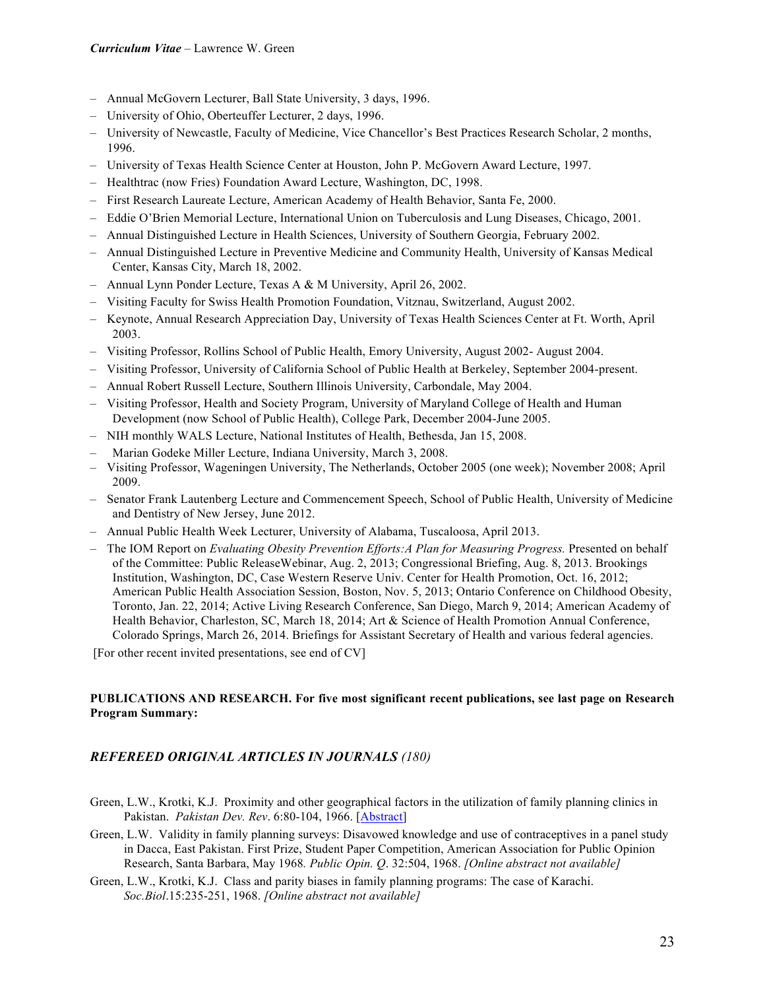- Annual McGovern Lecturer, Ball State University, 3 days, 1996.
- University of Ohio, Oberteuffer Lecturer, 2 days, 1996.
- University of Newcastle, Faculty of Medicine, Vice Chancellor's Best Practices Research Scholar, 2 months, 1996.
- University of Texas Health Science Center at Houston, John P. McGovern Award Lecture, 1997.
- Healthtrac (now Fries) Foundation Award Lecture, Washington, DC, 1998.
- First Research Laureate Lecture, American Academy of Health Behavior, Santa Fe, 2000.
- Eddie O'Brien Memorial Lecture, International Union on Tuberculosis and Lung Diseases, Chicago, 2001.
- Annual Distinguished Lecture in Health Sciences, University of Southern Georgia, February 2002.
- Annual Distinguished Lecture in Preventive Medicine and Community Health, University of Kansas Medical Center, Kansas City, March 18, 2002.
- Annual Lynn Ponder Lecture, Texas A & M University, April 26, 2002.
- Visiting Faculty for Swiss Health Promotion Foundation, Vitznau, Switzerland, August 2002.
- Keynote, Annual Research Appreciation Day, University of Texas Health Sciences Center at Ft. Worth, April 2003.
- Visiting Professor, Rollins School of Public Health, Emory University, August 2002- August 2004.
- Visiting Professor, University of California School of Public Health at Berkeley, September 2004-present.
- Annual Robert Russell Lecture, Southern Illinois University, Carbondale, May 2004.
- Visiting Professor, Health and Society Program, University of Maryland College of Health and Human Development (now School of Public Health), College Park, December 2004-June 2005.
- NIH monthly WALS Lecture, National Institutes of Health, Bethesda, Jan 15, 2008.
- Marian Godeke Miller Lecture, Indiana University, March 3, 2008.
- Visiting Professor, Wageningen University, The Netherlands, October 2005 (one week); November 2008; April 2009.
- Senator Frank Lautenberg Lecture and Commencement Speech, School of Public Health, University of Medicine and Dentistry of New Jersey, June 2012.
- Annual Public Health Week Lecturer, University of Alabama, Tuscaloosa, April 2013.
- The IOM Report on *Evaluating Obesity Prevention Efforts:A Plan for Measuring Progress.* Presented on behalf of the Committee: Public ReleaseWebinar, Aug. 2, 2013; Congressional Briefing, Aug. 8, 2013. Brookings Institution, Washington, DC, Case Western Reserve Univ. Center for Health Promotion, Oct. 16, 2012; American Public Health Association Session, Boston, Nov. 5, 2013; Ontario Conference on Childhood Obesity, Toronto, Jan. 22, 2014; Active Living Research Conference, San Diego, March 9, 2014; American Academy of Health Behavior, Charleston, SC, March 18, 2014; Art & Science of Health Promotion Annual Conference, Colorado Springs, March 26, 2014. Briefings for Assistant Secretary of Health and various federal agencies.

[For other recent invited presentations, see end of CV]

## **PUBLICATIONS AND RESEARCH. For five most significant recent publications, see last page on Research Program Summary:**

## *REFEREED ORIGINAL ARTICLES IN JOURNALS (180)*

- Green, L.W., Krotki, K.J. Proximity and other geographical factors in the utilization of family planning clinics in Pakistan. *Pakistan Dev. Rev*. 6:80-104, 1966. [Abstract]
- Green, L.W. Validity in family planning surveys: Disavowed knowledge and use of contraceptives in a panel study in Dacca, East Pakistan. First Prize, Student Paper Competition, American Association for Public Opinion Research, Santa Barbara, May 1968*. Public Opin. Q*. 32:504, 1968. *[Online abstract not available]*
- Green, L.W., Krotki, K.J. Class and parity biases in family planning programs: The case of Karachi. *Soc.Biol*.15:235-251, 1968. *[Online abstract not available]*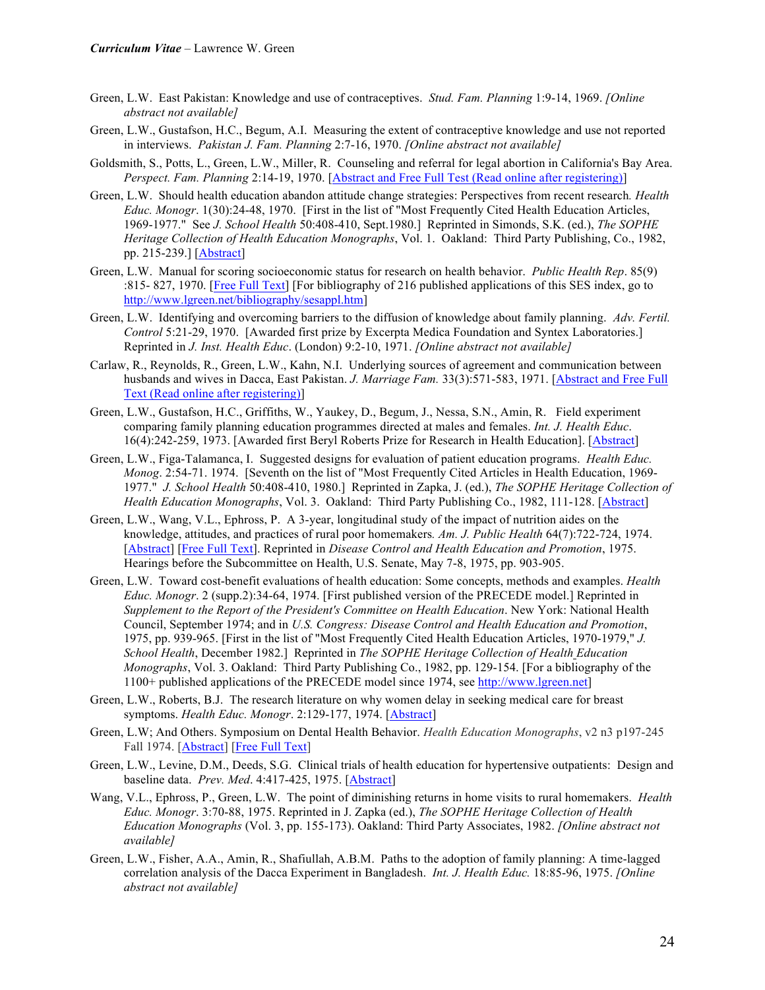- Green, L.W. East Pakistan: Knowledge and use of contraceptives. *Stud. Fam. Planning* 1:9-14, 1969. *[Online abstract not available]*
- Green, L.W., Gustafson, H.C., Begum, A.I. Measuring the extent of contraceptive knowledge and use not reported in interviews. *Pakistan J. Fam. Planning* 2:7-16, 1970. *[Online abstract not available]*
- Goldsmith, S., Potts, L., Green, L.W., Miller, R. Counseling and referral for legal abortion in California's Bay Area. *Perspect. Fam. Planning* 2:14-19, 1970. [Abstract and Free Full Test (Read online after registering)]
- Green, L.W. Should health education abandon attitude change strategies: Perspectives from recent research*. Health Educ. Monogr*. 1(30):24-48, 1970. [First in the list of "Most Frequently Cited Health Education Articles, 1969-1977." See *J. School Health* 50:408-410, Sept.1980.] Reprinted in Simonds, S.K. (ed.), *The SOPHE Heritage Collection of Health Education Monographs*, Vol. 1. Oakland: Third Party Publishing, Co., 1982, pp. 215-239.] [Abstract]
- Green, L.W. Manual for scoring socioeconomic status for research on health behavior. *Public Health Rep*. 85(9) :815- 827, 1970. [Free Full Text] [For bibliography of 216 published applications of this SES index, go to http://www.lgreen.net/bibliography/sesappl.htm]
- Green, L.W. Identifying and overcoming barriers to the diffusion of knowledge about family planning. *Adv. Fertil. Control* 5:21-29, 1970. [Awarded first prize by Excerpta Medica Foundation and Syntex Laboratories.] Reprinted in *J. Inst. Health Educ*. (London) 9:2-10, 1971. *[Online abstract not available]*
- Carlaw, R., Reynolds, R., Green, L.W., Kahn, N.I. Underlying sources of agreement and communication between husbands and wives in Dacca, East Pakistan. *J. Marriage Fam.* 33(3):571-583, 1971. [Abstract and Free Full Text (Read online after registering)]
- Green, L.W., Gustafson, H.C., Griffiths, W., Yaukey, D., Begum, J., Nessa, S.N., Amin, R. Field experiment comparing family planning education programmes directed at males and females. *Int. J. Health Educ*. 16(4):242-259, 1973. [Awarded first Beryl Roberts Prize for Research in Health Education]. [Abstract]
- Green, L.W., Figa-Talamanca, I. Suggested designs for evaluation of patient education programs. *Health Educ. Monog*. 2:54-71. 1974. [Seventh on the list of "Most Frequently Cited Articles in Health Education, 1969- 1977." *J. School Health* 50:408-410, 1980.] Reprinted in Zapka, J. (ed.), *The SOPHE Heritage Collection of Health Education Monographs*, Vol. 3. Oakland: Third Party Publishing Co., 1982, 111-128. [Abstract]
- Green, L.W., Wang, V.L., Ephross, P. A 3-year, longitudinal study of the impact of nutrition aides on the knowledge, attitudes, and practices of rural poor homemakers*. Am. J. Public Health* 64(7):722-724, 1974. [Abstract] [Free Full Text]. Reprinted in *Disease Control and Health Education and Promotion*, 1975. Hearings before the Subcommittee on Health, U.S. Senate, May 7-8, 1975, pp. 903-905.
- Green, L.W. Toward cost-benefit evaluations of health education: Some concepts, methods and examples. *Health Educ. Monogr*. 2 (supp.2):34-64, 1974. [First published version of the PRECEDE model.] Reprinted in *Supplement to the Report of the President's Committee on Health Education*. New York: National Health Council, September 1974; and in *U.S. Congress: Disease Control and Health Education and Promotion*, 1975, pp. 939-965. [First in the list of "Most Frequently Cited Health Education Articles, 1970-1979," *J. School Health*, December 1982.] Reprinted in *The SOPHE Heritage Collection of Health Education Monographs*, Vol. 3. Oakland: Third Party Publishing Co., 1982, pp. 129-154. [For a bibliography of the 1100+ published applications of the PRECEDE model since 1974, see http://www.lgreen.net]
- Green, L.W., Roberts, B.J. The research literature on why women delay in seeking medical care for breast symptoms. *Health Educ. Monogr*. 2:129-177, 1974. [Abstract]
- Green, L.W; And Others. Symposium on Dental Health Behavior. *Health Education Monographs*, v2 n3 p197-245 Fall 1974. [Abstract] [Free Full Text]
- Green, L.W., Levine, D.M., Deeds, S.G. Clinical trials of health education for hypertensive outpatients: Design and baseline data. *Prev. Med*. 4:417-425, 1975. [Abstract]
- Wang, V.L., Ephross, P., Green, L.W. The point of diminishing returns in home visits to rural homemakers. *Health Educ. Monogr*. 3:70-88, 1975. Reprinted in J. Zapka (ed.), *The SOPHE Heritage Collection of Health Education Monographs* (Vol. 3, pp. 155-173). Oakland: Third Party Associates, 1982. *[Online abstract not available]*
- Green, L.W., Fisher, A.A., Amin, R., Shafiullah, A.B.M. Paths to the adoption of family planning: A time-lagged correlation analysis of the Dacca Experiment in Bangladesh. *Int. J. Health Educ.* 18:85-96, 1975. *[Online abstract not available]*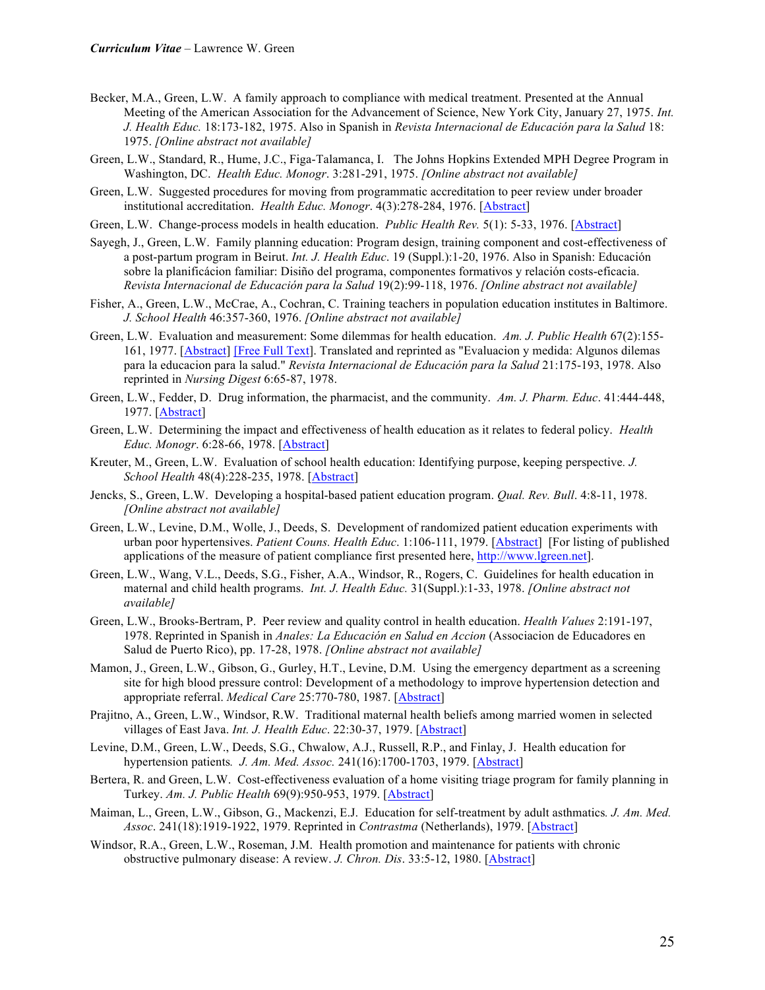- Becker, M.A., Green, L.W. A family approach to compliance with medical treatment. Presented at the Annual Meeting of the American Association for the Advancement of Science, New York City, January 27, 1975. *Int. J. Health Educ.* 18:173-182, 1975. Also in Spanish in *Revista Internacional de Educación para la Salud* 18: 1975. *[Online abstract not available]*
- Green, L.W., Standard, R., Hume, J.C., Figa-Talamanca, I. The Johns Hopkins Extended MPH Degree Program in Washington, DC. *Health Educ. Monogr*. 3:281-291, 1975. *[Online abstract not available]*
- Green, L.W. Suggested procedures for moving from programmatic accreditation to peer review under broader institutional accreditation. *Health Educ. Monogr*. 4(3):278-284, 1976. [Abstract]
- Green, L.W. Change-process models in health education. *Public Health Rev.* 5(1): 5-33, 1976. [Abstract]
- Sayegh, J., Green, L.W. Family planning education: Program design, training component and cost-effectiveness of a post-partum program in Beirut. *Int. J. Health Educ*. 19 (Suppl.):1-20, 1976. Also in Spanish: Educación sobre la planificácion familiar: Disiño del programa, componentes formativos y relación costs-eficacia. *Revista Internacional de Educación para la Salud* 19(2):99-118, 1976. *[Online abstract not available]*
- Fisher, A., Green, L.W., McCrae, A., Cochran, C. Training teachers in population education institutes in Baltimore. *J. School Health* 46:357-360, 1976. *[Online abstract not available]*
- Green, L.W. Evaluation and measurement: Some dilemmas for health education. *Am. J. Public Health* 67(2):155- 161, 1977. [Abstract] [Free Full Text]. Translated and reprinted as "Evaluacion y medida: Algunos dilemas para la educacion para la salud." *Revista Internacional de Educación para la Salud* 21:175-193, 1978. Also reprinted in *Nursing Digest* 6:65-87, 1978.
- Green, L.W., Fedder, D. Drug information, the pharmacist, and the community. *Am. J. Pharm. Educ*. 41:444-448, 1977. [Abstract]
- Green, L.W. Determining the impact and effectiveness of health education as it relates to federal policy. *Health Educ. Monogr*. 6:28-66, 1978. [Abstract]
- Kreuter, M., Green, L.W. Evaluation of school health education: Identifying purpose, keeping perspective*. J. School Health* 48(4):228-235, 1978. [Abstract]
- Jencks, S., Green, L.W. Developing a hospital-based patient education program. *Qual. Rev. Bull*. 4:8-11, 1978. *[Online abstract not available]*
- Green, L.W., Levine, D.M., Wolle, J., Deeds, S. Development of randomized patient education experiments with urban poor hypertensives. *Patient Couns. Health Educ*. 1:106-111, 1979. [Abstract] [For listing of published applications of the measure of patient compliance first presented here, http://www.lgreen.net].
- Green, L.W., Wang, V.L., Deeds, S.G., Fisher, A.A., Windsor, R., Rogers, C. Guidelines for health education in maternal and child health programs. *Int. J. Health Educ.* 31(Suppl.):1-33, 1978. *[Online abstract not available]*
- Green, L.W., Brooks-Bertram, P. Peer review and quality control in health education. *Health Values* 2:191-197, 1978. Reprinted in Spanish in *Anales: La Educación en Salud en Accion* (Associacion de Educadores en Salud de Puerto Rico), pp. 17-28, 1978. *[Online abstract not available]*
- Mamon, J., Green, L.W., Gibson, G., Gurley, H.T., Levine, D.M. Using the emergency department as a screening site for high blood pressure control: Development of a methodology to improve hypertension detection and appropriate referral. *Medical Care* 25:770-780, 1987. [Abstract]
- Prajitno, A., Green, L.W., Windsor, R.W. Traditional maternal health beliefs among married women in selected villages of East Java. *Int. J. Health Educ*. 22:30-37, 1979. [Abstract]
- Levine, D.M., Green, L.W., Deeds, S.G., Chwalow, A.J., Russell, R.P., and Finlay, J. Health education for hypertension patients*. J. Am. Med. Assoc.* 241(16):1700-1703, 1979. [Abstract]
- Bertera, R. and Green, L.W. Cost-effectiveness evaluation of a home visiting triage program for family planning in Turkey. *Am. J. Public Health* 69(9):950-953, 1979. [Abstract]
- Maiman, L., Green, L.W., Gibson, G., Mackenzi, E.J. Education for self-treatment by adult asthmatics*. J. Am. Med. Assoc*. 241(18):1919-1922, 1979. Reprinted in *Contrastma* (Netherlands), 1979. [Abstract]
- Windsor, R.A., Green, L.W., Roseman, J.M. Health promotion and maintenance for patients with chronic obstructive pulmonary disease: A review. *J. Chron. Dis*. 33:5-12, 1980. [Abstract]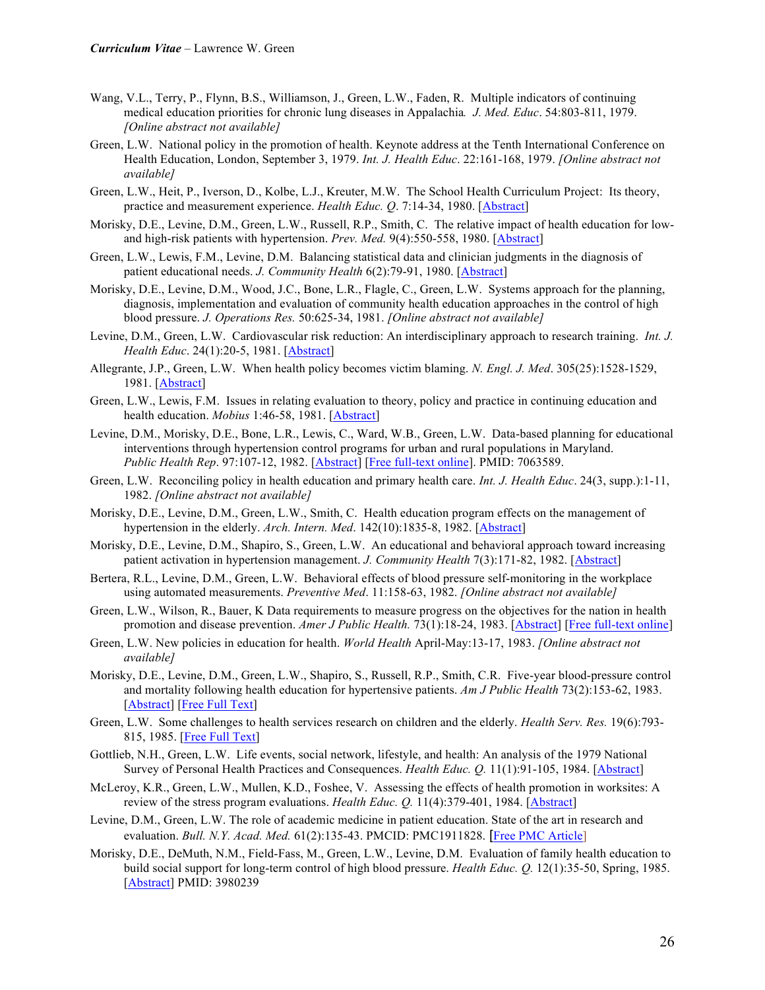- Wang, V.L., Terry, P., Flynn, B.S., Williamson, J., Green, L.W., Faden, R. Multiple indicators of continuing medical education priorities for chronic lung diseases in Appalachia*. J. Med. Educ*. 54:803-811, 1979. *[Online abstract not available]*
- Green, L.W. National policy in the promotion of health. Keynote address at the Tenth International Conference on Health Education, London, September 3, 1979. *Int. J. Health Educ*. 22:161-168, 1979. *[Online abstract not available]*
- Green, L.W., Heit, P., Iverson, D., Kolbe, L.J., Kreuter, M.W. The School Health Curriculum Project: Its theory, practice and measurement experience. *Health Educ. Q*. 7:14-34, 1980. [Abstract]
- Morisky, D.E., Levine, D.M., Green, L.W., Russell, R.P., Smith, C. The relative impact of health education for lowand high-risk patients with hypertension. *Prev. Med.* 9(4):550-558, 1980. [Abstract]
- Green, L.W., Lewis, F.M., Levine, D.M. Balancing statistical data and clinician judgments in the diagnosis of patient educational needs. *J. Community Health* 6(2):79-91, 1980. [Abstract]
- Morisky, D.E., Levine, D.M., Wood, J.C., Bone, L.R., Flagle, C., Green, L.W. Systems approach for the planning, diagnosis, implementation and evaluation of community health education approaches in the control of high blood pressure. *J. Operations Res.* 50:625-34, 1981. *[Online abstract not available]*
- Levine, D.M., Green, L.W. Cardiovascular risk reduction: An interdisciplinary approach to research training. *Int. J. Health Educ*. 24(1):20-5, 1981. [Abstract]
- Allegrante, J.P., Green, L.W. When health policy becomes victim blaming. *N. Engl. J. Med*. 305(25):1528-1529, 1981. [Abstract]
- Green, L.W., Lewis, F.M. Issues in relating evaluation to theory, policy and practice in continuing education and health education. *Mobius* 1:46-58, 1981. [Abstract]
- Levine, D.M., Morisky, D.E., Bone, L.R., Lewis, C., Ward, W.B., Green, L.W. Data-based planning for educational interventions through hypertension control programs for urban and rural populations in Maryland. *Public Health Rep*. 97:107-12, 1982. [Abstract] [Free full-text online]. PMID: 7063589.
- Green, L.W. Reconciling policy in health education and primary health care. *Int. J. Health Educ*. 24(3, supp.):1-11, 1982. *[Online abstract not available]*
- Morisky, D.E., Levine, D.M., Green, L.W., Smith, C. Health education program effects on the management of hypertension in the elderly. *Arch. Intern. Med*. 142(10):1835-8, 1982. [Abstract]
- Morisky, D.E., Levine, D.M., Shapiro, S., Green, L.W. An educational and behavioral approach toward increasing patient activation in hypertension management. *J. Community Health* 7(3):171-82, 1982. [Abstract]
- Bertera, R.L., Levine, D.M., Green, L.W. Behavioral effects of blood pressure self-monitoring in the workplace using automated measurements. *Preventive Med*. 11:158-63, 1982. *[Online abstract not available]*
- Green, L.W., Wilson, R., Bauer, K Data requirements to measure progress on the objectives for the nation in health promotion and disease prevention. *Amer J Public Health.* 73(1):18-24, 1983. [Abstract] [Free full-text online]
- Green, L.W. New policies in education for health. *World Health* April-May:13-17, 1983. *[Online abstract not available]*
- Morisky, D.E., Levine, D.M., Green, L.W., Shapiro, S., Russell, R.P., Smith, C.R. Five-year blood-pressure control and mortality following health education for hypertensive patients. *Am J Public Health* 73(2):153-62, 1983. [Abstract] [Free Full Text]
- Green, L.W. Some challenges to health services research on children and the elderly. *Health Serv. Res.* 19(6):793- 815, 1985. [Free Full Text]
- Gottlieb, N.H., Green, L.W. Life events, social network, lifestyle, and health: An analysis of the 1979 National Survey of Personal Health Practices and Consequences. *Health Educ. Q.* 11(1):91-105, 1984. [Abstract]
- McLeroy, K.R., Green, L.W., Mullen, K.D., Foshee, V. Assessing the effects of health promotion in worksites: A review of the stress program evaluations. *Health Educ. Q.* 11(4):379-401, 1984. [Abstract]
- Levine, D.M., Green, L.W. The role of academic medicine in patient education. State of the art in research and evaluation. *Bull. N.Y. Acad. Med.* 61(2):135-43. PMCID: PMC1911828. [Free PMC Article]
- Morisky, D.E., DeMuth, N.M., Field-Fass, M., Green, L.W., Levine, D.M. Evaluation of family health education to build social support for long-term control of high blood pressure. *Health Educ. Q.* 12(1):35-50, Spring, 1985. [Abstract] PMID: 3980239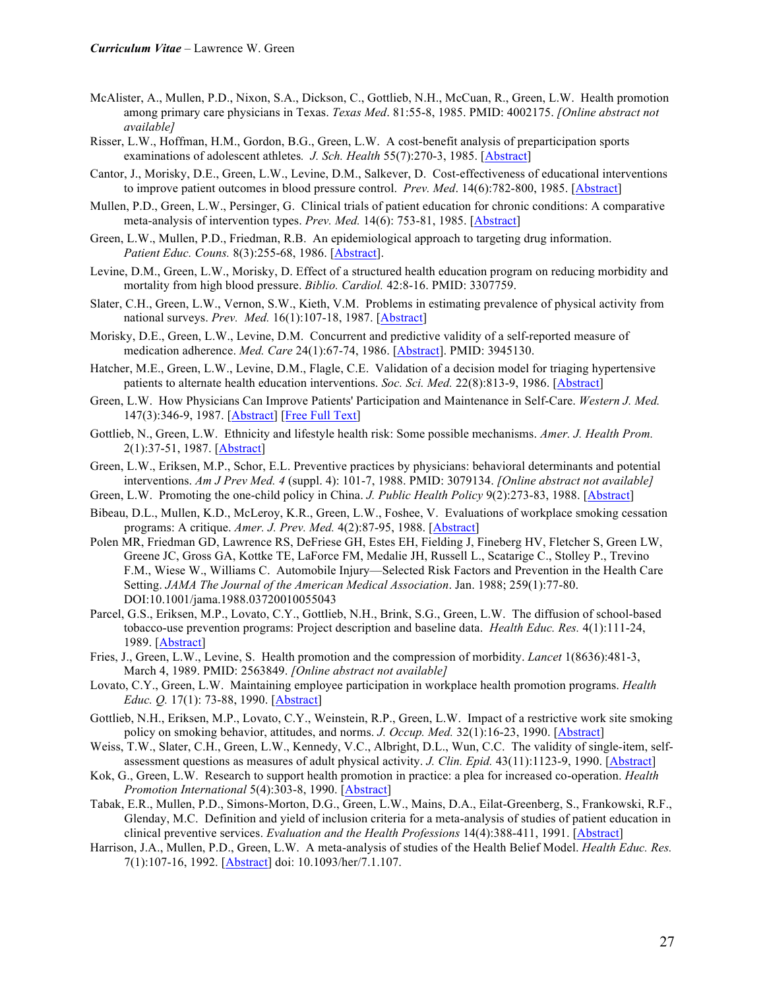- McAlister, A., Mullen, P.D., Nixon, S.A., Dickson, C., Gottlieb, N.H., McCuan, R., Green, L.W. Health promotion among primary care physicians in Texas. *Texas Med*. 81:55-8, 1985. PMID: 4002175. *[Online abstract not available]*
- Risser, L.W., Hoffman, H.M., Gordon, B.G., Green, L.W. A cost-benefit analysis of preparticipation sports examinations of adolescent athletes*. J. Sch. Health* 55(7):270-3, 1985. [Abstract]
- Cantor, J., Morisky, D.E., Green, L.W., Levine, D.M., Salkever, D. Cost-effectiveness of educational interventions to improve patient outcomes in blood pressure control. *Prev. Med*. 14(6):782-800, 1985. [Abstract]
- Mullen, P.D., Green, L.W., Persinger, G. Clinical trials of patient education for chronic conditions: A comparative meta-analysis of intervention types. *Prev. Med.* 14(6): 753-81, 1985. [Abstract]
- Green, L.W., Mullen, P.D., Friedman, R.B. An epidemiological approach to targeting drug information. *Patient Educ. Couns.* 8(3):255-68, 1986. [Abstract].
- Levine, D.M., Green, L.W., Morisky, D. Effect of a structured health education program on reducing morbidity and mortality from high blood pressure. *Biblio. Cardiol.* 42:8-16. PMID: 3307759.
- Slater, C.H., Green, L.W., Vernon, S.W., Kieth, V.M. Problems in estimating prevalence of physical activity from national surveys. *Prev. Med.* 16(1):107-18, 1987. [Abstract]
- Morisky, D.E., Green, L.W., Levine, D.M. Concurrent and predictive validity of a self-reported measure of medication adherence. *Med. Care* 24(1):67-74, 1986. [Abstract]. PMID: 3945130.
- Hatcher, M.E., Green, L.W., Levine, D.M., Flagle, C.E. Validation of a decision model for triaging hypertensive patients to alternate health education interventions. *Soc. Sci. Med.* 22(8):813-9, 1986. [Abstract]
- Green, L.W. How Physicians Can Improve Patients' Participation and Maintenance in Self-Care. *Western J. Med.* 147(3):346-9, 1987. [Abstract] [Free Full Text]
- Gottlieb, N., Green, L.W. Ethnicity and lifestyle health risk: Some possible mechanisms. *Amer. J. Health Prom.* 2(1):37-51, 1987. [Abstract]
- Green, L.W., Eriksen, M.P., Schor, E.L. Preventive practices by physicians: behavioral determinants and potential interventions. *Am J Prev Med. 4* (suppl. 4): 101-7, 1988. PMID: 3079134. *[Online abstract not available]*
- Green, L.W. Promoting the one-child policy in China. *J. Public Health Policy* 9(2):273-83, 1988. [Abstract]
- Bibeau, D.L., Mullen, K.D., McLeroy, K.R., Green, L.W., Foshee, V. Evaluations of workplace smoking cessation programs: A critique. *Amer. J. Prev. Med.* 4(2):87-95, 1988. [Abstract]
- Polen MR, Friedman GD, Lawrence RS, DeFriese GH, Estes EH, Fielding J, Fineberg HV, Fletcher S, Green LW, Greene JC, Gross GA, Kottke TE, LaForce FM, Medalie JH, Russell L., Scatarige C., Stolley P., Trevino F.M., Wiese W., Williams C. Automobile Injury—Selected Risk Factors and Prevention in the Health Care Setting. *JAMA The Journal of the American Medical Association*. Jan. 1988; 259(1):77-80. DOI:10.1001/jama.1988.03720010055043
- Parcel, G.S., Eriksen, M.P., Lovato, C.Y., Gottlieb, N.H., Brink, S.G., Green, L.W. The diffusion of school-based tobacco-use prevention programs: Project description and baseline data. *Health Educ. Res.* 4(1):111-24, 1989. [Abstract]
- Fries, J., Green, L.W., Levine, S. Health promotion and the compression of morbidity. *Lancet* 1(8636):481-3, March 4, 1989. PMID: 2563849. *[Online abstract not available]*
- Lovato, C.Y., Green, L.W. Maintaining employee participation in workplace health promotion programs. *Health Educ. Q.* 17(1): 73-88, 1990. [Abstract]
- Gottlieb, N.H., Eriksen, M.P., Lovato, C.Y., Weinstein, R.P., Green, L.W. Impact of a restrictive work site smoking policy on smoking behavior, attitudes, and norms. *J. Occup. Med.* 32(1):16-23, 1990. [Abstract]
- Weiss, T.W., Slater, C.H., Green, L.W., Kennedy, V.C., Albright, D.L., Wun, C.C. The validity of single-item, selfassessment questions as measures of adult physical activity. *J. Clin. Epid.* 43(11):1123-9, 1990. [Abstract]
- Kok, G., Green, L.W. Research to support health promotion in practice: a plea for increased co-operation. *Health Promotion International* 5(4):303-8, 1990. [Abstract]
- Tabak, E.R., Mullen, P.D., Simons-Morton, D.G., Green, L.W., Mains, D.A., Eilat-Greenberg, S., Frankowski, R.F., Glenday, M.C. Definition and yield of inclusion criteria for a meta-analysis of studies of patient education in clinical preventive services. *Evaluation and the Health Professions* 14(4):388-411, 1991. [Abstract]
- Harrison, J.A., Mullen, P.D., Green, L.W. A meta-analysis of studies of the Health Belief Model. *Health Educ. Res.* 7(1):107-16, 1992. [Abstract] doi: 10.1093/her/7.1.107.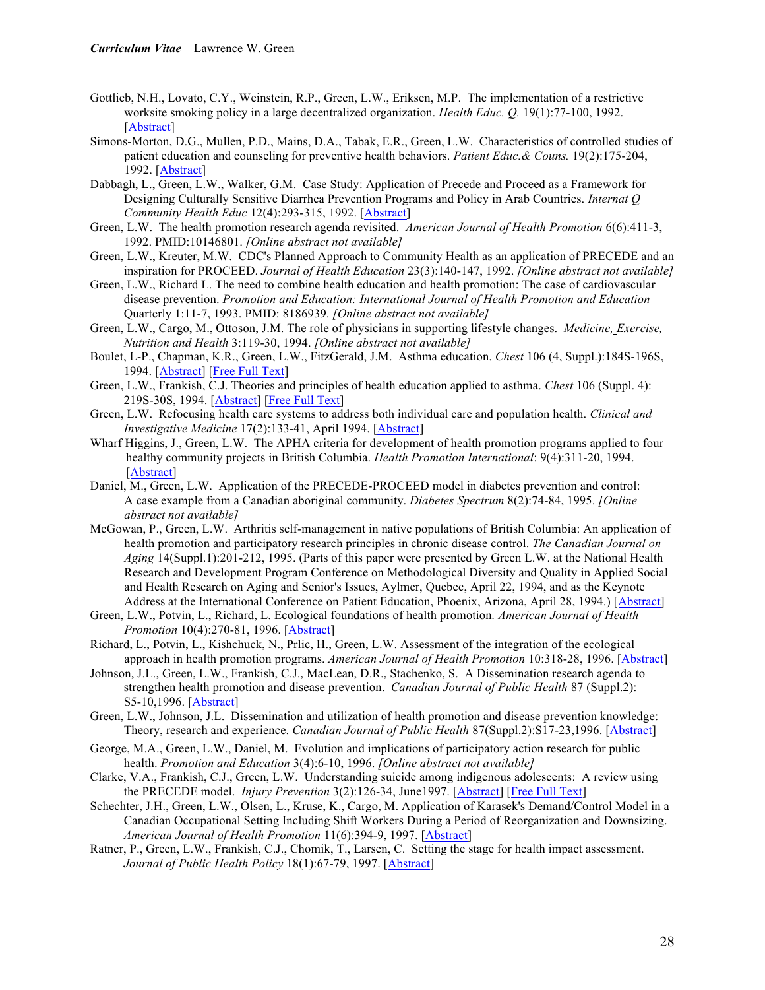- Gottlieb, N.H., Lovato, C.Y., Weinstein, R.P., Green, L.W., Eriksen, M.P. The implementation of a restrictive worksite smoking policy in a large decentralized organization. *Health Educ. Q.* 19(1):77-100, 1992. [Abstract]
- Simons-Morton, D.G., Mullen, P.D., Mains, D.A., Tabak, E.R., Green, L.W. Characteristics of controlled studies of patient education and counseling for preventive health behaviors. *Patient Educ.& Couns.* 19(2):175-204, 1992. [Abstract]
- Dabbagh, L., Green, L.W., Walker, G.M. Case Study: Application of Precede and Proceed as a Framework for Designing Culturally Sensitive Diarrhea Prevention Programs and Policy in Arab Countries. *Internat Q Community Health Educ* 12(4):293-315, 1992. [Abstract]
- Green, L.W. The health promotion research agenda revisited. *American Journal of Health Promotion* 6(6):411-3, 1992. PMID:10146801. *[Online abstract not available]*
- Green, L.W., Kreuter, M.W. CDC's Planned Approach to Community Health as an application of PRECEDE and an inspiration for PROCEED. *Journal of Health Education* 23(3):140-147, 1992. *[Online abstract not available]*
- Green, L.W., Richard L. The need to combine health education and health promotion: The case of cardiovascular disease prevention. *Promotion and Education: International Journal of Health Promotion and Education*  Quarterly 1:11-7, 1993. PMID: 8186939. *[Online abstract not available]*
- Green, L.W., Cargo, M., Ottoson, J.M. The role of physicians in supporting lifestyle changes. *Medicine, Exercise, Nutrition and Health* 3:119-30, 1994. *[Online abstract not available]*
- Boulet, L-P., Chapman, K.R., Green, L.W., FitzGerald, J.M. Asthma education. *Chest* 106 (4, Suppl.):184S-196S, 1994. [Abstract] [Free Full Text]
- Green, L.W., Frankish, C.J. Theories and principles of health education applied to asthma. *Chest* 106 (Suppl. 4): 219S-30S, 1994. [Abstract] [Free Full Text]
- Green, L.W. Refocusing health care systems to address both individual care and population health. *Clinical and Investigative Medicine* 17(2):133-41, April 1994. [Abstract]
- Wharf Higgins, J., Green, L.W. The APHA criteria for development of health promotion programs applied to four healthy community projects in British Columbia. *Health Promotion International*: 9(4):311-20, 1994. [Abstract]
- Daniel, M., Green, L.W. Application of the PRECEDE-PROCEED model in diabetes prevention and control: A case example from a Canadian aboriginal community. *Diabetes Spectrum* 8(2):74-84, 1995. *[Online abstract not available]*
- McGowan, P., Green, L.W. Arthritis self-management in native populations of British Columbia: An application of health promotion and participatory research principles in chronic disease control. *The Canadian Journal on Aging* 14(Suppl.1):201-212, 1995. (Parts of this paper were presented by Green L.W. at the National Health Research and Development Program Conference on Methodological Diversity and Quality in Applied Social and Health Research on Aging and Senior's Issues, Aylmer, Quebec, April 22, 1994, and as the Keynote Address at the International Conference on Patient Education, Phoenix, Arizona, April 28, 1994.) [Abstract]
- Green, L.W., Potvin, L., Richard, L. Ecological foundations of health promotion*. American Journal of Health Promotion* 10(4):270-81, 1996. [Abstract]
- Richard, L., Potvin, L., Kishchuck, N., Prlic, H., Green, L.W. Assessment of the integration of the ecological approach in health promotion programs. *American Journal of Health Promotion* 10:318-28, 1996. [Abstract]
- Johnson, J.L., Green, L.W., Frankish, C.J., MacLean, D.R., Stachenko, S. A Dissemination research agenda to strengthen health promotion and disease prevention. *Canadian Journal of Public Health* 87 (Suppl.2): S5-10,1996. [Abstract]
- Green, L.W., Johnson, J.L. Dissemination and utilization of health promotion and disease prevention knowledge: Theory, research and experience. *Canadian Journal of Public Health* 87(Suppl.2):S17-23,1996. [Abstract]
- George, M.A., Green, L.W., Daniel, M. Evolution and implications of participatory action research for public health. *Promotion and Education* 3(4):6-10, 1996. *[Online abstract not available]*
- Clarke, V.A., Frankish, C.J., Green, L.W. Understanding suicide among indigenous adolescents: A review using the PRECEDE model. *Injury Prevention* 3(2):126-34, June1997. [Abstract] [Free Full Text]
- Schechter, J.H., Green, L.W., Olsen, L., Kruse, K., Cargo, M. Application of Karasek's Demand/Control Model in a Canadian Occupational Setting Including Shift Workers During a Period of Reorganization and Downsizing. *American Journal of Health Promotion* 11(6):394-9, 1997. [Abstract]
- Ratner, P., Green, L.W., Frankish, C.J., Chomik, T., Larsen, C. Setting the stage for health impact assessment. *Journal of Public Health Policy* 18(1):67-79, 1997. [Abstract]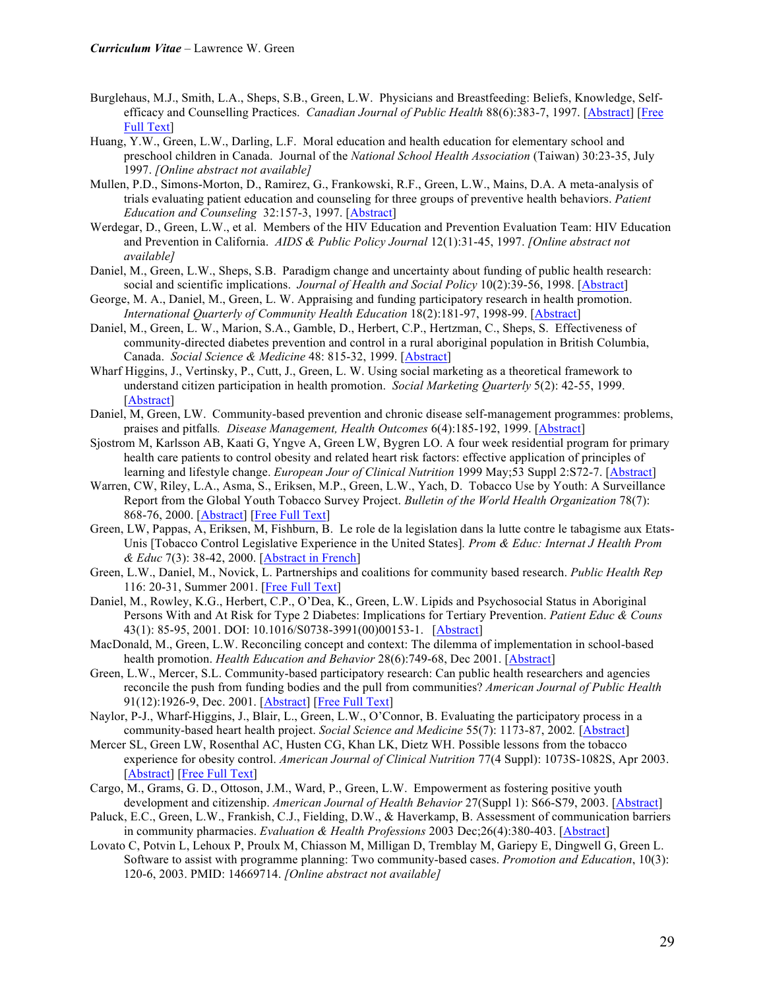- Burglehaus, M.J., Smith, L.A., Sheps, S.B., Green, L.W. Physicians and Breastfeeding: Beliefs, Knowledge, Selfefficacy and Counselling Practices. *Canadian Journal of Public Health* 88(6):383-7, 1997. [Abstract] [Free Full Text]
- Huang, Y.W., Green, L.W., Darling, L.F. Moral education and health education for elementary school and preschool children in Canada. Journal of the *National School Health Association* (Taiwan) 30:23-35, July 1997. *[Online abstract not available]*
- Mullen, P.D., Simons-Morton, D., Ramirez, G., Frankowski, R.F., Green, L.W., Mains, D.A. A meta-analysis of trials evaluating patient education and counseling for three groups of preventive health behaviors. *Patient Education and Counseling* 32:157-3, 1997. [Abstract]
- Werdegar, D., Green, L.W., et al. Members of the HIV Education and Prevention Evaluation Team: HIV Education and Prevention in California. *AIDS & Public Policy Journal* 12(1):31-45, 1997. *[Online abstract not available]*
- Daniel, M., Green, L.W., Sheps, S.B. Paradigm change and uncertainty about funding of public health research: social and scientific implications. *Journal of Health and Social Policy* 10(2):39-56, 1998. [Abstract]
- George, M. A., Daniel, M., Green, L. W. Appraising and funding participatory research in health promotion. *International Quarterly of Community Health Education* 18(2):181-97, 1998-99. [Abstract]
- Daniel, M., Green, L. W., Marion, S.A., Gamble, D., Herbert, C.P., Hertzman, C., Sheps, S. Effectiveness of community-directed diabetes prevention and control in a rural aboriginal population in British Columbia, Canada. *Social Science & Medicine* 48: 815-32, 1999. [Abstract]
- Wharf Higgins, J., Vertinsky, P., Cutt, J., Green, L. W. Using social marketing as a theoretical framework to understand citizen participation in health promotion. *Social Marketing Quarterly* 5(2): 42-55, 1999. [Abstract]
- Daniel, M, Green, LW. Community-based prevention and chronic disease self-management programmes: problems, praises and pitfalls*. Disease Management, Health Outcomes* 6(4):185-192, 1999. [Abstract]
- Sjostrom M, Karlsson AB, Kaati G, Yngve A, Green LW, Bygren LO. A four week residential program for primary health care patients to control obesity and related heart risk factors: effective application of principles of learning and lifestyle change. *European Jour of Clinical Nutrition* 1999 May;53 Suppl 2:S72-7. [Abstract]
- Warren, CW, Riley, L.A., Asma, S., Eriksen, M.P., Green, L.W., Yach, D. Tobacco Use by Youth: A Surveillance Report from the Global Youth Tobacco Survey Project. *Bulletin of the World Health Organization* 78(7): 868-76, 2000. [Abstract] [Free Full Text]
- Green, LW, Pappas, A, Eriksen, M, Fishburn, B. Le role de la legislation dans la lutte contre le tabagisme aux Etats-Unis [Tobacco Control Legislative Experience in the United States]*. Prom & Educ: Internat J Health Prom & Educ* 7(3): 38-42, 2000. [Abstract in French]
- Green, L.W., Daniel, M., Novick, L. Partnerships and coalitions for community based research. *Public Health Rep* 116: 20-31, Summer 2001. [Free Full Text]
- Daniel, M., Rowley, K.G., Herbert, C.P., O'Dea, K., Green, L.W. Lipids and Psychosocial Status in Aboriginal Persons With and At Risk for Type 2 Diabetes: Implications for Tertiary Prevention. *Patient Educ & Couns* 43(1): 85-95, 2001. DOI: 10.1016/S0738-3991(00)00153-1. [Abstract]
- MacDonald, M., Green, L.W. Reconciling concept and context: The dilemma of implementation in school-based health promotion. *Health Education and Behavior* 28(6):749-68, Dec 2001. [Abstract]
- Green, L.W., Mercer, S.L. Community-based participatory research: Can public health researchers and agencies reconcile the push from funding bodies and the pull from communities? *American Journal of Public Health* 91(12):1926-9, Dec. 2001. [Abstract] [Free Full Text]
- Naylor, P-J., Wharf-Higgins, J., Blair, L., Green, L.W., O'Connor, B. Evaluating the participatory process in a community-based heart health project. *Social Science and Medicine* 55(7): 1173-87, 2002*.* [Abstract]
- Mercer SL, Green LW, Rosenthal AC, Husten CG, Khan LK, Dietz WH. Possible lessons from the tobacco experience for obesity control. *American Journal of Clinical Nutrition* 77(4 Suppl): 1073S-1082S, Apr 2003. [Abstract] [Free Full Text]
- Cargo, M., Grams, G. D., Ottoson, J.M., Ward, P., Green, L.W. Empowerment as fostering positive youth development and citizenship. *American Journal of Health Behavior* 27(Suppl 1): S66-S79, 2003. [Abstract]
- Paluck, E.C., Green, L.W., Frankish, C.J., Fielding, D.W., & Haverkamp, B. Assessment of communication barriers in community pharmacies. *Evaluation & Health Professions* 2003 Dec;26(4):380-403. [Abstract]
- Lovato C, Potvin L, Lehoux P, Proulx M, Chiasson M, Milligan D, Tremblay M, Gariepy E, Dingwell G, Green L. Software to assist with programme planning: Two community-based cases. *Promotion and Education*, 10(3): 120-6, 2003. PMID: 14669714. *[Online abstract not available]*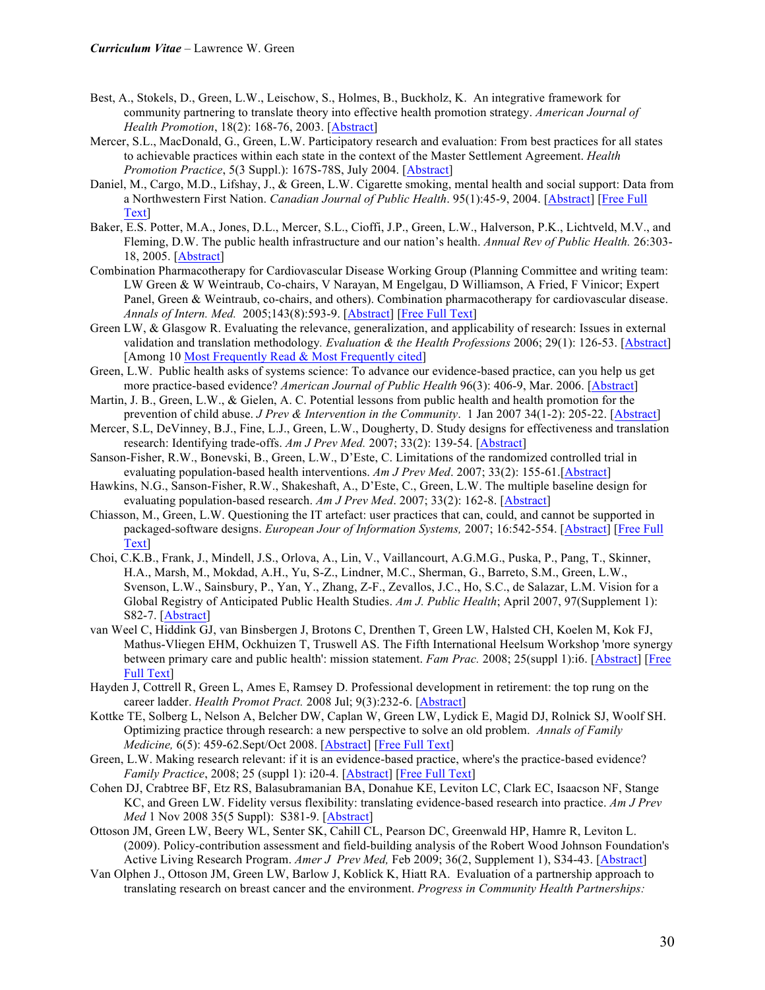- Best, A., Stokels, D., Green, L.W., Leischow, S., Holmes, B., Buckholz, K. An integrative framework for community partnering to translate theory into effective health promotion strategy. *American Journal of Health Promotion*, 18(2): 168-76, 2003. [Abstract]
- Mercer, S.L., MacDonald, G., Green, L.W. Participatory research and evaluation: From best practices for all states to achievable practices within each state in the context of the Master Settlement Agreement. *Health Promotion Practice*, 5(3 Suppl.): 167S-78S, July 2004. [Abstract]
- Daniel, M., Cargo, M.D., Lifshay, J., & Green, L.W. Cigarette smoking, mental health and social support: Data from a Northwestern First Nation. *Canadian Journal of Public Health*. 95(1):45-9, 2004. [Abstract] [Free Full Text]
- Baker, E.S. Potter, M.A., Jones, D.L., Mercer, S.L., Cioffi, J.P., Green, L.W., Halverson, P.K., Lichtveld, M.V., and Fleming, D.W. The public health infrastructure and our nation's health. *Annual Rev of Public Health.* 26:303- 18, 2005. [Abstract]
- Combination Pharmacotherapy for Cardiovascular Disease Working Group (Planning Committee and writing team: LW Green & W Weintraub, Co-chairs, V Narayan, M Engelgau, D Williamson, A Fried, F Vinicor; Expert Panel, Green & Weintraub, co-chairs, and others). Combination pharmacotherapy for cardiovascular disease. *Annals of Intern. Med.* 2005;143(8):593-9. [Abstract] [Free Full Text]
- Green LW, & Glasgow R. Evaluating the relevance, generalization, and applicability of research: Issues in external validation and translation methodology*. Evaluation & the Health Professions* 2006; 29(1): 126-53. [Abstract] [Among 10 Most Frequently Read & Most Frequently cited]
- Green, L.W. Public health asks of systems science: To advance our evidence-based practice, can you help us get more practice-based evidence? *American Journal of Public Health* 96(3): 406-9, Mar. 2006. [Abstract]
- Martin, J. B., Green, L.W., & Gielen, A. C. Potential lessons from public health and health promotion for the prevention of child abuse. *J Prev & Intervention in the Community*. 1 Jan 2007 34(1-2): 205-22. [Abstract]
- Mercer, S.L, DeVinney, B.J., Fine, L.J., Green, L.W., Dougherty, D. Study designs for effectiveness and translation research: Identifying trade-offs. *Am J Prev Med.* 2007; 33(2): 139-54. [Abstract]
- Sanson-Fisher, R.W., Bonevski, B., Green, L.W., D'Este, C. Limitations of the randomized controlled trial in evaluating population-based health interventions. *Am J Prev Med*. 2007; 33(2): 155-61.[Abstract]
- Hawkins, N.G., Sanson-Fisher, R.W., Shakeshaft, A., D'Este, C., Green, L.W. The multiple baseline design for evaluating population-based research. *Am J Prev Med*. 2007; 33(2): 162-8. [Abstract]
- Chiasson, M., Green, L.W. Questioning the IT artefact: user practices that can, could, and cannot be supported in packaged-software designs. *European Jour of Information Systems,* 2007; 16:542-554. [Abstract] [Free Full Text]
- Choi, C.K.B., Frank, J., Mindell, J.S., Orlova, A., Lin, V., Vaillancourt, A.G.M.G., Puska, P., Pang, T., Skinner, H.A., Marsh, M., Mokdad, A.H., Yu, S-Z., Lindner, M.C., Sherman, G., Barreto, S.M., Green, L.W., Svenson, L.W., Sainsbury, P., Yan, Y., Zhang, Z-F., Zevallos, J.C., Ho, S.C., de Salazar, L.M. Vision for a Global Registry of Anticipated Public Health Studies. *Am J. Public Health*; April 2007, 97(Supplement 1): S82-7. [Abstract]
- van Weel C, Hiddink GJ, van Binsbergen J, Brotons C, Drenthen T, Green LW, Halsted CH, Koelen M, Kok FJ, Mathus-Vliegen EHM, Ockhuizen T, Truswell AS. The Fifth International Heelsum Workshop 'more synergy between primary care and public health': mission statement. *Fam Prac.* 2008; 25(suppl 1):i6. [Abstract] [Free Full Text]
- Hayden J, Cottrell R, Green L, Ames E, Ramsey D. Professional development in retirement: the top rung on the career ladder. *Health Promot Pract.* 2008 Jul; 9(3):232-6. [Abstract]
- Kottke TE, Solberg L, Nelson A, Belcher DW, Caplan W, Green LW, Lydick E, Magid DJ, Rolnick SJ, Woolf SH. Optimizing practice through research: a new perspective to solve an old problem. *Annals of Family Medicine,* 6(5): 459-62.Sept/Oct 2008. [Abstract] [Free Full Text]
- Green, L.W. Making research relevant: if it is an evidence-based practice, where's the practice-based evidence? *Family Practice*, 2008; 25 (suppl 1): i20-4. [Abstract] [Free Full Text]
- Cohen DJ, Crabtree BF, Etz RS, Balasubramanian BA, Donahue KE, Leviton LC, Clark EC, Isaacson NF, Stange KC, and Green LW. Fidelity versus flexibility: translating evidence-based research into practice. *Am J Prev Med* 1 Nov 2008 35(5 Suppl): S381-9. [Abstract]
- Ottoson JM, Green LW, Beery WL, Senter SK, Cahill CL, Pearson DC, Greenwald HP, Hamre R, Leviton L. (2009). Policy-contribution assessment and field-building analysis of the Robert Wood Johnson Foundation's Active Living Research Program. *Amer J Prev Med,* Feb 2009; 36(2, Supplement 1), S34-43. [Abstract]
- Van Olphen J., Ottoson JM, Green LW, Barlow J, Koblick K, Hiatt RA. Evaluation of a partnership approach to translating research on breast cancer and the environment. *Progress in Community Health Partnerships:*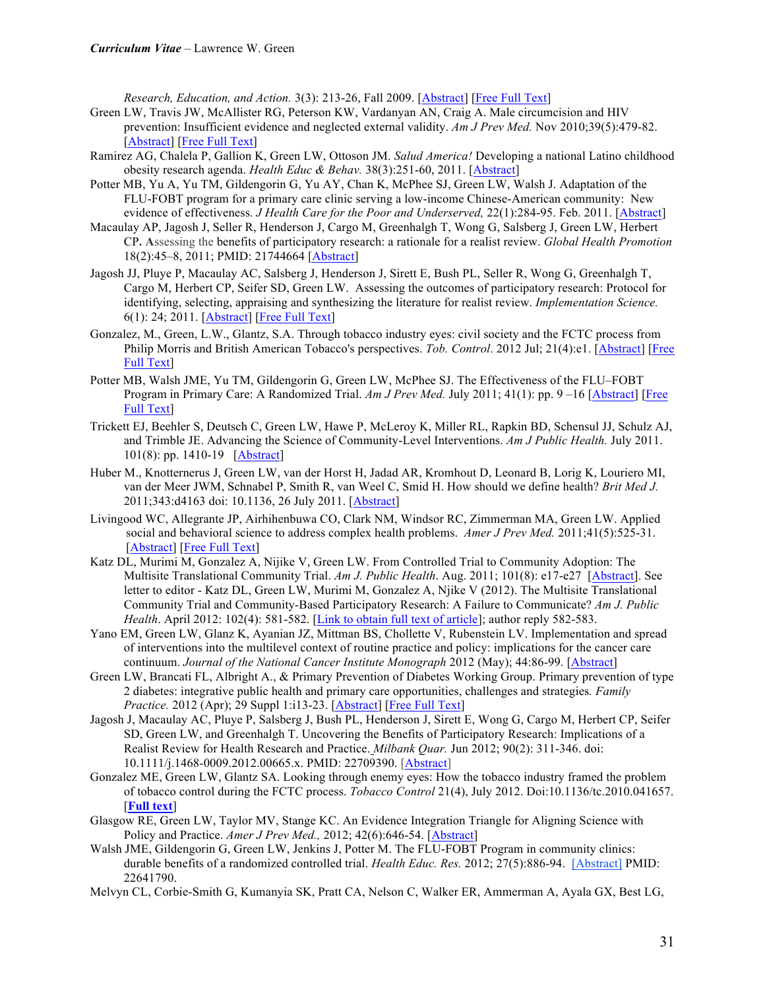*Research, Education, and Action.* 3(3): 213-26, Fall 2009. [Abstract] [Free Full Text]

- Green LW, Travis JW, McAllister RG, Peterson KW, Vardanyan AN, Craig A. Male circumcision and HIV prevention: Insufficient evidence and neglected external validity. *Am J Prev Med.* Nov 2010;39(5):479-82. [Abstract] [Free Full Text]
- Ramirez AG, Chalela P, Gallion K, Green LW, Ottoson JM. *Salud America!* Developing a national Latino childhood obesity research agenda. *Health Educ & Behav.* 38(3):251-60, 2011. [Abstract]
- Potter MB, Yu A, Yu TM, Gildengorin G, Yu AY, Chan K, McPhee SJ, Green LW, Walsh J. Adaptation of the FLU-FOBT program for a primary care clinic serving a low-income Chinese-American community: New evidence of effectiveness. *J Health Care for the Poor and Underserved,* 22(1):284-95. Feb. 2011. [Abstract]
- Macaulay AP, Jagosh J, Seller R, Henderson J, Cargo M, Greenhalgh T, Wong G, Salsberg J, Green LW, Herbert CP**. A**ssessing the benefits of participatory research: a rationale for a realist review. *Global Health Promotion*  18(2):45–8, 2011; PMID: 21744664 [Abstract]
- Jagosh JJ, Pluye P, Macaulay AC, Salsberg J, Henderson J, Sirett E, Bush PL, Seller R, Wong G, Greenhalgh T, Cargo M, Herbert CP, Seifer SD, Green LW. Assessing the outcomes of participatory research: Protocol for identifying, selecting, appraising and synthesizing the literature for realist review. *Implementation Science.* 6(1): 24; 2011. [Abstract] [Free Full Text]
- Gonzalez, M., Green, L.W., Glantz, S.A. Through tobacco industry eyes: civil society and the FCTC process from Philip Morris and British American Tobacco's perspectives. *Tob. Control*. 2012 Jul; 21(4):e1. [Abstract] [Free Full Text]
- Potter MB, Walsh JME, Yu TM, Gildengorin G, Green LW, McPhee SJ. The Effectiveness of the FLU–FOBT Program in Primary Care: A Randomized Trial. *Am J Prev Med.* July 2011; 41(1): pp. 9 –16 [Abstract] [Free Full Text]
- Trickett EJ, Beehler S, Deutsch C, Green LW, Hawe P, McLeroy K, Miller RL, Rapkin BD, Schensul JJ, Schulz AJ, and Trimble JE. Advancing the Science of Community-Level Interventions. *Am J Public Health.* July 2011. 101(8): pp. 1410-19 [Abstract]
- Huber M., Knotternerus J, Green LW, van der Horst H, Jadad AR, Kromhout D, Leonard B, Lorig K, Louriero MI, van der Meer JWM, Schnabel P, Smith R, van Weel C, Smid H. How should we define health? *Brit Med J.*  2011;343:d4163 doi: 10.1136, 26 July 2011. [Abstract]
- Livingood WC, Allegrante JP, Airhihenbuwa CO, Clark NM, Windsor RC, Zimmerman MA, Green LW. Applied social and behavioral science to address complex health problems. *Amer J Prev Med.* 2011;41(5):525-31. [Abstract] [Free Full Text]
- Katz DL, Murimi M, Gonzalez A, Nijike V, Green LW. From Controlled Trial to Community Adoption: The Multisite Translational Community Trial. *Am J. Public Health*. Aug. 2011; 101(8): e17-e27 [Abstract]. See letter to editor - Katz DL, Green LW, Murimi M, Gonzalez A, Njike V (2012). The Multisite Translational Community Trial and Community-Based Participatory Research: A Failure to Communicate? *Am J. Public Health*. April 2012: 102(4): 581-582. [Link to obtain full text of article]; author reply 582-583.
- Yano EM, Green LW, Glanz K, Ayanian JZ, Mittman BS, Chollette V, Rubenstein LV. Implementation and spread of interventions into the multilevel context of routine practice and policy: implications for the cancer care continuum. *Journal of the National Cancer Institute Monograph* 2012 (May); 44:86-99. [Abstract]
- Green LW, Brancati FL, Albright A., & Primary Prevention of Diabetes Working Group. Primary prevention of type 2 diabetes: integrative public health and primary care opportunities, challenges and strategies*. Family Practice.* 2012 (Apr); 29 Suppl 1:i13-23. [Abstract] [Free Full Text]
- Jagosh J, Macaulay AC, Pluye P, Salsberg J, Bush PL, Henderson J, Sirett E, Wong G, Cargo M, Herbert CP, Seifer SD, Green LW, and Greenhalgh T. Uncovering the Benefits of Participatory Research: Implications of a Realist Review for Health Research and Practice. *Milbank Quar.* Jun 2012; 90(2): 311-346. doi: 10.1111/j.1468-0009.2012.00665.x. PMID: 22709390. [Abstract]
- Gonzalez ME, Green LW, Glantz SA. Looking through enemy eyes: How the tobacco industry framed the problem of tobacco control during the FCTC process. *Tobacco Control* 21(4), July 2012. Doi:10.1136/tc.2010.041657. [**Full text**]
- Glasgow RE, Green LW, Taylor MV, Stange KC. An Evidence Integration Triangle for Aligning Science with Policy and Practice. *Amer J Prev Med.,* 2012; 42(6):646-54. [Abstract]
- Walsh JME, Gildengorin G, Green LW, Jenkins J, Potter M. The FLU-FOBT Program in community clinics: durable benefits of a randomized controlled trial. *Health Educ. Res.* 2012; 27(5):886-94. [Abstract] PMID: 22641790.
- Melvyn CL, Corbie-Smith G, Kumanyia SK, Pratt CA, Nelson C, Walker ER, Ammerman A, Ayala GX, Best LG,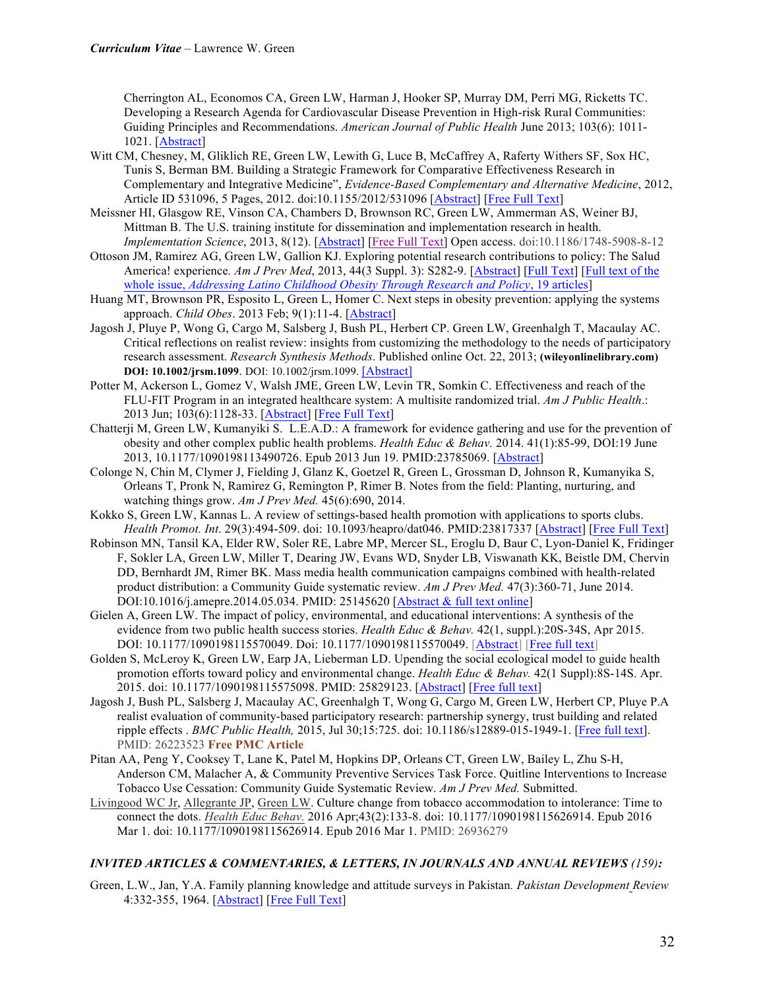Cherrington AL, Economos CA, Green LW, Harman J, Hooker SP, Murray DM, Perri MG, Ricketts TC. Developing a Research Agenda for Cardiovascular Disease Prevention in High-risk Rural Communities: Guiding Principles and Recommendations. *American Journal of Public Health* June 2013; 103(6): 1011- 1021. [Abstract]

- Witt CM, Chesney, M, Gliklich RE, Green LW, Lewith G, Luce B, McCaffrey A, Raferty Withers SF, Sox HC, Tunis S, Berman BM. Building a Strategic Framework for Comparative Effectiveness Research in Complementary and Integrative Medicine", *Evidence-Based Complementary and Alternative Medicine*, 2012, Article ID 531096, 5 Pages, 2012. doi:10.1155/2012/531096 [Abstract] [Free Full Text]
- Meissner HI, Glasgow RE, Vinson CA, Chambers D, Brownson RC, Green LW, Ammerman AS, Weiner BJ, Mittman B. The U.S. training institute for dissemination and implementation research in health. *Implementation Science*, 2013, 8(12). [Abstract] [Free Full Text] Open access. doi:10.1186/1748-5908-8-12
- Ottoson JM, Ramirez AG, Green LW, Gallion KJ. Exploring potential research contributions to policy: The Salud America! experience. Am J Prev Med, 2013, 44(3 Suppl. 3): S282-9. [Abstract] [Full Text] [Full text of the whole issue, *Addressing Latino Childhood Obesity Through Research and Policy*, 19 articles]
- Huang MT, Brownson PR, Esposito L, Green L, Homer C. Next steps in obesity prevention: applying the systems approach. *Child Obes*. 2013 Feb; 9(1):11-4. [Abstract]
- Jagosh J, Pluye P, Wong G, Cargo M, Salsberg J, Bush PL, Herbert CP. Green LW, Greenhalgh T, Macaulay AC. Critical reflections on realist review: insights from customizing the methodology to the needs of participatory research assessment. *Research Synthesis Methods*. Published online Oct. 22, 2013; **(wileyonlinelibrary.com) DOI: 10.1002/jrsm.1099**. DOI: 10.1002/jrsm.1099. [Abstract]
- Potter M, Ackerson L, Gomez V, Walsh JME, Green LW, Levin TR, Somkin C. Effectiveness and reach of the FLU-FIT Program in an integrated healthcare system: A multisite randomized trial. *Am J Public Health*.: 2013 Jun; 103(6):1128-33. [Abstract] [Free Full Text]
- Chatterji M, Green LW, Kumanyiki S. L.E.A.D.: A framework for evidence gathering and use for the prevention of obesity and other complex public health problems. *Health Educ & Behav.* 2014. 41(1):85-99, DOI:19 June 2013, 10.1177/1090198113490726. Epub 2013 Jun 19. PMID:23785069. [Abstract]
- Colonge N, Chin M, Clymer J, Fielding J, Glanz K, Goetzel R, Green L, Grossman D, Johnson R, Kumanyika S, Orleans T, Pronk N, Ramirez G, Remington P, Rimer B. Notes from the field: Planting, nurturing, and watching things grow. *Am J Prev Med.* 45(6):690, 2014.
- Kokko S, Green LW, Kannas L. A review of settings-based health promotion with applications to sports clubs. *Health Promot. Int*. 29(3):494-509. doi: 10.1093/heapro/dat046. PMID:23817337 [Abstract] [Free Full Text]
- Robinson MN, Tansil KA, Elder RW, Soler RE, Labre MP, Mercer SL, Eroglu D, Baur C, Lyon-Daniel K, Fridinger F, Sokler LA, Green LW, Miller T, Dearing JW, Evans WD, Snyder LB, Viswanath KK, Beistle DM, Chervin DD, Bernhardt JM, Rimer BK. Mass media health communication campaigns combined with health-related product distribution: a Community Guide systematic review. *Am J Prev Med.* 47(3):360-71, June 2014. DOI:10.1016/j.amepre.2014.05.034. PMID: 25145620 [Abstract & full text online]
- Gielen A, Green LW. The impact of policy, environmental, and educational interventions: A synthesis of the evidence from two public health success stories. *Health Educ & Behav.* 42(1, suppl.):20S-34S, Apr 2015. DOI: 10.1177/1090198115570049. Doi: 10.1177/1090198115570049. [Abstract] [Free full text]
- Golden S, McLeroy K, Green LW, Earp JA, Lieberman LD. Upending the social ecological model to guide health promotion efforts toward policy and environmental change. *Health Educ & Behav.* 42(1 Suppl):8S-14S. Apr. 2015. doi: 10.1177/1090198115575098. PMID: 25829123. [Abstract] [Free full text]
- Jagosh J, Bush PL, Salsberg J, Macaulay AC, Greenhalgh T, Wong G, Cargo M, Green LW, Herbert CP, Pluye P.A realist evaluation of community-based participatory research: partnership synergy, trust building and related ripple effects . *BMC Public Health,* 2015, Jul 30;15:725. doi: 10.1186/s12889-015-1949-1. [Free full text]. PMID: 26223523 **Free PMC Article**
- Pitan AA, Peng Y, Cooksey T, Lane K, Patel M, Hopkins DP, Orleans CT, Green LW, Bailey L, Zhu S-H, Anderson CM, Malacher A, & Community Preventive Services Task Force. Quitline Interventions to Increase Tobacco Use Cessation: Community Guide Systematic Review. *Am J Prev Med.* Submitted.
- Livingood WC Jr, Allegrante JP, Green LW. Culture change from tobacco accommodation to intolerance: Time to connect the dots. *Health Educ Behav.* 2016 Apr;43(2):133-8. doi: 10.1177/1090198115626914. Epub 2016 Mar 1. doi: 10.1177/1090198115626914. Epub 2016 Mar 1. PMID: 26936279

#### *INVITED ARTICLES & COMMENTARIES, & LETTERS, IN JOURNALS AND ANNUAL REVIEWS (159):*

Green, L.W., Jan, Y.A. Family planning knowledge and attitude surveys in Pakistan*. Pakistan Development Review* 4:332-355, 1964. [Abstract] [Free Full Text]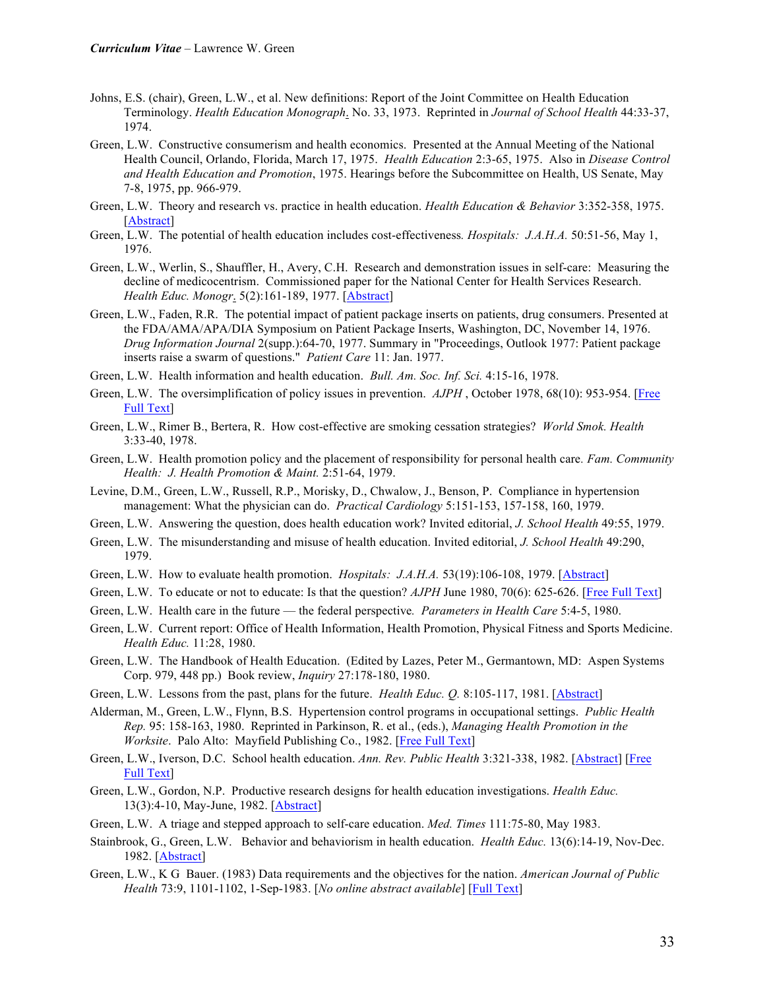- Johns, E.S. (chair), Green, L.W., et al. New definitions: Report of the Joint Committee on Health Education Terminology. *Health Education Monograph*. No. 33, 1973. Reprinted in *Journal of School Health* 44:33-37, 1974.
- Green, L.W. Constructive consumerism and health economics. Presented at the Annual Meeting of the National Health Council, Orlando, Florida, March 17, 1975. *Health Education* 2:3-65, 1975. Also in *Disease Control and Health Education and Promotion*, 1975. Hearings before the Subcommittee on Health, US Senate, May 7-8, 1975, pp. 966-979.
- Green, L.W. Theory and research vs. practice in health education. *Health Education & Behavior* 3:352-358, 1975. [Abstract]
- Green, L.W. The potential of health education includes cost-effectiveness*. Hospitals: J.A.H.A.* 50:51-56, May 1, 1976.
- Green, L.W., Werlin, S., Shauffler, H., Avery, C.H. Research and demonstration issues in self-care: Measuring the decline of medicocentrism. Commissioned paper for the National Center for Health Services Research. *Health Educ. Monogr*. 5(2):161-189, 1977. [Abstract]
- Green, L.W., Faden, R.R. The potential impact of patient package inserts on patients, drug consumers. Presented at the FDA/AMA/APA/DIA Symposium on Patient Package Inserts, Washington, DC, November 14, 1976. *Drug Information Journal* 2(supp.):64-70, 1977. Summary in "Proceedings, Outlook 1977: Patient package inserts raise a swarm of questions." *Patient Care* 11: Jan. 1977.
- Green, L.W. Health information and health education. *Bull. Am. Soc. Inf. Sci.* 4:15-16, 1978.
- Green, L.W. The oversimplification of policy issues in prevention. *AJPH* , October 1978, 68(10): 953-954. [Free Full Text]
- Green, L.W., Rimer B., Bertera, R. How cost-effective are smoking cessation strategies? *World Smok. Health* 3:33-40, 1978.
- Green, L.W. Health promotion policy and the placement of responsibility for personal health care*. Fam. Community Health: J. Health Promotion & Maint.* 2:51-64, 1979.
- Levine, D.M., Green, L.W., Russell, R.P., Morisky, D., Chwalow, J., Benson, P. Compliance in hypertension management: What the physician can do. *Practical Cardiology* 5:151-153, 157-158, 160, 1979.
- Green, L.W. Answering the question, does health education work? Invited editorial, *J. School Health* 49:55, 1979.
- Green, L.W. The misunderstanding and misuse of health education. Invited editorial, *J. School Health* 49:290, 1979.
- Green, L.W. How to evaluate health promotion. *Hospitals: J.A.H.A.* 53(19):106-108, 1979. [Abstract]
- Green, L.W. To educate or not to educate: Is that the question? *AJPH* June 1980, 70(6): 625-626. [Free Full Text]
- Green, L.W. Health care in the future the federal perspective*. Parameters in Health Care* 5:4-5, 1980.
- Green, L.W. Current report: Office of Health Information, Health Promotion, Physical Fitness and Sports Medicine. *Health Educ.* 11:28, 1980.
- Green, L.W. The Handbook of Health Education. (Edited by Lazes, Peter M., Germantown, MD: Aspen Systems Corp. 979, 448 pp.) Book review, *Inquiry* 27:178-180, 1980.
- Green, L.W. Lessons from the past, plans for the future. *Health Educ. Q.* 8:105-117, 1981. [Abstract]
- Alderman, M., Green, L.W., Flynn, B.S. Hypertension control programs in occupational settings. *Public Health Rep.* 95: 158-163, 1980. Reprinted in Parkinson, R. et al., (eds.), *Managing Health Promotion in the Worksite*. Palo Alto: Mayfield Publishing Co., 1982. [Free Full Text]
- Green, L.W., Iverson, D.C. School health education. *Ann. Rev. Public Health* 3:321-338, 1982. [Abstract] [Free Full Text]
- Green, L.W., Gordon, N.P. Productive research designs for health education investigations. *Health Educ.* 13(3):4-10, May-June, 1982. [Abstract]
- Green, L.W. A triage and stepped approach to self-care education. *Med. Times* 111:75-80, May 1983.
- Stainbrook, G., Green, L.W. Behavior and behaviorism in health education. *Health Educ.* 13(6):14-19, Nov-Dec. 1982. [Abstract]
- Green, L.W., K G Bauer. (1983) Data requirements and the objectives for the nation. *American Journal of Public Health* 73:9, 1101-1102, 1-Sep-1983. [*No online abstract available*] [Full Text]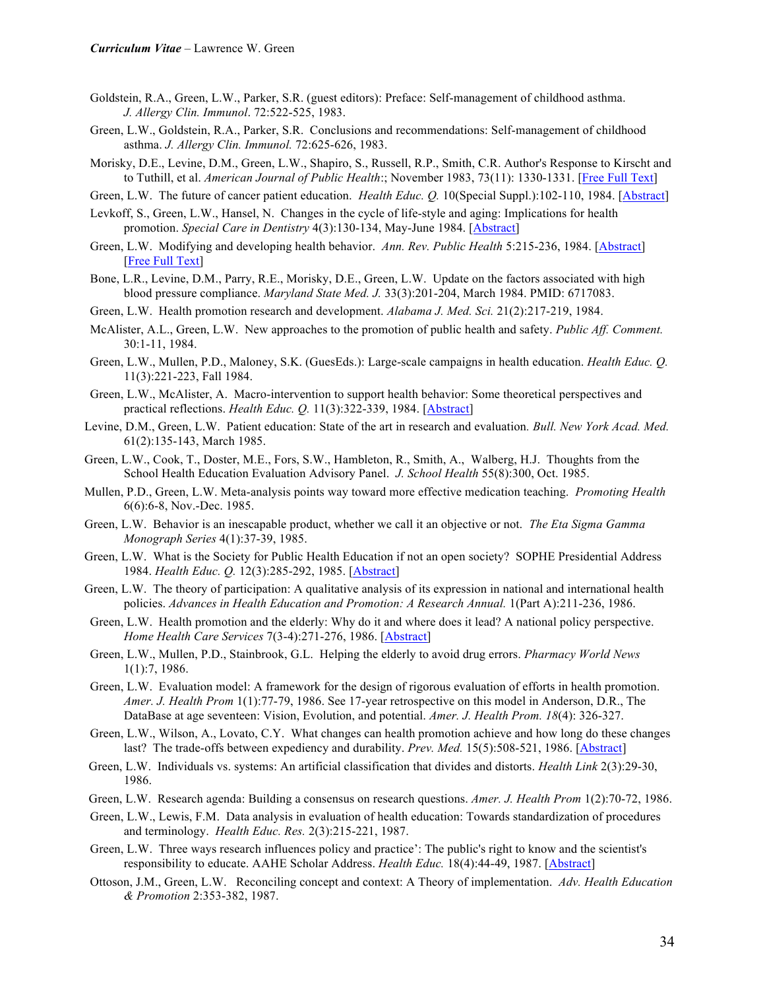- Goldstein, R.A., Green, L.W., Parker, S.R. (guest editors): Preface: Self-management of childhood asthma. *J. Allergy Clin. Immunol*. 72:522-525, 1983.
- Green, L.W., Goldstein, R.A., Parker, S.R. Conclusions and recommendations: Self-management of childhood asthma. *J. Allergy Clin. Immunol.* 72:625-626, 1983.
- Morisky, D.E., Levine, D.M., Green, L.W., Shapiro, S., Russell, R.P., Smith, C.R. Author's Response to Kirscht and to Tuthill, et al. *American Journal of Public Health*:; November 1983, 73(11): 1330-1331. [Free Full Text]
- Green, L.W. The future of cancer patient education. *Health Educ. Q.* 10(Special Suppl.):102-110, 1984. [Abstract]
- Levkoff, S., Green, L.W., Hansel, N. Changes in the cycle of life-style and aging: Implications for health promotion. *Special Care in Dentistry* 4(3):130-134, May-June 1984. [Abstract]
- Green, L.W. Modifying and developing health behavior. *Ann. Rev. Public Health* 5:215-236, 1984. [Abstract] [Free Full Text]
- Bone, L.R., Levine, D.M., Parry, R.E., Morisky, D.E., Green, L.W. Update on the factors associated with high blood pressure compliance. *Maryland State Med. J.* 33(3):201-204, March 1984. PMID: 6717083.
- Green, L.W. Health promotion research and development. *Alabama J. Med. Sci.* 21(2):217-219, 1984.
- McAlister, A.L., Green, L.W. New approaches to the promotion of public health and safety. *Public Aff. Comment.* 30:1-11, 1984.
- Green, L.W., Mullen, P.D., Maloney, S.K. (GuesEds.): Large-scale campaigns in health education. *Health Educ. Q.* 11(3):221-223, Fall 1984.
- Green, L.W., McAlister, A. Macro-intervention to support health behavior: Some theoretical perspectives and practical reflections. *Health Educ. Q.* 11(3):322-339, 1984. [Abstract]
- Levine, D.M., Green, L.W. Patient education: State of the art in research and evaluation*. Bull. New York Acad. Med.* 61(2):135-143, March 1985.
- Green, L.W., Cook, T., Doster, M.E., Fors, S.W., Hambleton, R., Smith, A., Walberg, H.J. Thoughts from the School Health Education Evaluation Advisory Panel. *J. School Health* 55(8):300, Oct. 1985.
- Mullen, P.D., Green, L.W. Meta-analysis points way toward more effective medication teaching. *Promoting Health* 6(6):6-8, Nov.-Dec. 1985.
- Green, L.W. Behavior is an inescapable product, whether we call it an objective or not. *The Eta Sigma Gamma Monograph Series* 4(1):37-39, 1985.
- Green, L.W. What is the Society for Public Health Education if not an open society? SOPHE Presidential Address 1984. *Health Educ. Q.* 12(3):285-292, 1985. [Abstract]
- Green, L.W. The theory of participation: A qualitative analysis of its expression in national and international health policies. *Advances in Health Education and Promotion: A Research Annual.* 1(Part A):211-236, 1986.
- Green, L.W. Health promotion and the elderly: Why do it and where does it lead? A national policy perspective. *Home Health Care Services* 7(3-4):271-276, 1986. [Abstract]
- Green, L.W., Mullen, P.D., Stainbrook, G.L. Helping the elderly to avoid drug errors. *Pharmacy World News*  1(1):7, 1986.
- Green, L.W. Evaluation model: A framework for the design of rigorous evaluation of efforts in health promotion. *Amer. J. Health Prom* 1(1):77-79, 1986. See 17-year retrospective on this model in Anderson, D.R., The DataBase at age seventeen: Vision, Evolution, and potential. *Amer. J. Health Prom. 18*(4): 326-327.
- Green, L.W., Wilson, A., Lovato, C.Y. What changes can health promotion achieve and how long do these changes last? The trade-offs between expediency and durability. *Prev. Med.* 15(5):508-521, 1986. [Abstract]
- Green, L.W. Individuals vs. systems: An artificial classification that divides and distorts. *Health Link* 2(3):29-30, 1986.
- Green, L.W. Research agenda: Building a consensus on research questions. *Amer. J. Health Prom* 1(2):70-72, 1986.
- Green, L.W., Lewis, F.M. Data analysis in evaluation of health education: Towards standardization of procedures and terminology. *Health Educ. Res.* 2(3):215-221, 1987.
- Green, L.W. Three ways research influences policy and practice': The public's right to know and the scientist's responsibility to educate. AAHE Scholar Address. *Health Educ.* 18(4):44-49, 1987. [Abstract]
- Ottoson, J.M., Green, L.W. Reconciling concept and context: A Theory of implementation. *Adv. Health Education & Promotion* 2:353-382, 1987.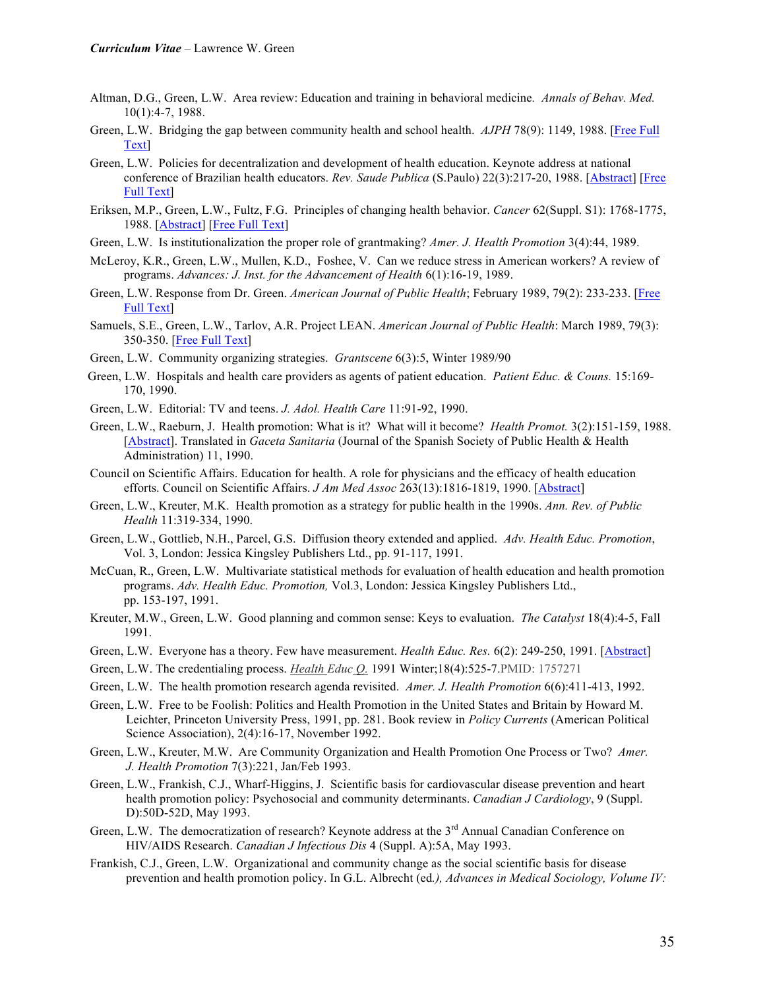- Altman, D.G., Green, L.W. Area review: Education and training in behavioral medicine*. Annals of Behav. Med.* 10(1):4-7, 1988.
- Green, L.W. Bridging the gap between community health and school health. *AJPH* 78(9): 1149, 1988. [Free Full Text]
- Green, L.W. Policies for decentralization and development of health education. Keynote address at national conference of Brazilian health educators. *Rev. Saude Publica* (S.Paulo) 22(3):217-20, 1988. [Abstract] [Free Full Text]
- Eriksen, M.P., Green, L.W., Fultz, F.G. Principles of changing health behavior. *Cancer* 62(Suppl. S1): 1768-1775, 1988. [Abstract] [Free Full Text]
- Green, L.W. Is institutionalization the proper role of grantmaking? *Amer. J. Health Promotion* 3(4):44, 1989.
- McLeroy, K.R., Green, L.W., Mullen, K.D., Foshee, V. Can we reduce stress in American workers? A review of programs. *Advances: J. Inst. for the Advancement of Health* 6(1):16-19, 1989.
- Green, L.W. Response from Dr. Green. *American Journal of Public Health*; February 1989, 79(2): 233-233. [Free Full Text]
- Samuels, S.E., Green, L.W., Tarlov, A.R. Project LEAN. *American Journal of Public Health*: March 1989, 79(3): 350-350. [Free Full Text]
- Green, L.W. Community organizing strategies. *Grantscene* 6(3):5, Winter 1989/90
- Green, L.W. Hospitals and health care providers as agents of patient education. *Patient Educ. & Couns.* 15:169- 170, 1990.
- Green, L.W. Editorial: TV and teens. *J. Adol. Health Care* 11:91-92, 1990.
- Green, L.W., Raeburn, J. Health promotion: What is it? What will it become? *Health Promot.* 3(2):151-159, 1988. [Abstract]. Translated in *Gaceta Sanitaria* (Journal of the Spanish Society of Public Health & Health Administration) 11, 1990.
- Council on Scientific Affairs. Education for health. A role for physicians and the efficacy of health education efforts. Council on Scientific Affairs. *J Am Med Assoc* 263(13):1816-1819, 1990. [Abstract]
- Green, L.W., Kreuter, M.K. Health promotion as a strategy for public health in the 1990s. *Ann. Rev. of Public Health* 11:319-334, 1990.
- Green, L.W., Gottlieb, N.H., Parcel, G.S. Diffusion theory extended and applied. *Adv. Health Educ. Promotion*, Vol. 3, London: Jessica Kingsley Publishers Ltd., pp. 91-117, 1991.
- McCuan, R., Green, L.W. Multivariate statistical methods for evaluation of health education and health promotion programs. *Adv. Health Educ. Promotion,* Vol.3, London: Jessica Kingsley Publishers Ltd., pp. 153-197, 1991.
- Kreuter, M.W., Green, L.W. Good planning and common sense: Keys to evaluation. *The Catalyst* 18(4):4-5, Fall 1991.
- Green, L.W. Everyone has a theory. Few have measurement. *Health Educ. Res.* 6(2): 249-250, 1991. [Abstract]
- Green, L.W. The credentialing process. *Health Educ Q.* 1991 Winter;18(4):525-7.PMID: 1757271
- Green, L.W. The health promotion research agenda revisited. *Amer. J. Health Promotion* 6(6):411-413, 1992.
- Green, L.W. Free to be Foolish: Politics and Health Promotion in the United States and Britain by Howard M. Leichter, Princeton University Press, 1991, pp. 281. Book review in *Policy Currents* (American Political Science Association), 2(4):16-17, November 1992.
- Green, L.W., Kreuter, M.W. Are Community Organization and Health Promotion One Process or Two? *Amer. J. Health Promotion* 7(3):221, Jan/Feb 1993.
- Green, L.W., Frankish, C.J., Wharf-Higgins, J. Scientific basis for cardiovascular disease prevention and heart health promotion policy: Psychosocial and community determinants. *Canadian J Cardiology*, 9 (Suppl. D):50D-52D, May 1993.
- Green, L.W. The democratization of research? Keynote address at the 3<sup>rd</sup> Annual Canadian Conference on HIV/AIDS Research. *Canadian J Infectious Dis* 4 (Suppl. A):5A, May 1993.
- Frankish, C.J., Green, L.W. Organizational and community change as the social scientific basis for disease prevention and health promotion policy. In G.L. Albrecht (ed*.), Advances in Medical Sociology, Volume IV:*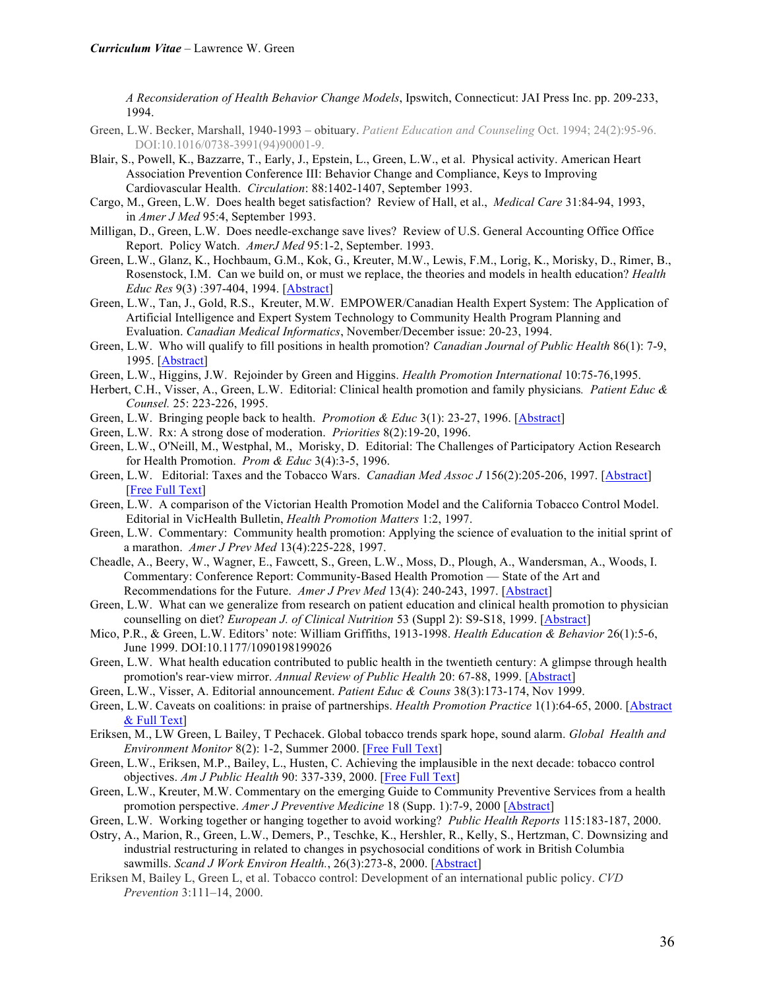*A Reconsideration of Health Behavior Change Models*, Ipswitch, Connecticut: JAI Press Inc. pp. 209-233, 1994.

- Green, L.W. Becker, Marshall, 1940-1993 obituary. *Patient Education and Counseling* Oct. 1994; 24(2):95-96. DOI:10.1016/0738-3991(94)90001-9.
- Blair, S., Powell, K., Bazzarre, T., Early, J., Epstein, L., Green, L.W., et al. Physical activity. American Heart Association Prevention Conference III: Behavior Change and Compliance, Keys to Improving Cardiovascular Health. *Circulation*: 88:1402-1407, September 1993.
- Cargo, M., Green, L.W. Does health beget satisfaction? Review of Hall, et al., *Medical Care* 31:84-94, 1993, in *Amer J Med* 95:4, September 1993.
- Milligan, D., Green, L.W. Does needle-exchange save lives? Review of U.S. General Accounting Office Office Report. Policy Watch. *AmerJ Med* 95:1-2, September. 1993.
- Green, L.W., Glanz, K., Hochbaum, G.M., Kok, G., Kreuter, M.W., Lewis, F.M., Lorig, K., Morisky, D., Rimer, B., Rosenstock, I.M. Can we build on, or must we replace, the theories and models in health education? *Health Educ Res* 9(3) :397-404, 1994. [Abstract]
- Green, L.W., Tan, J., Gold, R.S., Kreuter, M.W. EMPOWER/Canadian Health Expert System: The Application of Artificial Intelligence and Expert System Technology to Community Health Program Planning and Evaluation. *Canadian Medical Informatics*, November/December issue: 20-23, 1994.
- Green, L.W. Who will qualify to fill positions in health promotion? *Canadian Journal of Public Health* 86(1): 7-9, 1995. [Abstract]
- Green, L.W., Higgins, J.W. Rejoinder by Green and Higgins. *Health Promotion International* 10:75-76,1995.
- Herbert, C.H., Visser, A., Green, L.W. Editorial: Clinical health promotion and family physicians*. Patient Educ & Counsel.* 25: 223-226, 1995.
- Green, L.W. Bringing people back to health. *Promotion & Educ* 3(1): 23-27, 1996. [Abstract]
- Green, L.W. Rx: A strong dose of moderation. *Priorities* 8(2):19-20, 1996.
- Green, L.W., O'Neill, M., Westphal, M., Morisky, D. Editorial: The Challenges of Participatory Action Research for Health Promotion. *Prom & Educ* 3(4):3-5, 1996.
- Green, L.W. Editorial: Taxes and the Tobacco Wars. *Canadian Med Assoc J* 156(2):205-206, 1997. [Abstract] [Free Full Text]
- Green, L.W. A comparison of the Victorian Health Promotion Model and the California Tobacco Control Model. Editorial in VicHealth Bulletin, *Health Promotion Matters* 1:2, 1997.
- Green, L.W. Commentary: Community health promotion: Applying the science of evaluation to the initial sprint of a marathon. *Amer J Prev Med* 13(4):225-228, 1997.
- Cheadle, A., Beery, W., Wagner, E., Fawcett, S., Green, L.W., Moss, D., Plough, A., Wandersman, A., Woods, I. Commentary: Conference Report: Community-Based Health Promotion — State of the Art and Recommendations for the Future. *Amer J Prev Med* 13(4): 240-243, 1997. [Abstract]
- Green, L.W. What can we generalize from research on patient education and clinical health promotion to physician counselling on diet? *European J. of Clinical Nutrition* 53 (Suppl 2): S9-S18, 1999. [Abstract]
- Mico, P.R., & Green, L.W. Editors' note: William Griffiths, 1913-1998. *Health Education & Behavior* 26(1):5-6, June 1999. DOI:10.1177/1090198199026
- Green, L.W. What health education contributed to public health in the twentieth century: A glimpse through health promotion's rear-view mirror. *Annual Review of Public Health* 20: 67-88, 1999. [Abstract]
- Green, L.W., Visser, A. Editorial announcement. *Patient Educ & Couns* 38(3):173-174, Nov 1999.
- Green, L.W. Caveats on coalitions: in praise of partnerships. *Health Promotion Practice* 1(1):64-65, 2000. [Abstract & Full Text]
- Eriksen, M., LW Green, L Bailey, T Pechacek. Global tobacco trends spark hope, sound alarm. *Global Health and Environment Monitor* 8(2): 1-2, Summer 2000. [Free Full Text]
- Green, L.W., Eriksen, M.P., Bailey, L., Husten, C. Achieving the implausible in the next decade: tobacco control objectives. *Am J Public Health* 90: 337-339, 2000. [Free Full Text]
- Green, L.W., Kreuter, M.W. Commentary on the emerging Guide to Community Preventive Services from a health promotion perspective. *Amer J Preventive Medicine* 18 (Supp. 1):7-9, 2000 [Abstract]
- Green, L.W. Working together or hanging together to avoid working? *Public Health Reports* 115:183-187, 2000.
- Ostry, A., Marion, R., Green, L.W., Demers, P., Teschke, K., Hershler, R., Kelly, S., Hertzman, C. Downsizing and industrial restructuring in related to changes in psychosocial conditions of work in British Columbia sawmills. *Scand J Work Environ Health.*, 26(3):273-8, 2000. [Abstract]
- Eriksen M, Bailey L, Green L, et al. Tobacco control: Development of an international public policy. *CVD Prevention* 3:111–14, 2000.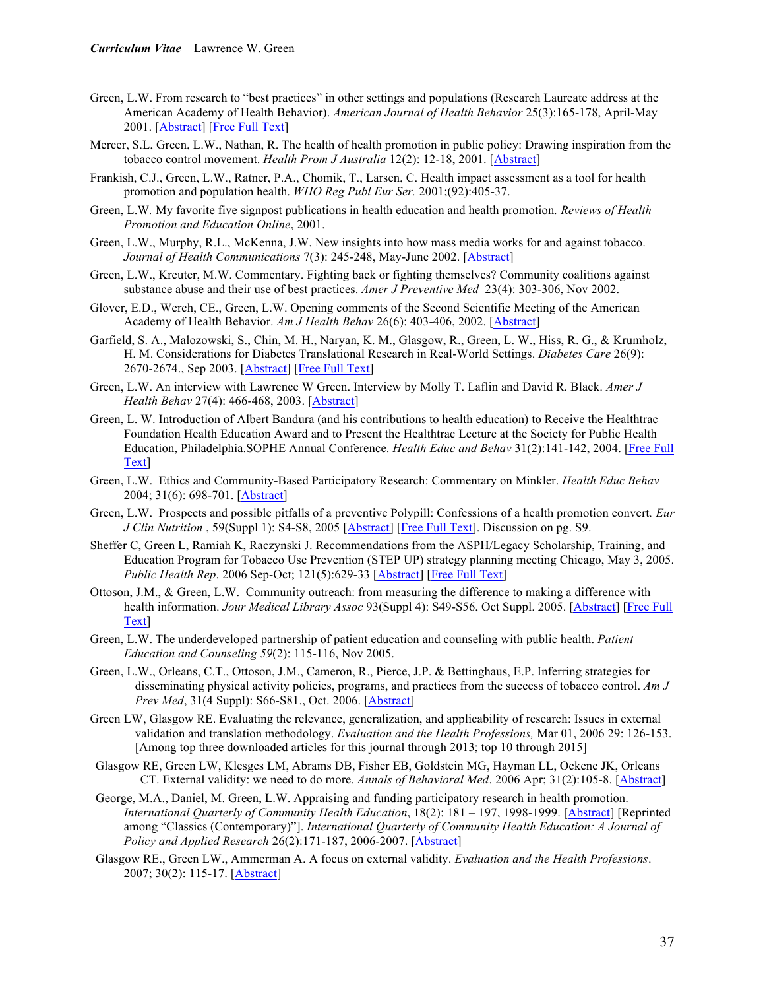- Green, L.W. From research to "best practices" in other settings and populations (Research Laureate address at the American Academy of Health Behavior). *American Journal of Health Behavior* 25(3):165-178, April-May 2001. [Abstract] [Free Full Text]
- Mercer, S.L, Green, L.W., Nathan, R. The health of health promotion in public policy: Drawing inspiration from the tobacco control movement. *Health Prom J Australia* 12(2): 12-18, 2001. [Abstract]
- Frankish, C.J., Green, L.W., Ratner, P.A., Chomik, T., Larsen, C. Health impact assessment as a tool for health promotion and population health. *WHO Reg Publ Eur Ser.* 2001;(92):405-37.
- Green, L.W*.* My favorite five signpost publications in health education and health promotion*. Reviews of Health Promotion and Education Online*, 2001.
- Green, L.W., Murphy, R.L., McKenna, J.W. New insights into how mass media works for and against tobacco. *Journal of Health Communications* 7(3): 245-248, May-June 2002. [Abstract]
- Green, L.W., Kreuter, M.W. Commentary. Fighting back or fighting themselves? Community coalitions against substance abuse and their use of best practices. *Amer J Preventive Med* 23(4): 303-306, Nov 2002.
- Glover, E.D., Werch, CE., Green, L.W. Opening comments of the Second Scientific Meeting of the American Academy of Health Behavior. *Am J Health Behav* 26(6): 403-406, 2002. [Abstract]
- Garfield, S. A., Malozowski, S., Chin, M. H., Naryan, K. M., Glasgow, R., Green, L. W., Hiss, R. G., & Krumholz, H. M. Considerations for Diabetes Translational Research in Real-World Settings. *Diabetes Care* 26(9): 2670-2674., Sep 2003. [Abstract] [Free Full Text]
- Green, L.W. An interview with Lawrence W Green. Interview by Molly T. Laflin and David R. Black. *Amer J Health Behav* 27(4): 466-468, 2003. [Abstract]
- Green, L. W. Introduction of Albert Bandura (and his contributions to health education) to Receive the Healthtrac Foundation Health Education Award and to Present the Healthtrac Lecture at the Society for Public Health Education, Philadelphia.SOPHE Annual Conference. *Health Educ and Behav* 31(2):141-142, 2004. [Free Full Text]
- Green, L.W. Ethics and Community-Based Participatory Research: Commentary on Minkler. *Health Educ Behav* 2004; 31(6): 698-701. [Abstract]
- Green, L.W. Prospects and possible pitfalls of a preventive Polypill: Confessions of a health promotion convert*. Eur J Clin Nutrition* , 59(Suppl 1): S4-S8, 2005 [Abstract] [Free Full Text]. Discussion on pg. S9.
- Sheffer C, Green L, Ramiah K, Raczynski J. Recommendations from the ASPH/Legacy Scholarship, Training, and Education Program for Tobacco Use Prevention (STEP UP) strategy planning meeting Chicago, May 3, 2005. *Public Health Rep*. 2006 Sep-Oct; 121(5):629-33 [Abstract] [Free Full Text]
- Ottoson, J.M., & Green, L.W. Community outreach: from measuring the difference to making a difference with health information. *Jour Medical Library Assoc* 93(Suppl 4): S49-S56, Oct Suppl. 2005. [Abstract] [Free Full Text]
- Green, L.W. The underdeveloped partnership of patient education and counseling with public health. *Patient Education and Counseling 59*(2): 115-116, Nov 2005.
- Green, L.W., Orleans, C.T., Ottoson, J.M., Cameron, R., Pierce, J.P. & Bettinghaus, E.P. Inferring strategies for disseminating physical activity policies, programs, and practices from the success of tobacco control. *Am J Prev Med*, 31(4 Suppl): S66-S81., Oct. 2006. [Abstract]
- Green LW, Glasgow RE. Evaluating the relevance, generalization, and applicability of research: Issues in external validation and translation methodology. *Evaluation and the Health Professions,* Mar 01, 2006 29: 126-153. [Among top three downloaded articles for this journal through 2013; top 10 through 2015]
- Glasgow RE, Green LW, Klesges LM, Abrams DB, Fisher EB, Goldstein MG, Hayman LL, Ockene JK, Orleans CT. External validity: we need to do more. *Annals of Behavioral Med*. 2006 Apr; 31(2):105-8. [Abstract]
- George, M.A., Daniel, M. Green, L.W. Appraising and funding participatory research in health promotion. *International Quarterly of Community Health Education*, 18(2): 181 – 197, 1998-1999. [Abstract] [Reprinted among "Classics (Contemporary)"]. *International Quarterly of Community Health Education: A Journal of Policy and Applied Research* 26(2):171-187, 2006-2007. [Abstract]
- Glasgow RE., Green LW., Ammerman A. A focus on external validity. *Evaluation and the Health Professions*. 2007; 30(2): 115-17. [Abstract]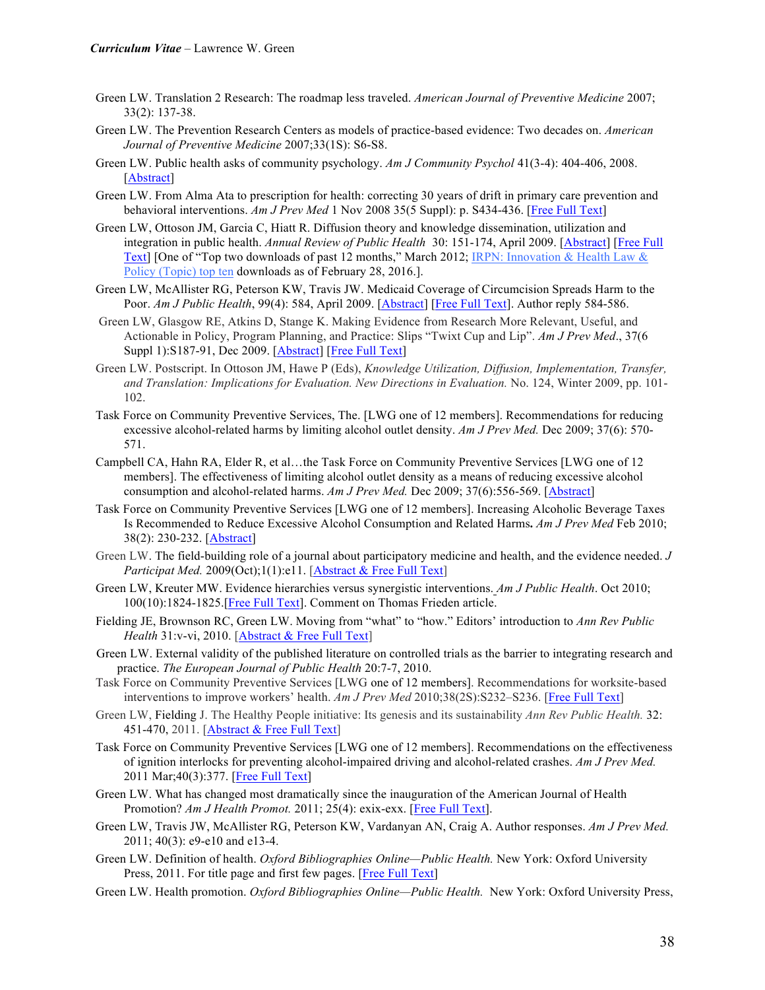- Green LW. Translation 2 Research: The roadmap less traveled. *American Journal of Preventive Medicine* 2007; 33(2): 137-38.
- Green LW. The Prevention Research Centers as models of practice-based evidence: Two decades on. *American Journal of Preventive Medicine* 2007;33(1S): S6-S8.
- Green LW. Public health asks of community psychology. *Am J Community Psychol* 41(3-4): 404-406, 2008. [Abstract]
- Green LW. From Alma Ata to prescription for health: correcting 30 years of drift in primary care prevention and behavioral interventions. *Am J Prev Med* 1 Nov 2008 35(5 Suppl): p. S434-436. [Free Full Text]
- Green LW, Ottoson JM, Garcia C, Hiatt R. Diffusion theory and knowledge dissemination, utilization and integration in public health. *Annual Review of Public Health* 30: 151-174, April 2009. [Abstract] [Free Full Text] [One of "Top two downloads of past 12 months," March 2012; IRPN: Innovation & Health Law & Policy (Topic) top ten downloads as of February 28, 2016.].
- Green LW, McAllister RG, Peterson KW, Travis JW. Medicaid Coverage of Circumcision Spreads Harm to the Poor. *Am J Public Health*, 99(4): 584, April 2009. [Abstract] [Free Full Text]. Author reply 584-586.
- Green LW, Glasgow RE, Atkins D, Stange K. Making Evidence from Research More Relevant, Useful, and Actionable in Policy, Program Planning, and Practice: Slips "Twixt Cup and Lip". *Am J Prev Med*., 37(6 Suppl 1):S187-91, Dec 2009. [Abstract] [Free Full Text]
- Green LW. Postscript. In Ottoson JM, Hawe P (Eds), *Knowledge Utilization, Diffusion, Implementation, Transfer, and Translation: Implications for Evaluation. New Directions in Evaluation.* No. 124, Winter 2009, pp. 101- 102.
- Task Force on Community Preventive Services, The. [LWG one of 12 members]. Recommendations for reducing excessive alcohol-related harms by limiting alcohol outlet density. *Am J Prev Med.* Dec 2009; 37(6): 570- 571.
- Campbell CA, Hahn RA, Elder R, et al…the Task Force on Community Preventive Services [LWG one of 12 members]. The effectiveness of limiting alcohol outlet density as a means of reducing excessive alcohol consumption and alcohol-related harms. *Am J Prev Med.* Dec 2009; 37(6):556-569. [Abstract]
- Task Force on Community Preventive Services [LWG one of 12 members]. Increasing Alcoholic Beverage Taxes Is Recommended to Reduce Excessive Alcohol Consumption and Related Harms**.** *Am J Prev Med* Feb 2010; 38(2): 230-232. [Abstract]
- Green LW. The field-building role of a journal about participatory medicine and health, and the evidence needed. *J Participat Med.* 2009(Oct);1(1):e11. [Abstract & Free Full Text]
- Green LW, Kreuter MW. Evidence hierarchies versus synergistic interventions. *Am J Public Health*. Oct 2010; 100(10):1824-1825.[Free Full Text]. Comment on Thomas Frieden article.
- Fielding JE, Brownson RC, Green LW. Moving from "what" to "how." Editors' introduction to *Ann Rev Public Health* 31:v-vi, 2010. [Abstract & Free Full Text]
- Green LW. External validity of the published literature on controlled trials as the barrier to integrating research and practice. *The European Journal of Public Health* 20:7-7, 2010.
- Task Force on Community Preventive Services [LWG one of 12 members]. Recommendations for worksite-based interventions to improve workers' health. *Am J Prev Med* 2010;38(2S):S232–S236. [Free Full Text]
- Green LW, Fielding J. The Healthy People initiative: Its genesis and its sustainability *Ann Rev Public Health.* 32: 451-470, 2011. [Abstract & Free Full Text]
- Task Force on Community Preventive Services [LWG one of 12 members]. Recommendations on the effectiveness of ignition interlocks for preventing alcohol-impaired driving and alcohol-related crashes. *Am J Prev Med.*  2011 Mar;40(3):377. [Free Full Text]
- Green LW. What has changed most dramatically since the inauguration of the American Journal of Health Promotion? *Am J Health Promot.* 2011; 25(4): exix-exx. [Free Full Text].
- Green LW, Travis JW, McAllister RG, Peterson KW, Vardanyan AN, Craig A. Author responses. *Am J Prev Med.* 2011; 40(3): e9-e10 and e13-4.
- Green LW. Definition of health. *Oxford Bibliographies Online—Public Health.* New York: Oxford University Press, 2011. For title page and first few pages. [Free Full Text]
- Green LW. Health promotion. *Oxford Bibliographies Online—Public Health.* New York: Oxford University Press,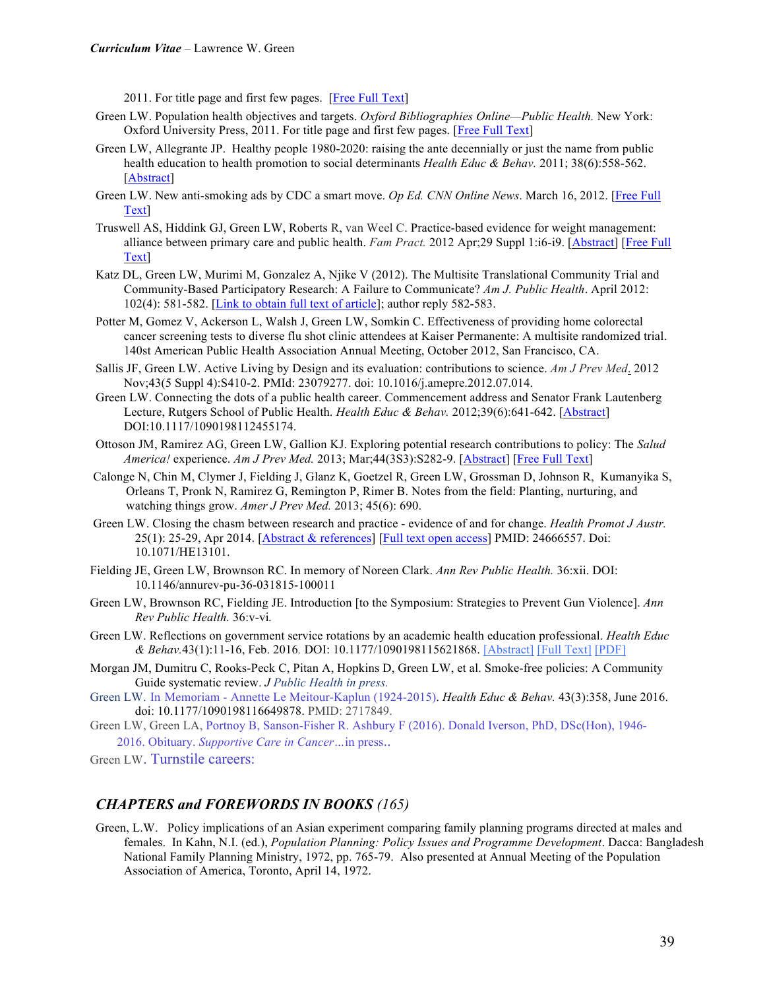2011. For title page and first few pages. [Free Full Text]

- Green LW. Population health objectives and targets. *Oxford Bibliographies Online—Public Health.* New York: Oxford University Press, 2011. For title page and first few pages. [Free Full Text]
- Green LW, Allegrante JP. Healthy people 1980-2020: raising the ante decennially or just the name from public health education to health promotion to social determinants *Health Educ & Behav.* 2011; 38(6):558-562. [Abstract]
- Green LW. New anti-smoking ads by CDC a smart move. *Op Ed. CNN Online News*. March 16, 2012. [Free Full Text]
- Truswell AS, Hiddink GJ, Green LW, Roberts R, van Weel C. Practice-based evidence for weight management: alliance between primary care and public health. *Fam Pract.* 2012 Apr;29 Suppl 1:i6-i9. [Abstract] [Free Full Text]
- Katz DL, Green LW, Murimi M, Gonzalez A, Njike V (2012). The Multisite Translational Community Trial and Community-Based Participatory Research: A Failure to Communicate? *Am J. Public Health*. April 2012: 102(4): 581-582. [Link to obtain full text of article]; author reply 582-583.
- Potter M, Gomez V, Ackerson L, Walsh J, Green LW, Somkin C. Effectiveness of providing home colorectal cancer screening tests to diverse flu shot clinic attendees at Kaiser Permanente: A multisite randomized trial. 140st American Public Health Association Annual Meeting, October 2012, San Francisco, CA.
- Sallis JF, Green LW. Active Living by Design and its evaluation: contributions to science. *Am J Prev Med*. 2012 Nov;43(5 Suppl 4):S410-2. PMId: 23079277. doi: 10.1016/j.amepre.2012.07.014.
- Green LW. Connecting the dots of a public health career. Commencement address and Senator Frank Lautenberg Lecture, Rutgers School of Public Health. *Health Educ & Behav.* 2012;39(6):641-642. [Abstract] DOI:10.1117/1090198112455174.
- Ottoson JM, Ramirez AG, Green LW, Gallion KJ. Exploring potential research contributions to policy: The *Salud America!* experience. *Am J Prev Med.* 2013; Mar;44(3S3):S282-9. [Abstract] [Free Full Text]
- Calonge N, Chin M, Clymer J, Fielding J, Glanz K, Goetzel R, Green LW, Grossman D, Johnson R, Kumanyika S, Orleans T, Pronk N, Ramirez G, Remington P, Rimer B. Notes from the field: Planting, nurturing, and watching things grow. *Amer J Prev Med.* 2013; 45(6): 690.
- Green LW. Closing the chasm between research and practice evidence of and for change. *Health Promot J Austr.*  25(1): 25-29, Apr 2014. [Abstract & references] [Full text open access] PMID: 24666557. Doi: 10.1071/HE13101.
- Fielding JE, Green LW, Brownson RC. In memory of Noreen Clark. *Ann Rev Public Health.* 36:xii. DOI: 10.1146/annurev-pu-36-031815-100011
- Green LW, Brownson RC, Fielding JE. Introduction [to the Symposium: Strategies to Prevent Gun Violence]. *Ann Rev Public Health.* 36:v-vi*.*
- Green LW. Reflections on government service rotations by an academic health education professional. *Health Educ & Behav.*43(1):11-16, Feb. 2016*.* DOI: 10.1177/1090198115621868. [Abstract] [Full Text] [PDF]
- Morgan JM, Dumitru C, Rooks-Peck C, Pitan A, Hopkins D, Green LW, et al. Smoke-free policies: A Community Guide systematic review. *J Public Health in press.*
- Green LW. In Memoriam Annette Le Meitour-Kaplun (1924-2015). *Health Educ & Behav.* 43(3):358, June 2016. doi: 10.1177/1090198116649878. PMID: 2717849.
- Green LW, Green LA, Portnoy B, Sanson-Fisher R. Ashbury F (2016). Donald Iverson, PhD, DSc(Hon), 1946-

2016. Obituary. *Supportive Care in Cancer…*in press..

Green LW. Turnstile careers:

## *CHAPTERS and FOREWORDS IN BOOKS (165)*

Green, L.W. Policy implications of an Asian experiment comparing family planning programs directed at males and females. In Kahn, N.I. (ed.), *Population Planning: Policy Issues and Programme Development*. Dacca: Bangladesh National Family Planning Ministry, 1972, pp. 765-79. Also presented at Annual Meeting of the Population Association of America, Toronto, April 14, 1972.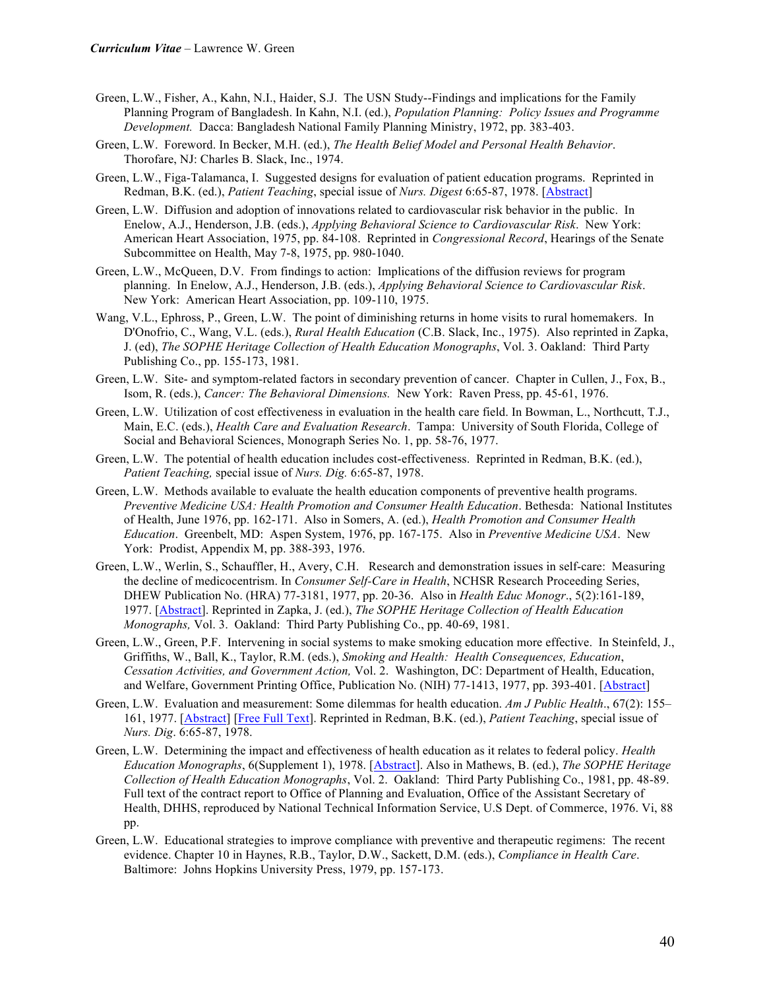- Green, L.W., Fisher, A., Kahn, N.I., Haider, S.J. The USN Study--Findings and implications for the Family Planning Program of Bangladesh. In Kahn, N.I. (ed.), *Population Planning: Policy Issues and Programme Development.* Dacca: Bangladesh National Family Planning Ministry, 1972, pp. 383-403.
- Green, L.W. Foreword. In Becker, M.H. (ed.), *The Health Belief Model and Personal Health Behavior*. Thorofare, NJ: Charles B. Slack, Inc., 1974.
- Green, L.W., Figa-Talamanca, I. Suggested designs for evaluation of patient education programs. Reprinted in Redman, B.K. (ed.), *Patient Teaching*, special issue of *Nurs. Digest* 6:65-87, 1978. [Abstract]
- Green, L.W. Diffusion and adoption of innovations related to cardiovascular risk behavior in the public. In Enelow, A.J., Henderson, J.B. (eds.), *Applying Behavioral Science to Cardiovascular Risk*. New York: American Heart Association, 1975, pp. 84-108. Reprinted in *Congressional Record*, Hearings of the Senate Subcommittee on Health, May 7-8, 1975, pp. 980-1040.
- Green, L.W., McQueen, D.V. From findings to action: Implications of the diffusion reviews for program planning. In Enelow, A.J., Henderson, J.B. (eds.), *Applying Behavioral Science to Cardiovascular Risk*. New York: American Heart Association, pp. 109-110, 1975.
- Wang, V.L., Ephross, P., Green, L.W. The point of diminishing returns in home visits to rural homemakers. In D'Onofrio, C., Wang, V.L. (eds.), *Rural Health Education* (C.B. Slack, Inc., 1975). Also reprinted in Zapka, J. (ed), *The SOPHE Heritage Collection of Health Education Monographs*, Vol. 3. Oakland: Third Party Publishing Co., pp. 155-173, 1981.
- Green, L.W. Site- and symptom-related factors in secondary prevention of cancer. Chapter in Cullen, J., Fox, B., Isom, R. (eds.), *Cancer: The Behavioral Dimensions.* New York: Raven Press, pp. 45-61, 1976.
- Green, L.W. Utilization of cost effectiveness in evaluation in the health care field. In Bowman, L., Northcutt, T.J., Main, E.C. (eds.), *Health Care and Evaluation Research*. Tampa: University of South Florida, College of Social and Behavioral Sciences, Monograph Series No. 1, pp. 58-76, 1977.
- Green, L.W. The potential of health education includes cost-effectiveness. Reprinted in Redman, B.K. (ed.), *Patient Teaching,* special issue of *Nurs. Dig.* 6:65-87, 1978.
- Green, L.W. Methods available to evaluate the health education components of preventive health programs. *Preventive Medicine USA: Health Promotion and Consumer Health Education*. Bethesda: National Institutes of Health, June 1976, pp. 162-171. Also in Somers, A. (ed.), *Health Promotion and Consumer Health Education*. Greenbelt, MD: Aspen System, 1976, pp. 167-175. Also in *Preventive Medicine USA*. New York: Prodist, Appendix M, pp. 388-393, 1976.
- Green, L.W., Werlin, S., Schauffler, H., Avery, C.H. Research and demonstration issues in self-care: Measuring the decline of medicocentrism. In *Consumer Self-Care in Health*, NCHSR Research Proceeding Series, DHEW Publication No. (HRA) 77-3181, 1977, pp. 20-36. Also in *Health Educ Monogr*., 5(2):161-189, 1977. [Abstract]. Reprinted in Zapka, J. (ed.), *The SOPHE Heritage Collection of Health Education Monographs,* Vol. 3. Oakland: Third Party Publishing Co., pp. 40-69, 1981.
- Green, L.W., Green, P.F. Intervening in social systems to make smoking education more effective. In Steinfeld, J., Griffiths, W., Ball, K., Taylor, R.M. (eds.), *Smoking and Health: Health Consequences, Education*, *Cessation Activities, and Government Action,* Vol. 2. Washington, DC: Department of Health, Education, and Welfare, Government Printing Office, Publication No. (NIH) 77-1413, 1977, pp. 393-401. [Abstract]
- Green, L.W. Evaluation and measurement: Some dilemmas for health education. *Am J Public Health*., 67(2): 155– 161, 1977. [Abstract] [Free Full Text]. Reprinted in Redman, B.K. (ed.), *Patient Teaching*, special issue of *Nurs. Dig*. 6:65-87, 1978.
- Green, L.W. Determining the impact and effectiveness of health education as it relates to federal policy. *Health Education Monographs*, 6(Supplement 1), 1978. [Abstract]. Also in Mathews, B. (ed.), *The SOPHE Heritage Collection of Health Education Monographs*, Vol. 2. Oakland: Third Party Publishing Co., 1981, pp. 48-89. Full text of the contract report to Office of Planning and Evaluation, Office of the Assistant Secretary of Health, DHHS, reproduced by National Technical Information Service, U.S Dept. of Commerce, 1976. Vi, 88 pp.
- Green, L.W. Educational strategies to improve compliance with preventive and therapeutic regimens: The recent evidence. Chapter 10 in Haynes, R.B., Taylor, D.W., Sackett, D.M. (eds.), *Compliance in Health Care*. Baltimore: Johns Hopkins University Press, 1979, pp. 157-173.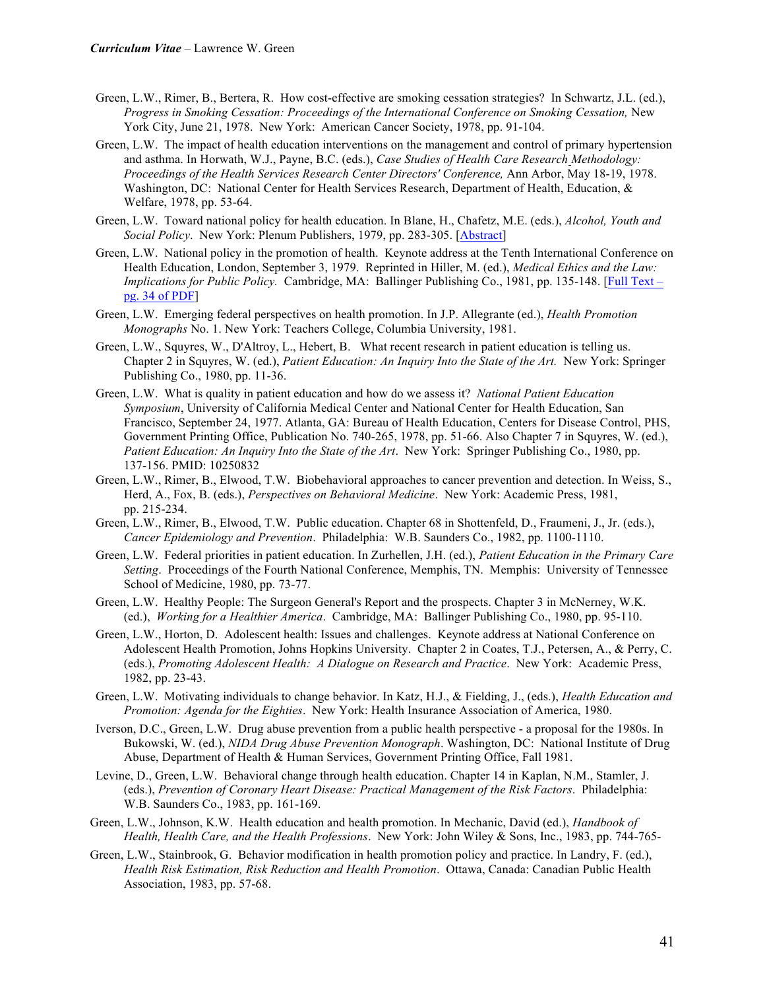- Green, L.W., Rimer, B., Bertera, R. How cost-effective are smoking cessation strategies? In Schwartz, J.L. (ed.), *Progress in Smoking Cessation: Proceedings of the International Conference on Smoking Cessation,* New York City, June 21, 1978. New York: American Cancer Society, 1978, pp. 91-104.
- Green, L.W. The impact of health education interventions on the management and control of primary hypertension and asthma. In Horwath, W.J., Payne, B.C. (eds.), *Case Studies of Health Care Research Methodology: Proceedings of the Health Services Research Center Directors' Conference,* Ann Arbor, May 18-19, 1978. Washington, DC: National Center for Health Services Research, Department of Health, Education, & Welfare, 1978, pp. 53-64.
- Green, L.W. Toward national policy for health education. In Blane, H., Chafetz, M.E. (eds.), *Alcohol, Youth and Social Policy*. New York: Plenum Publishers, 1979, pp. 283-305. [Abstract]
- Green, L.W. National policy in the promotion of health. Keynote address at the Tenth International Conference on Health Education, London, September 3, 1979. Reprinted in Hiller, M. (ed.), *Medical Ethics and the Law: Implications for Public Policy.* Cambridge, MA: Ballinger Publishing Co., 1981, pp. 135-148. [Full Text – pg. 34 of PDF]
- Green, L.W. Emerging federal perspectives on health promotion. In J.P. Allegrante (ed.), *Health Promotion Monographs* No. 1. New York: Teachers College, Columbia University, 1981.
- Green, L.W., Squyres, W., D'Altroy, L., Hebert, B. What recent research in patient education is telling us. Chapter 2 in Squyres, W. (ed.), *Patient Education: An Inquiry Into the State of the Art.* New York: Springer Publishing Co., 1980, pp. 11-36.
- Green, L.W. What is quality in patient education and how do we assess it? *National Patient Education Symposium*, University of California Medical Center and National Center for Health Education, San Francisco, September 24, 1977. Atlanta, GA: Bureau of Health Education, Centers for Disease Control, PHS, Government Printing Office, Publication No. 740-265, 1978, pp. 51-66. Also Chapter 7 in Squyres, W. (ed.), *Patient Education: An Inquiry Into the State of the Art*. New York: Springer Publishing Co., 1980, pp. 137-156. PMID: 10250832
- Green, L.W., Rimer, B., Elwood, T.W. Biobehavioral approaches to cancer prevention and detection. In Weiss, S., Herd, A., Fox, B. (eds.), *Perspectives on Behavioral Medicine*. New York: Academic Press, 1981, pp. 215-234.
- Green, L.W., Rimer, B., Elwood, T.W. Public education. Chapter 68 in Shottenfeld, D., Fraumeni, J., Jr. (eds.), *Cancer Epidemiology and Prevention*. Philadelphia: W.B. Saunders Co., 1982, pp. 1100-1110.
- Green, L.W. Federal priorities in patient education. In Zurhellen, J.H. (ed.), *Patient Education in the Primary Care Setting*. Proceedings of the Fourth National Conference, Memphis, TN. Memphis: University of Tennessee School of Medicine, 1980, pp. 73-77.
- Green, L.W. Healthy People: The Surgeon General's Report and the prospects. Chapter 3 in McNerney, W.K. (ed.), *Working for a Healthier America*. Cambridge, MA: Ballinger Publishing Co., 1980, pp. 95-110.
- Green, L.W., Horton, D. Adolescent health: Issues and challenges. Keynote address at National Conference on Adolescent Health Promotion, Johns Hopkins University. Chapter 2 in Coates, T.J., Petersen, A., & Perry, C. (eds.), *Promoting Adolescent Health: A Dialogue on Research and Practice*. New York: Academic Press, 1982, pp. 23-43.
- Green, L.W. Motivating individuals to change behavior. In Katz, H.J., & Fielding, J., (eds.), *Health Education and Promotion: Agenda for the Eighties*. New York: Health Insurance Association of America, 1980.
- Iverson, D.C., Green, L.W. Drug abuse prevention from a public health perspective a proposal for the 1980s. In Bukowski, W. (ed.), *NIDA Drug Abuse Prevention Monograph*. Washington, DC: National Institute of Drug Abuse, Department of Health & Human Services, Government Printing Office, Fall 1981.
- Levine, D., Green, L.W. Behavioral change through health education. Chapter 14 in Kaplan, N.M., Stamler, J. (eds.), *Prevention of Coronary Heart Disease: Practical Management of the Risk Factors*. Philadelphia: W.B. Saunders Co., 1983, pp. 161-169.
- Green, L.W., Johnson, K.W. Health education and health promotion. In Mechanic, David (ed.), *Handbook of Health, Health Care, and the Health Professions*. New York: John Wiley & Sons, Inc., 1983, pp. 744-765-
- Green, L.W., Stainbrook, G. Behavior modification in health promotion policy and practice. In Landry, F. (ed.), *Health Risk Estimation, Risk Reduction and Health Promotion*. Ottawa, Canada: Canadian Public Health Association, 1983, pp. 57-68.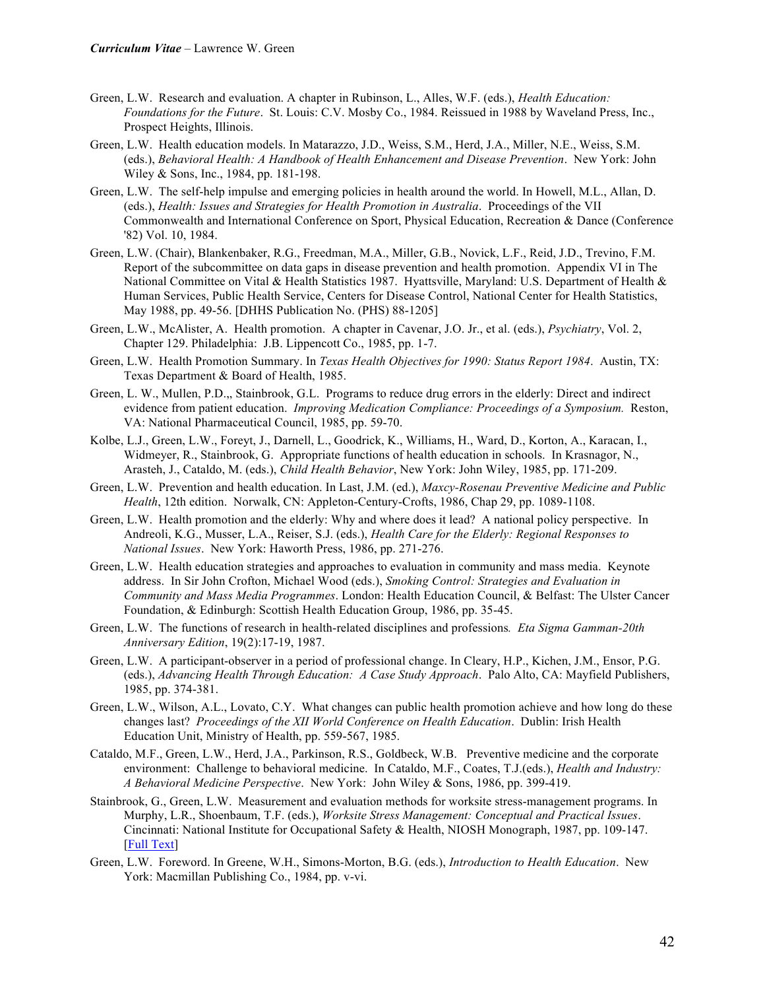- Green, L.W. Research and evaluation. A chapter in Rubinson, L., Alles, W.F. (eds.), *Health Education: Foundations for the Future*. St. Louis: C.V. Mosby Co., 1984. Reissued in 1988 by Waveland Press, Inc., Prospect Heights, Illinois.
- Green, L.W. Health education models. In Matarazzo, J.D., Weiss, S.M., Herd, J.A., Miller, N.E., Weiss, S.M. (eds.), *Behavioral Health: A Handbook of Health Enhancement and Disease Prevention*. New York: John Wiley & Sons, Inc., 1984, pp. 181-198.
- Green, L.W. The self-help impulse and emerging policies in health around the world. In Howell, M.L., Allan, D. (eds.), *Health: Issues and Strategies for Health Promotion in Australia*. Proceedings of the VII Commonwealth and International Conference on Sport, Physical Education, Recreation & Dance (Conference '82) Vol. 10, 1984.
- Green, L.W. (Chair), Blankenbaker, R.G., Freedman, M.A., Miller, G.B., Novick, L.F., Reid, J.D., Trevino, F.M. Report of the subcommittee on data gaps in disease prevention and health promotion. Appendix VI in The National Committee on Vital & Health Statistics 1987. Hyattsville, Maryland: U.S. Department of Health & Human Services, Public Health Service, Centers for Disease Control, National Center for Health Statistics, May 1988, pp. 49-56. [DHHS Publication No. (PHS) 88-1205]
- Green, L.W., McAlister, A. Health promotion. A chapter in Cavenar, J.O. Jr., et al. (eds.), *Psychiatry*, Vol. 2, Chapter 129. Philadelphia: J.B. Lippencott Co., 1985, pp. 1-7.
- Green, L.W. Health Promotion Summary. In *Texas Health Objectives for 1990: Status Report 1984*. Austin, TX: Texas Department & Board of Health, 1985.
- Green, L. W., Mullen, P.D.,, Stainbrook, G.L. Programs to reduce drug errors in the elderly: Direct and indirect evidence from patient education. *Improving Medication Compliance: Proceedings of a Symposium.* Reston, VA: National Pharmaceutical Council, 1985, pp. 59-70.
- Kolbe, L.J., Green, L.W., Foreyt, J., Darnell, L., Goodrick, K., Williams, H., Ward, D., Korton, A., Karacan, I., Widmeyer, R., Stainbrook, G. Appropriate functions of health education in schools. In Krasnagor, N., Arasteh, J., Cataldo, M. (eds.), *Child Health Behavior*, New York: John Wiley, 1985, pp. 171-209.
- Green, L.W. Prevention and health education. In Last, J.M. (ed.), *Maxcy-Rosenau Preventive Medicine and Public Health*, 12th edition. Norwalk, CN: Appleton-Century-Crofts, 1986, Chap 29, pp. 1089-1108.
- Green, L.W. Health promotion and the elderly: Why and where does it lead? A national policy perspective. In Andreoli, K.G., Musser, L.A., Reiser, S.J. (eds.), *Health Care for the Elderly: Regional Responses to National Issues*. New York: Haworth Press, 1986, pp. 271-276.
- Green, L.W. Health education strategies and approaches to evaluation in community and mass media. Keynote address. In Sir John Crofton, Michael Wood (eds.), *Smoking Control: Strategies and Evaluation in Community and Mass Media Programmes*. London: Health Education Council, & Belfast: The Ulster Cancer Foundation, & Edinburgh: Scottish Health Education Group, 1986, pp. 35-45.
- Green, L.W. The functions of research in health-related disciplines and professions*. Eta Sigma Gamman-20th Anniversary Edition*, 19(2):17-19, 1987.
- Green, L.W. A participant-observer in a period of professional change. In Cleary, H.P., Kichen, J.M., Ensor, P.G. (eds.), *Advancing Health Through Education: A Case Study Approach*. Palo Alto, CA: Mayfield Publishers, 1985, pp. 374-381.
- Green, L.W., Wilson, A.L., Lovato, C.Y. What changes can public health promotion achieve and how long do these changes last? *Proceedings of the XII World Conference on Health Education*. Dublin: Irish Health Education Unit, Ministry of Health, pp. 559-567, 1985.
- Cataldo, M.F., Green, L.W., Herd, J.A., Parkinson, R.S., Goldbeck, W.B. Preventive medicine and the corporate environment: Challenge to behavioral medicine. In Cataldo, M.F., Coates, T.J.(eds.), *Health and Industry: A Behavioral Medicine Perspective*. New York: John Wiley & Sons, 1986, pp. 399-419.
- Stainbrook, G., Green, L.W. Measurement and evaluation methods for worksite stress-management programs. In Murphy, L.R., Shoenbaum, T.F. (eds.), *Worksite Stress Management: Conceptual and Practical Issues*. Cincinnati: National Institute for Occupational Safety & Health, NIOSH Monograph, 1987, pp. 109-147. [Full Text]
- Green, L.W. Foreword. In Greene, W.H., Simons-Morton, B.G. (eds.), *Introduction to Health Education*. New York: Macmillan Publishing Co., 1984, pp. v-vi.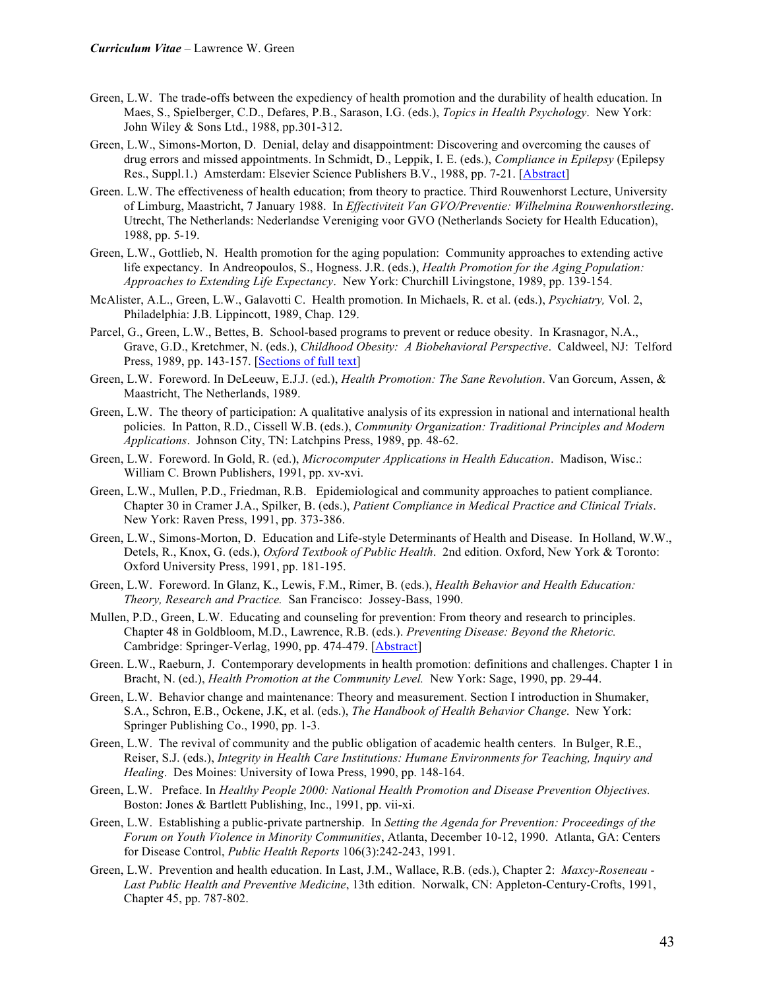- Green, L.W. The trade-offs between the expediency of health promotion and the durability of health education. In Maes, S., Spielberger, C.D., Defares, P.B., Sarason, I.G. (eds.), *Topics in Health Psychology*. New York: John Wiley & Sons Ltd., 1988, pp.301-312.
- Green, L.W., Simons-Morton, D. Denial, delay and disappointment: Discovering and overcoming the causes of drug errors and missed appointments. In Schmidt, D., Leppik, I. E. (eds.), *Compliance in Epilepsy* (Epilepsy Res., Suppl.1.) Amsterdam: Elsevier Science Publishers B.V., 1988, pp. 7-21. [Abstract]
- Green. L.W. The effectiveness of health education; from theory to practice. Third Rouwenhorst Lecture, University of Limburg, Maastricht, 7 January 1988. In *Effectiviteit Van GVO/Preventie: Wilhelmina Rouwenhorstlezing*. Utrecht, The Netherlands: Nederlandse Vereniging voor GVO (Netherlands Society for Health Education), 1988, pp. 5-19.
- Green, L.W., Gottlieb, N. Health promotion for the aging population: Community approaches to extending active life expectancy. In Andreopoulos, S., Hogness. J.R. (eds.), *Health Promotion for the Aging Population: Approaches to Extending Life Expectancy*. New York: Churchill Livingstone, 1989, pp. 139-154.
- McAlister, A.L., Green, L.W., Galavotti C. Health promotion. In Michaels, R. et al. (eds.), *Psychiatry,* Vol. 2, Philadelphia: J.B. Lippincott, 1989, Chap. 129.
- Parcel, G., Green, L.W., Bettes, B. School-based programs to prevent or reduce obesity. In Krasnagor, N.A., Grave, G.D., Kretchmer, N. (eds.), *Childhood Obesity: A Biobehavioral Perspective*. Caldweel, NJ: Telford Press, 1989, pp. 143-157. [Sections of full text]
- Green, L.W. Foreword. In DeLeeuw, E.J.J. (ed.), *Health Promotion: The Sane Revolution*. Van Gorcum, Assen, & Maastricht, The Netherlands, 1989.
- Green, L.W. The theory of participation: A qualitative analysis of its expression in national and international health policies. In Patton, R.D., Cissell W.B. (eds.), *Community Organization: Traditional Principles and Modern Applications*. Johnson City, TN: Latchpins Press, 1989, pp. 48-62.
- Green, L.W. Foreword. In Gold, R. (ed.), *Microcomputer Applications in Health Education*. Madison, Wisc.: William C. Brown Publishers, 1991, pp. xv-xvi.
- Green, L.W., Mullen, P.D., Friedman, R.B. Epidemiological and community approaches to patient compliance. Chapter 30 in Cramer J.A., Spilker, B. (eds.), *Patient Compliance in Medical Practice and Clinical Trials*. New York: Raven Press, 1991, pp. 373-386.
- Green, L.W., Simons-Morton, D. Education and Life-style Determinants of Health and Disease. In Holland, W.W., Detels, R., Knox, G. (eds.), *Oxford Textbook of Public Health*. 2nd edition. Oxford, New York & Toronto: Oxford University Press, 1991, pp. 181-195.
- Green, L.W. Foreword. In Glanz, K., Lewis, F.M., Rimer, B. (eds.), *Health Behavior and Health Education: Theory, Research and Practice.* San Francisco: Jossey-Bass, 1990.
- Mullen, P.D., Green, L.W. Educating and counseling for prevention: From theory and research to principles. Chapter 48 in Goldbloom, M.D., Lawrence, R.B. (eds.). *Preventing Disease: Beyond the Rhetoric.* Cambridge: Springer-Verlag, 1990, pp. 474-479. [Abstract]
- Green. L.W., Raeburn, J. Contemporary developments in health promotion: definitions and challenges. Chapter 1 in Bracht, N. (ed.), *Health Promotion at the Community Level.* New York: Sage, 1990, pp. 29-44.
- Green, L.W. Behavior change and maintenance: Theory and measurement. Section I introduction in Shumaker, S.A., Schron, E.B., Ockene, J.K, et al. (eds.), *The Handbook of Health Behavior Change*. New York: Springer Publishing Co., 1990, pp. 1-3.
- Green, L.W. The revival of community and the public obligation of academic health centers. In Bulger, R.E., Reiser, S.J. (eds.), *Integrity in Health Care Institutions: Humane Environments for Teaching, Inquiry and Healing*. Des Moines: University of Iowa Press, 1990, pp. 148-164.
- Green, L.W. Preface. In *Healthy People 2000: National Health Promotion and Disease Prevention Objectives.* Boston: Jones & Bartlett Publishing, Inc., 1991, pp. vii-xi.
- Green, L.W. Establishing a public-private partnership. In *Setting the Agenda for Prevention: Proceedings of the Forum on Youth Violence in Minority Communities*, Atlanta, December 10-12, 1990. Atlanta, GA: Centers for Disease Control, *Public Health Reports* 106(3):242-243, 1991.
- Green, L.W. Prevention and health education. In Last, J.M., Wallace, R.B. (eds.), Chapter 2: *Maxcy-Roseneau - Last Public Health and Preventive Medicine*, 13th edition. Norwalk, CN: Appleton-Century-Crofts, 1991, Chapter 45, pp. 787-802.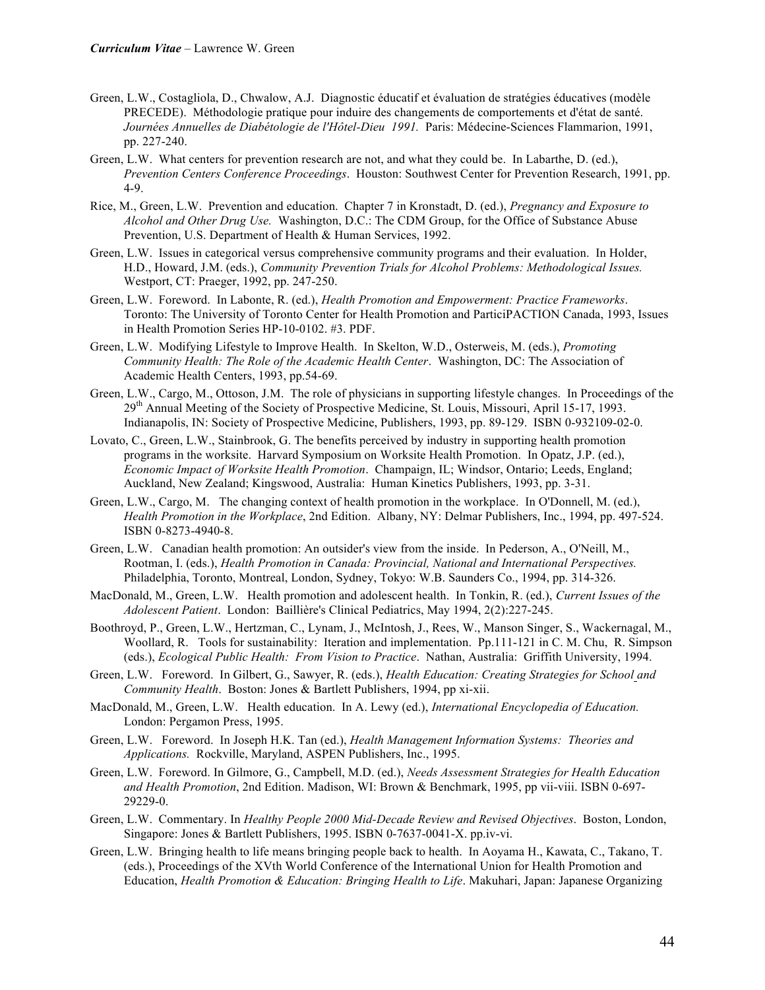- Green, L.W., Costagliola, D., Chwalow, A.J. Diagnostic éducatif et évaluation de stratégies éducatives (modèle PRECEDE). Méthodologie pratique pour induire des changements de comportements et d'état de santé. *Journées Annuelles de Diabétologie de l'Hôtel-Dieu 1991.* Paris: Médecine-Sciences Flammarion, 1991, pp. 227-240.
- Green, L.W. What centers for prevention research are not, and what they could be. In Labarthe, D. (ed.), *Prevention Centers Conference Proceedings*. Houston: Southwest Center for Prevention Research, 1991, pp. 4-9.
- Rice, M., Green, L.W. Prevention and education. Chapter 7 in Kronstadt, D. (ed.), *Pregnancy and Exposure to Alcohol and Other Drug Use.* Washington, D.C.: The CDM Group, for the Office of Substance Abuse Prevention, U.S. Department of Health & Human Services, 1992.
- Green, L.W. Issues in categorical versus comprehensive community programs and their evaluation. In Holder, H.D., Howard, J.M. (eds.), *Community Prevention Trials for Alcohol Problems: Methodological Issues.* Westport, CT: Praeger, 1992, pp. 247-250.
- Green, L.W. Foreword. In Labonte, R. (ed.), *Health Promotion and Empowerment: Practice Frameworks*. Toronto: The University of Toronto Center for Health Promotion and ParticiPACTION Canada, 1993, Issues in Health Promotion Series HP-10-0102. #3. PDF.
- Green, L.W. Modifying Lifestyle to Improve Health. In Skelton, W.D., Osterweis, M. (eds.), *Promoting Community Health: The Role of the Academic Health Center*. Washington, DC: The Association of Academic Health Centers, 1993, pp.54-69.
- Green, L.W., Cargo, M., Ottoson, J.M. The role of physicians in supporting lifestyle changes. In Proceedings of the 29th Annual Meeting of the Society of Prospective Medicine, St. Louis, Missouri, April 15-17, 1993. Indianapolis, IN: Society of Prospective Medicine, Publishers, 1993, pp. 89-129. ISBN 0-932109-02-0.
- Lovato, C., Green, L.W., Stainbrook, G. The benefits perceived by industry in supporting health promotion programs in the worksite. Harvard Symposium on Worksite Health Promotion. In Opatz, J.P. (ed.), *Economic Impact of Worksite Health Promotion*. Champaign, IL; Windsor, Ontario; Leeds, England; Auckland, New Zealand; Kingswood, Australia: Human Kinetics Publishers, 1993, pp. 3-31.
- Green, L.W., Cargo, M. The changing context of health promotion in the workplace. In O'Donnell, M. (ed.), *Health Promotion in the Workplace*, 2nd Edition. Albany, NY: Delmar Publishers, Inc., 1994, pp. 497-524. ISBN 0-8273-4940-8.
- Green, L.W. Canadian health promotion: An outsider's view from the inside. In Pederson, A., O'Neill, M., Rootman, I. (eds.), *Health Promotion in Canada: Provincial, National and International Perspectives.* Philadelphia, Toronto, Montreal, London, Sydney, Tokyo: W.B. Saunders Co., 1994, pp. 314-326.
- MacDonald, M., Green, L.W. Health promotion and adolescent health. In Tonkin, R. (ed.), *Current Issues of the Adolescent Patient*. London: Baillière's Clinical Pediatrics, May 1994, 2(2):227-245.
- Boothroyd, P., Green, L.W., Hertzman, C., Lynam, J., McIntosh, J., Rees, W., Manson Singer, S., Wackernagal, M., Woollard, R. Tools for sustainability: Iteration and implementation. Pp.111-121 in C. M. Chu, R. Simpson (eds.), *Ecological Public Health: From Vision to Practice*. Nathan, Australia: Griffith University, 1994.
- Green, L.W. Foreword. In Gilbert, G., Sawyer, R. (eds.), *Health Education: Creating Strategies for School and Community Health*. Boston: Jones & Bartlett Publishers, 1994, pp xi-xii.
- MacDonald, M., Green, L.W. Health education. In A. Lewy (ed.), *International Encyclopedia of Education.* London: Pergamon Press, 1995.
- Green, L.W. Foreword. In Joseph H.K. Tan (ed.), *Health Management Information Systems: Theories and Applications.* Rockville, Maryland, ASPEN Publishers, Inc., 1995.
- Green, L.W. Foreword. In Gilmore, G., Campbell, M.D. (ed.), *Needs Assessment Strategies for Health Education and Health Promotion*, 2nd Edition. Madison, WI: Brown & Benchmark, 1995, pp vii-viii. ISBN 0-697- 29229-0.
- Green, L.W. Commentary. In *Healthy People 2000 Mid-Decade Review and Revised Objectives*. Boston, London, Singapore: Jones & Bartlett Publishers, 1995. ISBN 0-7637-0041-X. pp.iv-vi.
- Green, L.W. Bringing health to life means bringing people back to health. In Aoyama H., Kawata, C., Takano, T. (eds.), Proceedings of the XVth World Conference of the International Union for Health Promotion and Education, *Health Promotion & Education: Bringing Health to Life*. Makuhari, Japan: Japanese Organizing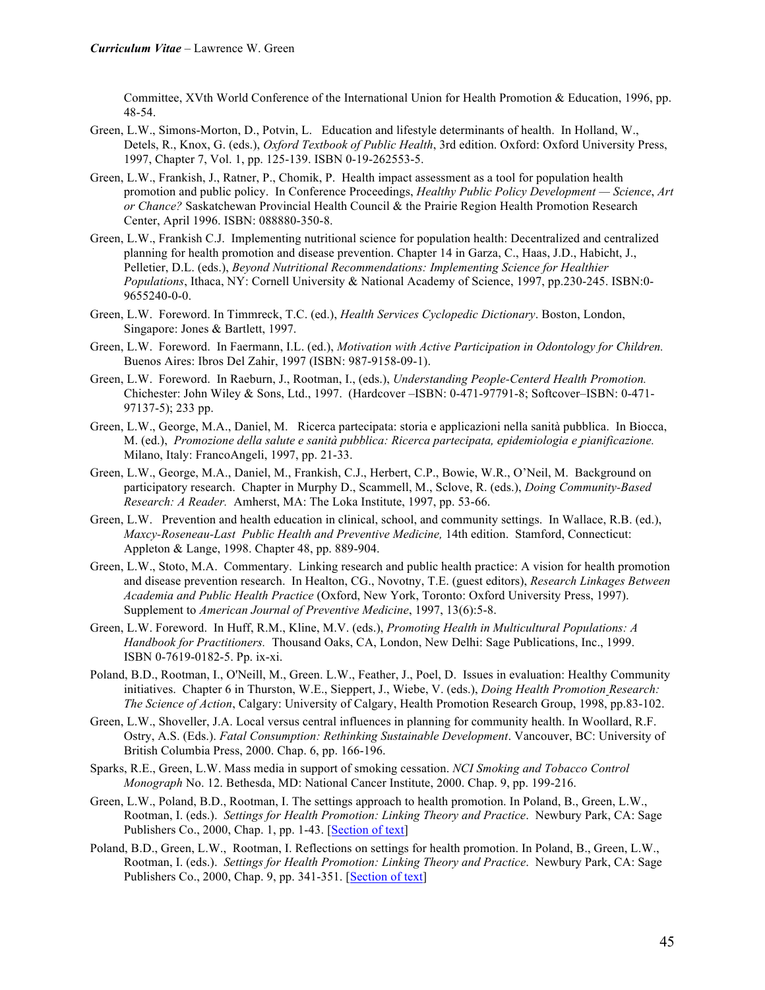Committee, XVth World Conference of the International Union for Health Promotion & Education, 1996, pp. 48-54.

- Green, L.W., Simons-Morton, D., Potvin, L. Education and lifestyle determinants of health. In Holland, W., Detels, R., Knox, G. (eds.), *Oxford Textbook of Public Health*, 3rd edition. Oxford: Oxford University Press, 1997, Chapter 7, Vol. 1, pp. 125-139. ISBN 0-19-262553-5.
- Green, L.W., Frankish, J., Ratner, P., Chomik, P. Health impact assessment as a tool for population health promotion and public policy. In Conference Proceedings, *Healthy Public Policy Development — Science*, *Art or Chance?* Saskatchewan Provincial Health Council & the Prairie Region Health Promotion Research Center, April 1996. ISBN: 088880-350-8.
- Green, L.W., Frankish C.J. Implementing nutritional science for population health: Decentralized and centralized planning for health promotion and disease prevention. Chapter 14 in Garza, C., Haas, J.D., Habicht, J., Pelletier, D.L. (eds.), *Beyond Nutritional Recommendations: Implementing Science for Healthier Populations*, Ithaca, NY: Cornell University & National Academy of Science, 1997, pp.230-245. ISBN:0- 9655240-0-0.
- Green, L.W. Foreword. In Timmreck, T.C. (ed.), *Health Services Cyclopedic Dictionary*. Boston, London, Singapore: Jones & Bartlett, 1997.
- Green, L.W. Foreword. In Faermann, I.L. (ed.), *Motivation with Active Participation in Odontology for Children.* Buenos Aires: Ibros Del Zahir, 1997 (ISBN: 987-9158-09-1).
- Green, L.W. Foreword. In Raeburn, J., Rootman, I., (eds.), *Understanding People-Centerd Health Promotion.* Chichester: John Wiley & Sons, Ltd., 1997. (Hardcover –ISBN: 0-471-97791-8; Softcover–ISBN: 0-471- 97137-5); 233 pp.
- Green, L.W., George, M.A., Daniel, M. Ricerca partecipata: storia e applicazioni nella sanità pubblica. In Biocca, M. (ed.), *Promozione della salute e sanità pubblica: Ricerca partecipata, epidemiologia e pianificazione.* Milano, Italy: FrancoAngeli, 1997, pp. 21-33.
- Green, L.W., George, M.A., Daniel, M., Frankish, C.J., Herbert, C.P., Bowie, W.R., O'Neil, M. Background on participatory research. Chapter in Murphy D., Scammell, M., Sclove, R. (eds.), *Doing Community-Based Research: A Reader.* Amherst, MA: The Loka Institute, 1997, pp. 53-66.
- Green, L.W. Prevention and health education in clinical, school, and community settings. In Wallace, R.B. (ed.), *Maxcy-Roseneau-Last Public Health and Preventive Medicine,* 14th edition. Stamford, Connecticut: Appleton & Lange, 1998. Chapter 48, pp. 889-904.
- Green, L.W., Stoto, M.A. Commentary. Linking research and public health practice: A vision for health promotion and disease prevention research. In Healton, CG., Novotny, T.E. (guest editors), *Research Linkages Between Academia and Public Health Practice* (Oxford, New York, Toronto: Oxford University Press, 1997). Supplement to *American Journal of Preventive Medicine*, 1997, 13(6):5-8.
- Green, L.W. Foreword. In Huff, R.M., Kline, M.V. (eds.), *Promoting Health in Multicultural Populations: A Handbook for Practitioners.* Thousand Oaks, CA, London, New Delhi: Sage Publications, Inc., 1999. ISBN 0-7619-0182-5. Pp. ix-xi.
- Poland, B.D., Rootman, I., O'Neill, M., Green. L.W., Feather, J., Poel, D. Issues in evaluation: Healthy Community initiatives. Chapter 6 in Thurston, W.E., Sieppert, J., Wiebe, V. (eds.), *Doing Health Promotion Research: The Science of Action*, Calgary: University of Calgary, Health Promotion Research Group, 1998, pp.83-102.
- Green, L.W., Shoveller, J.A. Local versus central influences in planning for community health. In Woollard, R.F. Ostry, A.S. (Eds.). *Fatal Consumption: Rethinking Sustainable Development*. Vancouver, BC: University of British Columbia Press, 2000. Chap. 6, pp. 166-196.
- Sparks, R.E., Green, L.W. Mass media in support of smoking cessation. *NCI Smoking and Tobacco Control Monograph* No. 12. Bethesda, MD: National Cancer Institute, 2000. Chap. 9, pp. 199-216.
- Green, L.W., Poland, B.D., Rootman, I. The settings approach to health promotion. In Poland, B., Green, L.W., Rootman, I. (eds.). *Settings for Health Promotion: Linking Theory and Practice*. Newbury Park, CA: Sage Publishers Co., 2000, Chap. 1, pp. 1-43. [Section of text]
- Poland, B.D., Green, L.W., Rootman, I. Reflections on settings for health promotion. In Poland, B., Green, L.W., Rootman, I. (eds.). *Settings for Health Promotion: Linking Theory and Practice*. Newbury Park, CA: Sage Publishers Co., 2000, Chap. 9, pp. 341-351. [Section of text]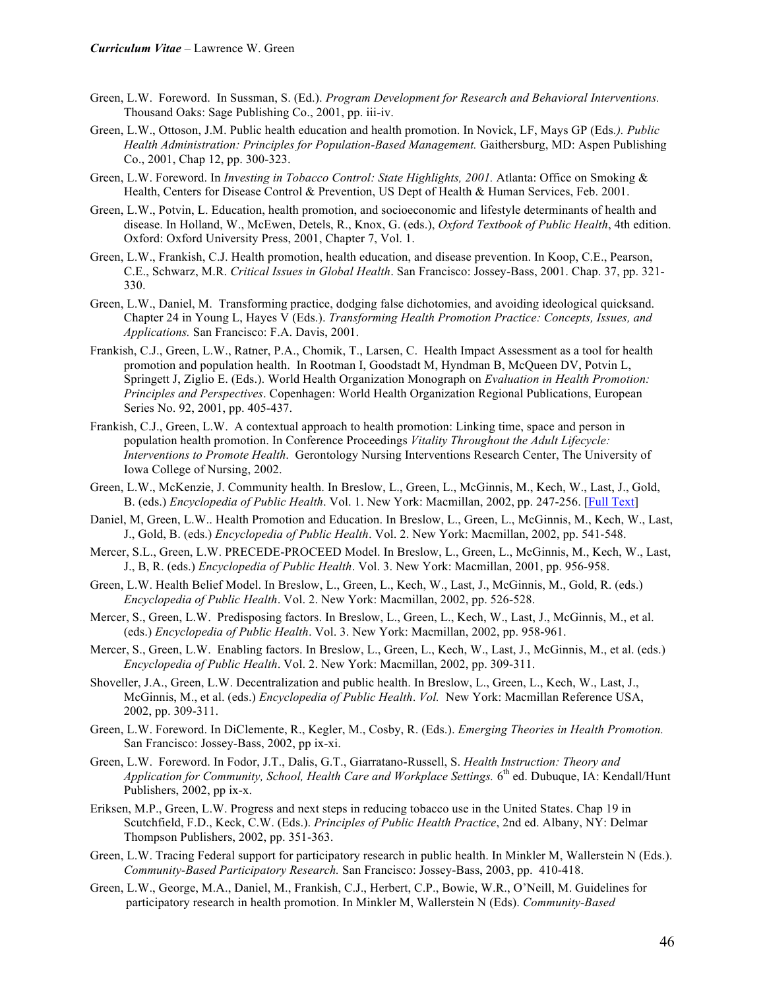- Green, L.W. Foreword. In Sussman, S. (Ed.). *Program Development for Research and Behavioral Interventions.*  Thousand Oaks: Sage Publishing Co., 2001, pp. iii-iv.
- Green, L.W., Ottoson, J.M. Public health education and health promotion. In Novick, LF, Mays GP (Eds*.). Public Health Administration: Principles for Population-Based Management.* Gaithersburg, MD: Aspen Publishing Co., 2001, Chap 12, pp. 300-323.
- Green, L.W. Foreword. In *Investing in Tobacco Control: State Highlights, 2001.* Atlanta: Office on Smoking & Health, Centers for Disease Control & Prevention, US Dept of Health & Human Services, Feb. 2001.
- Green, L.W., Potvin, L. Education, health promotion, and socioeconomic and lifestyle determinants of health and disease. In Holland, W., McEwen, Detels, R., Knox, G. (eds.), *Oxford Textbook of Public Health*, 4th edition. Oxford: Oxford University Press, 2001, Chapter 7, Vol. 1.
- Green, L.W., Frankish, C.J. Health promotion, health education, and disease prevention. In Koop, C.E., Pearson, C.E., Schwarz, M.R. *Critical Issues in Global Health*. San Francisco: Jossey-Bass, 2001. Chap. 37, pp. 321- 330.
- Green, L.W., Daniel, M. Transforming practice, dodging false dichotomies, and avoiding ideological quicksand. Chapter 24 in Young L, Hayes V (Eds.). *Transforming Health Promotion Practice: Concepts, Issues, and Applications.* San Francisco: F.A. Davis, 2001.
- Frankish, C.J., Green, L.W., Ratner, P.A., Chomik, T., Larsen, C. Health Impact Assessment as a tool for health promotion and population health. In Rootman I, Goodstadt M, Hyndman B, McQueen DV, Potvin L, Springett J, Ziglio E. (Eds.). World Health Organization Monograph on *Evaluation in Health Promotion: Principles and Perspectives*. Copenhagen: World Health Organization Regional Publications, European Series No. 92, 2001, pp. 405-437.
- Frankish, C.J., Green, L.W. A contextual approach to health promotion: Linking time, space and person in population health promotion. In Conference Proceedings *Vitality Throughout the Adult Lifecycle: Interventions to Promote Health*. Gerontology Nursing Interventions Research Center, The University of Iowa College of Nursing, 2002.
- Green, L.W., McKenzie, J. Community health. In Breslow, L., Green, L., McGinnis, M., Kech, W., Last, J., Gold, B. (eds.) *Encyclopedia of Public Health*. Vol. 1. New York: Macmillan, 2002, pp. 247-256. [Full Text]
- Daniel, M, Green, L.W.. Health Promotion and Education. In Breslow, L., Green, L., McGinnis, M., Kech, W., Last, J., Gold, B. (eds.) *Encyclopedia of Public Health*. Vol. 2. New York: Macmillan, 2002, pp. 541-548.
- Mercer, S.L., Green, L.W. PRECEDE-PROCEED Model. In Breslow, L., Green, L., McGinnis, M., Kech, W., Last, J., B, R. (eds.) *Encyclopedia of Public Health*. Vol. 3. New York: Macmillan, 2001, pp. 956-958.
- Green, L.W. Health Belief Model. In Breslow, L., Green, L., Kech, W., Last, J., McGinnis, M., Gold, R. (eds.) *Encyclopedia of Public Health*. Vol. 2. New York: Macmillan, 2002, pp. 526-528.
- Mercer, S., Green, L.W. Predisposing factors. In Breslow, L., Green, L., Kech, W., Last, J., McGinnis, M., et al. (eds.) *Encyclopedia of Public Health*. Vol. 3. New York: Macmillan, 2002, pp. 958-961.
- Mercer, S., Green, L.W. Enabling factors. In Breslow, L., Green, L., Kech, W., Last, J., McGinnis, M., et al. (eds.) *Encyclopedia of Public Health*. Vol. 2. New York: Macmillan, 2002, pp. 309-311.
- Shoveller, J.A., Green, L.W. Decentralization and public health. In Breslow, L., Green, L., Kech, W., Last, J., McGinnis, M., et al. (eds.) *Encyclopedia of Public Health*. *Vol.* New York: Macmillan Reference USA, 2002, pp. 309-311.
- Green, L.W. Foreword. In DiClemente, R., Kegler, M., Cosby, R. (Eds.). *Emerging Theories in Health Promotion.*  San Francisco: Jossey-Bass, 2002, pp ix-xi.
- Green, L.W. Foreword. In Fodor, J.T., Dalis, G.T., Giarratano-Russell, S. *Health Instruction: Theory and Application for Community, School, Health Care and Workplace Settings.* 6<sup>th</sup> ed. Dubuque, IA: Kendall/Hunt Publishers, 2002, pp ix-x.
- Eriksen, M.P., Green, L.W. Progress and next steps in reducing tobacco use in the United States. Chap 19 in Scutchfield, F.D., Keck, C.W. (Eds.). *Principles of Public Health Practice*, 2nd ed. Albany, NY: Delmar Thompson Publishers, 2002, pp. 351-363.
- Green, L.W. Tracing Federal support for participatory research in public health. In Minkler M, Wallerstein N (Eds.). *Community-Based Participatory Research.* San Francisco: Jossey-Bass, 2003, pp. 410-418.
- Green, L.W., George, M.A., Daniel, M., Frankish, C.J., Herbert, C.P., Bowie, W.R., O'Neill, M. Guidelines for participatory research in health promotion. In Minkler M, Wallerstein N (Eds). *Community-Based*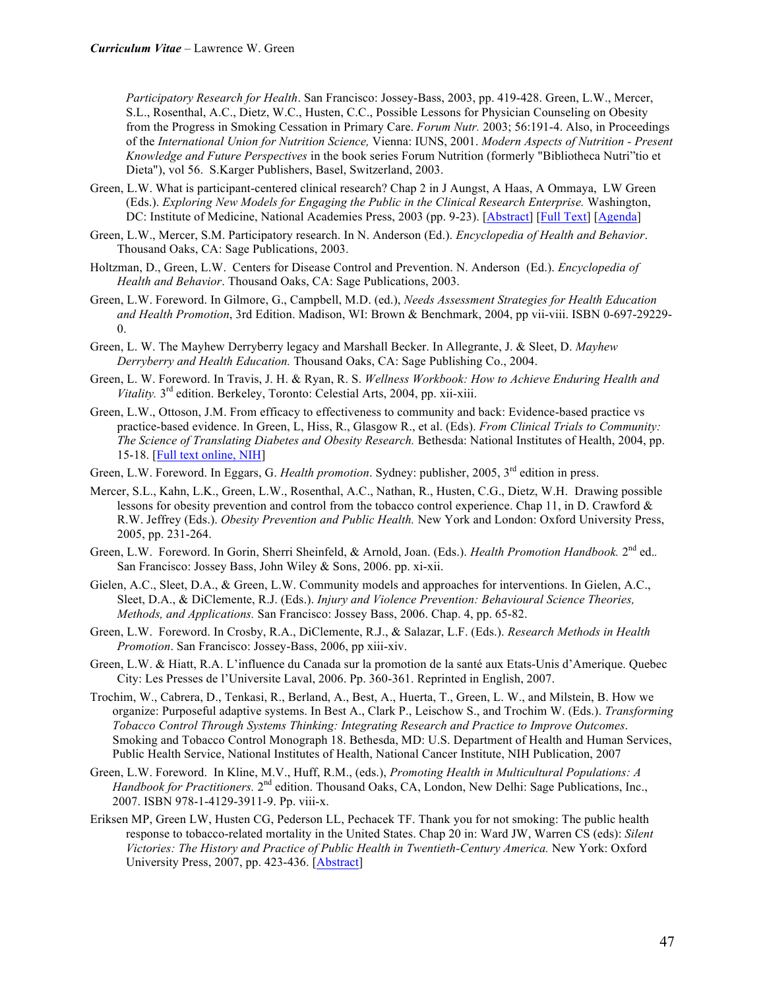*Participatory Research for Health*. San Francisco: Jossey-Bass, 2003, pp. 419-428. Green, L.W., Mercer, S.L., Rosenthal, A.C., Dietz, W.C., Husten, C.C., Possible Lessons for Physician Counseling on Obesity from the Progress in Smoking Cessation in Primary Care. *Forum Nutr.* 2003; 56:191-4. Also, in Proceedings of the *International Union for Nutrition Science,* Vienna: IUNS, 2001. *Modern Aspects of Nutrition - Present Knowledge and Future Perspectives* in the book series Forum Nutrition (formerly "Bibliotheca Nutri"tio et Dieta"), vol 56. S.Karger Publishers, Basel, Switzerland, 2003.

- Green, L.W. What is participant-centered clinical research? Chap 2 in J Aungst, A Haas, A Ommaya, LW Green (Eds.). *Exploring New Models for Engaging the Public in the Clinical Research Enterprise.* Washington, DC: Institute of Medicine, National Academies Press, 2003 (pp. 9-23). [Abstract] [Full Text] [Agenda]
- Green, L.W., Mercer, S.M. Participatory research. In N. Anderson (Ed.). *Encyclopedia of Health and Behavior*. Thousand Oaks, CA: Sage Publications, 2003.
- Holtzman, D., Green, L.W. Centers for Disease Control and Prevention. N. Anderson (Ed.). *Encyclopedia of Health and Behavior*. Thousand Oaks, CA: Sage Publications, 2003.
- Green, L.W. Foreword. In Gilmore, G., Campbell, M.D. (ed.), *Needs Assessment Strategies for Health Education and Health Promotion*, 3rd Edition. Madison, WI: Brown & Benchmark, 2004, pp vii-viii. ISBN 0-697-29229- 0.
- Green, L. W. The Mayhew Derryberry legacy and Marshall Becker. In Allegrante, J. & Sleet, D. *Mayhew Derryberry and Health Education.* Thousand Oaks, CA: Sage Publishing Co., 2004.
- Green, L. W. Foreword. In Travis, J. H. & Ryan, R. S. *Wellness Workbook: How to Achieve Enduring Health and Vitality.* 3<sup>rd</sup> edition. Berkeley, Toronto: Celestial Arts, 2004, pp. xii-xiii.
- Green, L.W., Ottoson, J.M. From efficacy to effectiveness to community and back: Evidence-based practice vs practice-based evidence. In Green, L, Hiss, R., Glasgow R., et al. (Eds). *From Clinical Trials to Community: The Science of Translating Diabetes and Obesity Research.* Bethesda: National Institutes of Health, 2004, pp. 15-18. [Full text online, NIH]
- Green, L.W. Foreword. In Eggars, G. *Health promotion*. Sydney: publisher, 2005, 3<sup>rd</sup> edition in press.
- Mercer, S.L., Kahn, L.K., Green, L.W., Rosenthal, A.C., Nathan, R., Husten, C.G., Dietz, W.H. Drawing possible lessons for obesity prevention and control from the tobacco control experience. Chap 11, in D. Crawford & R.W. Jeffrey (Eds.). *Obesity Prevention and Public Health.* New York and London: Oxford University Press, 2005, pp. 231-264.
- Green, L.W. Foreword. In Gorin, Sherri Sheinfeld, & Arnold, Joan. (Eds.). *Health Promotion Handbook.* 2nd ed.*.* San Francisco: Jossey Bass, John Wiley & Sons, 2006. pp. xi-xii.
- Gielen, A.C., Sleet, D.A., & Green, L.W. Community models and approaches for interventions. In Gielen, A.C., Sleet, D.A., & DiClemente, R.J. (Eds.). *Injury and Violence Prevention: Behavioural Science Theories, Methods, and Applications.* San Francisco: Jossey Bass, 2006. Chap. 4, pp. 65-82.
- Green, L.W. Foreword. In Crosby, R.A., DiClemente, R.J., & Salazar, L.F. (Eds.). *Research Methods in Health Promotion*. San Francisco: Jossey-Bass, 2006, pp xiii-xiv.
- Green, L.W. & Hiatt, R.A. L'influence du Canada sur la promotion de la santé aux Etats-Unis d'Amerique. Quebec City: Les Presses de l'Universite Laval, 2006. Pp. 360-361. Reprinted in English, 2007.
- Trochim, W., Cabrera, D., Tenkasi, R., Berland, A., Best, A., Huerta, T., Green, L. W., and Milstein, B. How we organize: Purposeful adaptive systems. In Best A., Clark P., Leischow S., and Trochim W. (Eds.). *Transforming Tobacco Control Through Systems Thinking: Integrating Research and Practice to Improve Outcomes*. Smoking and Tobacco Control Monograph 18. Bethesda, MD: U.S. Department of Health and Human Services, Public Health Service, National Institutes of Health, National Cancer Institute, NIH Publication, 2007
- Green, L.W. Foreword. In Kline, M.V., Huff, R.M., (eds.), *Promoting Health in Multicultural Populations: A Handbook for Practitioners.* 2<sup>nd</sup> edition. Thousand Oaks, CA, London, New Delhi: Sage Publications, Inc., 2007. ISBN 978-1-4129-3911-9. Pp. viii-x.
- Eriksen MP, Green LW, Husten CG, Pederson LL, Pechacek TF. Thank you for not smoking: The public health response to tobacco-related mortality in the United States. Chap 20 in: Ward JW, Warren CS (eds): *Silent Victories: The History and Practice of Public Health in Twentieth-Century America.* New York: Oxford University Press, 2007, pp. 423-436. [Abstract]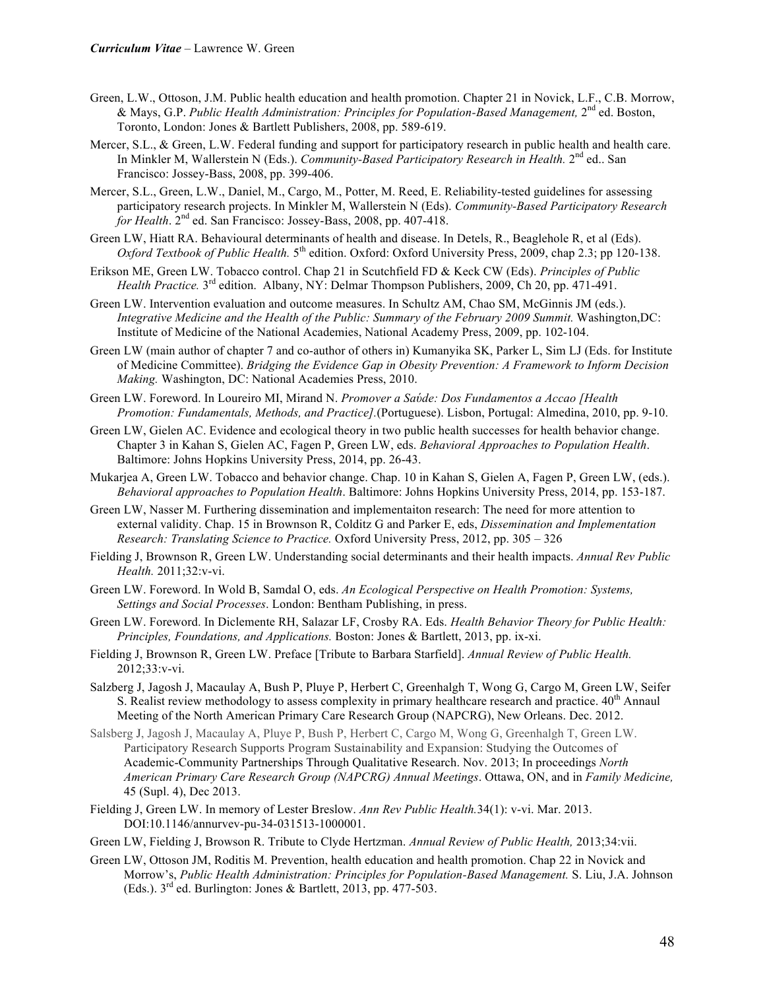- Green, L.W., Ottoson, J.M. Public health education and health promotion. Chapter 21 in Novick, L.F., C.B. Morrow, & Mays, G.P. *Public Health Administration: Principles for Population-Based Management,* 2nd ed. Boston, Toronto, London: Jones & Bartlett Publishers, 2008, pp. 589-619.
- Mercer, S.L., & Green, L.W. Federal funding and support for participatory research in public health and health care. In Minkler M, Wallerstein N (Eds.). *Community-Based Participatory Research in Health*. 2<sup>nd</sup> ed.. San Francisco: Jossey-Bass, 2008, pp. 399-406.
- Mercer, S.L., Green, L.W., Daniel, M., Cargo, M., Potter, M. Reed, E. Reliability-tested guidelines for assessing participatory research projects. In Minkler M, Wallerstein N (Eds). *Community-Based Participatory Research for Health*. 2nd ed. San Francisco: Jossey-Bass, 2008, pp. 407-418.
- Green LW, Hiatt RA. Behavioural determinants of health and disease. In Detels, R., Beaglehole R, et al (Eds). *Oxford Textbook of Public Health.* 5<sup>th</sup> edition. Oxford: Oxford University Press, 2009, chap 2.3; pp 120-138.
- Erikson ME, Green LW. Tobacco control. Chap 21 in Scutchfield FD & Keck CW (Eds). *Principles of Public Health Practice.*  $3^{rd}$  edition. Albany, NY: Delmar Thompson Publishers, 2009, Ch 20, pp. 471-491.
- Green LW. Intervention evaluation and outcome measures. In Schultz AM, Chao SM, McGinnis JM (eds.). *Integrative Medicine and the Health of the Public: Summary of the February 2009 Summit.* Washington,DC: Institute of Medicine of the National Academies, National Academy Press, 2009, pp. 102-104.
- Green LW (main author of chapter 7 and co-author of others in) Kumanyika SK, Parker L, Sim LJ (Eds. for Institute of Medicine Committee). *Bridging the Evidence Gap in Obesity Prevention: A Framework to Inform Decision Making.* Washington, DC: National Academies Press, 2010.
- Green LW. Foreword. In Loureiro MI, Mirand N. *Promover a Saύde: Dos Fundamentos a Accao [Health Promotion: Fundamentals, Methods, and Practice].*(Portuguese). Lisbon, Portugal: Almedina, 2010, pp. 9-10.
- Green LW, Gielen AC. Evidence and ecological theory in two public health successes for health behavior change. Chapter 3 in Kahan S, Gielen AC, Fagen P, Green LW, eds. *Behavioral Approaches to Population Health*. Baltimore: Johns Hopkins University Press, 2014, pp. 26-43.
- Mukarjea A, Green LW. Tobacco and behavior change. Chap. 10 in Kahan S, Gielen A, Fagen P, Green LW, (eds.). *Behavioral approaches to Population Health*. Baltimore: Johns Hopkins University Press, 2014, pp. 153-187.
- Green LW, Nasser M. Furthering dissemination and implementaiton research: The need for more attention to external validity. Chap. 15 in Brownson R, Colditz G and Parker E, eds, *Dissemination and Implementation Research: Translating Science to Practice.* Oxford University Press, 2012, pp. 305 – 326
- Fielding J, Brownson R, Green LW. Understanding social determinants and their health impacts. *Annual Rev Public Health.* 2011;32:v-vi.
- Green LW. Foreword. In Wold B, Samdal O, eds. *An Ecological Perspective on Health Promotion: Systems, Settings and Social Processes*. London: Bentham Publishing, in press.
- Green LW. Foreword. In Diclemente RH, Salazar LF, Crosby RA. Eds. *Health Behavior Theory for Public Health: Principles, Foundations, and Applications.* Boston: Jones & Bartlett, 2013, pp. ix-xi.
- Fielding J, Brownson R, Green LW. Preface [Tribute to Barbara Starfield]. *Annual Review of Public Health.*  2012;33:v-vi.
- Salzberg J, Jagosh J, Macaulay A, Bush P, Pluye P, Herbert C, Greenhalgh T, Wong G, Cargo M, Green LW, Seifer S. Realist review methodology to assess complexity in primary healthcare research and practice.  $40^{\text{th}}$  Annaul Meeting of the North American Primary Care Research Group (NAPCRG), New Orleans. Dec. 2012.
- Salsberg J, Jagosh J, Macaulay A, Pluye P, Bush P, Herbert C, Cargo M, Wong G, Greenhalgh T, Green LW. Participatory Research Supports Program Sustainability and Expansion: Studying the Outcomes of Academic-Community Partnerships Through Qualitative Research. Nov. 2013; In proceedings *North American Primary Care Research Group (NAPCRG) Annual Meetings*. Ottawa, ON, and in *Family Medicine,* 45 (Supl. 4), Dec 2013.
- Fielding J, Green LW. In memory of Lester Breslow. *Ann Rev Public Health.*34(1): v-vi. Mar. 2013. DOI:10.1146/annurvev-pu-34-031513-1000001.
- Green LW, Fielding J, Browson R. Tribute to Clyde Hertzman. *Annual Review of Public Health,* 2013;34:vii.
- Green LW, Ottoson JM, Roditis M. Prevention, health education and health promotion. Chap 22 in Novick and Morrow's, *Public Health Administration: Principles for Population-Based Management.* S. Liu, J.A. Johnson (Eds.).  $3^{rd}$  ed. Burlington: Jones & Bartlett, 2013, pp. 477-503.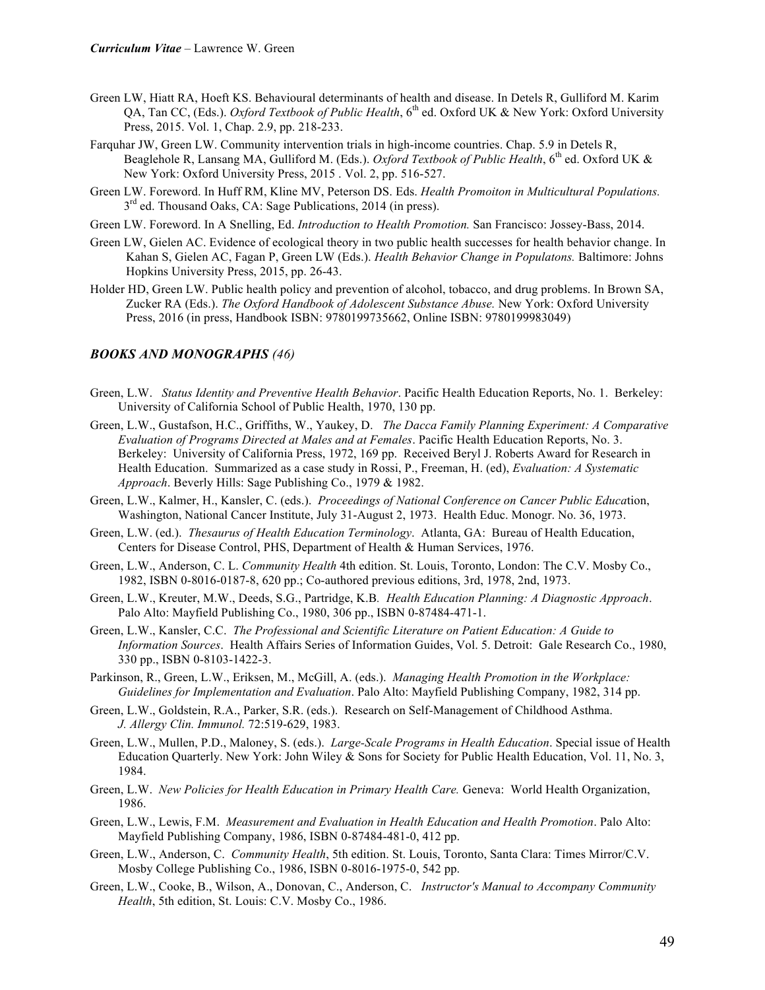- Green LW, Hiatt RA, Hoeft KS. Behavioural determinants of health and disease. In Detels R, Gulliford M. Karim QA, Tan CC, (Eds.). *Oxford Textbook of Public Health*, 6th ed. Oxford UK & New York: Oxford University Press, 2015. Vol. 1, Chap. 2.9, pp. 218-233.
- Farquhar JW, Green LW. Community intervention trials in high-income countries. Chap. 5.9 in Detels R, Beaglehole R, Lansang MA, Gulliford M. (Eds.). *Oxford Textbook of Public Health*, 6<sup>th</sup> ed. Oxford UK & New York: Oxford University Press, 2015 . Vol. 2, pp. 516-527.
- Green LW. Foreword. In Huff RM, Kline MV, Peterson DS. Eds. *Health Promoiton in Multicultural Populations.*   $3<sup>rd</sup>$  ed. Thousand Oaks, CA: Sage Publications, 2014 (in press).
- Green LW. Foreword. In A Snelling, Ed. *Introduction to Health Promotion.* San Francisco: Jossey-Bass, 2014.
- Green LW, Gielen AC. Evidence of ecological theory in two public health successes for health behavior change. In Kahan S, Gielen AC, Fagan P, Green LW (Eds.). *Health Behavior Change in Populatons.* Baltimore: Johns Hopkins University Press, 2015, pp. 26-43.
- Holder HD, Green LW. Public health policy and prevention of alcohol, tobacco, and drug problems. In Brown SA, Zucker RA (Eds.). *The Oxford Handbook of Adolescent Substance Abuse.* New York: Oxford University Press, 2016 (in press, Handbook ISBN: 9780199735662, Online ISBN: 9780199983049)

#### *BOOKS AND MONOGRAPHS (46)*

- Green, L.W. *Status Identity and Preventive Health Behavior*. Pacific Health Education Reports, No. 1. Berkeley: University of California School of Public Health, 1970, 130 pp.
- Green, L.W., Gustafson, H.C., Griffiths, W., Yaukey, D. *The Dacca Family Planning Experiment: A Comparative Evaluation of Programs Directed at Males and at Females*. Pacific Health Education Reports, No. 3. Berkeley: University of California Press, 1972, 169 pp. Received Beryl J. Roberts Award for Research in Health Education. Summarized as a case study in Rossi, P., Freeman, H. (ed), *Evaluation: A Systematic Approach*. Beverly Hills: Sage Publishing Co., 1979 & 1982.
- Green, L.W., Kalmer, H., Kansler, C. (eds.). *Proceedings of National Conference on Cancer Public Educa*tion, Washington, National Cancer Institute, July 31-August 2, 1973. Health Educ. Monogr. No. 36, 1973.
- Green, L.W. (ed.). *Thesaurus of Health Education Terminology*. Atlanta, GA: Bureau of Health Education, Centers for Disease Control, PHS, Department of Health & Human Services, 1976.
- Green, L.W., Anderson, C. L. *Community Health* 4th edition. St. Louis, Toronto, London: The C.V. Mosby Co., 1982, ISBN 0-8016-0187-8, 620 pp.; Co-authored previous editions, 3rd, 1978, 2nd, 1973.
- Green, L.W., Kreuter, M.W., Deeds, S.G., Partridge, K.B*. Health Education Planning: A Diagnostic Approach*. Palo Alto: Mayfield Publishing Co., 1980, 306 pp., ISBN 0-87484-471-1.
- Green, L.W., Kansler, C.C. *The Professional and Scientific Literature on Patient Education: A Guide to Information Sources*. Health Affairs Series of Information Guides, Vol. 5. Detroit: Gale Research Co., 1980, 330 pp., ISBN 0-8103-1422-3.
- Parkinson, R., Green, L.W., Eriksen, M., McGill, A. (eds.). *Managing Health Promotion in the Workplace: Guidelines for Implementation and Evaluation*. Palo Alto: Mayfield Publishing Company, 1982, 314 pp.
- Green, L.W., Goldstein, R.A., Parker, S.R. (eds.). Research on Self-Management of Childhood Asthma. *J. Allergy Clin. Immunol.* 72:519-629, 1983.
- Green, L.W., Mullen, P.D., Maloney, S. (eds.). *Large-Scale Programs in Health Education*. Special issue of Health Education Quarterly. New York: John Wiley & Sons for Society for Public Health Education, Vol. 11, No. 3, 1984.
- Green, L.W. *New Policies for Health Education in Primary Health Care.* Geneva: World Health Organization, 1986.
- Green, L.W., Lewis, F.M. *Measurement and Evaluation in Health Education and Health Promotion*. Palo Alto: Mayfield Publishing Company, 1986, ISBN 0-87484-481-0, 412 pp.
- Green, L.W., Anderson, C. *Community Health*, 5th edition. St. Louis, Toronto, Santa Clara: Times Mirror/C.V. Mosby College Publishing Co., 1986, ISBN 0-8016-1975-0, 542 pp.
- Green, L.W., Cooke, B., Wilson, A., Donovan, C., Anderson, C. *Instructor's Manual to Accompany Community Health*, 5th edition, St. Louis: C.V. Mosby Co., 1986.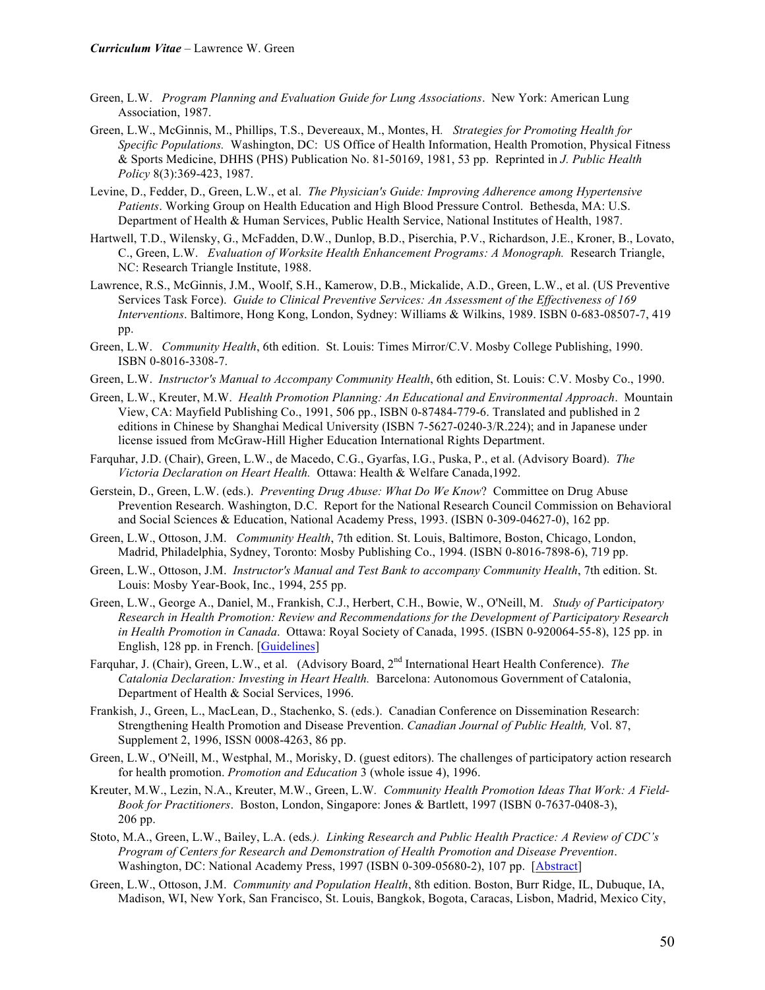- Green, L.W. *Program Planning and Evaluation Guide for Lung Associations*. New York: American Lung Association, 1987.
- Green, L.W., McGinnis, M., Phillips, T.S., Devereaux, M., Montes, H*. Strategies for Promoting Health for Specific Populations.* Washington, DC: US Office of Health Information, Health Promotion, Physical Fitness & Sports Medicine, DHHS (PHS) Publication No. 81-50169, 1981, 53 pp. Reprinted in *J. Public Health Policy* 8(3):369-423, 1987.
- Levine, D., Fedder, D., Green, L.W., et al. *The Physician's Guide: Improving Adherence among Hypertensive Patients*. Working Group on Health Education and High Blood Pressure Control. Bethesda, MA: U.S. Department of Health & Human Services, Public Health Service, National Institutes of Health, 1987.
- Hartwell, T.D., Wilensky, G., McFadden, D.W., Dunlop, B.D., Piserchia, P.V., Richardson, J.E., Kroner, B., Lovato, C., Green, L.W. *Evaluation of Worksite Health Enhancement Programs: A Monograph.* Research Triangle, NC: Research Triangle Institute, 1988.
- Lawrence, R.S., McGinnis, J.M., Woolf, S.H., Kamerow, D.B., Mickalide, A.D., Green, L.W., et al. (US Preventive Services Task Force). *Guide to Clinical Preventive Services: An Assessment of the Effectiveness of 169 Interventions*. Baltimore, Hong Kong, London, Sydney: Williams & Wilkins, 1989. ISBN 0-683-08507-7, 419 pp.
- Green, L.W. *Community Health*, 6th edition. St. Louis: Times Mirror/C.V. Mosby College Publishing, 1990. ISBN 0-8016-3308-7.
- Green, L.W. *Instructor's Manual to Accompany Community Health*, 6th edition, St. Louis: C.V. Mosby Co., 1990.
- Green, L.W., Kreuter, M.W. *Health Promotion Planning: An Educational and Environmental Approach*. Mountain View, CA: Mayfield Publishing Co., 1991, 506 pp., ISBN 0-87484-779-6. Translated and published in 2 editions in Chinese by Shanghai Medical University (ISBN 7-5627-0240-3/R.224); and in Japanese under license issued from McGraw-Hill Higher Education International Rights Department.
- Farquhar, J.D. (Chair), Green, L.W., de Macedo, C.G., Gyarfas, I.G., Puska, P., et al. (Advisory Board). *The Victoria Declaration on Heart Health.* Ottawa: Health & Welfare Canada,1992.
- Gerstein, D., Green, L.W. (eds.). *Preventing Drug Abuse: What Do We Know*? Committee on Drug Abuse Prevention Research. Washington, D.C. Report for the National Research Council Commission on Behavioral and Social Sciences & Education, National Academy Press, 1993. (ISBN 0-309-04627-0), 162 pp.
- Green, L.W., Ottoson, J.M. *Community Health*, 7th edition. St. Louis, Baltimore, Boston, Chicago, London, Madrid, Philadelphia, Sydney, Toronto: Mosby Publishing Co., 1994. (ISBN 0-8016-7898-6), 719 pp.
- Green, L.W., Ottoson, J.M. *Instructor's Manual and Test Bank to accompany Community Health*, 7th edition. St. Louis: Mosby Year-Book, Inc., 1994, 255 pp.
- Green, L.W., George A., Daniel, M., Frankish, C.J., Herbert, C.H., Bowie, W., O'Neill, M. *Study of Participatory Research in Health Promotion: Review and Recommendations for the Development of Participatory Research in Health Promotion in Canada*. Ottawa: Royal Society of Canada, 1995. (ISBN 0-920064-55-8), 125 pp. in English, 128 pp. in French. [Guidelines]
- Farquhar, J. (Chair), Green, L.W., et al. (Advisory Board, 2nd International Heart Health Conference). *The Catalonia Declaration: Investing in Heart Health.* Barcelona: Autonomous Government of Catalonia, Department of Health & Social Services, 1996.
- Frankish, J., Green, L., MacLean, D., Stachenko, S. (eds.). Canadian Conference on Dissemination Research: Strengthening Health Promotion and Disease Prevention. *Canadian Journal of Public Health,* Vol. 87, Supplement 2, 1996, ISSN 0008-4263, 86 pp.
- Green, L.W., O'Neill, M., Westphal, M., Morisky, D. (guest editors). The challenges of participatory action research for health promotion. *Promotion and Education* 3 (whole issue 4), 1996.
- Kreuter, M.W., Lezin, N.A., Kreuter, M.W., Green, L.W*. Community Health Promotion Ideas That Work: A Field-Book for Practitioners*. Boston, London, Singapore: Jones & Bartlett, 1997 (ISBN 0-7637-0408-3), 206 pp.
- Stoto, M.A., Green, L.W., Bailey, L.A. (eds*.). Linking Research and Public Health Practice: A Review of CDC's Program of Centers for Research and Demonstration of Health Promotion and Disease Prevention*. Washington, DC: National Academy Press, 1997 (ISBN 0-309-05680-2), 107 pp. [Abstract]
- Green, L.W., Ottoson, J.M. *Community and Population Health*, 8th edition. Boston, Burr Ridge, IL, Dubuque, IA, Madison, WI, New York, San Francisco, St. Louis, Bangkok, Bogota, Caracas, Lisbon, Madrid, Mexico City,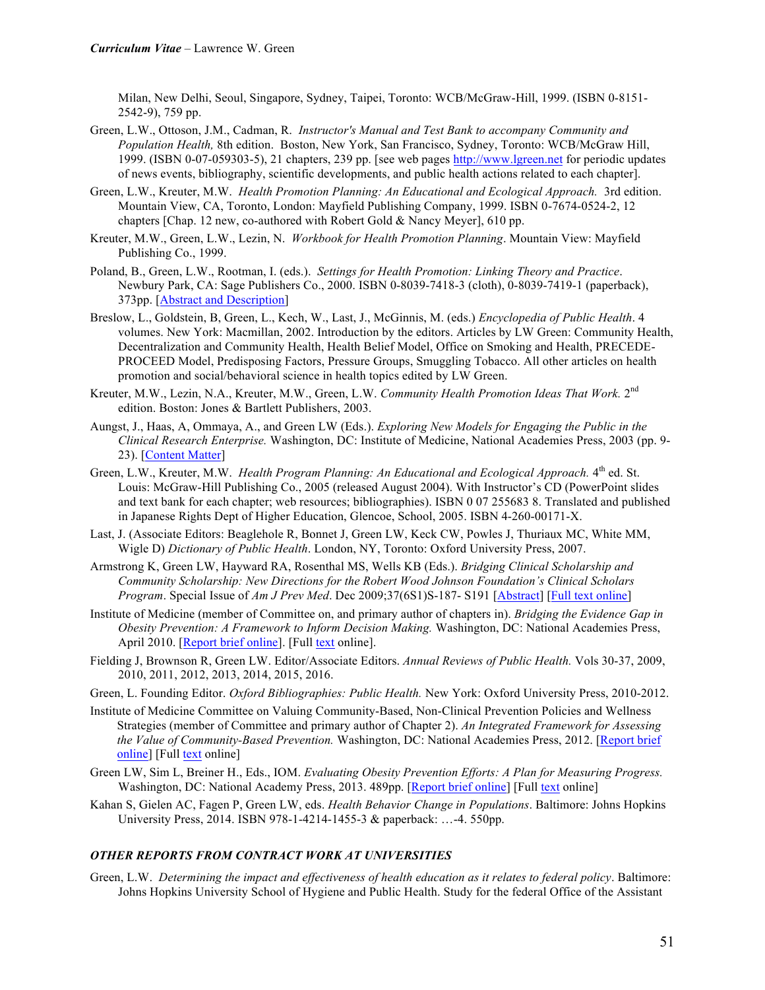Milan, New Delhi, Seoul, Singapore, Sydney, Taipei, Toronto: WCB/McGraw-Hill, 1999. (ISBN 0-8151- 2542-9), 759 pp.

- Green, L.W., Ottoson, J.M., Cadman, R. *Instructor's Manual and Test Bank to accompany Community and Population Health,* 8th edition. Boston, New York, San Francisco, Sydney, Toronto: WCB/McGraw Hill, 1999. (ISBN 0-07-059303-5), 21 chapters, 239 pp. [see web pages http://www.lgreen.net for periodic updates of news events, bibliography, scientific developments, and public health actions related to each chapter].
- Green, L.W., Kreuter, M.W. *Health Promotion Planning: An Educational and Ecological Approach.* 3rd edition. Mountain View, CA, Toronto, London: Mayfield Publishing Company, 1999. ISBN 0-7674-0524-2, 12 chapters [Chap. 12 new, co-authored with Robert Gold & Nancy Meyer], 610 pp.
- Kreuter, M.W., Green, L.W., Lezin, N. *Workbook for Health Promotion Planning*. Mountain View: Mayfield Publishing Co., 1999.
- Poland, B., Green, L.W., Rootman, I. (eds.). *Settings for Health Promotion: Linking Theory and Practice*. Newbury Park, CA: Sage Publishers Co., 2000. ISBN 0-8039-7418-3 (cloth), 0-8039-7419-1 (paperback), 373pp. [Abstract and Description]
- Breslow, L., Goldstein, B, Green, L., Kech, W., Last, J., McGinnis, M. (eds.) *Encyclopedia of Public Health*. 4 volumes. New York: Macmillan, 2002. Introduction by the editors. Articles by LW Green: Community Health, Decentralization and Community Health, Health Belief Model, Office on Smoking and Health, PRECEDE-PROCEED Model, Predisposing Factors, Pressure Groups, Smuggling Tobacco. All other articles on health promotion and social/behavioral science in health topics edited by LW Green.
- Kreuter, M.W., Lezin, N.A., Kreuter, M.W., Green, L.W. *Community Health Promotion Ideas That Work.* 2nd edition. Boston: Jones & Bartlett Publishers, 2003.
- Aungst, J., Haas, A, Ommaya, A., and Green LW (Eds.). *Exploring New Models for Engaging the Public in the Clinical Research Enterprise.* Washington, DC: Institute of Medicine, National Academies Press, 2003 (pp. 9- 23). [Content Matter]
- Green, L.W., Kreuter, M.W. *Health Program Planning: An Educational and Ecological Approach.* 4<sup>th</sup> ed. St. Louis: McGraw-Hill Publishing Co., 2005 (released August 2004). With Instructor's CD (PowerPoint slides and text bank for each chapter; web resources; bibliographies). ISBN 0 07 255683 8. Translated and published in Japanese Rights Dept of Higher Education, Glencoe, School, 2005. ISBN 4-260-00171-X.
- Last, J. (Associate Editors: Beaglehole R, Bonnet J, Green LW, Keck CW, Powles J, Thuriaux MC, White MM, Wigle D) *Dictionary of Public Health*. London, NY, Toronto: Oxford University Press, 2007.
- Armstrong K, Green LW, Hayward RA, Rosenthal MS, Wells KB (Eds.). *Bridging Clinical Scholarship and Community Scholarship: New Directions for the Robert Wood Johnson Foundation's Clinical Scholars Program*. Special Issue of *Am J Prev Med*. Dec 2009;37(6S1)S-187- S191 [Abstract] [Full text online]
- Institute of Medicine (member of Committee on, and primary author of chapters in). *Bridging the Evidence Gap in Obesity Prevention: A Framework to Inform Decision Making.* Washington, DC: National Academies Press, April 2010. [Report brief online]. [Full text online].
- Fielding J, Brownson R, Green LW. Editor/Associate Editors. *Annual Reviews of Public Health.* Vols 30-37, 2009, 2010, 2011, 2012, 2013, 2014, 2015, 2016.
- Green, L. Founding Editor. *Oxford Bibliographies: Public Health.* New York: Oxford University Press, 2010-2012.
- Institute of Medicine Committee on Valuing Community-Based, Non-Clinical Prevention Policies and Wellness Strategies (member of Committee and primary author of Chapter 2). *An Integrated Framework for Assessing the Value of Community-Based Prevention.* Washington, DC: National Academies Press, 2012. [Report brief online] [Full text online]
- Green LW, Sim L, Breiner H., Eds., IOM. *Evaluating Obesity Prevention Efforts: A Plan for Measuring Progress.*  Washington, DC: National Academy Press, 2013. 489pp. [Report brief online] [Full text online]
- Kahan S, Gielen AC, Fagen P, Green LW, eds. *Health Behavior Change in Populations*. Baltimore: Johns Hopkins University Press, 2014. ISBN 978-1-4214-1455-3 & paperback: …-4. 550pp.

## *OTHER REPORTS FROM CONTRACT WORK AT UNIVERSITIES*

Green, L.W. *Determining the impact and effectiveness of health education as it relates to federal policy*. Baltimore: Johns Hopkins University School of Hygiene and Public Health. Study for the federal Office of the Assistant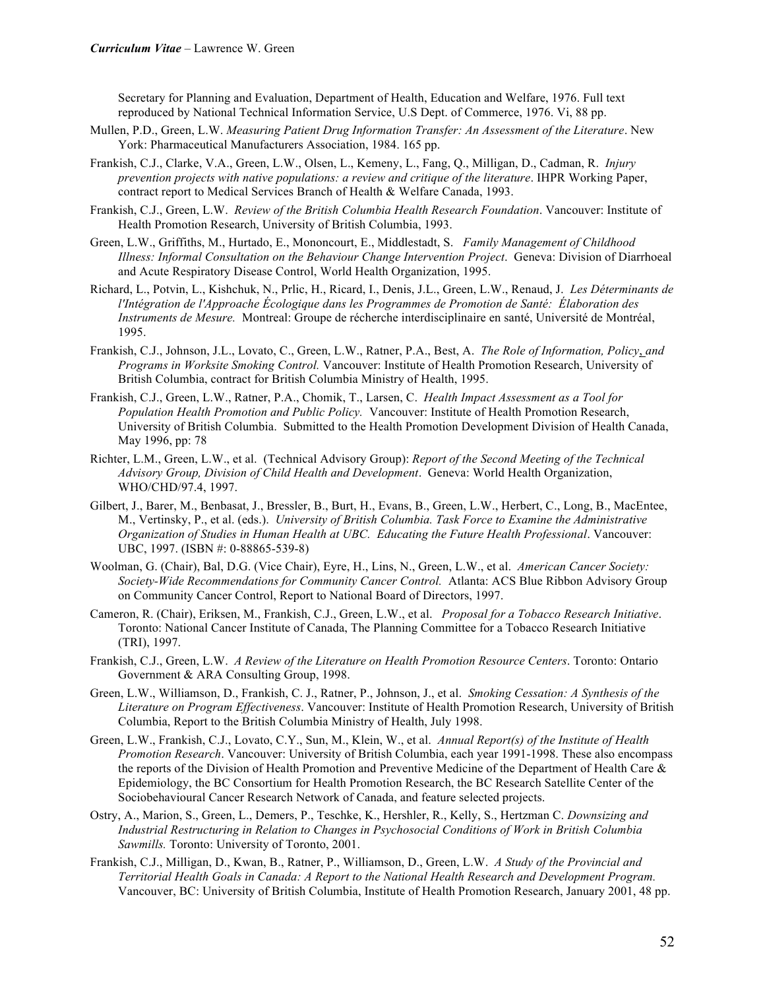Secretary for Planning and Evaluation, Department of Health, Education and Welfare, 1976. Full text reproduced by National Technical Information Service, U.S Dept. of Commerce, 1976. Vi, 88 pp.

- Mullen, P.D., Green, L.W. *Measuring Patient Drug Information Transfer: An Assessment of the Literature*. New York: Pharmaceutical Manufacturers Association, 1984. 165 pp.
- Frankish, C.J., Clarke, V.A., Green, L.W., Olsen, L., Kemeny, L., Fang, Q., Milligan, D., Cadman, R. *Injury prevention projects with native populations: a review and critique of the literature*. IHPR Working Paper, contract report to Medical Services Branch of Health & Welfare Canada, 1993.
- Frankish, C.J., Green, L.W. *Review of the British Columbia Health Research Foundation*. Vancouver: Institute of Health Promotion Research, University of British Columbia, 1993.
- Green, L.W., Griffiths, M., Hurtado, E., Mononcourt, E., Middlestadt, S. *Family Management of Childhood Illness: Informal Consultation on the Behaviour Change Intervention Project*. Geneva: Division of Diarrhoeal and Acute Respiratory Disease Control, World Health Organization, 1995.
- Richard, L., Potvin, L., Kishchuk, N., Prlic, H., Ricard, I., Denis, J.L., Green, L.W., Renaud, J. *Les Déterminants de l'Intégration de l'Approache Écologique dans les Programmes de Promotion de Santé: Élaboration des Instruments de Mesure.* Montreal: Groupe de récherche interdisciplinaire en santé, Université de Montréal, 1995.
- Frankish, C.J., Johnson, J.L., Lovato, C., Green, L.W., Ratner, P.A., Best, A. *The Role of Information, Policy*, *and Programs in Worksite Smoking Control.* Vancouver: Institute of Health Promotion Research, University of British Columbia, contract for British Columbia Ministry of Health, 1995.
- Frankish, C.J., Green, L.W., Ratner, P.A., Chomik, T., Larsen, C. *Health Impact Assessment as a Tool for Population Health Promotion and Public Policy.* Vancouver: Institute of Health Promotion Research, University of British Columbia. Submitted to the Health Promotion Development Division of Health Canada, May 1996, pp: 78
- Richter, L.M., Green, L.W., et al. (Technical Advisory Group): *Report of the Second Meeting of the Technical Advisory Group, Division of Child Health and Development*. Geneva: World Health Organization, WHO/CHD/97.4, 1997.
- Gilbert, J., Barer, M., Benbasat, J., Bressler, B., Burt, H., Evans, B., Green, L.W., Herbert, C., Long, B., MacEntee, M., Vertinsky, P., et al. (eds.). *University of British Columbia. Task Force to Examine the Administrative Organization of Studies in Human Health at UBC. Educating the Future Health Professional*. Vancouver: UBC, 1997. (ISBN #: 0-88865-539-8)
- Woolman, G. (Chair), Bal, D.G. (Vice Chair), Eyre, H., Lins, N., Green, L.W., et al. *American Cancer Society: Society-Wide Recommendations for Community Cancer Control.* Atlanta: ACS Blue Ribbon Advisory Group on Community Cancer Control, Report to National Board of Directors, 1997.
- Cameron, R. (Chair), Eriksen, M., Frankish, C.J., Green, L.W., et al. *Proposal for a Tobacco Research Initiative*. Toronto: National Cancer Institute of Canada, The Planning Committee for a Tobacco Research Initiative (TRI), 1997.
- Frankish, C.J., Green, L.W. *A Review of the Literature on Health Promotion Resource Centers*. Toronto: Ontario Government & ARA Consulting Group, 1998.
- Green, L.W., Williamson, D., Frankish, C. J., Ratner, P., Johnson, J., et al. *Smoking Cessation: A Synthesis of the Literature on Program Effectiveness*. Vancouver: Institute of Health Promotion Research, University of British Columbia, Report to the British Columbia Ministry of Health, July 1998.
- Green, L.W., Frankish, C.J., Lovato, C.Y., Sun, M., Klein, W., et al. *Annual Report(s) of the Institute of Health Promotion Research*. Vancouver: University of British Columbia, each year 1991-1998. These also encompass the reports of the Division of Health Promotion and Preventive Medicine of the Department of Health Care & Epidemiology, the BC Consortium for Health Promotion Research, the BC Research Satellite Center of the Sociobehavioural Cancer Research Network of Canada, and feature selected projects.
- Ostry, A., Marion, S., Green, L., Demers, P., Teschke, K., Hershler, R., Kelly, S., Hertzman C. *Downsizing and Industrial Restructuring in Relation to Changes in Psychosocial Conditions of Work in British Columbia Sawmills.* Toronto: University of Toronto, 2001.
- Frankish, C.J., Milligan, D., Kwan, B., Ratner, P., Williamson, D., Green, L.W. *A Study of the Provincial and Territorial Health Goals in Canada: A Report to the National Health Research and Development Program.*  Vancouver, BC: University of British Columbia, Institute of Health Promotion Research, January 2001, 48 pp.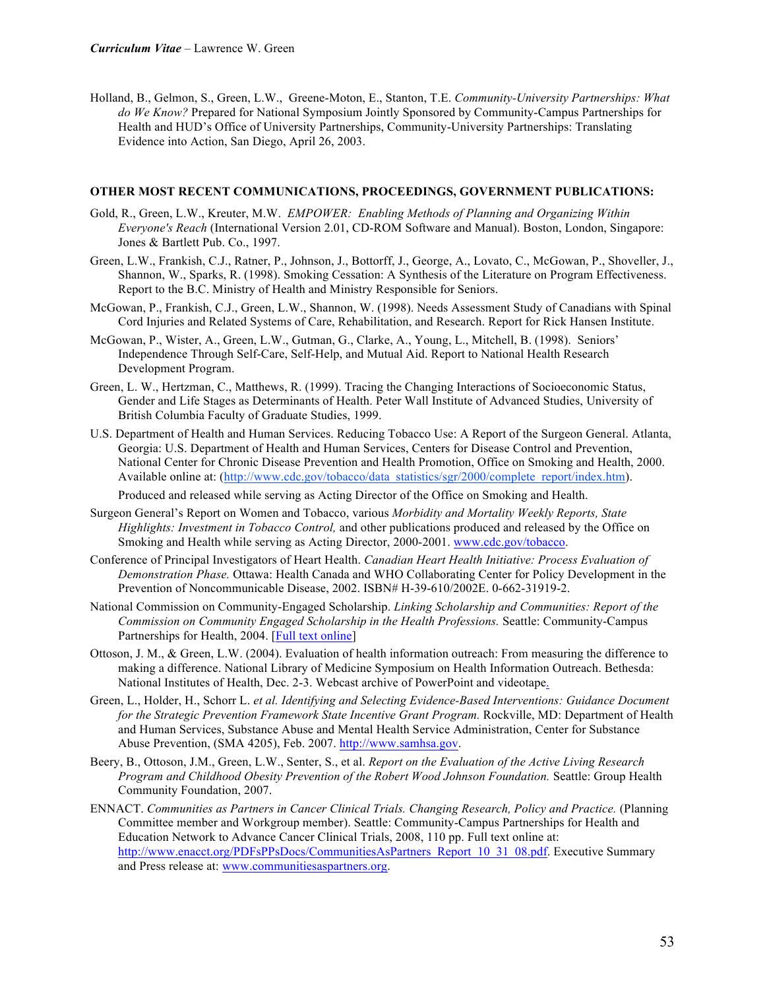Holland, B., Gelmon, S., Green, L.W., Greene-Moton, E., Stanton, T.E. *Community-University Partnerships: What do We Know?* Prepared for National Symposium Jointly Sponsored by Community-Campus Partnerships for Health and HUD's Office of University Partnerships, Community-University Partnerships: Translating Evidence into Action, San Diego, April 26, 2003.

#### **OTHER MOST RECENT COMMUNICATIONS, PROCEEDINGS, GOVERNMENT PUBLICATIONS:**

- Gold, R., Green, L.W., Kreuter, M.W. *EMPOWER: Enabling Methods of Planning and Organizing Within Everyone's Reach* (International Version 2.01, CD-ROM Software and Manual). Boston, London, Singapore: Jones & Bartlett Pub. Co., 1997.
- Green, L.W., Frankish, C.J., Ratner, P., Johnson, J., Bottorff, J., George, A., Lovato, C., McGowan, P., Shoveller, J., Shannon, W., Sparks, R. (1998). Smoking Cessation: A Synthesis of the Literature on Program Effectiveness. Report to the B.C. Ministry of Health and Ministry Responsible for Seniors.
- McGowan, P., Frankish, C.J., Green, L.W., Shannon, W. (1998). Needs Assessment Study of Canadians with Spinal Cord Injuries and Related Systems of Care, Rehabilitation, and Research. Report for Rick Hansen Institute.
- McGowan, P., Wister, A., Green, L.W., Gutman, G., Clarke, A., Young, L., Mitchell, B. (1998). Seniors' Independence Through Self-Care, Self-Help, and Mutual Aid. Report to National Health Research Development Program.
- Green, L. W., Hertzman, C., Matthews, R. (1999). Tracing the Changing Interactions of Socioeconomic Status, Gender and Life Stages as Determinants of Health. Peter Wall Institute of Advanced Studies, University of British Columbia Faculty of Graduate Studies, 1999.
- U.S. Department of Health and Human Services. Reducing Tobacco Use: A Report of the Surgeon General. Atlanta, Georgia: U.S. Department of Health and Human Services, Centers for Disease Control and Prevention, National Center for Chronic Disease Prevention and Health Promotion, Office on Smoking and Health, 2000. Available online at: (http://www.cdc.gov/tobacco/data\_statistics/sgr/2000/complete\_report/index.htm).
	- Produced and released while serving as Acting Director of the Office on Smoking and Health.
- Surgeon General's Report on Women and Tobacco, various *Morbidity and Mortality Weekly Reports, State Highlights: Investment in Tobacco Control,* and other publications produced and released by the Office on Smoking and Health while serving as Acting Director, 2000-2001. www.cdc.gov/tobacco.
- Conference of Principal Investigators of Heart Health. *Canadian Heart Health Initiative: Process Evaluation of Demonstration Phase.* Ottawa: Health Canada and WHO Collaborating Center for Policy Development in the Prevention of Noncommunicable Disease, 2002. ISBN# H-39-610/2002E. 0-662-31919-2.
- National Commission on Community-Engaged Scholarship. *Linking Scholarship and Communities: Report of the Commission on Community Engaged Scholarship in the Health Professions.* Seattle: Community-Campus Partnerships for Health, 2004. [Full text online]
- Ottoson, J. M., & Green, L.W. (2004). Evaluation of health information outreach: From measuring the difference to making a difference. National Library of Medicine Symposium on Health Information Outreach. Bethesda: National Institutes of Health, Dec. 2-3. Webcast archive of PowerPoint and videotape.
- Green, L., Holder, H., Schorr L. *et al. Identifying and Selecting Evidence-Based Interventions: Guidance Document*  for the Strategic Prevention Framework State Incentive Grant Program. Rockville, MD: Department of Health and Human Services, Substance Abuse and Mental Health Service Administration, Center for Substance Abuse Prevention, (SMA 4205), Feb. 2007. http://www.samhsa.gov.
- Beery, B., Ottoson, J.M., Green, L.W., Senter, S., et al. *Report on the Evaluation of the Active Living Research Program and Childhood Obesity Prevention of the Robert Wood Johnson Foundation.* Seattle: Group Health Community Foundation, 2007.
- ENNACT. *Communities as Partners in Cancer Clinical Trials. Changing Research, Policy and Practice.* (Planning Committee member and Workgroup member). Seattle: Community-Campus Partnerships for Health and Education Network to Advance Cancer Clinical Trials, 2008, 110 pp. Full text online at: http://www.enacct.org/PDFsPPsDocs/CommunitiesAsPartners\_Report\_10\_31\_08.pdf. Executive Summary and Press release at: www.communitiesaspartners.org.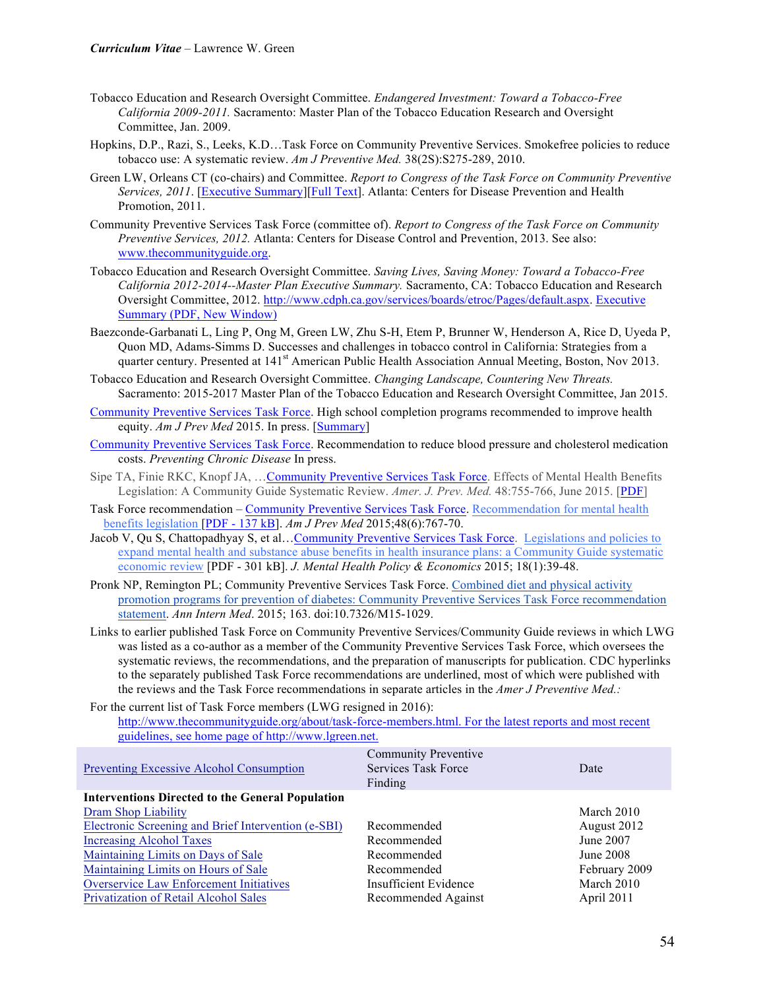- Tobacco Education and Research Oversight Committee. *Endangered Investment: Toward a Tobacco-Free California 2009-2011.* Sacramento: Master Plan of the Tobacco Education Research and Oversight Committee, Jan. 2009.
- Hopkins, D.P., Razi, S., Leeks, K.D…Task Force on Community Preventive Services. Smokefree policies to reduce tobacco use: A systematic review. *Am J Preventive Med.* 38(2S):S275-289, 2010.
- Green LW, Orleans CT (co-chairs) and Committee. *Report to Congress of the Task Force on Community Preventive Services, 2011*. [*Executive Summary*][*Full Text*]. Atlanta: Centers for Disease Prevention and Health Promotion, 2011.
- Community Preventive Services Task Force (committee of). *Report to Congress of the Task Force on Community Preventive Services, 2012.* Atlanta: Centers for Disease Control and Prevention, 2013. See also: www.thecommunityguide.org.
- Tobacco Education and Research Oversight Committee. *Saving Lives, Saving Money: Toward a Tobacco-Free California 2012-2014--Master Plan Executive Summary.* Sacramento, CA: Tobacco Education and Research Oversight Committee, 2012. http://www.cdph.ca.gov/services/boards/etroc/Pages/default.aspx. Executive Summary (PDF, New Window)
- Baezconde-Garbanati L, Ling P, Ong M, Green LW, Zhu S-H, Etem P, Brunner W, Henderson A, Rice D, Uyeda P, Quon MD, Adams-Simms D. Successes and challenges in tobacco control in California: Strategies from a quarter century. Presented at 141<sup>st</sup> American Public Health Association Annual Meeting, Boston, Nov 2013.
- Tobacco Education and Research Oversight Committee. *Changing Landscape, Countering New Threats.*  Sacramento: 2015-2017 Master Plan of the Tobacco Education and Research Oversight Committee, Jan 2015.
- Community Preventive Services Task Force. High school completion programs recommended to improve health equity. *Am J Prev Med* 2015. In press. [Summary]
- Community Preventive Services Task Force. Recommendation to reduce blood pressure and cholesterol medication costs. *Preventing Chronic Disease* In press.
- Sipe TA, Finie RKC, Knopf JA, …Community Preventive Services Task Force. Effects of Mental Health Benefits Legislation: A Community Guide Systematic Review. *Amer. J. Prev. Med.* 48:755-766, June 2015. [PDF]
- Task Force recommendation Community Preventive Services Task Force. Recommendation for mental health benefits legislation [PDF - 137 kB]. *Am J Prev Med* 2015;48(6):767-70.
- Jacob V, Qu S, Chattopadhyay S, et al…Community Preventive Services Task Force. Legislations and policies to expand mental health and substance abuse benefits in health insurance plans: a Community Guide systematic economic review [PDF - 301 kB]. *J. Mental Health Policy & Economics* 2015; 18(1):39-48.
- Pronk NP, Remington PL; Community Preventive Services Task Force. Combined diet and physical activity promotion programs for prevention of diabetes: Community Preventive Services Task Force recommendation statement. *Ann Intern Med*. 2015; 163. doi:10.7326/M15-1029.
- Links to earlier published Task Force on Community Preventive Services/Community Guide reviews in which LWG was listed as a co-author as a member of the Community Preventive Services Task Force, which oversees the systematic reviews, the recommendations, and the preparation of manuscripts for publication. CDC hyperlinks to the separately published Task Force recommendations are underlined, most of which were published with the reviews and the Task Force recommendations in separate articles in the *Amer J Preventive Med.:*

For the current list of Task Force members (LWG resigned in 2016): http://www.thecommunityguide.org/about/task-force-members.html. For the latest reports and most recent guidelines, see home page of http://www.lgreen.net.

| $\beta$ and stated, see nome page of map. $\beta$ is $\alpha$ in $\beta$ is equal. |                                                               |               |
|------------------------------------------------------------------------------------|---------------------------------------------------------------|---------------|
| Preventing Excessive Alcohol Consumption                                           | <b>Community Preventive</b><br>Services Task Force<br>Finding | Date          |
| <b>Interventions Directed to the General Population</b>                            |                                                               |               |
| Dram Shop Liability                                                                |                                                               | March 2010    |
| Electronic Screening and Brief Intervention (e-SBI)                                | Recommended                                                   | August 2012   |
| <b>Increasing Alcohol Taxes</b>                                                    | Recommended                                                   | June 2007     |
| Maintaining Limits on Days of Sale                                                 | Recommended                                                   | June 2008     |
| Maintaining Limits on Hours of Sale                                                | Recommended                                                   | February 2009 |
| <b>Overservice Law Enforcement Initiatives</b>                                     | Insufficient Evidence                                         | March 2010    |
| Privatization of Retail Alcohol Sales                                              | Recommended Against                                           | April 2011    |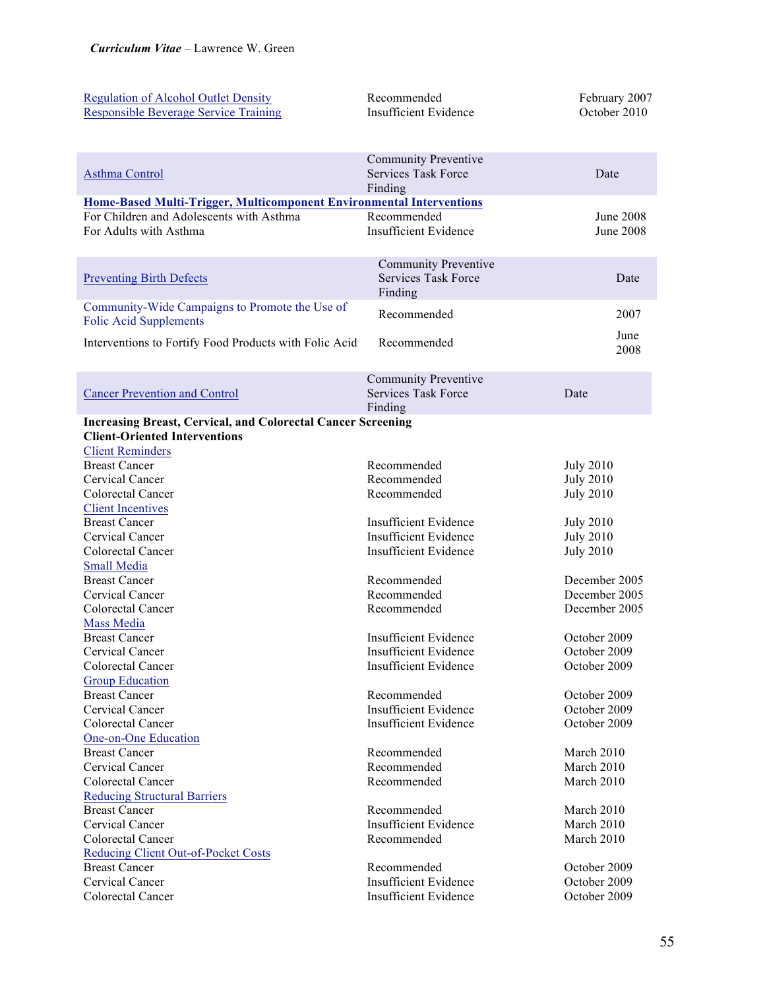| <b>Regulation of Alcohol Outlet Density</b><br><b>Responsible Beverage Service Training</b> | Recommended<br><b>Insufficient Evidence</b>               | February 2007<br>October 2010        |
|---------------------------------------------------------------------------------------------|-----------------------------------------------------------|--------------------------------------|
|                                                                                             |                                                           |                                      |
| Asthma Control                                                                              | <b>Community Preventive</b><br><b>Services Task Force</b> | Date                                 |
|                                                                                             | Finding                                                   |                                      |
| <b>Home-Based Multi-Trigger, Multicomponent Environmental Interventions</b>                 |                                                           |                                      |
| For Children and Adolescents with Asthma<br>For Adults with Asthma                          | Recommended<br>Insufficient Evidence                      | <b>June 2008</b>                     |
|                                                                                             |                                                           | <b>June 2008</b>                     |
|                                                                                             | <b>Community Preventive</b>                               |                                      |
| <b>Preventing Birth Defects</b>                                                             | <b>Services Task Force</b><br>Finding                     | Date                                 |
| Community-Wide Campaigns to Promote the Use of                                              |                                                           |                                      |
| <b>Folic Acid Supplements</b>                                                               | Recommended                                               | 2007                                 |
| Interventions to Fortify Food Products with Folic Acid                                      | Recommended                                               | June<br>2008                         |
|                                                                                             |                                                           |                                      |
|                                                                                             | <b>Community Preventive</b>                               |                                      |
| <b>Cancer Prevention and Control</b>                                                        | <b>Services Task Force</b>                                | Date                                 |
|                                                                                             | Finding                                                   |                                      |
| <b>Increasing Breast, Cervical, and Colorectal Cancer Screening</b>                         |                                                           |                                      |
| <b>Client-Oriented Interventions</b>                                                        |                                                           |                                      |
| <b>Client Reminders</b><br><b>Breast Cancer</b>                                             |                                                           |                                      |
| Cervical Cancer                                                                             | Recommended<br>Recommended                                | <b>July 2010</b><br><b>July 2010</b> |
| Colorectal Cancer                                                                           | Recommended                                               | <b>July 2010</b>                     |
| <b>Client Incentives</b>                                                                    |                                                           |                                      |
| <b>Breast Cancer</b>                                                                        | <b>Insufficient Evidence</b>                              | <b>July 2010</b>                     |
| Cervical Cancer                                                                             | <b>Insufficient Evidence</b>                              | <b>July 2010</b>                     |
| Colorectal Cancer                                                                           | <b>Insufficient Evidence</b>                              | <b>July 2010</b>                     |
| <b>Small Media</b>                                                                          |                                                           |                                      |
| <b>Breast Cancer</b>                                                                        | Recommended                                               | December 2005                        |
| Cervical Cancer                                                                             | Recommended                                               | December 2005                        |
| Colorectal Cancer                                                                           | Recommended                                               | December 2005                        |
| Mass Media                                                                                  |                                                           |                                      |
| <b>Breast Cancer</b>                                                                        | <b>Insufficient Evidence</b>                              | October 2009                         |
| Cervical Cancer                                                                             | Insufficient Evidence                                     | October 2009                         |
| Colorectal Cancer                                                                           | <b>Insufficient Evidence</b>                              | October 2009                         |
| <b>Group Education</b>                                                                      |                                                           |                                      |
| <b>Breast Cancer</b>                                                                        | Recommended                                               | October 2009                         |
| Cervical Cancer                                                                             | <b>Insufficient Evidence</b>                              | October 2009                         |
| Colorectal Cancer                                                                           | <b>Insufficient Evidence</b>                              | October 2009                         |
| One-on-One Education<br><b>Breast Cancer</b>                                                | Recommended                                               | March 2010                           |
| Cervical Cancer                                                                             | Recommended                                               | March 2010                           |
| Colorectal Cancer                                                                           | Recommended                                               | March 2010                           |
| <b>Reducing Structural Barriers</b>                                                         |                                                           |                                      |
| <b>Breast Cancer</b>                                                                        | Recommended                                               | March 2010                           |
| Cervical Cancer                                                                             | <b>Insufficient Evidence</b>                              | March 2010                           |
| Colorectal Cancer                                                                           | Recommended                                               | March 2010                           |
| <b>Reducing Client Out-of-Pocket Costs</b>                                                  |                                                           |                                      |
| <b>Breast Cancer</b>                                                                        | Recommended                                               | October 2009                         |
| Cervical Cancer                                                                             | <b>Insufficient Evidence</b>                              | October 2009                         |
| Colorectal Cancer                                                                           | <b>Insufficient Evidence</b>                              | October 2009                         |
|                                                                                             |                                                           |                                      |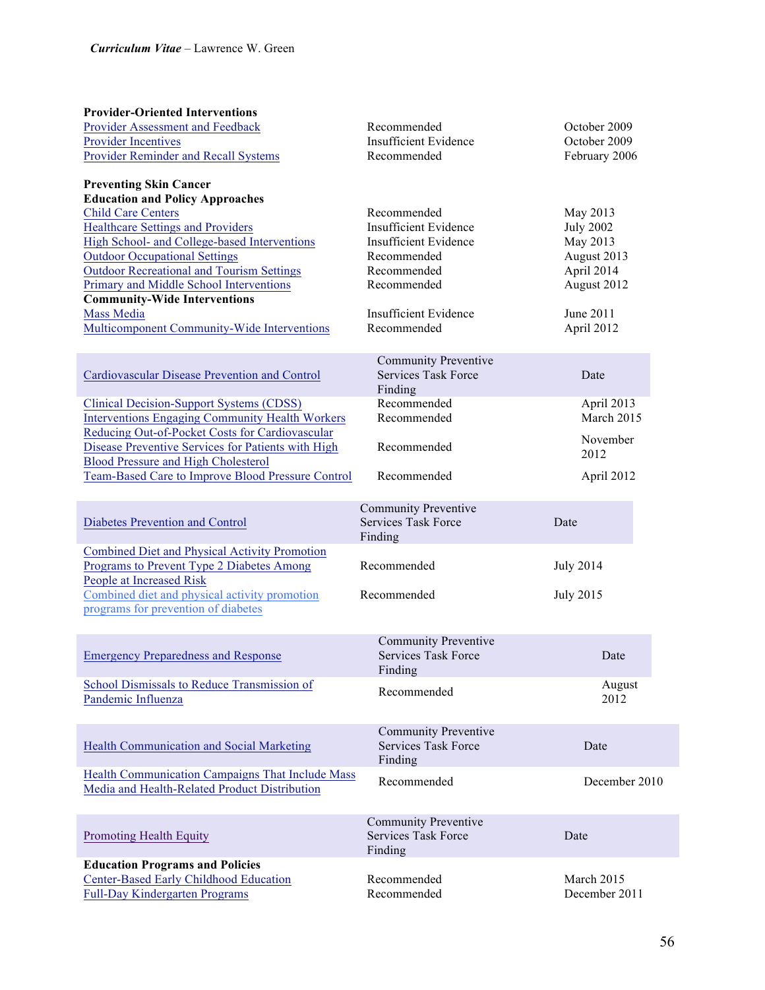| <b>Provider-Oriented Interventions</b><br>Provider Assessment and Feedback<br><b>Provider Incentives</b><br><b>Provider Reminder and Recall Systems</b>                                                                                                                                                                                                                                                                                            | Recommended<br><b>Insufficient Evidence</b><br>Recommended                                                                                                              | October 2009<br>October 2009<br>February 2006                                                                   |  |
|----------------------------------------------------------------------------------------------------------------------------------------------------------------------------------------------------------------------------------------------------------------------------------------------------------------------------------------------------------------------------------------------------------------------------------------------------|-------------------------------------------------------------------------------------------------------------------------------------------------------------------------|-----------------------------------------------------------------------------------------------------------------|--|
| <b>Preventing Skin Cancer</b><br><b>Education and Policy Approaches</b><br><b>Child Care Centers</b><br><b>Healthcare Settings and Providers</b><br>High School- and College-based Interventions<br><b>Outdoor Occupational Settings</b><br><b>Outdoor Recreational and Tourism Settings</b><br>Primary and Middle School Interventions<br><b>Community-Wide Interventions</b><br>Mass Media<br><b>Multicomponent Community-Wide Interventions</b> | Recommended<br><b>Insufficient Evidence</b><br><b>Insufficient Evidence</b><br>Recommended<br>Recommended<br>Recommended<br><b>Insufficient Evidence</b><br>Recommended | May 2013<br><b>July 2002</b><br>May 2013<br>August 2013<br>April 2014<br>August 2012<br>June 2011<br>April 2012 |  |
| Cardiovascular Disease Prevention and Control                                                                                                                                                                                                                                                                                                                                                                                                      | <b>Community Preventive</b><br><b>Services Task Force</b><br>Finding                                                                                                    | Date                                                                                                            |  |
| <b>Clinical Decision-Support Systems (CDSS)</b><br><b>Interventions Engaging Community Health Workers</b>                                                                                                                                                                                                                                                                                                                                          | Recommended<br>Recommended                                                                                                                                              | April 2013<br>March 2015                                                                                        |  |
| Reducing Out-of-Pocket Costs for Cardiovascular<br>Disease Preventive Services for Patients with High<br><b>Blood Pressure and High Cholesterol</b>                                                                                                                                                                                                                                                                                                | Recommended                                                                                                                                                             | November<br>2012                                                                                                |  |
| <b>Team-Based Care to Improve Blood Pressure Control</b>                                                                                                                                                                                                                                                                                                                                                                                           | Recommended                                                                                                                                                             | April 2012                                                                                                      |  |
| Diabetes Prevention and Control                                                                                                                                                                                                                                                                                                                                                                                                                    | <b>Community Preventive</b><br><b>Services Task Force</b><br>Finding                                                                                                    | Date                                                                                                            |  |
| <b>Combined Diet and Physical Activity Promotion</b><br><b>Programs to Prevent Type 2 Diabetes Among</b><br>People at Increased Risk                                                                                                                                                                                                                                                                                                               | Recommended                                                                                                                                                             | <b>July 2014</b>                                                                                                |  |
| Combined diet and physical activity promotion<br>programs for prevention of diabetes                                                                                                                                                                                                                                                                                                                                                               | Recommended                                                                                                                                                             | <b>July 2015</b>                                                                                                |  |
| <b>Emergency Preparedness and Response</b>                                                                                                                                                                                                                                                                                                                                                                                                         | <b>Community Preventive</b><br><b>Services Task Force</b><br>Finding                                                                                                    | Date                                                                                                            |  |
| School Dismissals to Reduce Transmission of<br>Pandemic Influenza                                                                                                                                                                                                                                                                                                                                                                                  | Recommended                                                                                                                                                             | August<br>2012                                                                                                  |  |
| <b>Health Communication and Social Marketing</b>                                                                                                                                                                                                                                                                                                                                                                                                   | <b>Community Preventive</b><br><b>Services Task Force</b><br>Finding                                                                                                    | Date                                                                                                            |  |
| Health Communication Campaigns That Include Mass<br>Media and Health-Related Product Distribution                                                                                                                                                                                                                                                                                                                                                  | Recommended                                                                                                                                                             | December 2010                                                                                                   |  |
| <b>Promoting Health Equity</b>                                                                                                                                                                                                                                                                                                                                                                                                                     | <b>Community Preventive</b><br><b>Services Task Force</b>                                                                                                               | Date                                                                                                            |  |
| <b>Education Programs and Policies</b>                                                                                                                                                                                                                                                                                                                                                                                                             | Finding                                                                                                                                                                 |                                                                                                                 |  |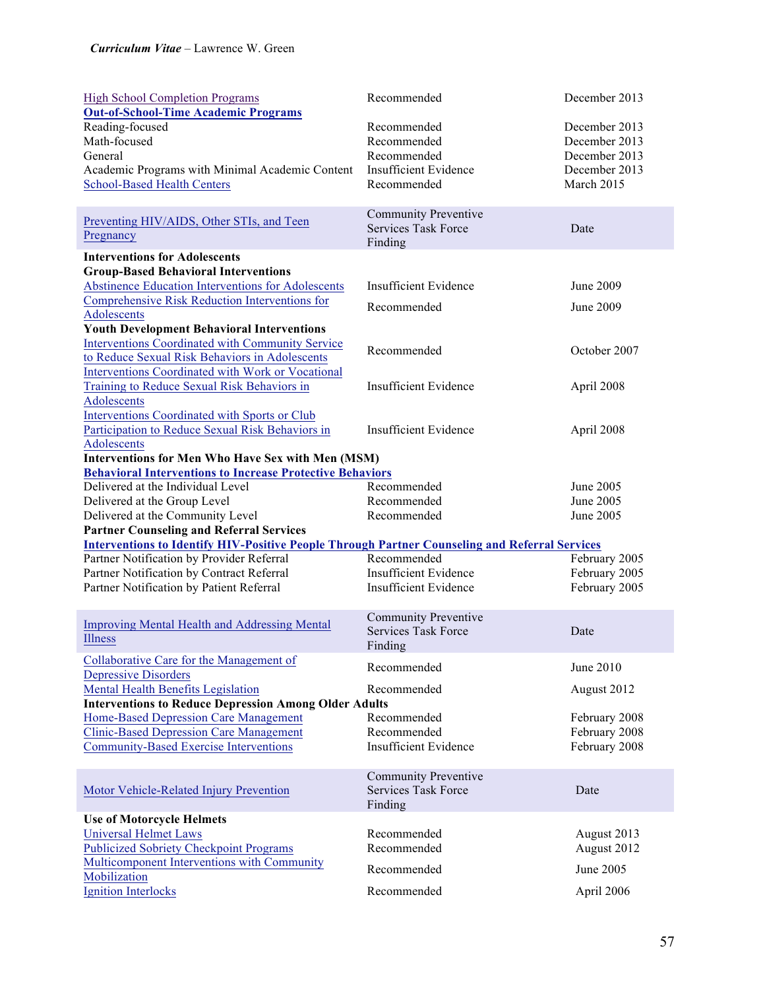| <b>High School Completion Programs</b><br><b>Out-of-School-Time Academic Programs</b>                                        | Recommended                  | December 2013           |  |
|------------------------------------------------------------------------------------------------------------------------------|------------------------------|-------------------------|--|
| Reading-focused                                                                                                              | Recommended                  | December 2013           |  |
| Math-focused                                                                                                                 | Recommended                  | December 2013           |  |
| General                                                                                                                      | Recommended                  | December 2013           |  |
| Academic Programs with Minimal Academic Content                                                                              | <b>Insufficient Evidence</b> | December 2013           |  |
| <b>School-Based Health Centers</b>                                                                                           | Recommended                  | March 2015              |  |
|                                                                                                                              |                              |                         |  |
| Preventing HIV/AIDS, Other STIs, and Teen                                                                                    | <b>Community Preventive</b>  |                         |  |
| Pregnancy                                                                                                                    | <b>Services Task Force</b>   | Date                    |  |
|                                                                                                                              | Finding                      |                         |  |
| <b>Interventions for Adolescents</b>                                                                                         |                              |                         |  |
| <b>Group-Based Behavioral Interventions</b>                                                                                  |                              |                         |  |
| <b>Abstinence Education Interventions for Adolescents</b>                                                                    | <b>Insufficient Evidence</b> | June 2009               |  |
| Comprehensive Risk Reduction Interventions for                                                                               | Recommended                  | June 2009               |  |
| Adolescents                                                                                                                  |                              |                         |  |
| <b>Youth Development Behavioral Interventions</b>                                                                            |                              |                         |  |
| <b>Interventions Coordinated with Community Service</b>                                                                      | Recommended                  | October 2007            |  |
| to Reduce Sexual Risk Behaviors in Adolescents                                                                               |                              |                         |  |
| Interventions Coordinated with Work or Vocational                                                                            |                              |                         |  |
| <b>Training to Reduce Sexual Risk Behaviors in</b>                                                                           | <b>Insufficient Evidence</b> | April 2008              |  |
| Adolescents                                                                                                                  |                              |                         |  |
| <b>Interventions Coordinated with Sports or Club</b>                                                                         | <b>Insufficient Evidence</b> |                         |  |
| Participation to Reduce Sexual Risk Behaviors in                                                                             |                              | April 2008              |  |
| Adolescents                                                                                                                  |                              |                         |  |
| <b>Interventions for Men Who Have Sex with Men (MSM)</b><br><b>Behavioral Interventions to Increase Protective Behaviors</b> |                              |                         |  |
| Delivered at the Individual Level                                                                                            | Recommended                  | June 2005               |  |
| Delivered at the Group Level                                                                                                 | Recommended                  | <b>June 2005</b>        |  |
| Delivered at the Community Level                                                                                             | Recommended                  | <b>June 2005</b>        |  |
| <b>Partner Counseling and Referral Services</b>                                                                              |                              |                         |  |
| <b>Interventions to Identify HIV-Positive People Through Partner Counseling and Referral Services</b>                        |                              |                         |  |
| Partner Notification by Provider Referral                                                                                    | Recommended                  | February 2005           |  |
| Partner Notification by Contract Referral                                                                                    | <b>Insufficient Evidence</b> | February 2005           |  |
| Partner Notification by Patient Referral                                                                                     | <b>Insufficient Evidence</b> | February 2005           |  |
|                                                                                                                              |                              |                         |  |
|                                                                                                                              | <b>Community Preventive</b>  |                         |  |
| <b>Improving Mental Health and Addressing Mental</b>                                                                         | <b>Services Task Force</b>   | Date                    |  |
| Illness                                                                                                                      | Finding                      |                         |  |
| Collaborative Care for the Management of                                                                                     |                              |                         |  |
| <b>Depressive Disorders</b>                                                                                                  | Recommended                  | June 2010               |  |
| <b>Mental Health Benefits Legislation</b>                                                                                    | Recommended                  | August 2012             |  |
| <b>Interventions to Reduce Depression Among Older Adults</b>                                                                 |                              |                         |  |
| Home-Based Depression Care Management                                                                                        | Recommended                  | February 2008           |  |
| <b>Clinic-Based Depression Care Management</b>                                                                               | Recommended                  | February 2008           |  |
| <b>Community-Based Exercise Interventions</b>                                                                                | <b>Insufficient Evidence</b> | February 2008           |  |
|                                                                                                                              |                              |                         |  |
|                                                                                                                              | <b>Community Preventive</b>  |                         |  |
| Motor Vehicle-Related Injury Prevention                                                                                      | <b>Services Task Force</b>   | Date                    |  |
|                                                                                                                              | Finding                      |                         |  |
| <b>Use of Motorcycle Helmets</b>                                                                                             |                              |                         |  |
| <b>Universal Helmet Laws</b>                                                                                                 | Recommended                  | August 2013             |  |
| <b>Publicized Sobriety Checkpoint Programs</b>                                                                               | Recommended                  | August 2012             |  |
| Multicomponent Interventions with Community                                                                                  |                              |                         |  |
|                                                                                                                              |                              |                         |  |
| Mobilization<br><b>Ignition Interlocks</b>                                                                                   | Recommended<br>Recommended   | June 2005<br>April 2006 |  |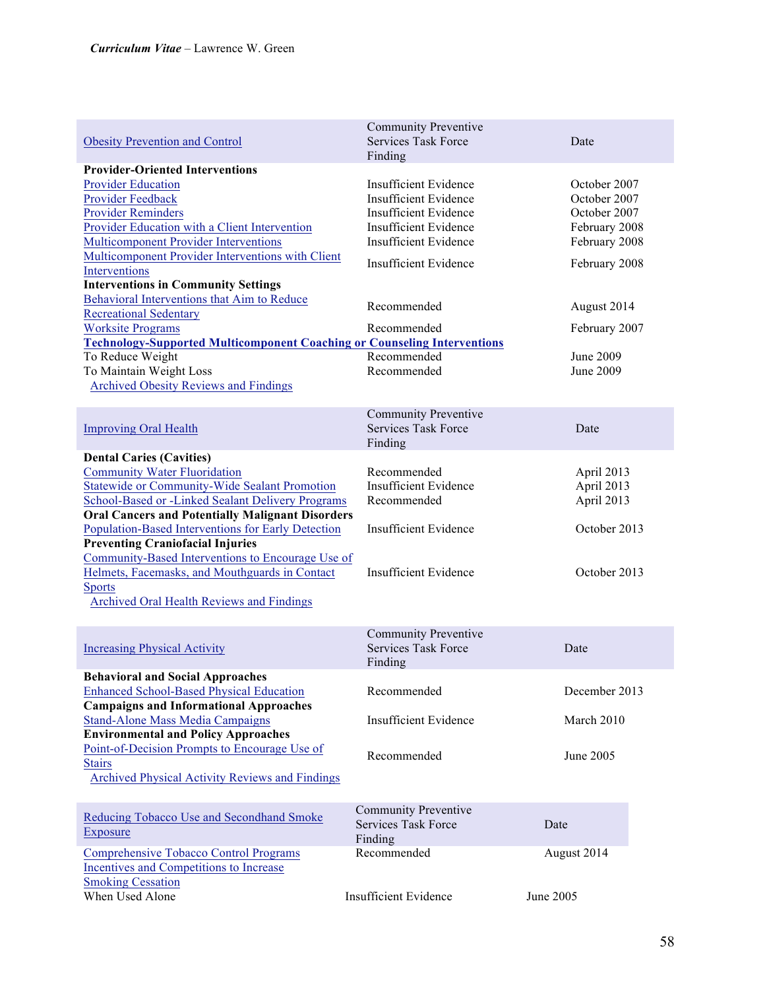| <b>Obesity Prevention and Control</b>                                                                                                                                                                                                                                                               | <b>Community Preventive</b><br><b>Services Task Force</b><br>Finding                                                                                                           | Date                                                                                            |
|-----------------------------------------------------------------------------------------------------------------------------------------------------------------------------------------------------------------------------------------------------------------------------------------------------|--------------------------------------------------------------------------------------------------------------------------------------------------------------------------------|-------------------------------------------------------------------------------------------------|
| <b>Provider-Oriented Interventions</b><br><b>Provider Education</b><br>Provider Feedback<br><b>Provider Reminders</b><br><b>Provider Education with a Client Intervention</b><br><b>Multicomponent Provider Interventions</b><br>Multicomponent Provider Interventions with Client<br>Interventions | <b>Insufficient Evidence</b><br><b>Insufficient Evidence</b><br><b>Insufficient Evidence</b><br><b>Insufficient Evidence</b><br>Insufficient Evidence<br>Insufficient Evidence | October 2007<br>October 2007<br>October 2007<br>February 2008<br>February 2008<br>February 2008 |
| <b>Interventions in Community Settings</b><br>Behavioral Interventions that Aim to Reduce<br><b>Recreational Sedentary</b><br><b>Worksite Programs</b>                                                                                                                                              | Recommended<br>Recommended                                                                                                                                                     | August 2014<br>February 2007                                                                    |
| <b>Technology-Supported Multicomponent Coaching or Counseling Interventions</b><br>To Reduce Weight<br>To Maintain Weight Loss<br><b>Archived Obesity Reviews and Findings</b>                                                                                                                      | Recommended<br>Recommended                                                                                                                                                     | June 2009<br>June 2009                                                                          |
| <b>Improving Oral Health</b>                                                                                                                                                                                                                                                                        | <b>Community Preventive</b><br><b>Services Task Force</b><br>Finding                                                                                                           | Date                                                                                            |
| <b>Dental Caries (Cavities)</b><br><b>Community Water Fluoridation</b><br><b>Statewide or Community-Wide Sealant Promotion</b><br>School-Based or -Linked Sealant Delivery Programs<br><b>Oral Cancers and Potentially Malignant Disorders</b>                                                      | Recommended<br><b>Insufficient Evidence</b><br>Recommended                                                                                                                     | April 2013<br>April 2013<br>April 2013                                                          |
| Population-Based Interventions for Early Detection<br><b>Preventing Craniofacial Injuries</b><br>Community-Based Interventions to Encourage Use of<br>Helmets, Facemasks, and Mouthguards in Contact                                                                                                | <b>Insufficient Evidence</b><br><b>Insufficient Evidence</b>                                                                                                                   | October 2013<br>October 2013                                                                    |
| <b>Sports</b><br><b>Archived Oral Health Reviews and Findings</b>                                                                                                                                                                                                                                   |                                                                                                                                                                                |                                                                                                 |
| <b>Increasing Physical Activity</b>                                                                                                                                                                                                                                                                 | <b>Community Preventive</b><br><b>Services Task Force</b><br>Finding                                                                                                           | Date                                                                                            |
| <b>Behavioral and Social Approaches</b><br><b>Enhanced School-Based Physical Education</b><br><b>Campaigns and Informational Approaches</b>                                                                                                                                                         | Recommended                                                                                                                                                                    | December 2013                                                                                   |
| <b>Stand-Alone Mass Media Campaigns</b><br><b>Environmental and Policy Approaches</b><br>Point-of-Decision Prompts to Encourage Use of<br><b>Stairs</b>                                                                                                                                             | <b>Insufficient Evidence</b><br>Recommended                                                                                                                                    | March 2010<br>June 2005                                                                         |
| Archived Physical Activity Reviews and Findings                                                                                                                                                                                                                                                     | <b>Community Preventive</b>                                                                                                                                                    |                                                                                                 |
| Reducing Tobacco Use and Secondhand Smoke<br>Exposure                                                                                                                                                                                                                                               | <b>Services Task Force</b><br>Finding                                                                                                                                          | Date                                                                                            |
| <b>Comprehensive Tobacco Control Programs</b><br>Incentives and Competitions to Increase<br><b>Smoking Cessation</b>                                                                                                                                                                                | Recommended                                                                                                                                                                    | August 2014                                                                                     |
| When Used Alone                                                                                                                                                                                                                                                                                     | <b>Insufficient Evidence</b>                                                                                                                                                   | June 2005                                                                                       |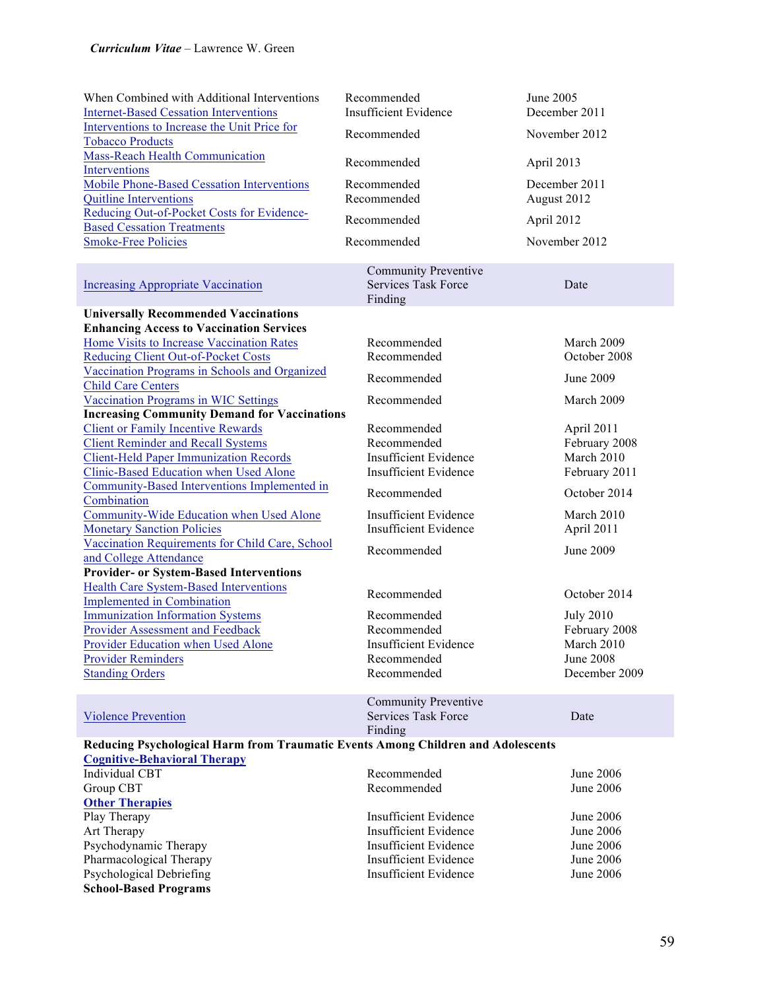| When Combined with Additional Interventions<br><b>Internet-Based Cessation Interventions</b><br>Interventions to Increase the Unit Price for<br><b>Tobacco Products</b> | Recommended<br><b>Insufficient Evidence</b><br>Recommended           | June 2005<br>December 2011<br>November 2012 |  |
|-------------------------------------------------------------------------------------------------------------------------------------------------------------------------|----------------------------------------------------------------------|---------------------------------------------|--|
| <b>Mass-Reach Health Communication</b><br>Interventions                                                                                                                 | Recommended                                                          | April 2013                                  |  |
| <b>Mobile Phone-Based Cessation Interventions</b><br><b>Quitline Interventions</b>                                                                                      | Recommended<br>Recommended                                           | December 2011<br>August 2012                |  |
| Reducing Out-of-Pocket Costs for Evidence-<br><b>Based Cessation Treatments</b>                                                                                         | Recommended                                                          | April 2012                                  |  |
| <b>Smoke-Free Policies</b>                                                                                                                                              | Recommended                                                          | November 2012                               |  |
| <b>Increasing Appropriate Vaccination</b>                                                                                                                               | <b>Community Preventive</b><br><b>Services Task Force</b><br>Finding | Date                                        |  |
| <b>Universally Recommended Vaccinations</b>                                                                                                                             |                                                                      |                                             |  |
| <b>Enhancing Access to Vaccination Services</b>                                                                                                                         |                                                                      |                                             |  |
| Home Visits to Increase Vaccination Rates                                                                                                                               | Recommended<br>Recommended                                           | March 2009<br>October 2008                  |  |
| <b>Reducing Client Out-of-Pocket Costs</b><br>Vaccination Programs in Schools and Organized                                                                             |                                                                      |                                             |  |
| <b>Child Care Centers</b>                                                                                                                                               | Recommended                                                          | June 2009                                   |  |
| Vaccination Programs in WIC Settings                                                                                                                                    | Recommended                                                          | March 2009                                  |  |
| <b>Increasing Community Demand for Vaccinations</b>                                                                                                                     |                                                                      |                                             |  |
| <b>Client or Family Incentive Rewards</b>                                                                                                                               | Recommended                                                          | April 2011                                  |  |
| <b>Client Reminder and Recall Systems</b>                                                                                                                               | Recommended                                                          | February 2008                               |  |
| <b>Client-Held Paper Immunization Records</b>                                                                                                                           | <b>Insufficient Evidence</b>                                         | March 2010                                  |  |
| Clinic-Based Education when Used Alone                                                                                                                                  | <b>Insufficient Evidence</b>                                         | February 2011                               |  |
| Community-Based Interventions Implemented in                                                                                                                            | Recommended                                                          | October 2014                                |  |
| Combination<br>Community-Wide Education when Used Alone                                                                                                                 | <b>Insufficient Evidence</b>                                         | March 2010                                  |  |
| <b>Monetary Sanction Policies</b>                                                                                                                                       | <b>Insufficient Evidence</b>                                         | April 2011                                  |  |
| Vaccination Requirements for Child Care, School                                                                                                                         |                                                                      |                                             |  |
| and College Attendance                                                                                                                                                  | Recommended                                                          | June 2009                                   |  |
| <b>Provider- or System-Based Interventions</b>                                                                                                                          |                                                                      |                                             |  |
| <b>Health Care System-Based Interventions</b>                                                                                                                           |                                                                      |                                             |  |
| <b>Implemented in Combination</b>                                                                                                                                       | Recommended                                                          | October 2014                                |  |
| <b>Immunization Information Systems</b>                                                                                                                                 | Recommended                                                          | <b>July 2010</b>                            |  |
| Provider Assessment and Feedback                                                                                                                                        | Recommended                                                          | February 2008                               |  |
| Provider Education when Used Alone                                                                                                                                      | Insufficient Evidence                                                | March 2010                                  |  |
| <b>Provider Reminders</b>                                                                                                                                               | Recommended                                                          | <b>June 2008</b>                            |  |
| <b>Standing Orders</b>                                                                                                                                                  | Recommended                                                          | December 2009                               |  |
|                                                                                                                                                                         | <b>Community Preventive</b>                                          |                                             |  |
| <b>Violence Prevention</b>                                                                                                                                              | <b>Services Task Force</b>                                           | Date                                        |  |
|                                                                                                                                                                         | Finding                                                              |                                             |  |
| Reducing Psychological Harm from Traumatic Events Among Children and Adolescents                                                                                        |                                                                      |                                             |  |
| <b>Cognitive-Behavioral Therapy</b>                                                                                                                                     |                                                                      |                                             |  |
| <b>Individual CBT</b>                                                                                                                                                   | Recommended                                                          | June 2006                                   |  |
| Group CBT                                                                                                                                                               | Recommended                                                          | <b>June 2006</b>                            |  |
| <b>Other Therapies</b>                                                                                                                                                  |                                                                      |                                             |  |
| Play Therapy                                                                                                                                                            | Insufficient Evidence                                                | June 2006                                   |  |
| Art Therapy                                                                                                                                                             | <b>Insufficient Evidence</b>                                         | June 2006                                   |  |
| Psychodynamic Therapy                                                                                                                                                   | <b>Insufficient Evidence</b>                                         | June 2006                                   |  |
| Pharmacological Therapy                                                                                                                                                 | <b>Insufficient Evidence</b>                                         | June 2006                                   |  |
| Psychological Debriefing                                                                                                                                                | <b>Insufficient Evidence</b>                                         | <b>June 2006</b>                            |  |
| <b>School-Based Programs</b>                                                                                                                                            |                                                                      |                                             |  |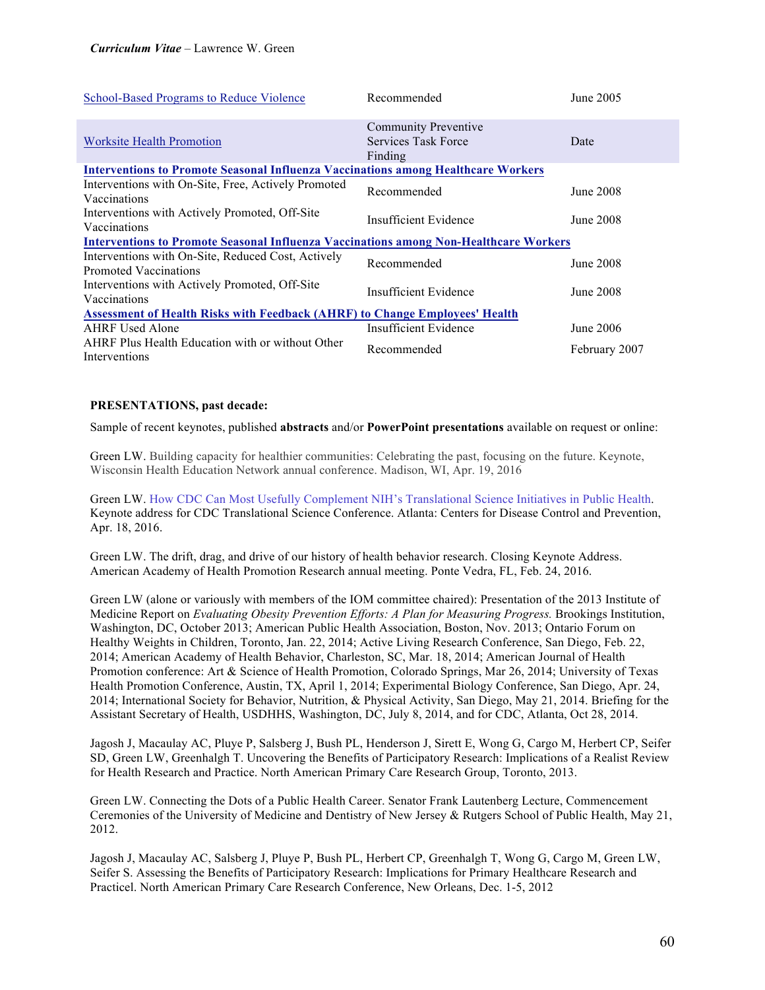| School-Based Programs to Reduce Violence                                                     | Recommended                                                   | June 2005     |  |
|----------------------------------------------------------------------------------------------|---------------------------------------------------------------|---------------|--|
| <b>Worksite Health Promotion</b>                                                             | <b>Community Preventive</b><br>Services Task Force<br>Finding | Date          |  |
| <b>Interventions to Promote Seasonal Influenza Vaccinations among Healthcare Workers</b>     |                                                               |               |  |
| Interventions with On-Site, Free, Actively Promoted<br>Vaccinations                          | Recommended                                                   | June 2008     |  |
| Interventions with Actively Promoted, Off-Site<br>Vaccinations                               | Insufficient Evidence                                         | June 2008     |  |
| <b>Interventions to Promote Seasonal Influenza Vaccinations among Non-Healthcare Workers</b> |                                                               |               |  |
| Interventions with On-Site, Reduced Cost, Actively<br>Promoted Vaccinations                  | Recommended                                                   | June 2008     |  |
| Interventions with Actively Promoted, Off-Site<br>Vaccinations                               | Insufficient Evidence                                         | June 2008     |  |
| <b>Assessment of Health Risks with Feedback (AHRF) to Change Employees' Health</b>           |                                                               |               |  |
| <b>AHRF</b> Used Alone                                                                       | Insufficient Evidence                                         | June 2006     |  |
| AHRF Plus Health Education with or without Other<br>Interventions                            | Recommended                                                   | February 2007 |  |

## **PRESENTATIONS, past decade:**

Sample of recent keynotes, published **abstracts** and/or **PowerPoint presentations** available on request or online:

Green LW. Building capacity for healthier communities: Celebrating the past, focusing on the future. Keynote, Wisconsin Health Education Network annual conference. Madison, WI, Apr. 19, 2016

Green LW. How CDC Can Most Usefully Complement NIH's Translational Science Initiatives in Public Health. Keynote address for CDC Translational Science Conference. Atlanta: Centers for Disease Control and Prevention, Apr. 18, 2016.

Green LW. The drift, drag, and drive of our history of health behavior research. Closing Keynote Address. American Academy of Health Promotion Research annual meeting. Ponte Vedra, FL, Feb. 24, 2016.

Green LW (alone or variously with members of the IOM committee chaired): Presentation of the 2013 Institute of Medicine Report on *Evaluating Obesity Prevention Efforts: A Plan for Measuring Progress.* Brookings Institution, Washington, DC, October 2013; American Public Health Association, Boston, Nov. 2013; Ontario Forum on Healthy Weights in Children, Toronto, Jan. 22, 2014; Active Living Research Conference, San Diego, Feb. 22, 2014; American Academy of Health Behavior, Charleston, SC, Mar. 18, 2014; American Journal of Health Promotion conference: Art & Science of Health Promotion, Colorado Springs, Mar 26, 2014; University of Texas Health Promotion Conference, Austin, TX, April 1, 2014; Experimental Biology Conference, San Diego, Apr. 24, 2014; International Society for Behavior, Nutrition, & Physical Activity, San Diego, May 21, 2014. Briefing for the Assistant Secretary of Health, USDHHS, Washington, DC, July 8, 2014, and for CDC, Atlanta, Oct 28, 2014.

Jagosh J, Macaulay AC, Pluye P, Salsberg J, Bush PL, Henderson J, Sirett E, Wong G, Cargo M, Herbert CP, Seifer SD, Green LW, Greenhalgh T. Uncovering the Benefits of Participatory Research: Implications of a Realist Review for Health Research and Practice. North American Primary Care Research Group, Toronto, 2013.

Green LW. Connecting the Dots of a Public Health Career. Senator Frank Lautenberg Lecture, Commencement Ceremonies of the University of Medicine and Dentistry of New Jersey & Rutgers School of Public Health, May 21, 2012.

Jagosh J, Macaulay AC, Salsberg J, Pluye P, Bush PL, Herbert CP, Greenhalgh T, Wong G, Cargo M, Green LW, Seifer S. Assessing the Benefits of Participatory Research: Implications for Primary Healthcare Research and Practicel. North American Primary Care Research Conference, New Orleans, Dec. 1-5, 2012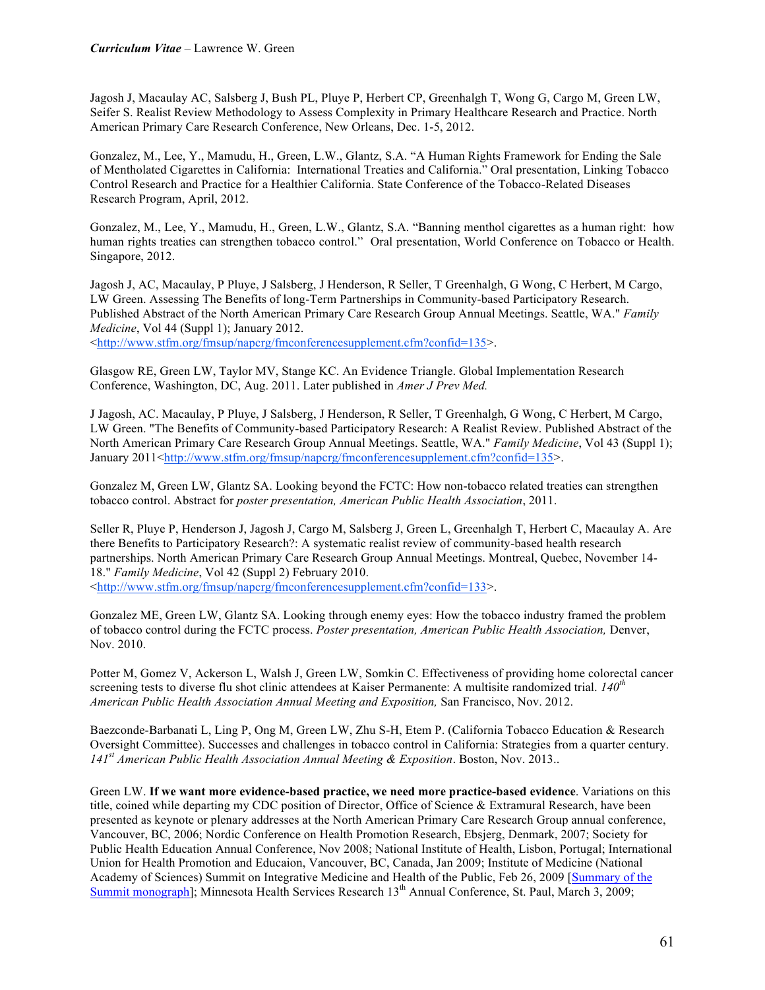Jagosh J, Macaulay AC, Salsberg J, Bush PL, Pluye P, Herbert CP, Greenhalgh T, Wong G, Cargo M, Green LW, Seifer S. Realist Review Methodology to Assess Complexity in Primary Healthcare Research and Practice. North American Primary Care Research Conference, New Orleans, Dec. 1-5, 2012.

Gonzalez, M., Lee, Y., Mamudu, H., Green, L.W., Glantz, S.A. "A Human Rights Framework for Ending the Sale of Mentholated Cigarettes in California: International Treaties and California." Oral presentation, Linking Tobacco Control Research and Practice for a Healthier California. State Conference of the Tobacco-Related Diseases Research Program, April, 2012.

Gonzalez, M., Lee, Y., Mamudu, H., Green, L.W., Glantz, S.A. "Banning menthol cigarettes as a human right: how human rights treaties can strengthen tobacco control." Oral presentation, World Conference on Tobacco or Health. Singapore, 2012.

Jagosh J, AC, Macaulay, P Pluye, J Salsberg, J Henderson, R Seller, T Greenhalgh, G Wong, C Herbert, M Cargo, LW Green. Assessing The Benefits of long-Term Partnerships in Community-based Participatory Research. Published Abstract of the North American Primary Care Research Group Annual Meetings. Seattle, WA." *Family Medicine*, Vol 44 (Suppl 1); January 2012. <http://www.stfm.org/fmsup/napcrg/fmconferencesupplement.cfm?confid=135>.

Glasgow RE, Green LW, Taylor MV, Stange KC. An Evidence Triangle. Global Implementation Research Conference, Washington, DC, Aug. 2011. Later published in *Amer J Prev Med.*

J Jagosh, AC. Macaulay, P Pluye, J Salsberg, J Henderson, R Seller, T Greenhalgh, G Wong, C Herbert, M Cargo, LW Green. "The Benefits of Community-based Participatory Research: A Realist Review. Published Abstract of the North American Primary Care Research Group Annual Meetings. Seattle, WA." *Family Medicine*, Vol 43 (Suppl 1); January 2011<http://www.stfm.org/fmsup/napcrg/fmconferencesupplement.cfm?confid=135>.

Gonzalez M, Green LW, Glantz SA. Looking beyond the FCTC: How non-tobacco related treaties can strengthen tobacco control. Abstract for *poster presentation, American Public Health Association*, 2011.

Seller R, Pluye P, Henderson J, Jagosh J, Cargo M, Salsberg J, Green L, Greenhalgh T, Herbert C, Macaulay A. Are there Benefits to Participatory Research?: A systematic realist review of community-based health research partnerships. North American Primary Care Research Group Annual Meetings. Montreal, Quebec, November 14- 18." *Family Medicine*, Vol 42 (Suppl 2) February 2010. <http://www.stfm.org/fmsup/napcrg/fmconferencesupplement.cfm?confid=133>.

Gonzalez ME, Green LW, Glantz SA. Looking through enemy eyes: How the tobacco industry framed the problem of tobacco control during the FCTC process. *Poster presentation, American Public Health Association,* Denver, Nov. 2010.

Potter M, Gomez V, Ackerson L, Walsh J, Green LW, Somkin C. Effectiveness of providing home colorectal cancer screening tests to diverse flu shot clinic attendees at Kaiser Permanente: A multisite randomized trial. *140th American Public Health Association Annual Meeting and Exposition,* San Francisco, Nov. 2012.

Baezconde-Barbanati L, Ling P, Ong M, Green LW, Zhu S-H, Etem P. (California Tobacco Education & Research Oversight Committee). Successes and challenges in tobacco control in California: Strategies from a quarter century. *141st American Public Health Association Annual Meeting & Exposition*. Boston, Nov. 2013..

Green LW. **If we want more evidence-based practice, we need more practice-based evidence**. Variations on this title, coined while departing my CDC position of Director, Office of Science & Extramural Research, have been presented as keynote or plenary addresses at the North American Primary Care Research Group annual conference, Vancouver, BC, 2006; Nordic Conference on Health Promotion Research, Ebsjerg, Denmark, 2007; Society for Public Health Education Annual Conference, Nov 2008; National Institute of Health, Lisbon, Portugal; International Union for Health Promotion and Educaion, Vancouver, BC, Canada, Jan 2009; Institute of Medicine (National Academy of Sciences) Summit on Integrative Medicine and Health of the Public, Feb 26, 2009 [Summary of the Summit monograph]; Minnesota Health Services Research 13<sup>th</sup> Annual Conference, St. Paul, March 3, 2009;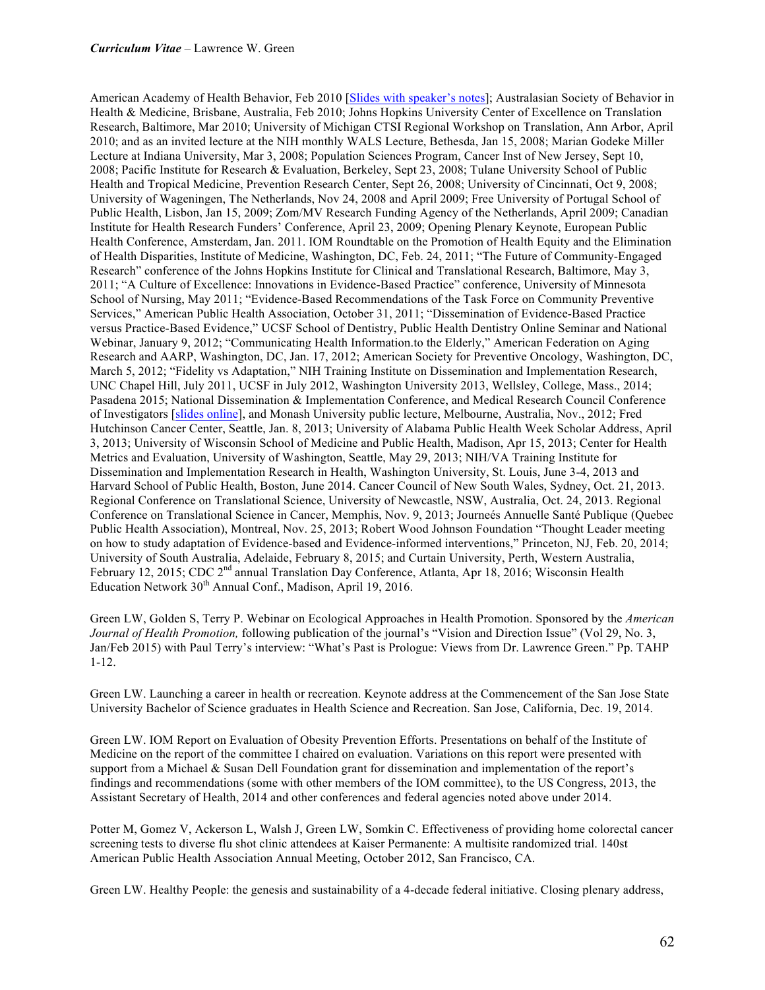American Academy of Health Behavior, Feb 2010 [Slides with speaker's notes]; Australasian Society of Behavior in Health & Medicine, Brisbane, Australia, Feb 2010; Johns Hopkins University Center of Excellence on Translation Research, Baltimore, Mar 2010; University of Michigan CTSI Regional Workshop on Translation, Ann Arbor, April 2010; and as an invited lecture at the NIH monthly WALS Lecture, Bethesda, Jan 15, 2008; Marian Godeke Miller Lecture at Indiana University, Mar 3, 2008; Population Sciences Program, Cancer Inst of New Jersey, Sept 10, 2008; Pacific Institute for Research & Evaluation, Berkeley, Sept 23, 2008; Tulane University School of Public Health and Tropical Medicine, Prevention Research Center, Sept 26, 2008; University of Cincinnati, Oct 9, 2008; University of Wageningen, The Netherlands, Nov 24, 2008 and April 2009; Free University of Portugal School of Public Health, Lisbon, Jan 15, 2009; Zom/MV Research Funding Agency of the Netherlands, April 2009; Canadian Institute for Health Research Funders' Conference, April 23, 2009; Opening Plenary Keynote, European Public Health Conference, Amsterdam, Jan. 2011. IOM Roundtable on the Promotion of Health Equity and the Elimination of Health Disparities, Institute of Medicine, Washington, DC, Feb. 24, 2011; "The Future of Community-Engaged Research" conference of the Johns Hopkins Institute for Clinical and Translational Research, Baltimore, May 3, 2011; "A Culture of Excellence: Innovations in Evidence-Based Practice" conference, University of Minnesota School of Nursing, May 2011; "Evidence-Based Recommendations of the Task Force on Community Preventive Services," American Public Health Association, October 31, 2011; "Dissemination of Evidence-Based Practice versus Practice-Based Evidence," UCSF School of Dentistry, Public Health Dentistry Online Seminar and National Webinar, January 9, 2012; "Communicating Health Information.to the Elderly," American Federation on Aging Research and AARP, Washington, DC, Jan. 17, 2012; American Society for Preventive Oncology, Washington, DC, March 5, 2012; "Fidelity vs Adaptation," NIH Training Institute on Dissemination and Implementation Research, UNC Chapel Hill, July 2011, UCSF in July 2012, Washington University 2013, Wellsley, College, Mass., 2014; Pasadena 2015; National Dissemination & Implementation Conference, and Medical Research Council Conference of Investigators [slides online], and Monash University public lecture, Melbourne, Australia, Nov., 2012; Fred Hutchinson Cancer Center, Seattle, Jan. 8, 2013; University of Alabama Public Health Week Scholar Address, April 3, 2013; University of Wisconsin School of Medicine and Public Health, Madison, Apr 15, 2013; Center for Health Metrics and Evaluation, University of Washington, Seattle, May 29, 2013; NIH/VA Training Institute for Dissemination and Implementation Research in Health, Washington University, St. Louis, June 3-4, 2013 and Harvard School of Public Health, Boston, June 2014. Cancer Council of New South Wales, Sydney, Oct. 21, 2013. Regional Conference on Translational Science, University of Newcastle, NSW, Australia, Oct. 24, 2013. Regional Conference on Translational Science in Cancer, Memphis, Nov. 9, 2013; Journeés Annuelle Santé Publique (Quebec Public Health Association), Montreal, Nov. 25, 2013; Robert Wood Johnson Foundation "Thought Leader meeting on how to study adaptation of Evidence-based and Evidence-informed interventions," Princeton, NJ, Feb. 20, 2014; University of South Australia, Adelaide, February 8, 2015; and Curtain University, Perth, Western Australia, February 12, 2015; CDC 2<sup>nd</sup> annual Translation Day Conference, Atlanta, Apr 18, 2016; Wisconsin Health Education Network 30<sup>th</sup> Annual Conf., Madison, April 19, 2016.

Green LW, Golden S, Terry P. Webinar on Ecological Approaches in Health Promotion. Sponsored by the *American Journal of Health Promotion,* following publication of the journal's "Vision and Direction Issue" (Vol 29, No. 3, Jan/Feb 2015) with Paul Terry's interview: "What's Past is Prologue: Views from Dr. Lawrence Green." Pp. TAHP 1-12.

Green LW. Launching a career in health or recreation. Keynote address at the Commencement of the San Jose State University Bachelor of Science graduates in Health Science and Recreation. San Jose, California, Dec. 19, 2014.

Green LW. IOM Report on Evaluation of Obesity Prevention Efforts. Presentations on behalf of the Institute of Medicine on the report of the committee I chaired on evaluation. Variations on this report were presented with support from a Michael & Susan Dell Foundation grant for dissemination and implementation of the report's findings and recommendations (some with other members of the IOM committee), to the US Congress, 2013, the Assistant Secretary of Health, 2014 and other conferences and federal agencies noted above under 2014.

Potter M, Gomez V, Ackerson L, Walsh J, Green LW, Somkin C. Effectiveness of providing home colorectal cancer screening tests to diverse flu shot clinic attendees at Kaiser Permanente: A multisite randomized trial. 140st American Public Health Association Annual Meeting, October 2012, San Francisco, CA.

Green LW. Healthy People: the genesis and sustainability of a 4-decade federal initiative. Closing plenary address,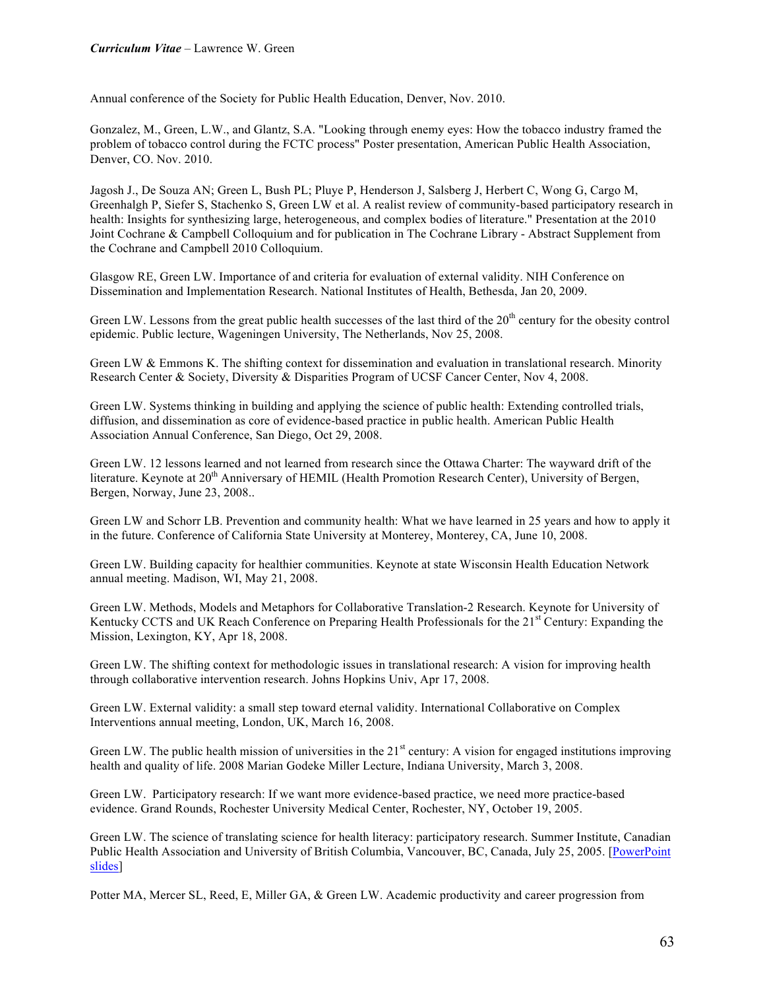Annual conference of the Society for Public Health Education, Denver, Nov. 2010.

Gonzalez, M., Green, L.W., and Glantz, S.A. "Looking through enemy eyes: How the tobacco industry framed the problem of tobacco control during the FCTC process" Poster presentation, American Public Health Association, Denver, CO. Nov. 2010.

Jagosh J., De Souza AN; Green L, Bush PL; Pluye P, Henderson J, Salsberg J, Herbert C, Wong G, Cargo M, Greenhalgh P, Siefer S, Stachenko S, Green LW et al. A realist review of community-based participatory research in health: Insights for synthesizing large, heterogeneous, and complex bodies of literature." Presentation at the 2010 Joint Cochrane & Campbell Colloquium and for publication in The Cochrane Library - Abstract Supplement from the Cochrane and Campbell 2010 Colloquium.

Glasgow RE, Green LW. Importance of and criteria for evaluation of external validity. NIH Conference on Dissemination and Implementation Research. National Institutes of Health, Bethesda, Jan 20, 2009.

Green LW. Lessons from the great public health successes of the last third of the  $20<sup>th</sup>$  century for the obesity control epidemic. Public lecture, Wageningen University, The Netherlands, Nov 25, 2008.

Green LW & Emmons K. The shifting context for dissemination and evaluation in translational research. Minority Research Center & Society, Diversity & Disparities Program of UCSF Cancer Center, Nov 4, 2008.

Green LW. Systems thinking in building and applying the science of public health: Extending controlled trials, diffusion, and dissemination as core of evidence-based practice in public health. American Public Health Association Annual Conference, San Diego, Oct 29, 2008.

Green LW. 12 lessons learned and not learned from research since the Ottawa Charter: The wayward drift of the literature. Keynote at 20<sup>th</sup> Anniversary of HEMIL (Health Promotion Research Center), University of Bergen, Bergen, Norway, June 23, 2008..

Green LW and Schorr LB. Prevention and community health: What we have learned in 25 years and how to apply it in the future. Conference of California State University at Monterey, Monterey, CA, June 10, 2008.

Green LW. Building capacity for healthier communities. Keynote at state Wisconsin Health Education Network annual meeting. Madison, WI, May 21, 2008.

Green LW. Methods, Models and Metaphors for Collaborative Translation-2 Research. Keynote for University of Kentucky CCTS and UK Reach Conference on Preparing Health Professionals for the 21<sup>st</sup> Century: Expanding the Mission, Lexington, KY, Apr 18, 2008.

Green LW. The shifting context for methodologic issues in translational research: A vision for improving health through collaborative intervention research. Johns Hopkins Univ, Apr 17, 2008.

Green LW. External validity: a small step toward eternal validity. International Collaborative on Complex Interventions annual meeting, London, UK, March 16, 2008.

Green LW. The public health mission of universities in the  $21<sup>st</sup>$  century: A vision for engaged institutions improving health and quality of life. 2008 Marian Godeke Miller Lecture, Indiana University, March 3, 2008.

Green LW. Participatory research: If we want more evidence-based practice, we need more practice-based evidence. Grand Rounds, Rochester University Medical Center, Rochester, NY, October 19, 2005.

Green LW. The science of translating science for health literacy: participatory research. Summer Institute, Canadian Public Health Association and University of British Columbia, Vancouver, BC, Canada, July 25, 2005. [PowerPoint slides]

Potter MA, Mercer SL, Reed, E, Miller GA, & Green LW. Academic productivity and career progression from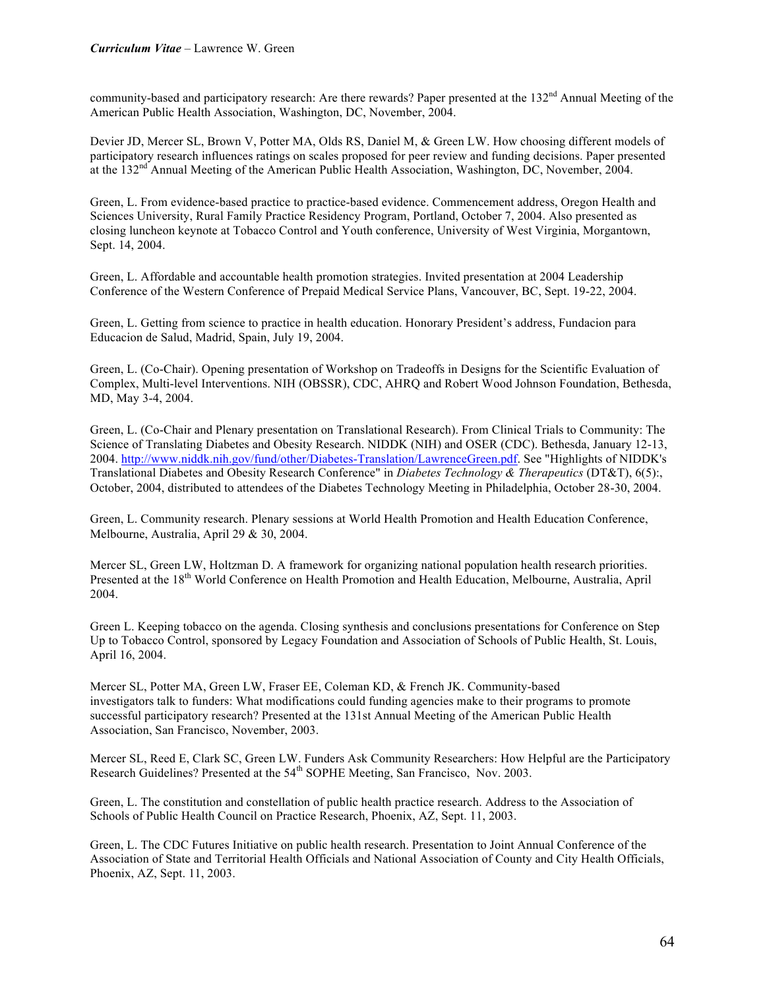community-based and participatory research: Are there rewards? Paper presented at the 132<sup>nd</sup> Annual Meeting of the American Public Health Association, Washington, DC, November, 2004.

Devier JD, Mercer SL, Brown V, Potter MA, Olds RS, Daniel M, & Green LW. How choosing different models of participatory research influences ratings on scales proposed for peer review and funding decisions. Paper presented at the 132<sup>nd</sup> Annual Meeting of the American Public Health Association, Washington, DC, November, 2004.

Green, L. From evidence-based practice to practice-based evidence. Commencement address, Oregon Health and Sciences University, Rural Family Practice Residency Program, Portland, October 7, 2004. Also presented as closing luncheon keynote at Tobacco Control and Youth conference, University of West Virginia, Morgantown, Sept. 14, 2004.

Green, L. Affordable and accountable health promotion strategies. Invited presentation at 2004 Leadership Conference of the Western Conference of Prepaid Medical Service Plans, Vancouver, BC, Sept. 19-22, 2004.

Green, L. Getting from science to practice in health education. Honorary President's address, Fundacion para Educacion de Salud, Madrid, Spain, July 19, 2004.

Green, L. (Co-Chair). Opening presentation of Workshop on Tradeoffs in Designs for the Scientific Evaluation of Complex, Multi-level Interventions. NIH (OBSSR), CDC, AHRQ and Robert Wood Johnson Foundation, Bethesda, MD, May 3-4, 2004.

Green, L. (Co-Chair and Plenary presentation on Translational Research). From Clinical Trials to Community: The Science of Translating Diabetes and Obesity Research. NIDDK (NIH) and OSER (CDC). Bethesda, January 12-13, 2004. http://www.niddk.nih.gov/fund/other/Diabetes-Translation/LawrenceGreen.pdf. See "Highlights of NIDDK's Translational Diabetes and Obesity Research Conference" in *Diabetes Technology & Therapeutics* (DT&T), 6(5):, October, 2004, distributed to attendees of the Diabetes Technology Meeting in Philadelphia, October 28-30, 2004.

Green, L. Community research. Plenary sessions at World Health Promotion and Health Education Conference, Melbourne, Australia, April 29 & 30, 2004.

Mercer SL, Green LW, Holtzman D. A framework for organizing national population health research priorities. Presented at the 18<sup>th</sup> World Conference on Health Promotion and Health Education, Melbourne, Australia, April 2004.

Green L. Keeping tobacco on the agenda. Closing synthesis and conclusions presentations for Conference on Step Up to Tobacco Control, sponsored by Legacy Foundation and Association of Schools of Public Health, St. Louis, April 16, 2004.

Mercer SL, Potter MA, Green LW, Fraser EE, Coleman KD, & French JK. Community-based investigators talk to funders: What modifications could funding agencies make to their programs to promote successful participatory research? Presented at the 131st Annual Meeting of the American Public Health Association, San Francisco, November, 2003.

Mercer SL, Reed E, Clark SC, Green LW. Funders Ask Community Researchers: How Helpful are the Participatory Research Guidelines? Presented at the 54<sup>th</sup> SOPHE Meeting, San Francisco, Nov. 2003.

Green, L. The constitution and constellation of public health practice research. Address to the Association of Schools of Public Health Council on Practice Research, Phoenix, AZ, Sept. 11, 2003.

Green, L. The CDC Futures Initiative on public health research. Presentation to Joint Annual Conference of the Association of State and Territorial Health Officials and National Association of County and City Health Officials, Phoenix, AZ, Sept. 11, 2003.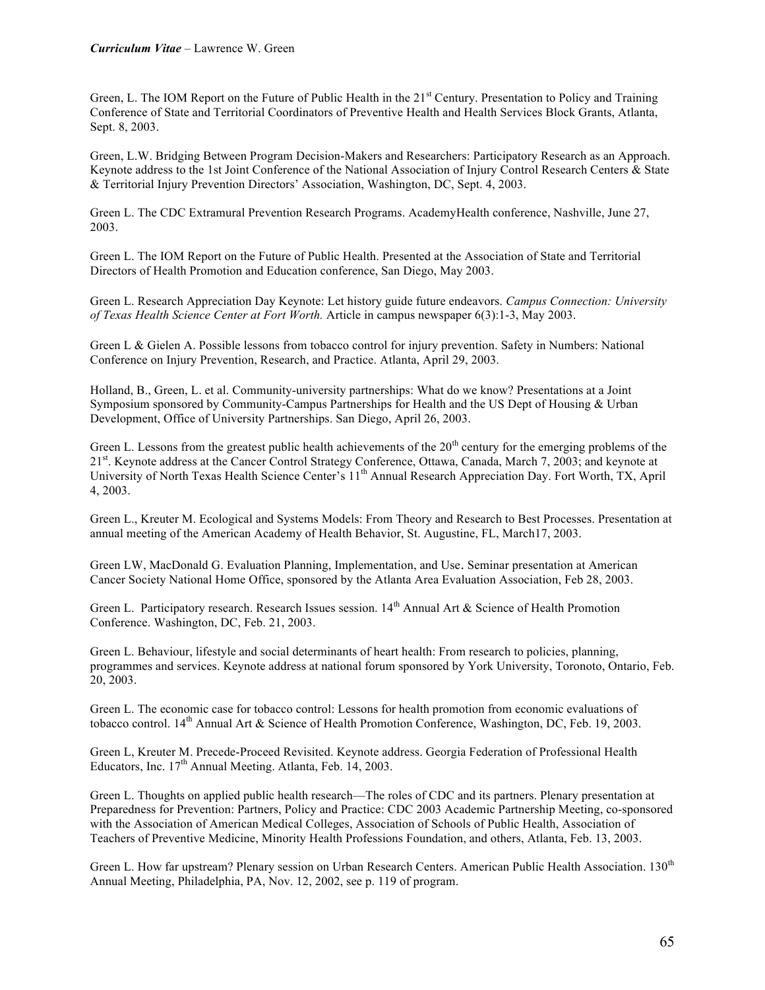Green, L. The IOM Report on the Future of Public Health in the 21<sup>st</sup> Century. Presentation to Policy and Training Conference of State and Territorial Coordinators of Preventive Health and Health Services Block Grants, Atlanta, Sept. 8, 2003.

Green, L.W. Bridging Between Program Decision-Makers and Researchers: Participatory Research as an Approach. Keynote address to the 1st Joint Conference of the National Association of Injury Control Research Centers & State & Territorial Injury Prevention Directors' Association, Washington, DC, Sept. 4, 2003.

Green L. The CDC Extramural Prevention Research Programs. AcademyHealth conference, Nashville, June 27, 2003.

Green L. The IOM Report on the Future of Public Health. Presented at the Association of State and Territorial Directors of Health Promotion and Education conference, San Diego, May 2003.

Green L. Research Appreciation Day Keynote: Let history guide future endeavors. *Campus Connection: University of Texas Health Science Center at Fort Worth.* Article in campus newspaper 6(3):1-3, May 2003.

Green L & Gielen A. Possible lessons from tobacco control for injury prevention. Safety in Numbers: National Conference on Injury Prevention, Research, and Practice. Atlanta, April 29, 2003.

Holland, B., Green, L. et al. Community-university partnerships: What do we know? Presentations at a Joint Symposium sponsored by Community-Campus Partnerships for Health and the US Dept of Housing & Urban Development, Office of University Partnerships. San Diego, April 26, 2003.

Green L. Lessons from the greatest public health achievements of the  $20<sup>th</sup>$  century for the emerging problems of the 21<sup>st</sup>. Keynote address at the Cancer Control Strategy Conference, Ottawa, Canada, March 7, 2003; and keynote at University of North Texas Health Science Center's 11<sup>th</sup> Annual Research Appreciation Day. Fort Worth, TX, April 4, 2003.

Green L., Kreuter M. Ecological and Systems Models: From Theory and Research to Best Processes. Presentation at annual meeting of the American Academy of Health Behavior, St. Augustine, FL, March17, 2003.

Green LW, MacDonald G. Evaluation Planning, Implementation, and Use. Seminar presentation at American Cancer Society National Home Office, sponsored by the Atlanta Area Evaluation Association, Feb 28, 2003.

Green L. Participatory research. Research Issues session. 14<sup>th</sup> Annual Art & Science of Health Promotion Conference. Washington, DC, Feb. 21, 2003.

Green L. Behaviour, lifestyle and social determinants of heart health: From research to policies, planning, programmes and services. Keynote address at national forum sponsored by York University, Toronoto, Ontario, Feb. 20, 2003.

Green L. The economic case for tobacco control: Lessons for health promotion from economic evaluations of tobacco control. 14<sup>th</sup> Annual Art & Science of Health Promotion Conference, Washington, DC, Feb. 19, 2003.

Green L, Kreuter M. Precede-Proceed Revisited. Keynote address. Georgia Federation of Professional Health Educators, Inc. 17<sup>th</sup> Annual Meeting. Atlanta, Feb. 14, 2003.

Green L. Thoughts on applied public health research—The roles of CDC and its partners. Plenary presentation at Preparedness for Prevention: Partners, Policy and Practice: CDC 2003 Academic Partnership Meeting, co-sponsored with the Association of American Medical Colleges, Association of Schools of Public Health, Association of Teachers of Preventive Medicine, Minority Health Professions Foundation, and others, Atlanta, Feb. 13, 2003.

Green L. How far upstream? Plenary session on Urban Research Centers. American Public Health Association. 130<sup>th</sup> Annual Meeting, Philadelphia, PA, Nov. 12, 2002, see p. 119 of program.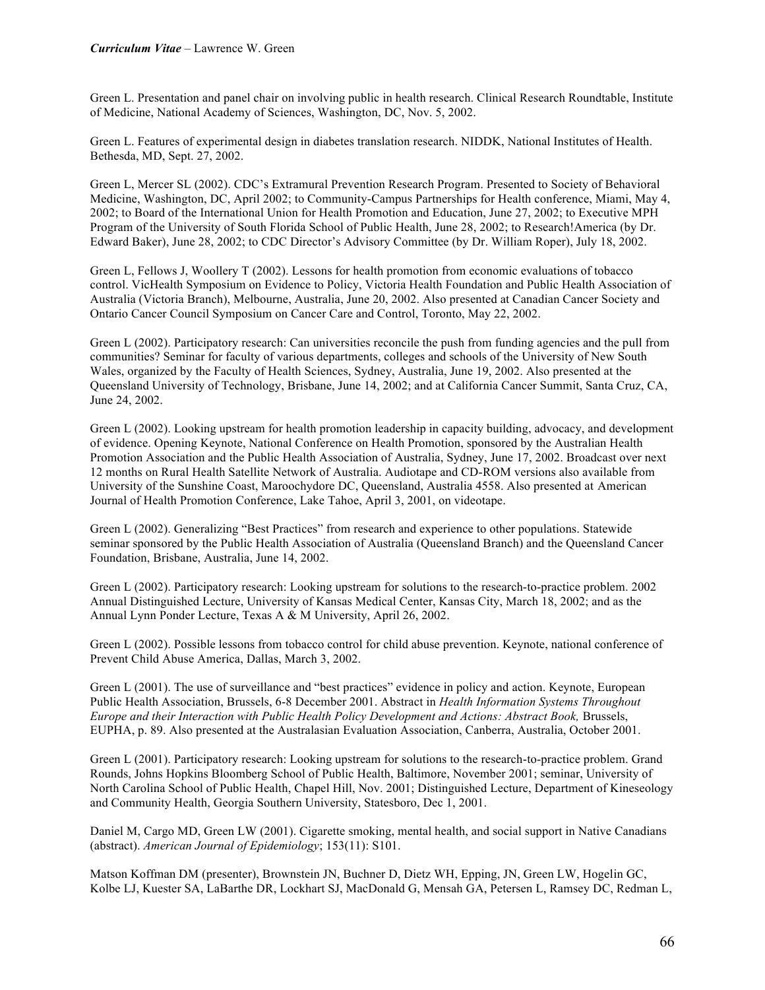Green L. Presentation and panel chair on involving public in health research. Clinical Research Roundtable, Institute of Medicine, National Academy of Sciences, Washington, DC, Nov. 5, 2002.

Green L. Features of experimental design in diabetes translation research. NIDDK, National Institutes of Health. Bethesda, MD, Sept. 27, 2002.

Green L, Mercer SL (2002). CDC's Extramural Prevention Research Program. Presented to Society of Behavioral Medicine, Washington, DC, April 2002; to Community-Campus Partnerships for Health conference, Miami, May 4, 2002; to Board of the International Union for Health Promotion and Education, June 27, 2002; to Executive MPH Program of the University of South Florida School of Public Health, June 28, 2002; to Research!America (by Dr. Edward Baker), June 28, 2002; to CDC Director's Advisory Committee (by Dr. William Roper), July 18, 2002.

Green L, Fellows J, Woollery T (2002). Lessons for health promotion from economic evaluations of tobacco control. VicHealth Symposium on Evidence to Policy, Victoria Health Foundation and Public Health Association of Australia (Victoria Branch), Melbourne, Australia, June 20, 2002. Also presented at Canadian Cancer Society and Ontario Cancer Council Symposium on Cancer Care and Control, Toronto, May 22, 2002.

Green L (2002). Participatory research: Can universities reconcile the push from funding agencies and the pull from communities? Seminar for faculty of various departments, colleges and schools of the University of New South Wales, organized by the Faculty of Health Sciences, Sydney, Australia, June 19, 2002. Also presented at the Queensland University of Technology, Brisbane, June 14, 2002; and at California Cancer Summit, Santa Cruz, CA, June 24, 2002.

Green L (2002). Looking upstream for health promotion leadership in capacity building, advocacy, and development of evidence. Opening Keynote, National Conference on Health Promotion, sponsored by the Australian Health Promotion Association and the Public Health Association of Australia, Sydney, June 17, 2002. Broadcast over next 12 months on Rural Health Satellite Network of Australia. Audiotape and CD-ROM versions also available from University of the Sunshine Coast, Maroochydore DC, Queensland, Australia 4558. Also presented at American Journal of Health Promotion Conference, Lake Tahoe, April 3, 2001, on videotape.

Green L (2002). Generalizing "Best Practices" from research and experience to other populations. Statewide seminar sponsored by the Public Health Association of Australia (Queensland Branch) and the Queensland Cancer Foundation, Brisbane, Australia, June 14, 2002.

Green L (2002). Participatory research: Looking upstream for solutions to the research-to-practice problem. 2002 Annual Distinguished Lecture, University of Kansas Medical Center, Kansas City, March 18, 2002; and as the Annual Lynn Ponder Lecture, Texas A & M University, April 26, 2002.

Green L (2002). Possible lessons from tobacco control for child abuse prevention. Keynote, national conference of Prevent Child Abuse America, Dallas, March 3, 2002.

Green L (2001). The use of surveillance and "best practices" evidence in policy and action. Keynote, European Public Health Association, Brussels, 6-8 December 2001. Abstract in *Health Information Systems Throughout Europe and their Interaction with Public Health Policy Development and Actions: Abstract Book,* Brussels, EUPHA, p. 89. Also presented at the Australasian Evaluation Association, Canberra, Australia, October 2001.

Green L (2001). Participatory research: Looking upstream for solutions to the research-to-practice problem. Grand Rounds, Johns Hopkins Bloomberg School of Public Health, Baltimore, November 2001; seminar, University of North Carolina School of Public Health, Chapel Hill, Nov. 2001; Distinguished Lecture, Department of Kineseology and Community Health, Georgia Southern University, Statesboro, Dec 1, 2001.

Daniel M, Cargo MD, Green LW (2001). Cigarette smoking, mental health, and social support in Native Canadians (abstract). *American Journal of Epidemiology*; 153(11): S101.

Matson Koffman DM (presenter), Brownstein JN, Buchner D, Dietz WH, Epping, JN, Green LW, Hogelin GC, Kolbe LJ, Kuester SA, LaBarthe DR, Lockhart SJ, MacDonald G, Mensah GA, Petersen L, Ramsey DC, Redman L,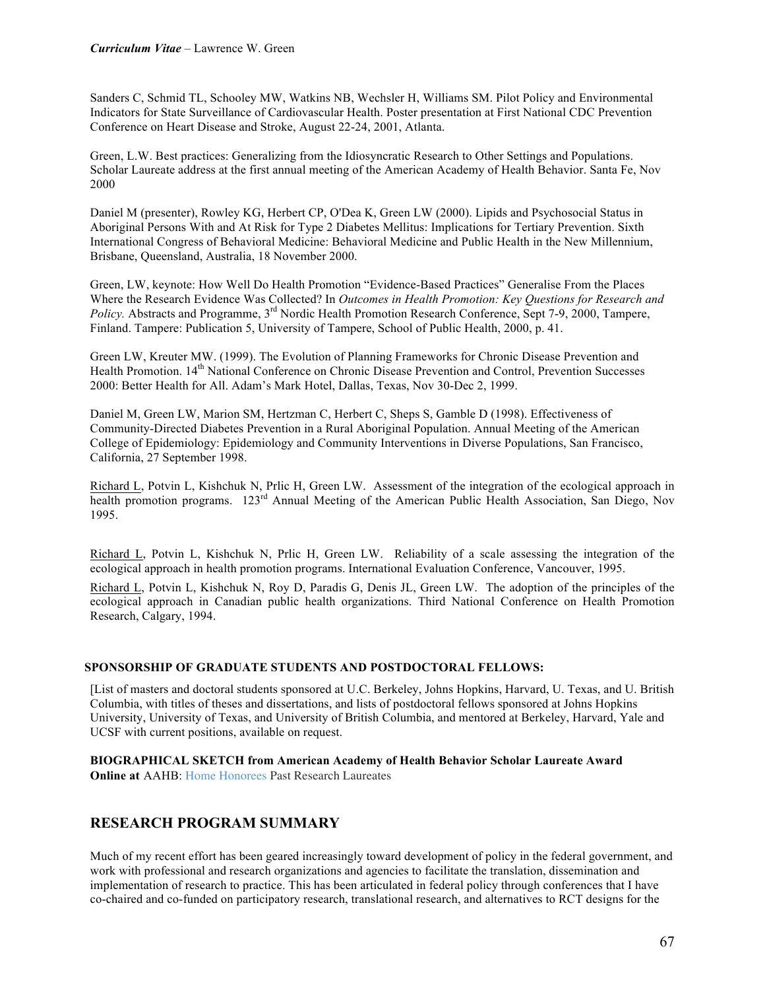Sanders C, Schmid TL, Schooley MW, Watkins NB, Wechsler H, Williams SM. Pilot Policy and Environmental Indicators for State Surveillance of Cardiovascular Health. Poster presentation at First National CDC Prevention Conference on Heart Disease and Stroke, August 22-24, 2001, Atlanta.

Green, L.W. Best practices: Generalizing from the Idiosyncratic Research to Other Settings and Populations. Scholar Laureate address at the first annual meeting of the American Academy of Health Behavior. Santa Fe, Nov 2000

Daniel M (presenter), Rowley KG, Herbert CP, O'Dea K, Green LW (2000). Lipids and Psychosocial Status in Aboriginal Persons With and At Risk for Type 2 Diabetes Mellitus: Implications for Tertiary Prevention. Sixth International Congress of Behavioral Medicine: Behavioral Medicine and Public Health in the New Millennium, Brisbane, Queensland, Australia, 18 November 2000.

Green, LW, keynote: How Well Do Health Promotion "Evidence-Based Practices" Generalise From the Places Where the Research Evidence Was Collected? In *Outcomes in Health Promotion: Key Questions for Research and Policy.* Abstracts and Programme, 3<sup>rd</sup> Nordic Health Promotion Research Conference, Sept 7-9, 2000, Tampere, Finland. Tampere: Publication 5, University of Tampere, School of Public Health, 2000, p. 41.

Green LW, Kreuter MW. (1999). The Evolution of Planning Frameworks for Chronic Disease Prevention and Health Promotion. 14<sup>th</sup> National Conference on Chronic Disease Prevention and Control, Prevention Successes 2000: Better Health for All. Adam's Mark Hotel, Dallas, Texas, Nov 30-Dec 2, 1999.

Daniel M, Green LW, Marion SM, Hertzman C, Herbert C, Sheps S, Gamble D (1998). Effectiveness of Community-Directed Diabetes Prevention in a Rural Aboriginal Population. Annual Meeting of the American College of Epidemiology: Epidemiology and Community Interventions in Diverse Populations, San Francisco, California, 27 September 1998.

Richard L, Potvin L, Kishchuk N, Prlic H, Green LW. Assessment of the integration of the ecological approach in health promotion programs. 123rd Annual Meeting of the American Public Health Association, San Diego, Nov 1995.

Richard L, Potvin L, Kishchuk N, Prlic H, Green LW. Reliability of a scale assessing the integration of the ecological approach in health promotion programs. International Evaluation Conference, Vancouver, 1995.

Richard L, Potvin L, Kishchuk N, Roy D, Paradis G, Denis JL, Green LW. The adoption of the principles of the ecological approach in Canadian public health organizations. Third National Conference on Health Promotion Research, Calgary, 1994.

## **SPONSORSHIP OF GRADUATE STUDENTS AND POSTDOCTORAL FELLOWS:**

[List of masters and doctoral students sponsored at U.C. Berkeley, Johns Hopkins, Harvard, U. Texas, and U. British Columbia, with titles of theses and dissertations, and lists of postdoctoral fellows sponsored at Johns Hopkins University, University of Texas, and University of British Columbia, and mentored at Berkeley, Harvard, Yale and UCSF with current positions, available on request.

**BIOGRAPHICAL SKETCH from American Academy of Health Behavior Scholar Laureate Award Online at AAHB: Home Honorees Past Research Laureates** 

# **RESEARCH PROGRAM SUMMARY**

Much of my recent effort has been geared increasingly toward development of policy in the federal government, and work with professional and research organizations and agencies to facilitate the translation, dissemination and implementation of research to practice. This has been articulated in federal policy through conferences that I have co-chaired and co-funded on participatory research, translational research, and alternatives to RCT designs for the